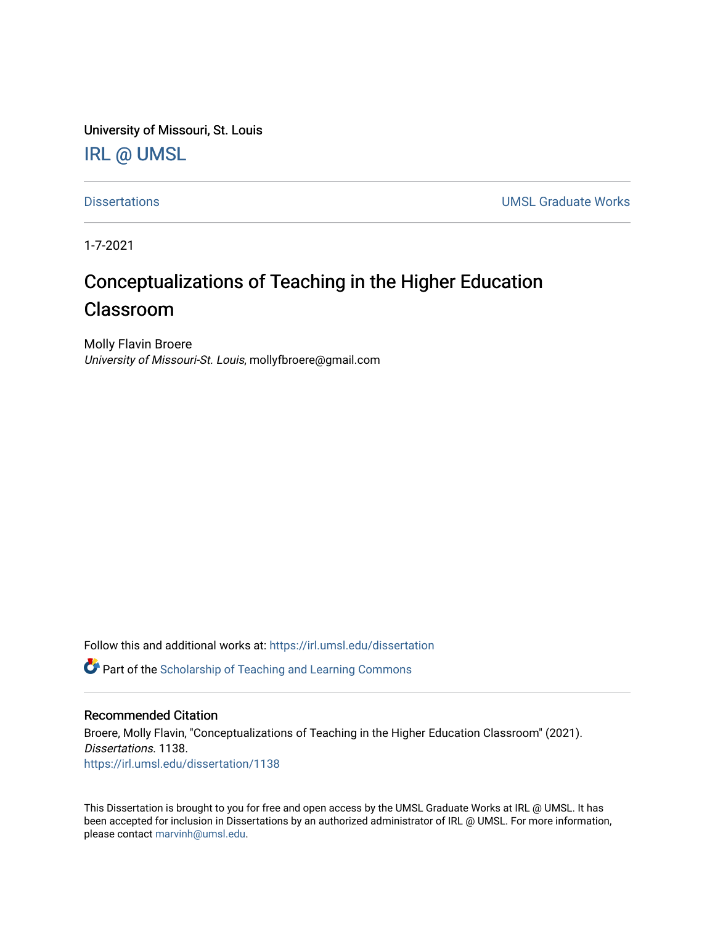University of Missouri, St. Louis [IRL @ UMSL](https://irl.umsl.edu/) 

[Dissertations](https://irl.umsl.edu/dissertation) [UMSL Graduate Works](https://irl.umsl.edu/grad) 

1-7-2021

# Conceptualizations of Teaching in the Higher Education Classroom

Molly Flavin Broere University of Missouri-St. Louis, mollyfbroere@gmail.com

Follow this and additional works at: [https://irl.umsl.edu/dissertation](https://irl.umsl.edu/dissertation?utm_source=irl.umsl.edu%2Fdissertation%2F1138&utm_medium=PDF&utm_campaign=PDFCoverPages)

**C** Part of the Scholarship of Teaching and Learning Commons

# Recommended Citation

Broere, Molly Flavin, "Conceptualizations of Teaching in the Higher Education Classroom" (2021). Dissertations. 1138. [https://irl.umsl.edu/dissertation/1138](https://irl.umsl.edu/dissertation/1138?utm_source=irl.umsl.edu%2Fdissertation%2F1138&utm_medium=PDF&utm_campaign=PDFCoverPages) 

This Dissertation is brought to you for free and open access by the UMSL Graduate Works at IRL @ UMSL. It has been accepted for inclusion in Dissertations by an authorized administrator of IRL @ UMSL. For more information, please contact [marvinh@umsl.edu](mailto:marvinh@umsl.edu).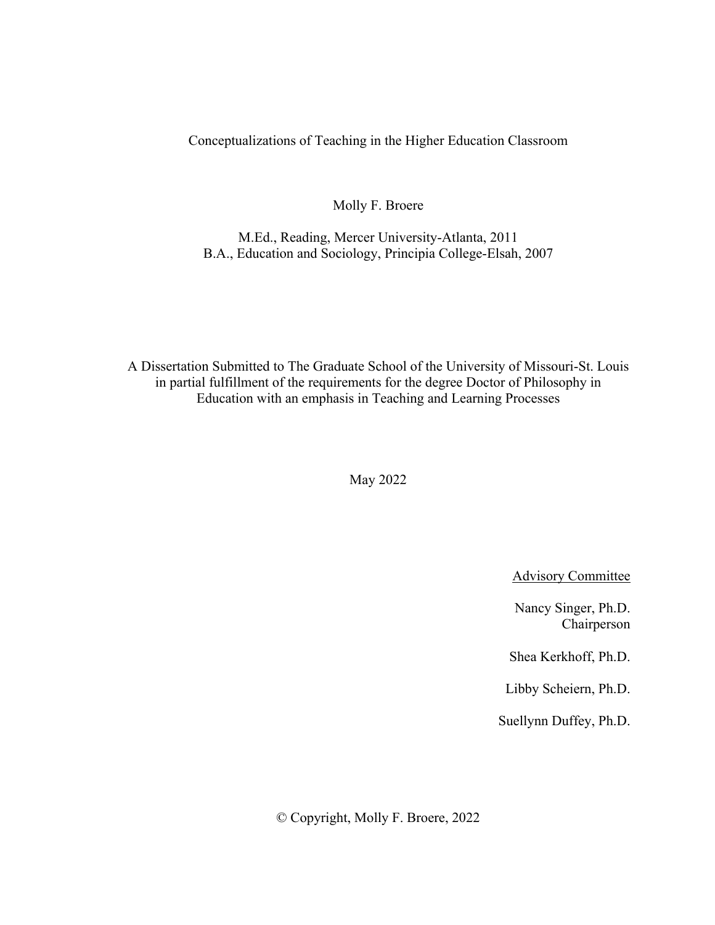Conceptualizations of Teaching in the Higher Education Classroom

Molly F. Broere

M.Ed., Reading, Mercer University-Atlanta, 2011 B.A., Education and Sociology, Principia College-Elsah, 2007

A Dissertation Submitted to The Graduate School of the University of Missouri-St. Louis in partial fulfillment of the requirements for the degree Doctor of Philosophy in Education with an emphasis in Teaching and Learning Processes

May 2022

Advisory Committee

Nancy Singer, Ph.D. Chairperson

Shea Kerkhoff, Ph.D.

Libby Scheiern, Ph.D.

Suellynn Duffey, Ph.D.

© Copyright, Molly F. Broere, 2022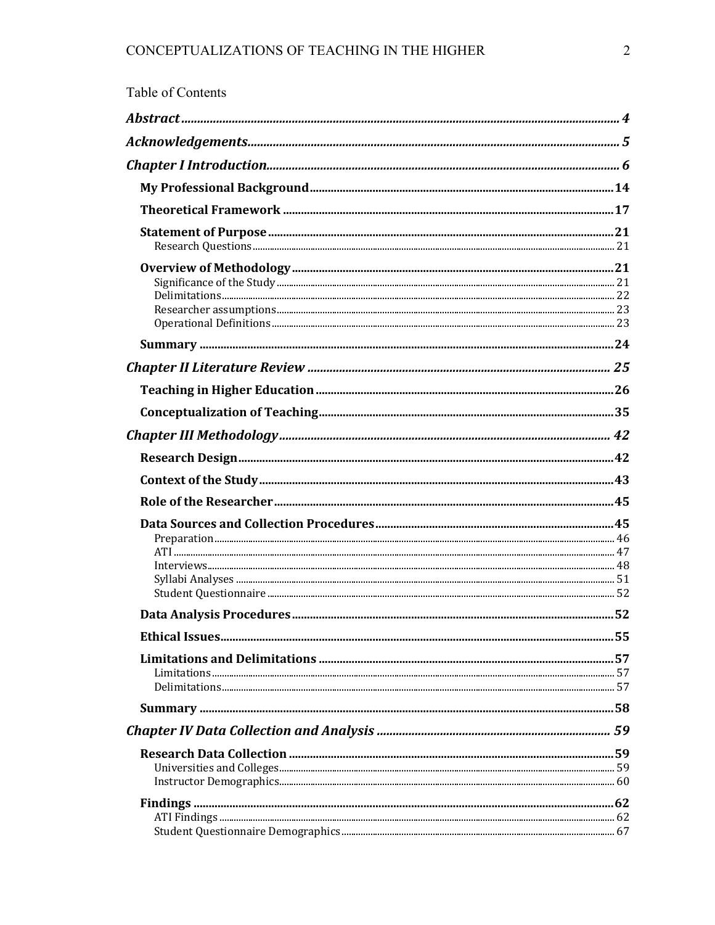| Table of Contents |  |
|-------------------|--|
|                   |  |
|                   |  |
|                   |  |
|                   |  |
|                   |  |
|                   |  |
|                   |  |
|                   |  |
|                   |  |
|                   |  |
|                   |  |
|                   |  |
|                   |  |
|                   |  |
|                   |  |
|                   |  |
|                   |  |
|                   |  |
|                   |  |
|                   |  |
|                   |  |
|                   |  |
|                   |  |
|                   |  |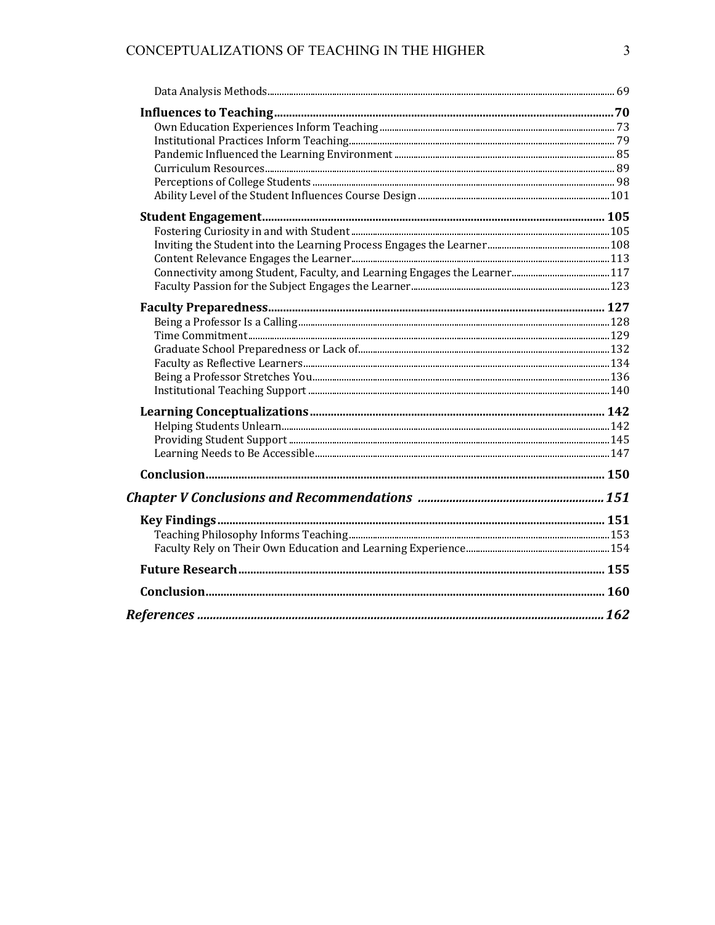# CONCEPTUALIZATIONS OF TEACHING IN THE HIGHER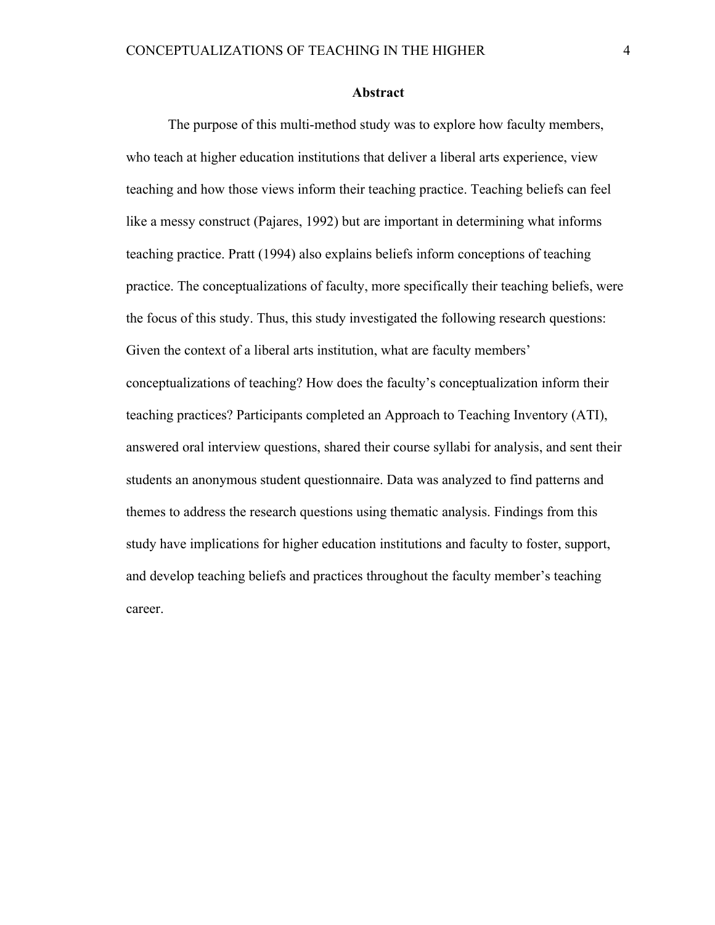#### **Abstract**

The purpose of this multi-method study was to explore how faculty members, who teach at higher education institutions that deliver a liberal arts experience, view teaching and how those views inform their teaching practice. Teaching beliefs can feel like a messy construct (Pajares, 1992) but are important in determining what informs teaching practice. Pratt (1994) also explains beliefs inform conceptions of teaching practice. The conceptualizations of faculty, more specifically their teaching beliefs, were the focus of this study. Thus, this study investigated the following research questions: Given the context of a liberal arts institution, what are faculty members' conceptualizations of teaching? How does the faculty's conceptualization inform their teaching practices? Participants completed an Approach to Teaching Inventory (ATI), answered oral interview questions, shared their course syllabi for analysis, and sent their students an anonymous student questionnaire. Data was analyzed to find patterns and themes to address the research questions using thematic analysis. Findings from this study have implications for higher education institutions and faculty to foster, support, and develop teaching beliefs and practices throughout the faculty member's teaching career.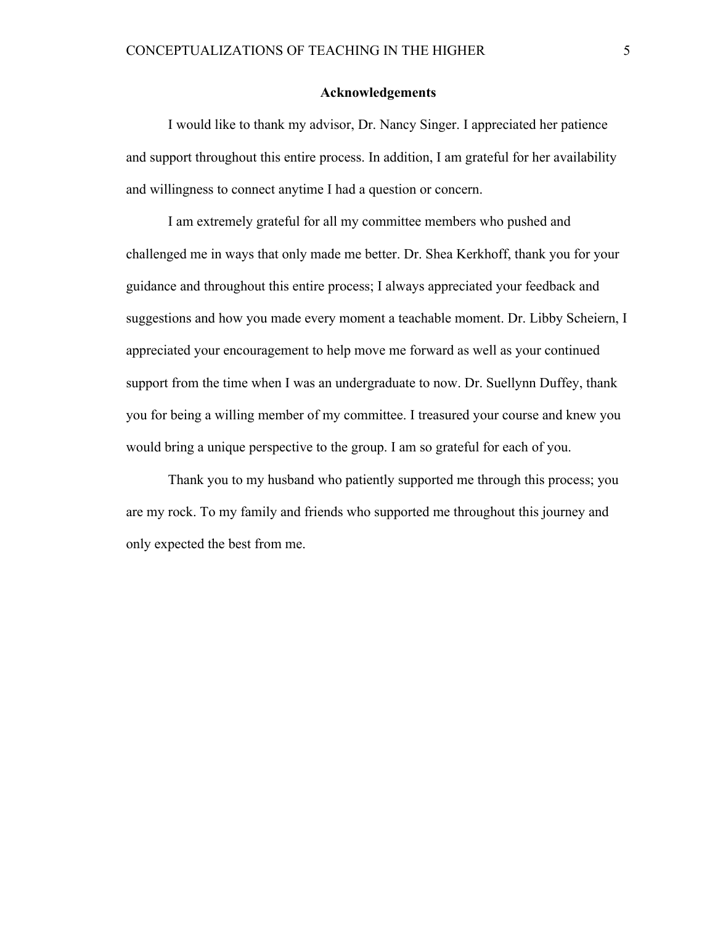# **Acknowledgements**

I would like to thank my advisor, Dr. Nancy Singer. I appreciated her patience and support throughout this entire process. In addition, I am grateful for her availability and willingness to connect anytime I had a question or concern.

I am extremely grateful for all my committee members who pushed and challenged me in ways that only made me better. Dr. Shea Kerkhoff, thank you for your guidance and throughout this entire process; I always appreciated your feedback and suggestions and how you made every moment a teachable moment. Dr. Libby Scheiern, I appreciated your encouragement to help move me forward as well as your continued support from the time when I was an undergraduate to now. Dr. Suellynn Duffey, thank you for being a willing member of my committee. I treasured your course and knew you would bring a unique perspective to the group. I am so grateful for each of you.

Thank you to my husband who patiently supported me through this process; you are my rock. To my family and friends who supported me throughout this journey and only expected the best from me.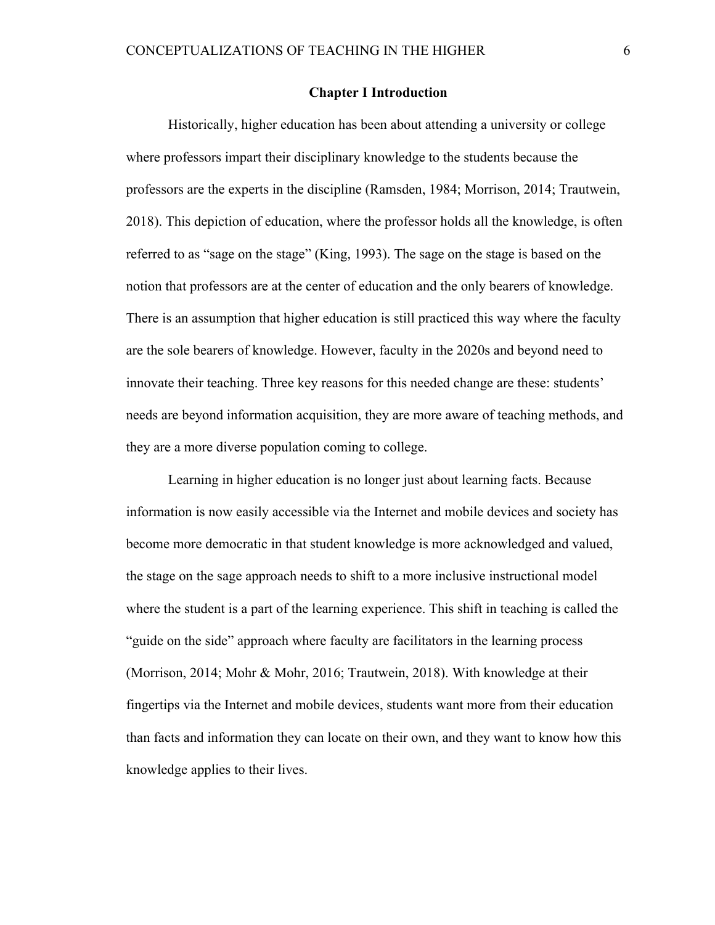#### **Chapter I Introduction**

Historically, higher education has been about attending a university or college where professors impart their disciplinary knowledge to the students because the professors are the experts in the discipline (Ramsden, 1984; Morrison, 2014; Trautwein, 2018). This depiction of education, where the professor holds all the knowledge, is often referred to as "sage on the stage" (King, 1993). The sage on the stage is based on the notion that professors are at the center of education and the only bearers of knowledge. There is an assumption that higher education is still practiced this way where the faculty are the sole bearers of knowledge. However, faculty in the 2020s and beyond need to innovate their teaching. Three key reasons for this needed change are these: students' needs are beyond information acquisition, they are more aware of teaching methods, and they are a more diverse population coming to college.

Learning in higher education is no longer just about learning facts. Because information is now easily accessible via the Internet and mobile devices and society has become more democratic in that student knowledge is more acknowledged and valued, the stage on the sage approach needs to shift to a more inclusive instructional model where the student is a part of the learning experience. This shift in teaching is called the "guide on the side" approach where faculty are facilitators in the learning process (Morrison, 2014; Mohr & Mohr, 2016; Trautwein, 2018). With knowledge at their fingertips via the Internet and mobile devices, students want more from their education than facts and information they can locate on their own, and they want to know how this knowledge applies to their lives.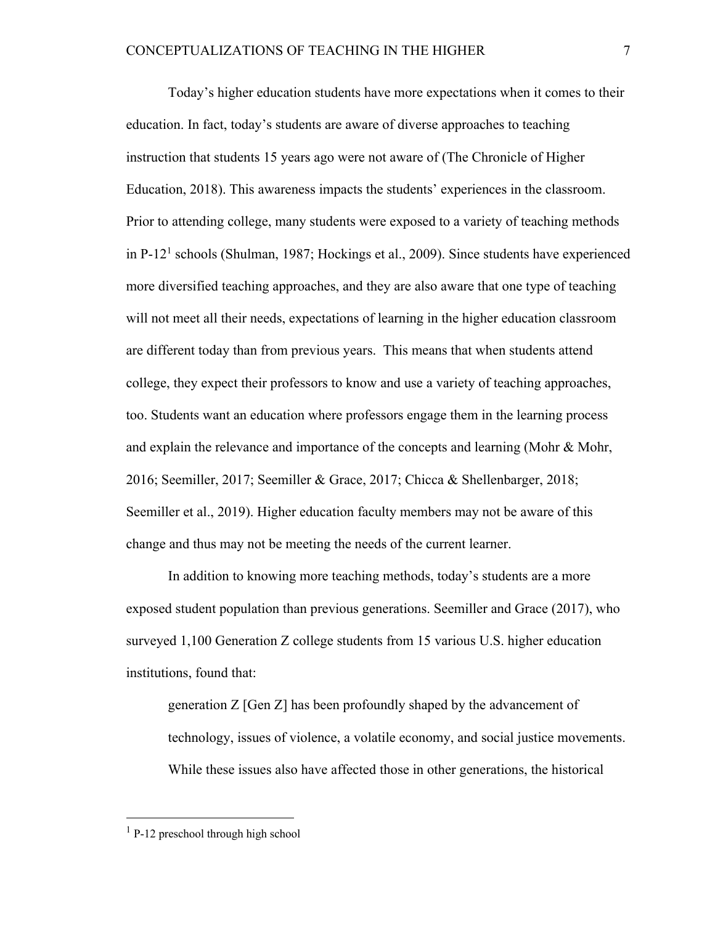Today's higher education students have more expectations when it comes to their education. In fact, today's students are aware of diverse approaches to teaching instruction that students 15 years ago were not aware of (The Chronicle of Higher Education, 2018). This awareness impacts the students' experiences in the classroom. Prior to attending college, many students were exposed to a variety of teaching methods in P-121 schools (Shulman, 1987; Hockings et al., 2009). Since students have experienced more diversified teaching approaches, and they are also aware that one type of teaching will not meet all their needs, expectations of learning in the higher education classroom are different today than from previous years. This means that when students attend college, they expect their professors to know and use a variety of teaching approaches, too. Students want an education where professors engage them in the learning process and explain the relevance and importance of the concepts and learning (Mohr & Mohr, 2016; Seemiller, 2017; Seemiller & Grace, 2017; Chicca & Shellenbarger, 2018; Seemiller et al., 2019). Higher education faculty members may not be aware of this change and thus may not be meeting the needs of the current learner.

In addition to knowing more teaching methods, today's students are a more exposed student population than previous generations. Seemiller and Grace (2017), who surveyed 1,100 Generation Z college students from 15 various U.S. higher education institutions, found that:

generation Z [Gen Z] has been profoundly shaped by the advancement of technology, issues of violence, a volatile economy, and social justice movements. While these issues also have affected those in other generations, the historical

 $<sup>1</sup>$  P-12 preschool through high school</sup>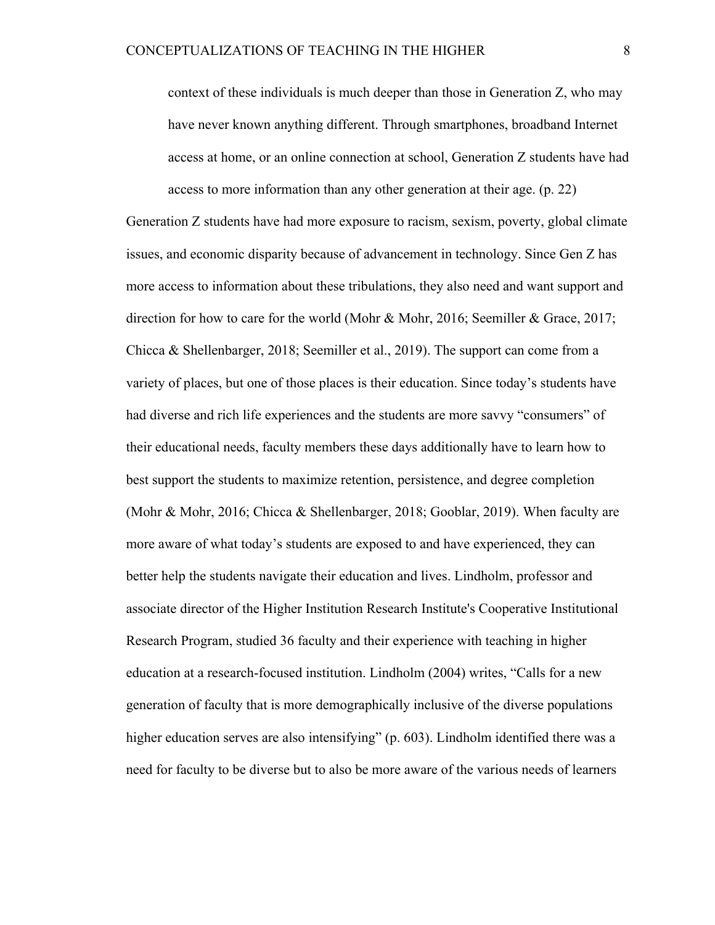context of these individuals is much deeper than those in Generation Z, who may have never known anything different. Through smartphones, broadband Internet access at home, or an online connection at school, Generation Z students have had access to more information than any other generation at their age. (p. 22)

Generation Z students have had more exposure to racism, sexism, poverty, global climate issues, and economic disparity because of advancement in technology. Since Gen Z has more access to information about these tribulations, they also need and want support and direction for how to care for the world (Mohr & Mohr, 2016; Seemiller & Grace, 2017; Chicca & Shellenbarger, 2018; Seemiller et al., 2019). The support can come from a variety of places, but one of those places is their education. Since today's students have had diverse and rich life experiences and the students are more savvy "consumers" of their educational needs, faculty members these days additionally have to learn how to best support the students to maximize retention, persistence, and degree completion (Mohr & Mohr, 2016; Chicca & Shellenbarger, 2018; Gooblar, 2019). When faculty are more aware of what today's students are exposed to and have experienced, they can better help the students navigate their education and lives. Lindholm, professor and associate director of the Higher Institution Research Institute's Cooperative Institutional Research Program, studied 36 faculty and their experience with teaching in higher education at a research-focused institution. Lindholm (2004) writes, "Calls for a new generation of faculty that is more demographically inclusive of the diverse populations higher education serves are also intensifying" (p. 603). Lindholm identified there was a need for faculty to be diverse but to also be more aware of the various needs of learners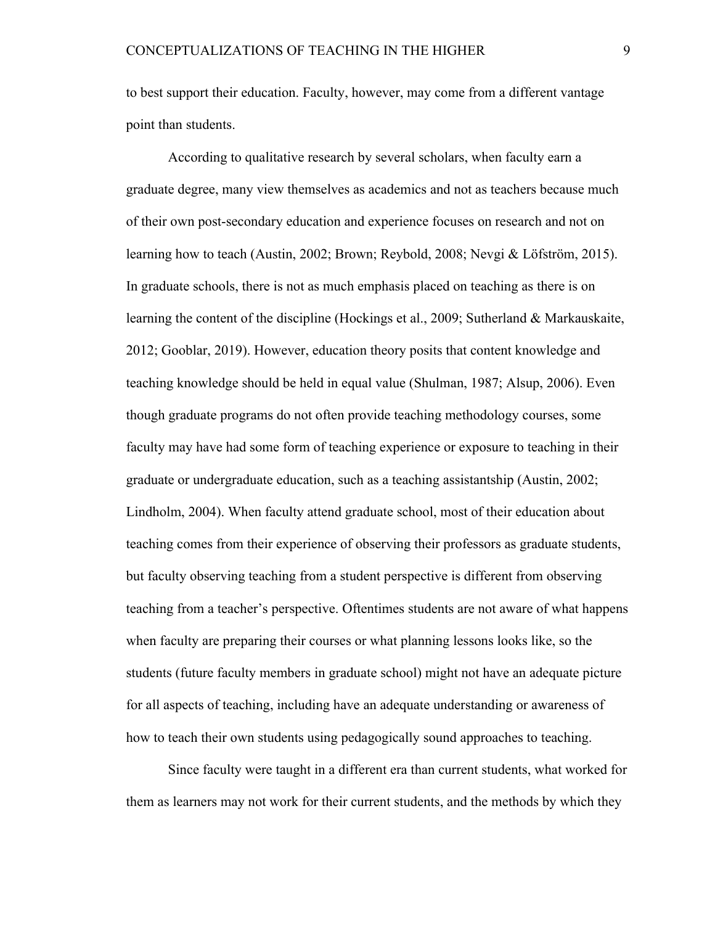to best support their education. Faculty, however, may come from a different vantage point than students.

According to qualitative research by several scholars, when faculty earn a graduate degree, many view themselves as academics and not as teachers because much of their own post-secondary education and experience focuses on research and not on learning how to teach (Austin, 2002; Brown; Reybold, 2008; Nevgi & Löfström, 2015). In graduate schools, there is not as much emphasis placed on teaching as there is on learning the content of the discipline (Hockings et al., 2009; Sutherland & Markauskaite, 2012; Gooblar, 2019). However, education theory posits that content knowledge and teaching knowledge should be held in equal value (Shulman, 1987; Alsup, 2006). Even though graduate programs do not often provide teaching methodology courses, some faculty may have had some form of teaching experience or exposure to teaching in their graduate or undergraduate education, such as a teaching assistantship (Austin, 2002; Lindholm, 2004). When faculty attend graduate school, most of their education about teaching comes from their experience of observing their professors as graduate students, but faculty observing teaching from a student perspective is different from observing teaching from a teacher's perspective. Oftentimes students are not aware of what happens when faculty are preparing their courses or what planning lessons looks like, so the students (future faculty members in graduate school) might not have an adequate picture for all aspects of teaching, including have an adequate understanding or awareness of how to teach their own students using pedagogically sound approaches to teaching.

Since faculty were taught in a different era than current students, what worked for them as learners may not work for their current students, and the methods by which they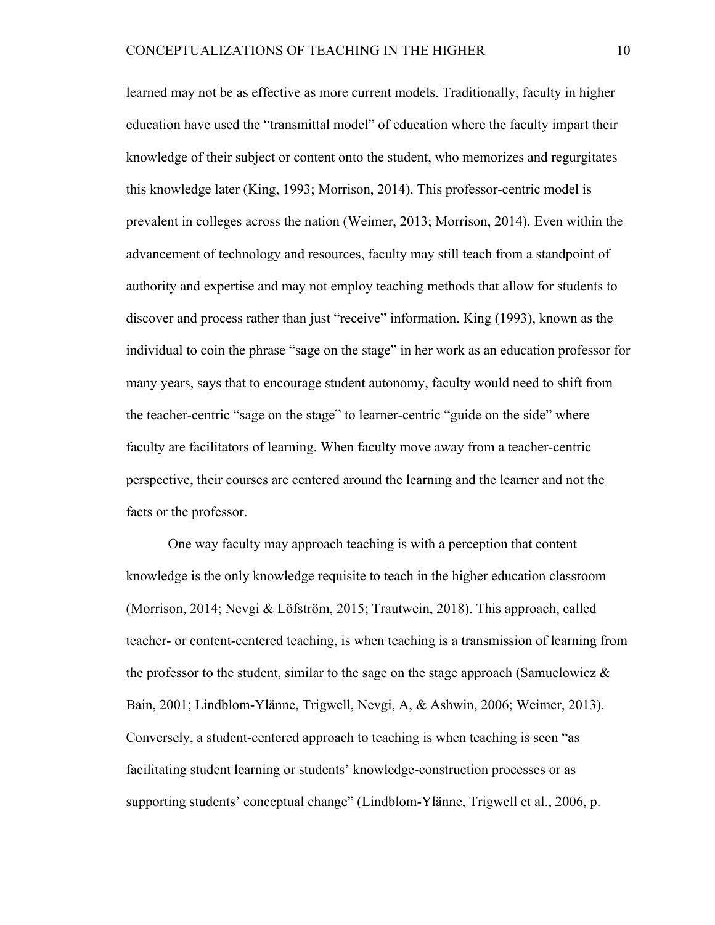learned may not be as effective as more current models. Traditionally, faculty in higher education have used the "transmittal model" of education where the faculty impart their knowledge of their subject or content onto the student, who memorizes and regurgitates this knowledge later (King, 1993; Morrison, 2014). This professor-centric model is prevalent in colleges across the nation (Weimer, 2013; Morrison, 2014). Even within the advancement of technology and resources, faculty may still teach from a standpoint of authority and expertise and may not employ teaching methods that allow for students to discover and process rather than just "receive" information. King (1993), known as the individual to coin the phrase "sage on the stage" in her work as an education professor for many years, says that to encourage student autonomy, faculty would need to shift from the teacher-centric "sage on the stage" to learner-centric "guide on the side" where faculty are facilitators of learning. When faculty move away from a teacher-centric perspective, their courses are centered around the learning and the learner and not the facts or the professor.

One way faculty may approach teaching is with a perception that content knowledge is the only knowledge requisite to teach in the higher education classroom (Morrison, 2014; Nevgi & Löfström, 2015; Trautwein, 2018). This approach, called teacher- or content-centered teaching, is when teaching is a transmission of learning from the professor to the student, similar to the sage on the stage approach (Samuelowicz  $\&$ Bain, 2001; Lindblom-Ylänne, Trigwell, Nevgi, A, & Ashwin, 2006; Weimer, 2013). Conversely, a student-centered approach to teaching is when teaching is seen "as facilitating student learning or students' knowledge-construction processes or as supporting students' conceptual change" (Lindblom-Ylänne, Trigwell et al., 2006, p.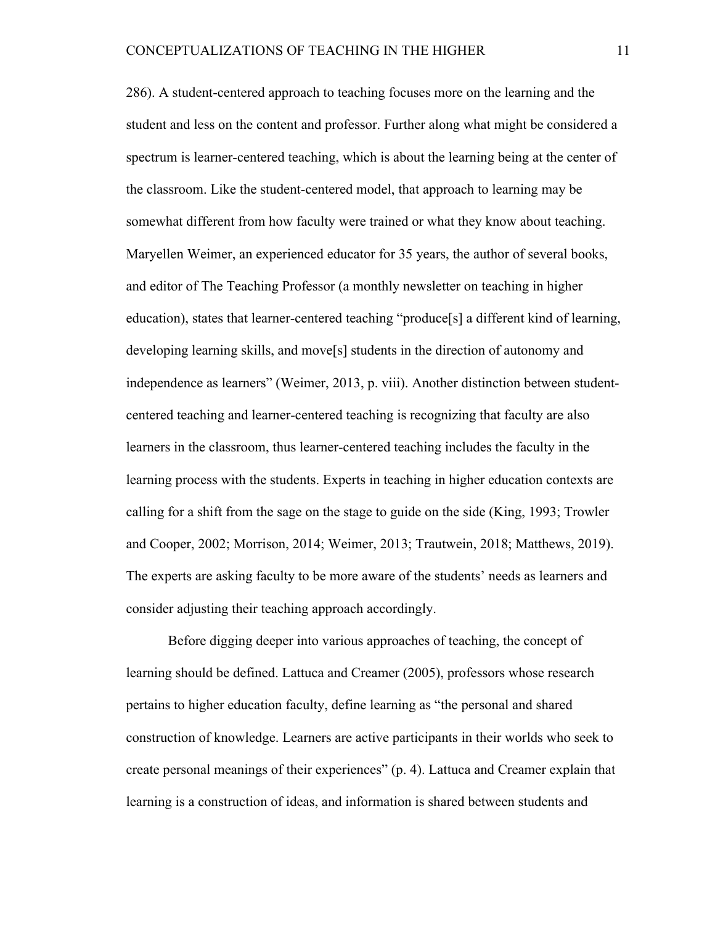286). A student-centered approach to teaching focuses more on the learning and the student and less on the content and professor. Further along what might be considered a spectrum is learner-centered teaching, which is about the learning being at the center of the classroom. Like the student-centered model, that approach to learning may be somewhat different from how faculty were trained or what they know about teaching. Maryellen Weimer, an experienced educator for 35 years, the author of several books, and editor of The Teaching Professor (a monthly newsletter on teaching in higher education), states that learner-centered teaching "produce[s] a different kind of learning, developing learning skills, and move[s] students in the direction of autonomy and independence as learners" (Weimer, 2013, p. viii). Another distinction between studentcentered teaching and learner-centered teaching is recognizing that faculty are also learners in the classroom, thus learner-centered teaching includes the faculty in the learning process with the students. Experts in teaching in higher education contexts are calling for a shift from the sage on the stage to guide on the side (King, 1993; Trowler and Cooper, 2002; Morrison, 2014; Weimer, 2013; Trautwein, 2018; Matthews, 2019). The experts are asking faculty to be more aware of the students' needs as learners and consider adjusting their teaching approach accordingly.

Before digging deeper into various approaches of teaching, the concept of learning should be defined. Lattuca and Creamer (2005), professors whose research pertains to higher education faculty, define learning as "the personal and shared construction of knowledge. Learners are active participants in their worlds who seek to create personal meanings of their experiences" (p. 4). Lattuca and Creamer explain that learning is a construction of ideas, and information is shared between students and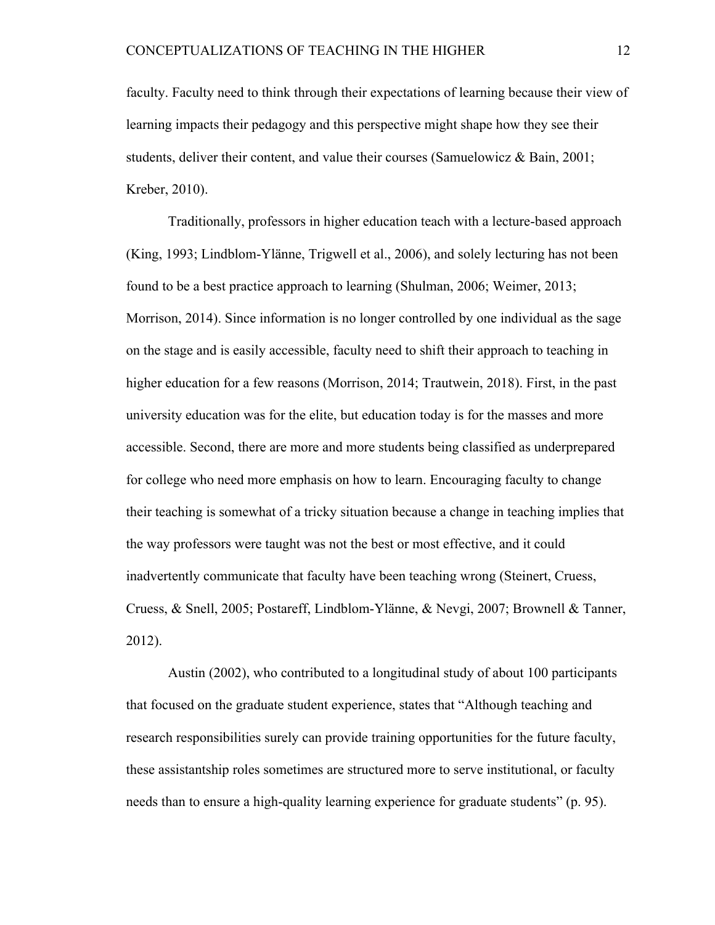faculty. Faculty need to think through their expectations of learning because their view of learning impacts their pedagogy and this perspective might shape how they see their students, deliver their content, and value their courses (Samuelowicz & Bain, 2001; Kreber, 2010).

Traditionally, professors in higher education teach with a lecture-based approach (King, 1993; Lindblom-Ylänne, Trigwell et al., 2006), and solely lecturing has not been found to be a best practice approach to learning (Shulman, 2006; Weimer, 2013; Morrison, 2014). Since information is no longer controlled by one individual as the sage on the stage and is easily accessible, faculty need to shift their approach to teaching in higher education for a few reasons (Morrison, 2014; Trautwein, 2018). First, in the past university education was for the elite, but education today is for the masses and more accessible. Second, there are more and more students being classified as underprepared for college who need more emphasis on how to learn. Encouraging faculty to change their teaching is somewhat of a tricky situation because a change in teaching implies that the way professors were taught was not the best or most effective, and it could inadvertently communicate that faculty have been teaching wrong (Steinert, Cruess, Cruess, & Snell, 2005; Postareff, Lindblom-Ylänne, & Nevgi, 2007; Brownell & Tanner, 2012).

Austin (2002), who contributed to a longitudinal study of about 100 participants that focused on the graduate student experience, states that "Although teaching and research responsibilities surely can provide training opportunities for the future faculty, these assistantship roles sometimes are structured more to serve institutional, or faculty needs than to ensure a high-quality learning experience for graduate students" (p. 95).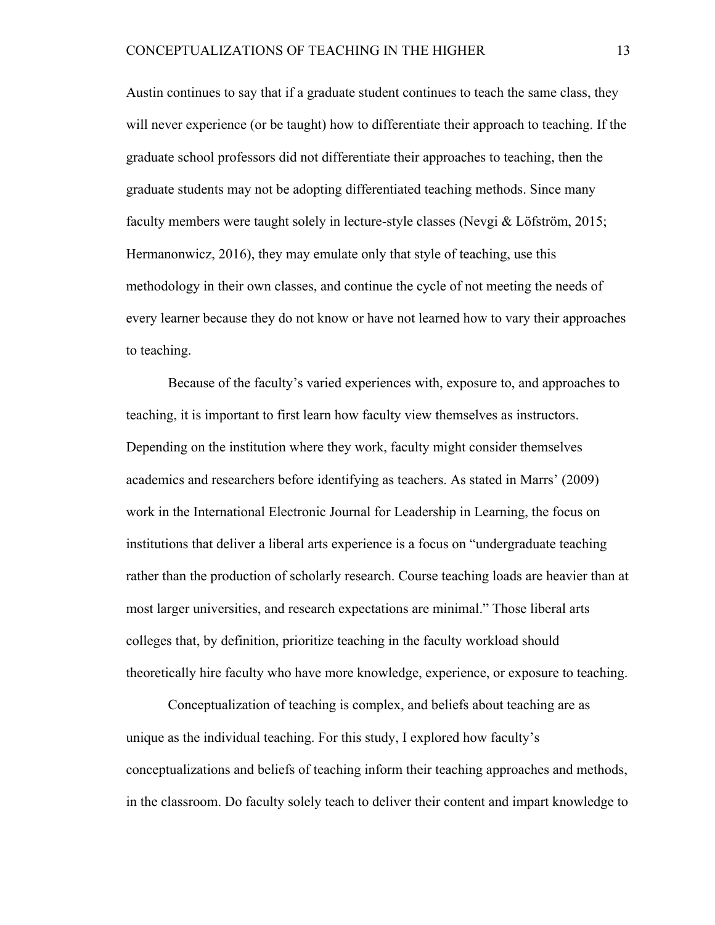Austin continues to say that if a graduate student continues to teach the same class, they will never experience (or be taught) how to differentiate their approach to teaching. If the graduate school professors did not differentiate their approaches to teaching, then the graduate students may not be adopting differentiated teaching methods. Since many faculty members were taught solely in lecture-style classes (Nevgi & Löfström, 2015; Hermanonwicz, 2016), they may emulate only that style of teaching, use this methodology in their own classes, and continue the cycle of not meeting the needs of every learner because they do not know or have not learned how to vary their approaches to teaching.

Because of the faculty's varied experiences with, exposure to, and approaches to teaching, it is important to first learn how faculty view themselves as instructors. Depending on the institution where they work, faculty might consider themselves academics and researchers before identifying as teachers. As stated in Marrs' (2009) work in the International Electronic Journal for Leadership in Learning, the focus on institutions that deliver a liberal arts experience is a focus on "undergraduate teaching rather than the production of scholarly research. Course teaching loads are heavier than at most larger universities, and research expectations are minimal." Those liberal arts colleges that, by definition, prioritize teaching in the faculty workload should theoretically hire faculty who have more knowledge, experience, or exposure to teaching.

Conceptualization of teaching is complex, and beliefs about teaching are as unique as the individual teaching. For this study, I explored how faculty's conceptualizations and beliefs of teaching inform their teaching approaches and methods, in the classroom. Do faculty solely teach to deliver their content and impart knowledge to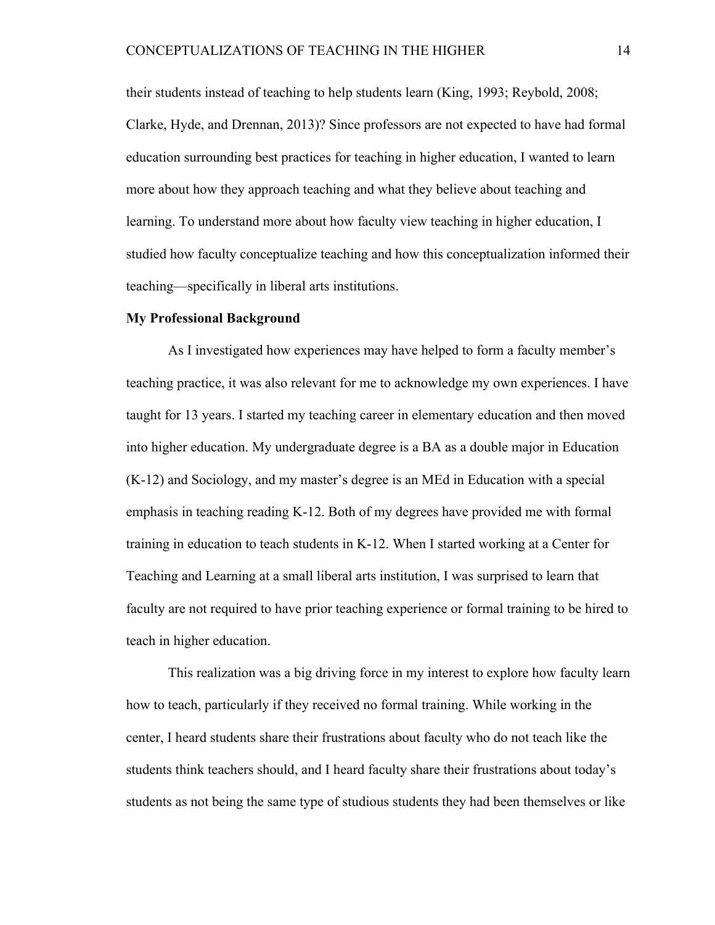their students instead of teaching to help students learn (King, 1993; Reybold, 2008; Clarke, Hyde, and Drennan, 2013)? Since professors are not expected to have had formal education surrounding best practices for teaching in higher education, I wanted to learn more about how they approach teaching and what they believe about teaching and learning. To understand more about how faculty view teaching in higher education, I studied how faculty conceptualize teaching and how this conceptualization informed their teaching—specifically in liberal arts institutions.

#### **My Professional Background**

As I investigated how experiences may have helped to form a faculty member's teaching practice, it was also relevant for me to acknowledge my own experiences. I have taught for 13 years. I started my teaching career in elementary education and then moved into higher education. My undergraduate degree is a BA as a double major in Education (K-12) and Sociology, and my master's degree is an MEd in Education with a special emphasis in teaching reading K-12. Both of my degrees have provided me with formal training in education to teach students in K-12. When I started working at a Center for Teaching and Learning at a small liberal arts institution, I was surprised to learn that faculty are not required to have prior teaching experience or formal training to be hired to teach in higher education.

This realization was a big driving force in my interest to explore how faculty learn how to teach, particularly if they received no formal training. While working in the center, I heard students share their frustrations about faculty who do not teach like the students think teachers should, and I heard faculty share their frustrations about today's students as not being the same type of studious students they had been themselves or like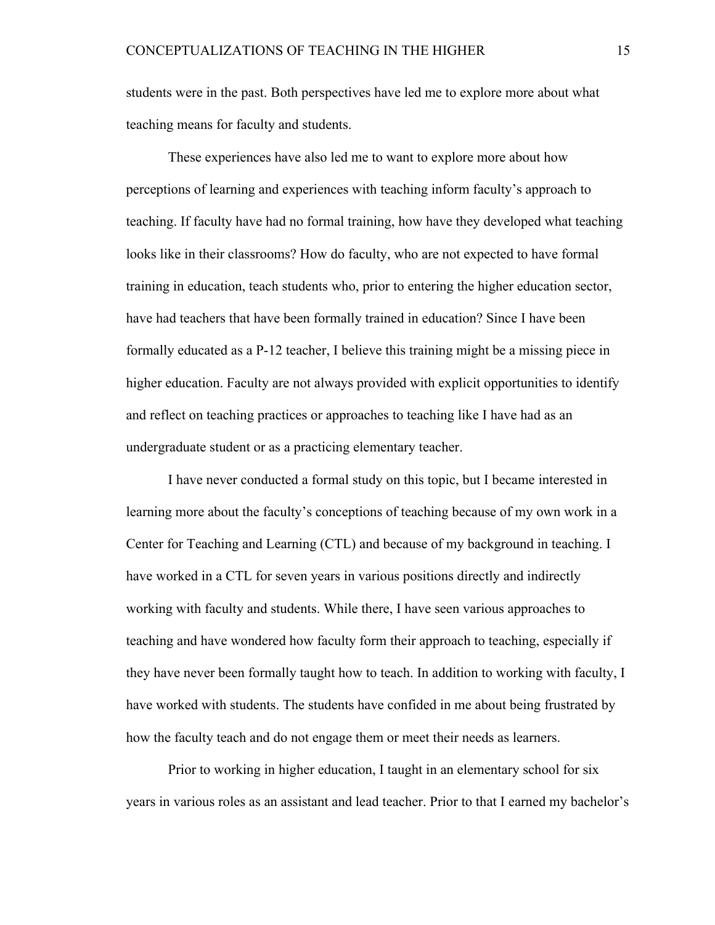students were in the past. Both perspectives have led me to explore more about what teaching means for faculty and students.

These experiences have also led me to want to explore more about how perceptions of learning and experiences with teaching inform faculty's approach to teaching. If faculty have had no formal training, how have they developed what teaching looks like in their classrooms? How do faculty, who are not expected to have formal training in education, teach students who, prior to entering the higher education sector, have had teachers that have been formally trained in education? Since I have been formally educated as a P-12 teacher, I believe this training might be a missing piece in higher education. Faculty are not always provided with explicit opportunities to identify and reflect on teaching practices or approaches to teaching like I have had as an undergraduate student or as a practicing elementary teacher.

I have never conducted a formal study on this topic, but I became interested in learning more about the faculty's conceptions of teaching because of my own work in a Center for Teaching and Learning (CTL) and because of my background in teaching. I have worked in a CTL for seven years in various positions directly and indirectly working with faculty and students. While there, I have seen various approaches to teaching and have wondered how faculty form their approach to teaching, especially if they have never been formally taught how to teach. In addition to working with faculty, I have worked with students. The students have confided in me about being frustrated by how the faculty teach and do not engage them or meet their needs as learners.

Prior to working in higher education, I taught in an elementary school for six years in various roles as an assistant and lead teacher. Prior to that I earned my bachelor's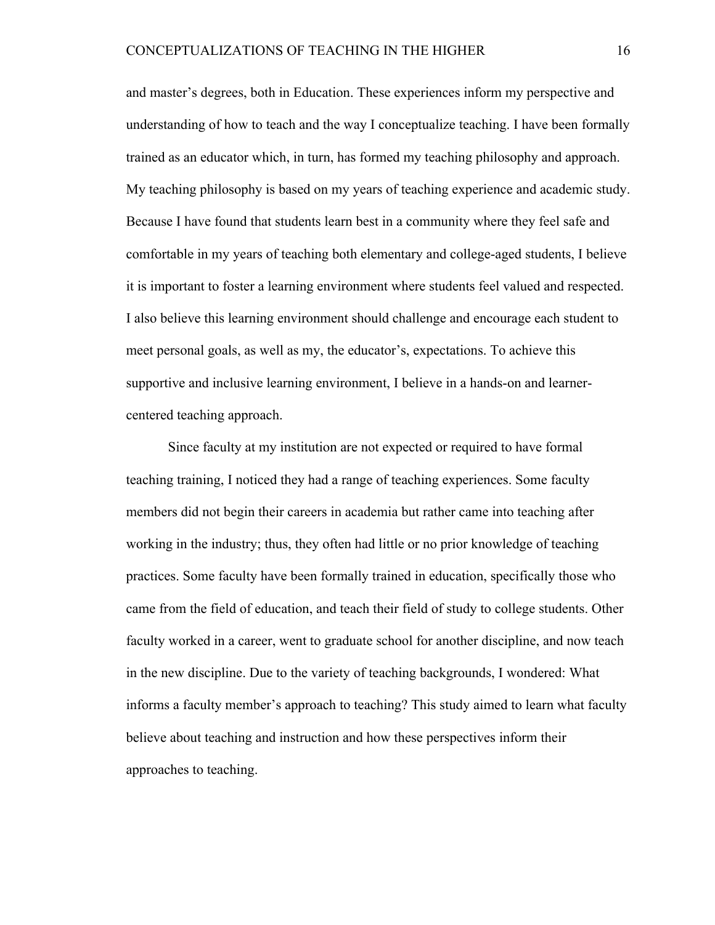and master's degrees, both in Education. These experiences inform my perspective and understanding of how to teach and the way I conceptualize teaching. I have been formally trained as an educator which, in turn, has formed my teaching philosophy and approach. My teaching philosophy is based on my years of teaching experience and academic study. Because I have found that students learn best in a community where they feel safe and comfortable in my years of teaching both elementary and college-aged students, I believe it is important to foster a learning environment where students feel valued and respected. I also believe this learning environment should challenge and encourage each student to meet personal goals, as well as my, the educator's, expectations. To achieve this supportive and inclusive learning environment, I believe in a hands-on and learnercentered teaching approach.

Since faculty at my institution are not expected or required to have formal teaching training, I noticed they had a range of teaching experiences. Some faculty members did not begin their careers in academia but rather came into teaching after working in the industry; thus, they often had little or no prior knowledge of teaching practices. Some faculty have been formally trained in education, specifically those who came from the field of education, and teach their field of study to college students. Other faculty worked in a career, went to graduate school for another discipline, and now teach in the new discipline. Due to the variety of teaching backgrounds, I wondered: What informs a faculty member's approach to teaching? This study aimed to learn what faculty believe about teaching and instruction and how these perspectives inform their approaches to teaching.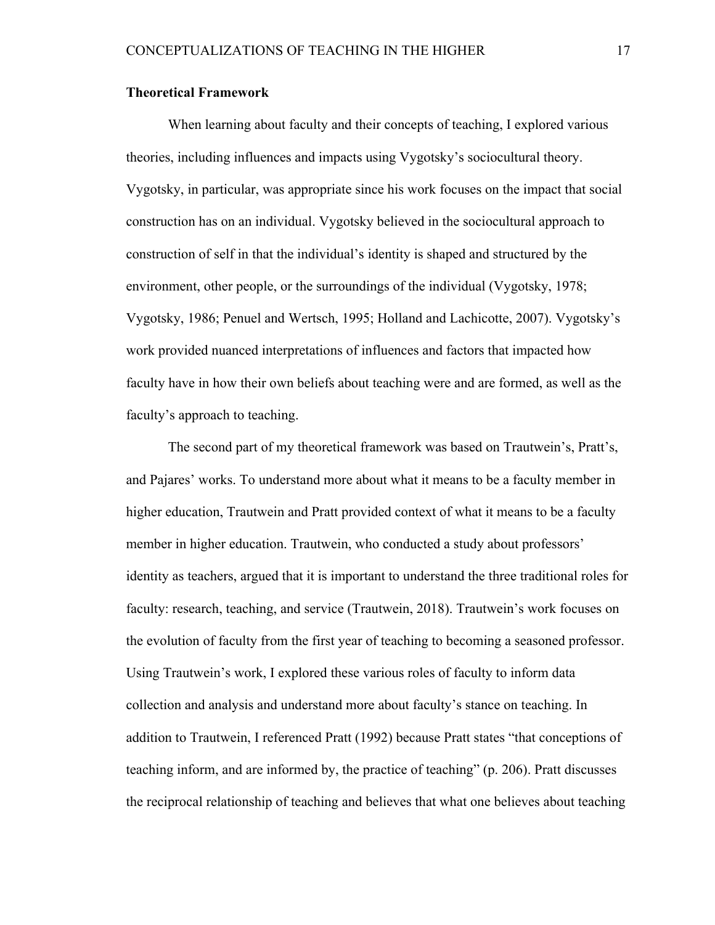# **Theoretical Framework**

When learning about faculty and their concepts of teaching, I explored various theories, including influences and impacts using Vygotsky's sociocultural theory. Vygotsky, in particular, was appropriate since his work focuses on the impact that social construction has on an individual. Vygotsky believed in the sociocultural approach to construction of self in that the individual's identity is shaped and structured by the environment, other people, or the surroundings of the individual (Vygotsky, 1978; Vygotsky, 1986; Penuel and Wertsch, 1995; Holland and Lachicotte, 2007). Vygotsky's work provided nuanced interpretations of influences and factors that impacted how faculty have in how their own beliefs about teaching were and are formed, as well as the faculty's approach to teaching.

The second part of my theoretical framework was based on Trautwein's, Pratt's, and Pajares' works. To understand more about what it means to be a faculty member in higher education, Trautwein and Pratt provided context of what it means to be a faculty member in higher education. Trautwein, who conducted a study about professors' identity as teachers, argued that it is important to understand the three traditional roles for faculty: research, teaching, and service (Trautwein, 2018). Trautwein's work focuses on the evolution of faculty from the first year of teaching to becoming a seasoned professor. Using Trautwein's work, I explored these various roles of faculty to inform data collection and analysis and understand more about faculty's stance on teaching. In addition to Trautwein, I referenced Pratt (1992) because Pratt states "that conceptions of teaching inform, and are informed by, the practice of teaching" (p. 206). Pratt discusses the reciprocal relationship of teaching and believes that what one believes about teaching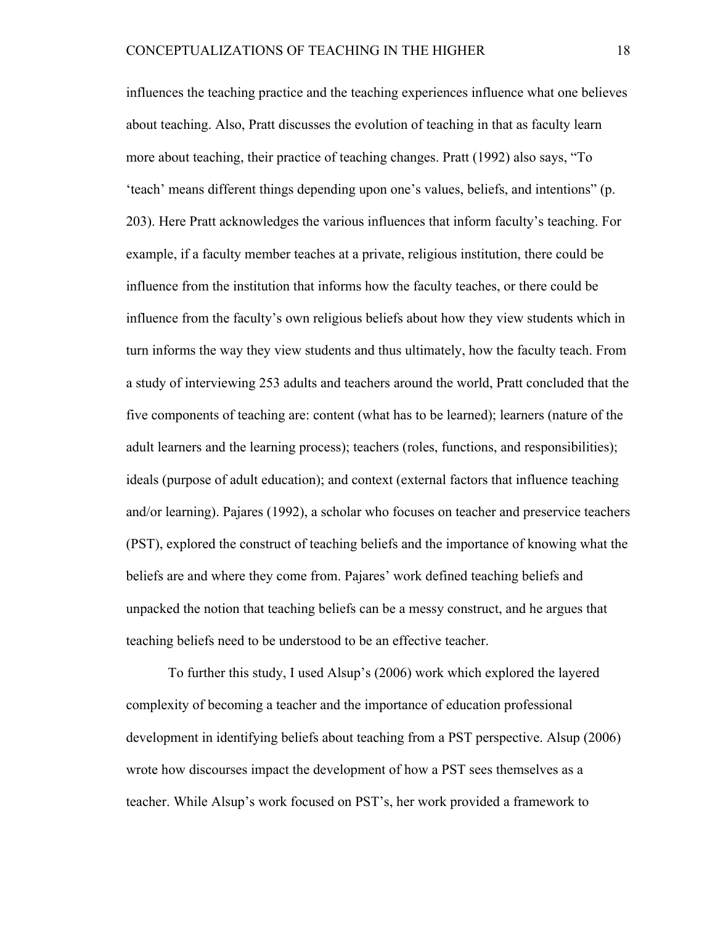influences the teaching practice and the teaching experiences influence what one believes about teaching. Also, Pratt discusses the evolution of teaching in that as faculty learn more about teaching, their practice of teaching changes. Pratt (1992) also says, "To 'teach' means different things depending upon one's values, beliefs, and intentions" (p. 203). Here Pratt acknowledges the various influences that inform faculty's teaching. For example, if a faculty member teaches at a private, religious institution, there could be influence from the institution that informs how the faculty teaches, or there could be influence from the faculty's own religious beliefs about how they view students which in turn informs the way they view students and thus ultimately, how the faculty teach. From a study of interviewing 253 adults and teachers around the world, Pratt concluded that the five components of teaching are: content (what has to be learned); learners (nature of the adult learners and the learning process); teachers (roles, functions, and responsibilities); ideals (purpose of adult education); and context (external factors that influence teaching and/or learning). Pajares (1992), a scholar who focuses on teacher and preservice teachers (PST), explored the construct of teaching beliefs and the importance of knowing what the beliefs are and where they come from. Pajares' work defined teaching beliefs and unpacked the notion that teaching beliefs can be a messy construct, and he argues that teaching beliefs need to be understood to be an effective teacher.

To further this study, I used Alsup's (2006) work which explored the layered complexity of becoming a teacher and the importance of education professional development in identifying beliefs about teaching from a PST perspective. Alsup (2006) wrote how discourses impact the development of how a PST sees themselves as a teacher. While Alsup's work focused on PST's, her work provided a framework to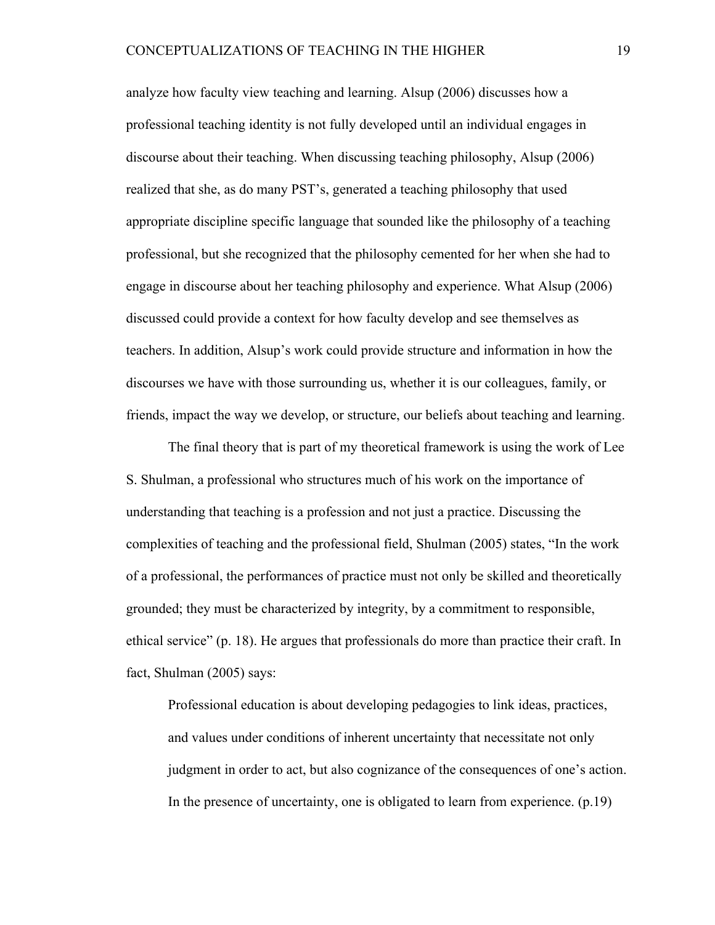analyze how faculty view teaching and learning. Alsup (2006) discusses how a professional teaching identity is not fully developed until an individual engages in discourse about their teaching. When discussing teaching philosophy, Alsup (2006) realized that she, as do many PST's, generated a teaching philosophy that used appropriate discipline specific language that sounded like the philosophy of a teaching professional, but she recognized that the philosophy cemented for her when she had to engage in discourse about her teaching philosophy and experience. What Alsup (2006) discussed could provide a context for how faculty develop and see themselves as teachers. In addition, Alsup's work could provide structure and information in how the discourses we have with those surrounding us, whether it is our colleagues, family, or friends, impact the way we develop, or structure, our beliefs about teaching and learning.

The final theory that is part of my theoretical framework is using the work of Lee S. Shulman, a professional who structures much of his work on the importance of understanding that teaching is a profession and not just a practice. Discussing the complexities of teaching and the professional field, Shulman (2005) states, "In the work of a professional, the performances of practice must not only be skilled and theoretically grounded; they must be characterized by integrity, by a commitment to responsible, ethical service" (p. 18). He argues that professionals do more than practice their craft. In fact, Shulman (2005) says:

Professional education is about developing pedagogies to link ideas, practices, and values under conditions of inherent uncertainty that necessitate not only judgment in order to act, but also cognizance of the consequences of one's action. In the presence of uncertainty, one is obligated to learn from experience. (p.19)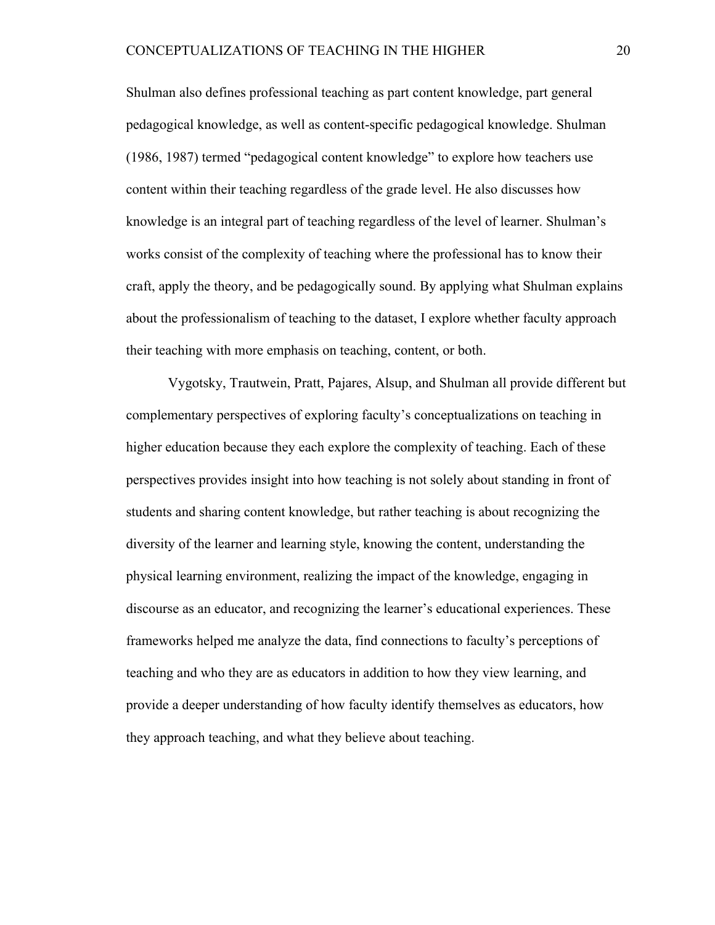Shulman also defines professional teaching as part content knowledge, part general pedagogical knowledge, as well as content-specific pedagogical knowledge. Shulman (1986, 1987) termed "pedagogical content knowledge" to explore how teachers use content within their teaching regardless of the grade level. He also discusses how knowledge is an integral part of teaching regardless of the level of learner. Shulman's works consist of the complexity of teaching where the professional has to know their craft, apply the theory, and be pedagogically sound. By applying what Shulman explains about the professionalism of teaching to the dataset, I explore whether faculty approach their teaching with more emphasis on teaching, content, or both.

Vygotsky, Trautwein, Pratt, Pajares, Alsup, and Shulman all provide different but complementary perspectives of exploring faculty's conceptualizations on teaching in higher education because they each explore the complexity of teaching. Each of these perspectives provides insight into how teaching is not solely about standing in front of students and sharing content knowledge, but rather teaching is about recognizing the diversity of the learner and learning style, knowing the content, understanding the physical learning environment, realizing the impact of the knowledge, engaging in discourse as an educator, and recognizing the learner's educational experiences. These frameworks helped me analyze the data, find connections to faculty's perceptions of teaching and who they are as educators in addition to how they view learning, and provide a deeper understanding of how faculty identify themselves as educators, how they approach teaching, and what they believe about teaching.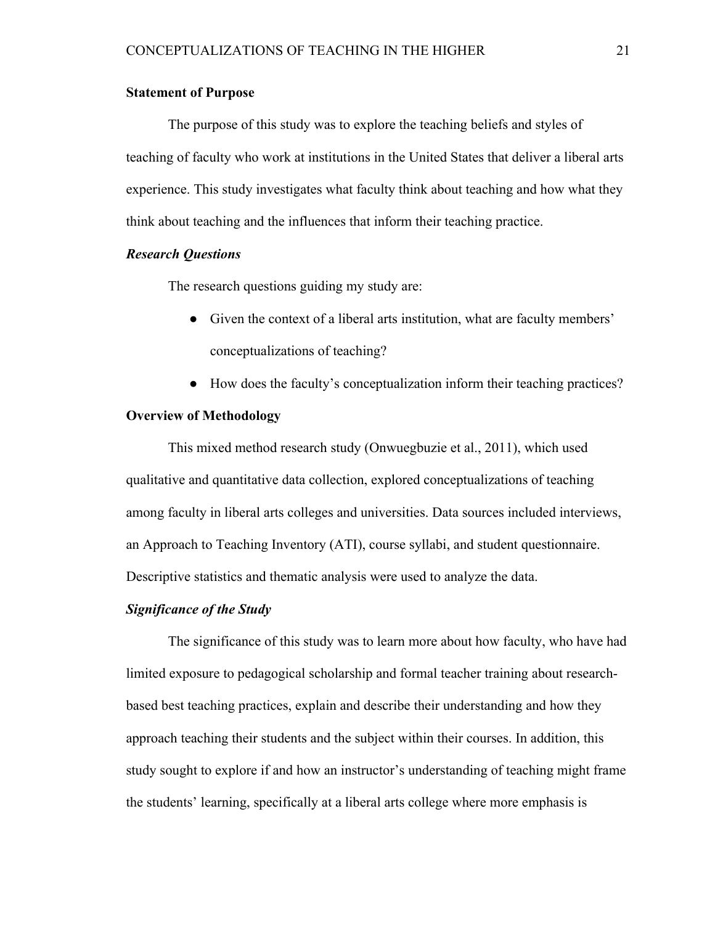# **Statement of Purpose**

The purpose of this study was to explore the teaching beliefs and styles of teaching of faculty who work at institutions in the United States that deliver a liberal arts experience. This study investigates what faculty think about teaching and how what they think about teaching and the influences that inform their teaching practice.

# *Research Questions*

The research questions guiding my study are:

- Given the context of a liberal arts institution, what are faculty members' conceptualizations of teaching?
- How does the faculty's conceptualization inform their teaching practices?

#### **Overview of Methodology**

This mixed method research study (Onwuegbuzie et al., 2011), which used qualitative and quantitative data collection, explored conceptualizations of teaching among faculty in liberal arts colleges and universities. Data sources included interviews, an Approach to Teaching Inventory (ATI), course syllabi, and student questionnaire. Descriptive statistics and thematic analysis were used to analyze the data.

#### *Significance of the Study*

The significance of this study was to learn more about how faculty, who have had limited exposure to pedagogical scholarship and formal teacher training about researchbased best teaching practices, explain and describe their understanding and how they approach teaching their students and the subject within their courses. In addition, this study sought to explore if and how an instructor's understanding of teaching might frame the students' learning, specifically at a liberal arts college where more emphasis is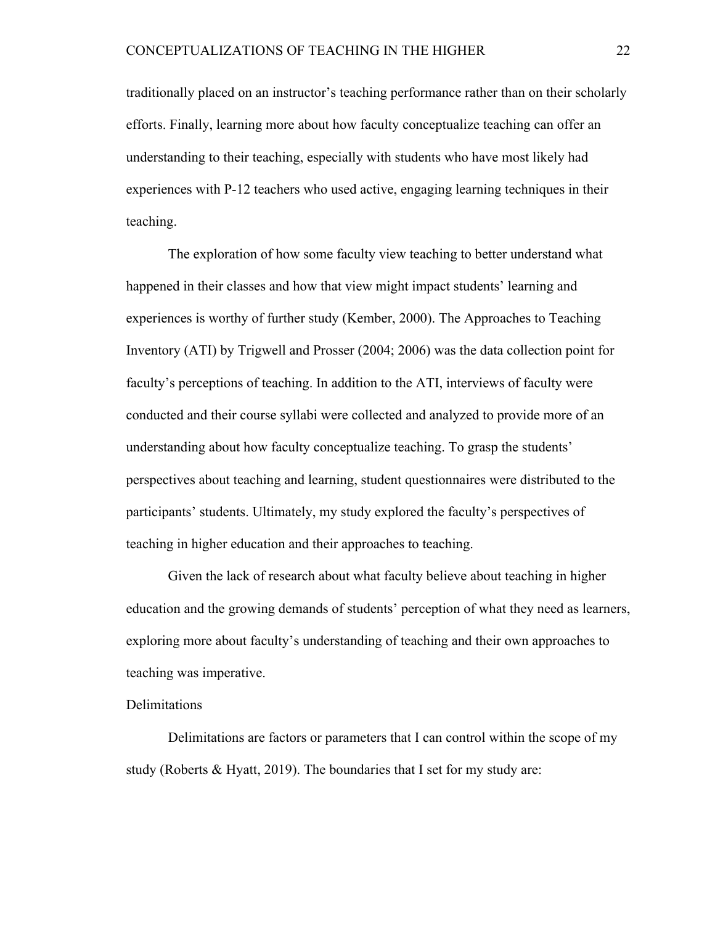traditionally placed on an instructor's teaching performance rather than on their scholarly efforts. Finally, learning more about how faculty conceptualize teaching can offer an understanding to their teaching, especially with students who have most likely had experiences with P-12 teachers who used active, engaging learning techniques in their teaching.

The exploration of how some faculty view teaching to better understand what happened in their classes and how that view might impact students' learning and experiences is worthy of further study (Kember, 2000). The Approaches to Teaching Inventory (ATI) by Trigwell and Prosser (2004; 2006) was the data collection point for faculty's perceptions of teaching. In addition to the ATI, interviews of faculty were conducted and their course syllabi were collected and analyzed to provide more of an understanding about how faculty conceptualize teaching. To grasp the students' perspectives about teaching and learning, student questionnaires were distributed to the participants' students. Ultimately, my study explored the faculty's perspectives of teaching in higher education and their approaches to teaching.

Given the lack of research about what faculty believe about teaching in higher education and the growing demands of students' perception of what they need as learners, exploring more about faculty's understanding of teaching and their own approaches to teaching was imperative.

# Delimitations

Delimitations are factors or parameters that I can control within the scope of my study (Roberts & Hyatt, 2019). The boundaries that I set for my study are: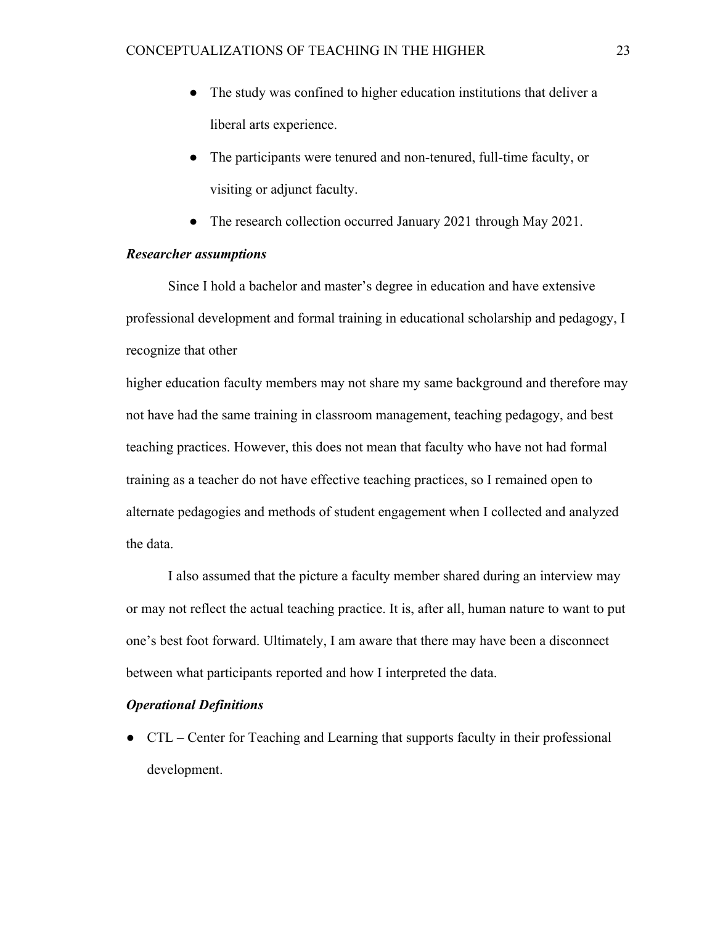- The study was confined to higher education institutions that deliver a liberal arts experience.
- The participants were tenured and non-tenured, full-time faculty, or visiting or adjunct faculty.
- The research collection occurred January 2021 through May 2021.

# *Researcher assumptions*

Since I hold a bachelor and master's degree in education and have extensive professional development and formal training in educational scholarship and pedagogy, I recognize that other

higher education faculty members may not share my same background and therefore may not have had the same training in classroom management, teaching pedagogy, and best teaching practices. However, this does not mean that faculty who have not had formal training as a teacher do not have effective teaching practices, so I remained open to alternate pedagogies and methods of student engagement when I collected and analyzed the data.

I also assumed that the picture a faculty member shared during an interview may or may not reflect the actual teaching practice. It is, after all, human nature to want to put one's best foot forward. Ultimately, I am aware that there may have been a disconnect between what participants reported and how I interpreted the data.

#### *Operational Definitions*

● CTL – Center for Teaching and Learning that supports faculty in their professional development.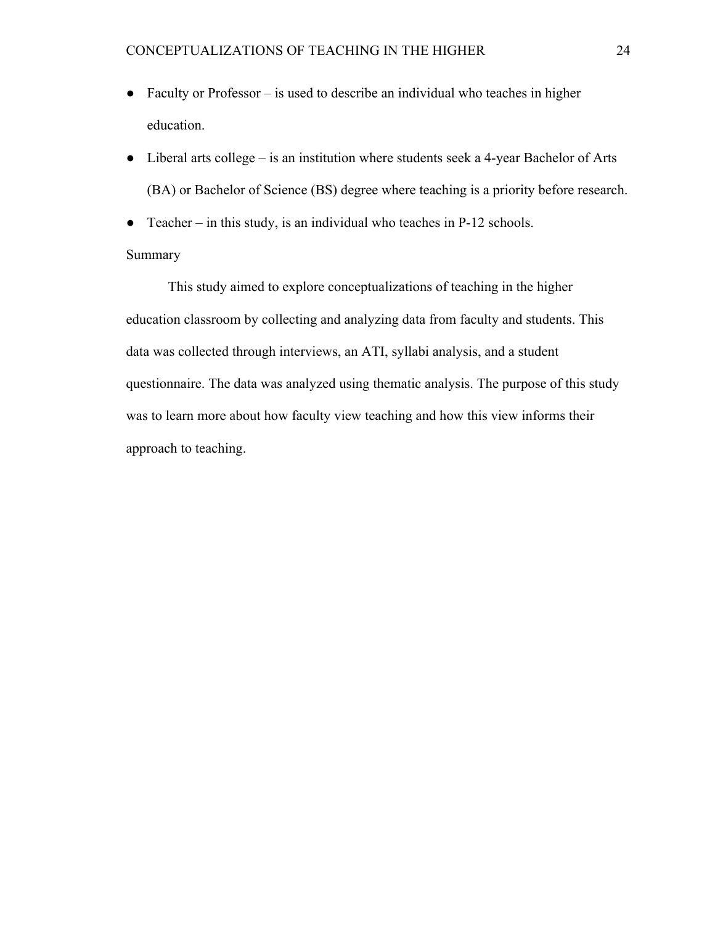- Faculty or Professor is used to describe an individual who teaches in higher education.
- Liberal arts college is an institution where students seek a 4-year Bachelor of Arts (BA) or Bachelor of Science (BS) degree where teaching is a priority before research.
- Teacher in this study, is an individual who teaches in  $P-12$  schools.

# Summary

This study aimed to explore conceptualizations of teaching in the higher education classroom by collecting and analyzing data from faculty and students. This data was collected through interviews, an ATI, syllabi analysis, and a student questionnaire. The data was analyzed using thematic analysis. The purpose of this study was to learn more about how faculty view teaching and how this view informs their approach to teaching.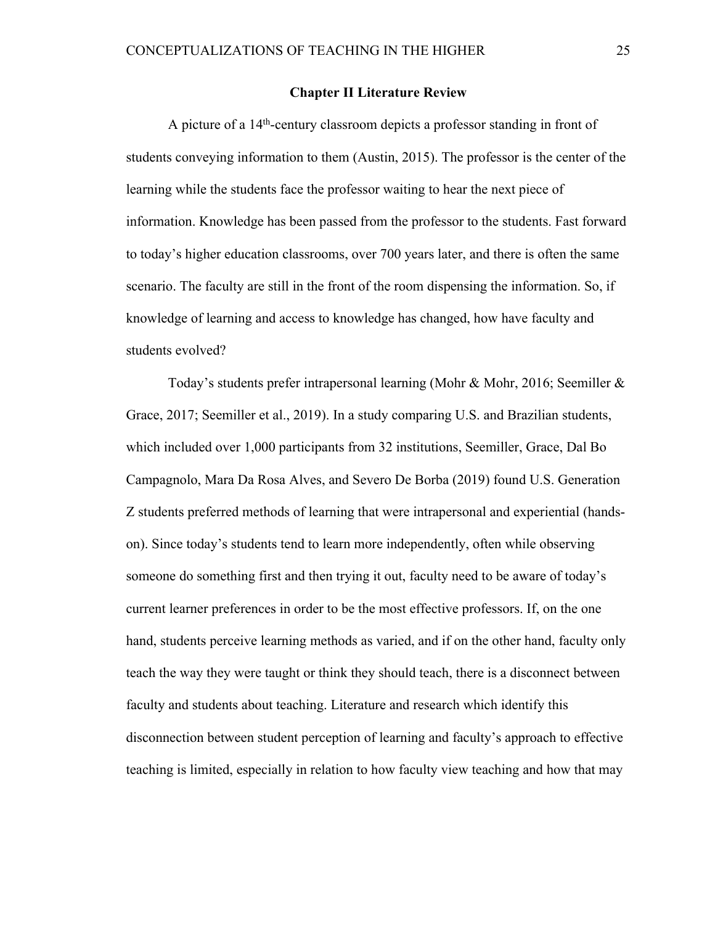#### **Chapter II Literature Review**

A picture of a 14th-century classroom depicts a professor standing in front of students conveying information to them (Austin, 2015). The professor is the center of the learning while the students face the professor waiting to hear the next piece of information. Knowledge has been passed from the professor to the students. Fast forward to today's higher education classrooms, over 700 years later, and there is often the same scenario. The faculty are still in the front of the room dispensing the information. So, if knowledge of learning and access to knowledge has changed, how have faculty and students evolved?

Today's students prefer intrapersonal learning (Mohr & Mohr, 2016; Seemiller & Grace, 2017; Seemiller et al., 2019). In a study comparing U.S. and Brazilian students, which included over 1,000 participants from 32 institutions, Seemiller, Grace, Dal Bo Campagnolo, Mara Da Rosa Alves, and Severo De Borba (2019) found U.S. Generation Z students preferred methods of learning that were intrapersonal and experiential (handson). Since today's students tend to learn more independently, often while observing someone do something first and then trying it out, faculty need to be aware of today's current learner preferences in order to be the most effective professors. If, on the one hand, students perceive learning methods as varied, and if on the other hand, faculty only teach the way they were taught or think they should teach, there is a disconnect between faculty and students about teaching. Literature and research which identify this disconnection between student perception of learning and faculty's approach to effective teaching is limited, especially in relation to how faculty view teaching and how that may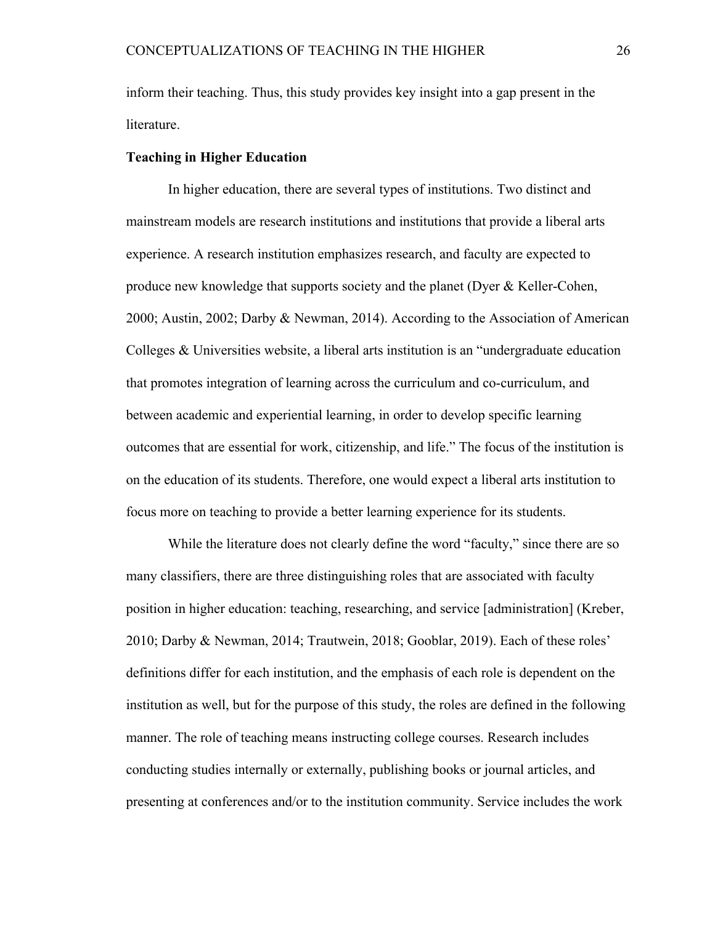inform their teaching. Thus, this study provides key insight into a gap present in the literature.

# **Teaching in Higher Education**

In higher education, there are several types of institutions. Two distinct and mainstream models are research institutions and institutions that provide a liberal arts experience. A research institution emphasizes research, and faculty are expected to produce new knowledge that supports society and the planet (Dyer & Keller-Cohen, 2000; Austin, 2002; Darby & Newman, 2014). According to the Association of American Colleges & Universities website, a liberal arts institution is an "undergraduate education that promotes integration of learning across the curriculum and co-curriculum, and between academic and experiential learning, in order to develop specific learning outcomes that are essential for work, citizenship, and life." The focus of the institution is on the education of its students. Therefore, one would expect a liberal arts institution to focus more on teaching to provide a better learning experience for its students.

While the literature does not clearly define the word "faculty," since there are so many classifiers, there are three distinguishing roles that are associated with faculty position in higher education: teaching, researching, and service [administration] (Kreber, 2010; Darby & Newman, 2014; Trautwein, 2018; Gooblar, 2019). Each of these roles' definitions differ for each institution, and the emphasis of each role is dependent on the institution as well, but for the purpose of this study, the roles are defined in the following manner. The role of teaching means instructing college courses. Research includes conducting studies internally or externally, publishing books or journal articles, and presenting at conferences and/or to the institution community. Service includes the work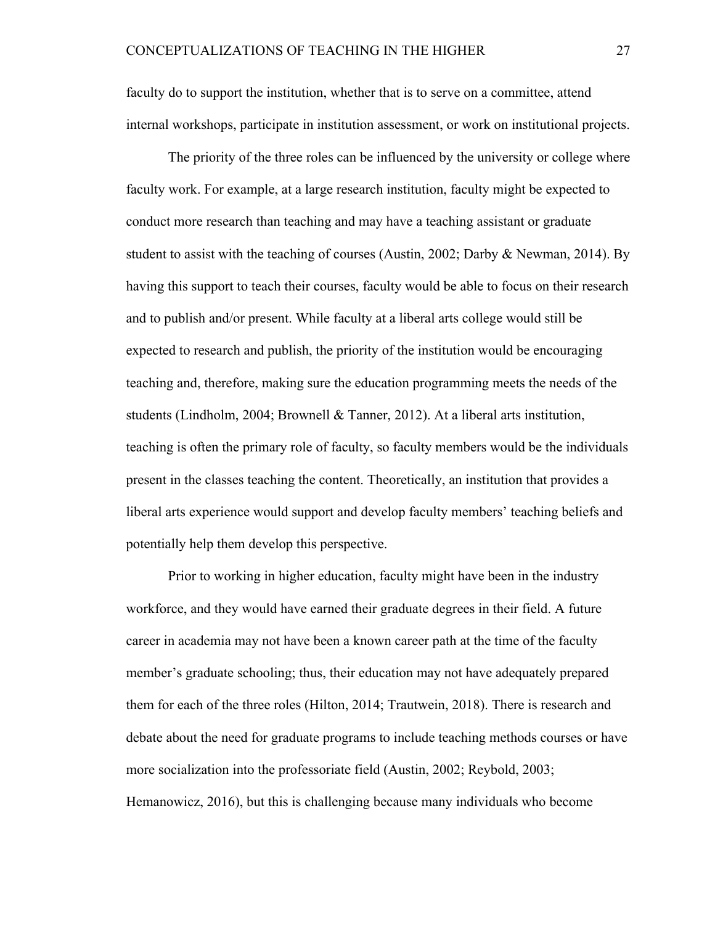faculty do to support the institution, whether that is to serve on a committee, attend internal workshops, participate in institution assessment, or work on institutional projects.

The priority of the three roles can be influenced by the university or college where faculty work. For example, at a large research institution, faculty might be expected to conduct more research than teaching and may have a teaching assistant or graduate student to assist with the teaching of courses (Austin, 2002; Darby & Newman, 2014). By having this support to teach their courses, faculty would be able to focus on their research and to publish and/or present. While faculty at a liberal arts college would still be expected to research and publish, the priority of the institution would be encouraging teaching and, therefore, making sure the education programming meets the needs of the students (Lindholm, 2004; Brownell & Tanner, 2012). At a liberal arts institution, teaching is often the primary role of faculty, so faculty members would be the individuals present in the classes teaching the content. Theoretically, an institution that provides a liberal arts experience would support and develop faculty members' teaching beliefs and potentially help them develop this perspective.

Prior to working in higher education, faculty might have been in the industry workforce, and they would have earned their graduate degrees in their field. A future career in academia may not have been a known career path at the time of the faculty member's graduate schooling; thus, their education may not have adequately prepared them for each of the three roles (Hilton, 2014; Trautwein, 2018). There is research and debate about the need for graduate programs to include teaching methods courses or have more socialization into the professoriate field (Austin, 2002; Reybold, 2003; Hemanowicz, 2016), but this is challenging because many individuals who become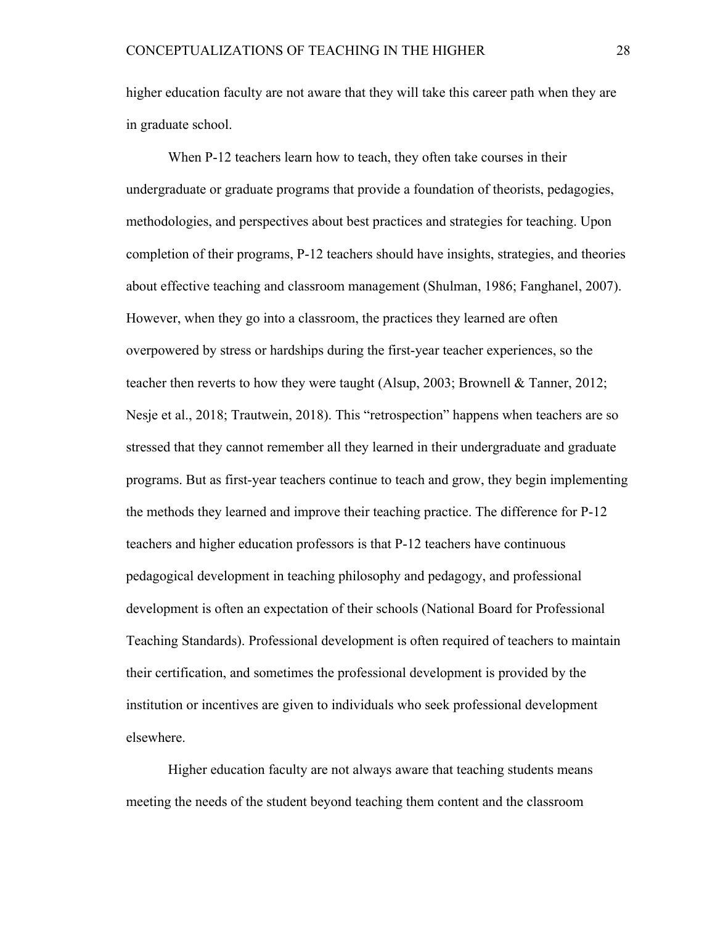higher education faculty are not aware that they will take this career path when they are in graduate school.

When P-12 teachers learn how to teach, they often take courses in their undergraduate or graduate programs that provide a foundation of theorists, pedagogies, methodologies, and perspectives about best practices and strategies for teaching. Upon completion of their programs, P-12 teachers should have insights, strategies, and theories about effective teaching and classroom management (Shulman, 1986; Fanghanel, 2007). However, when they go into a classroom, the practices they learned are often overpowered by stress or hardships during the first-year teacher experiences, so the teacher then reverts to how they were taught (Alsup, 2003; Brownell & Tanner, 2012; Nesje et al., 2018; Trautwein, 2018). This "retrospection" happens when teachers are so stressed that they cannot remember all they learned in their undergraduate and graduate programs. But as first-year teachers continue to teach and grow, they begin implementing the methods they learned and improve their teaching practice. The difference for P-12 teachers and higher education professors is that P-12 teachers have continuous pedagogical development in teaching philosophy and pedagogy, and professional development is often an expectation of their schools (National Board for Professional Teaching Standards). Professional development is often required of teachers to maintain their certification, and sometimes the professional development is provided by the institution or incentives are given to individuals who seek professional development elsewhere.

Higher education faculty are not always aware that teaching students means meeting the needs of the student beyond teaching them content and the classroom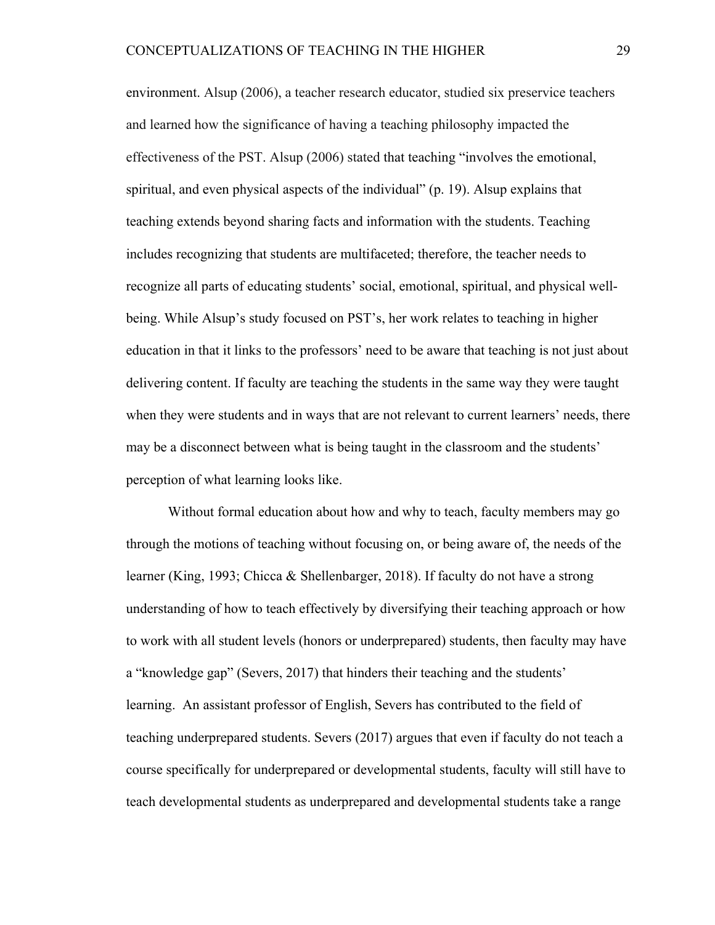environment. Alsup (2006), a teacher research educator, studied six preservice teachers and learned how the significance of having a teaching philosophy impacted the effectiveness of the PST. Alsup (2006) stated that teaching "involves the emotional, spiritual, and even physical aspects of the individual" (p. 19). Alsup explains that teaching extends beyond sharing facts and information with the students. Teaching includes recognizing that students are multifaceted; therefore, the teacher needs to recognize all parts of educating students' social, emotional, spiritual, and physical wellbeing. While Alsup's study focused on PST's, her work relates to teaching in higher education in that it links to the professors' need to be aware that teaching is not just about delivering content. If faculty are teaching the students in the same way they were taught when they were students and in ways that are not relevant to current learners' needs, there may be a disconnect between what is being taught in the classroom and the students' perception of what learning looks like.

Without formal education about how and why to teach, faculty members may go through the motions of teaching without focusing on, or being aware of, the needs of the learner (King, 1993; Chicca & Shellenbarger, 2018). If faculty do not have a strong understanding of how to teach effectively by diversifying their teaching approach or how to work with all student levels (honors or underprepared) students, then faculty may have a "knowledge gap" (Severs, 2017) that hinders their teaching and the students' learning. An assistant professor of English, Severs has contributed to the field of teaching underprepared students. Severs (2017) argues that even if faculty do not teach a course specifically for underprepared or developmental students, faculty will still have to teach developmental students as underprepared and developmental students take a range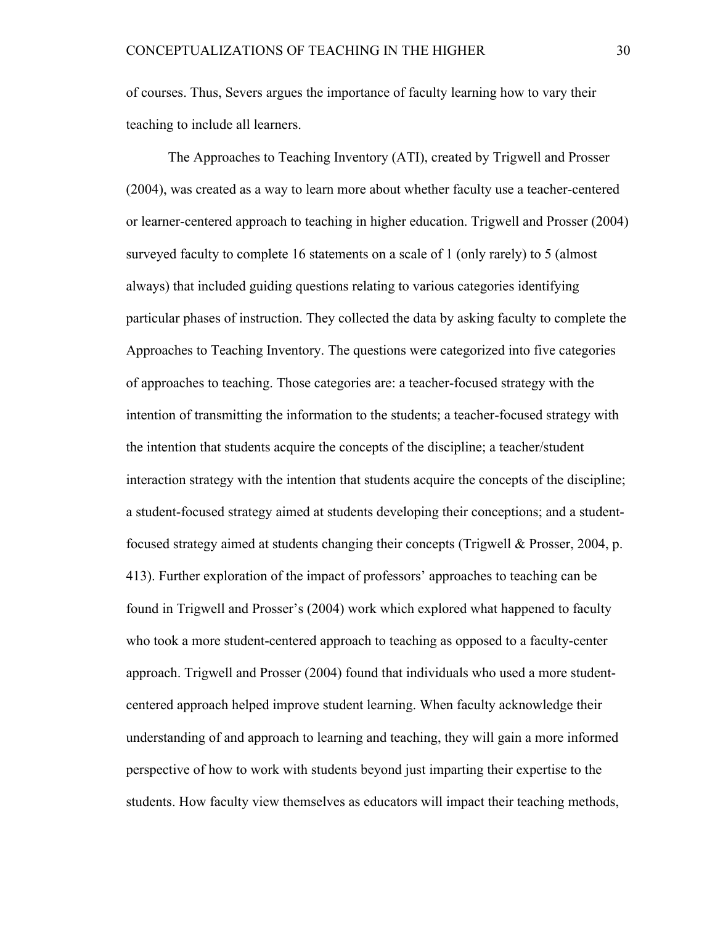of courses. Thus, Severs argues the importance of faculty learning how to vary their teaching to include all learners.

The Approaches to Teaching Inventory (ATI), created by Trigwell and Prosser (2004), was created as a way to learn more about whether faculty use a teacher-centered or learner-centered approach to teaching in higher education. Trigwell and Prosser (2004) surveyed faculty to complete 16 statements on a scale of 1 (only rarely) to 5 (almost always) that included guiding questions relating to various categories identifying particular phases of instruction. They collected the data by asking faculty to complete the Approaches to Teaching Inventory. The questions were categorized into five categories of approaches to teaching. Those categories are: a teacher-focused strategy with the intention of transmitting the information to the students; a teacher-focused strategy with the intention that students acquire the concepts of the discipline; a teacher/student interaction strategy with the intention that students acquire the concepts of the discipline; a student-focused strategy aimed at students developing their conceptions; and a studentfocused strategy aimed at students changing their concepts (Trigwell & Prosser, 2004, p. 413). Further exploration of the impact of professors' approaches to teaching can be found in Trigwell and Prosser's (2004) work which explored what happened to faculty who took a more student-centered approach to teaching as opposed to a faculty-center approach. Trigwell and Prosser (2004) found that individuals who used a more studentcentered approach helped improve student learning. When faculty acknowledge their understanding of and approach to learning and teaching, they will gain a more informed perspective of how to work with students beyond just imparting their expertise to the students. How faculty view themselves as educators will impact their teaching methods,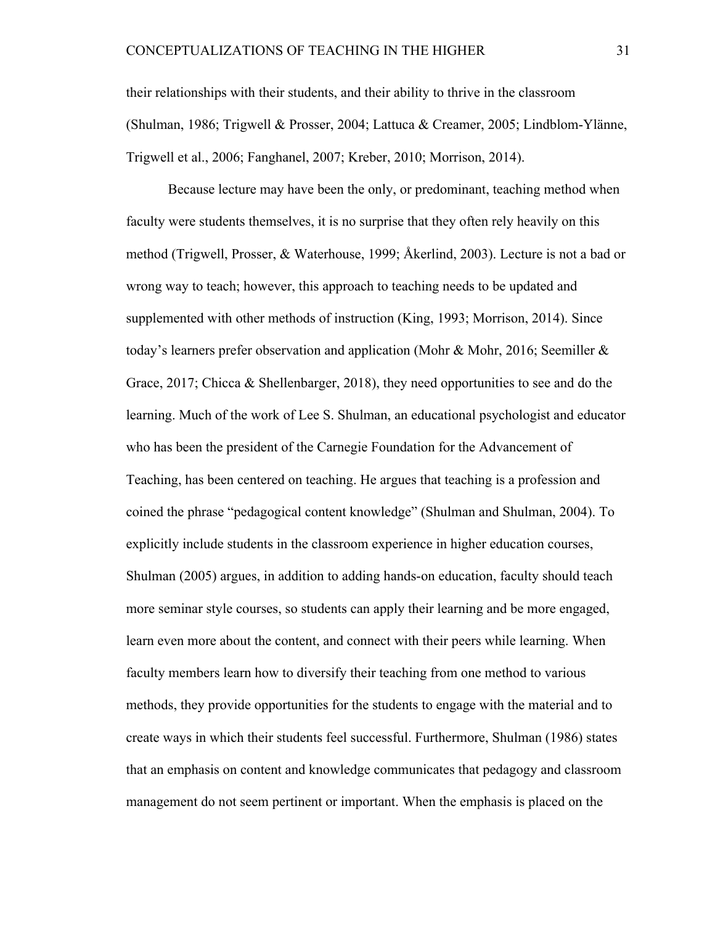their relationships with their students, and their ability to thrive in the classroom (Shulman, 1986; Trigwell & Prosser, 2004; Lattuca & Creamer, 2005; Lindblom-Ylänne, Trigwell et al., 2006; Fanghanel, 2007; Kreber, 2010; Morrison, 2014).

Because lecture may have been the only, or predominant, teaching method when faculty were students themselves, it is no surprise that they often rely heavily on this method (Trigwell, Prosser, & Waterhouse, 1999; Åkerlind, 2003). Lecture is not a bad or wrong way to teach; however, this approach to teaching needs to be updated and supplemented with other methods of instruction (King, 1993; Morrison, 2014). Since today's learners prefer observation and application (Mohr & Mohr, 2016; Seemiller & Grace, 2017; Chicca & Shellenbarger, 2018), they need opportunities to see and do the learning. Much of the work of Lee S. Shulman, an educational psychologist and educator who has been the president of the Carnegie Foundation for the Advancement of Teaching, has been centered on teaching. He argues that teaching is a profession and coined the phrase "pedagogical content knowledge" (Shulman and Shulman, 2004). To explicitly include students in the classroom experience in higher education courses, Shulman (2005) argues, in addition to adding hands-on education, faculty should teach more seminar style courses, so students can apply their learning and be more engaged, learn even more about the content, and connect with their peers while learning. When faculty members learn how to diversify their teaching from one method to various methods, they provide opportunities for the students to engage with the material and to create ways in which their students feel successful. Furthermore, Shulman (1986) states that an emphasis on content and knowledge communicates that pedagogy and classroom management do not seem pertinent or important. When the emphasis is placed on the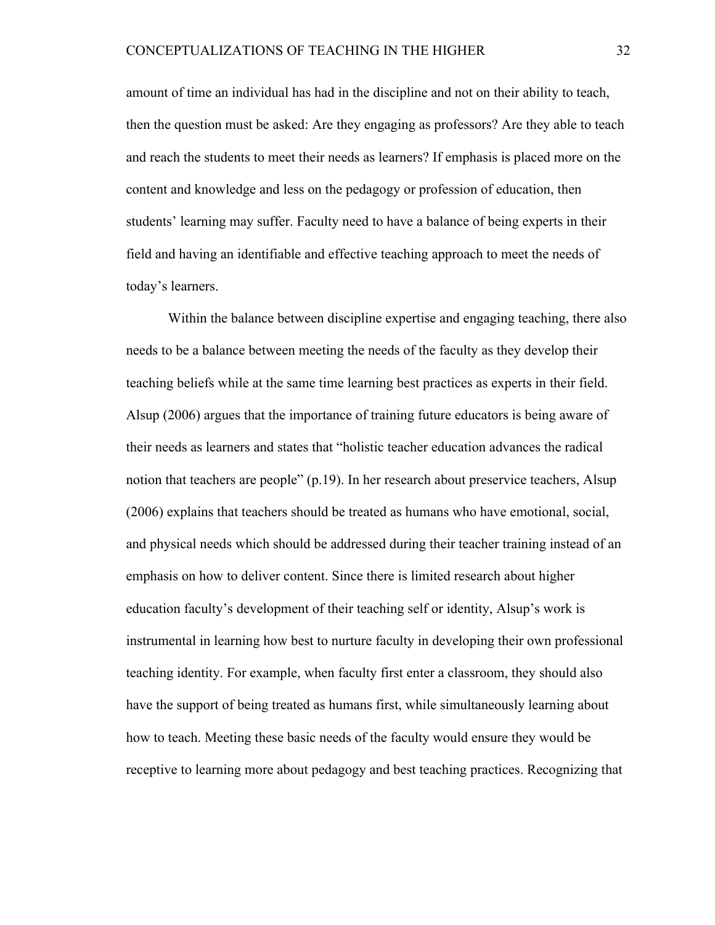amount of time an individual has had in the discipline and not on their ability to teach, then the question must be asked: Are they engaging as professors? Are they able to teach and reach the students to meet their needs as learners? If emphasis is placed more on the content and knowledge and less on the pedagogy or profession of education, then students' learning may suffer. Faculty need to have a balance of being experts in their field and having an identifiable and effective teaching approach to meet the needs of today's learners.

Within the balance between discipline expertise and engaging teaching, there also needs to be a balance between meeting the needs of the faculty as they develop their teaching beliefs while at the same time learning best practices as experts in their field. Alsup (2006) argues that the importance of training future educators is being aware of their needs as learners and states that "holistic teacher education advances the radical notion that teachers are people" (p.19). In her research about preservice teachers, Alsup (2006) explains that teachers should be treated as humans who have emotional, social, and physical needs which should be addressed during their teacher training instead of an emphasis on how to deliver content. Since there is limited research about higher education faculty's development of their teaching self or identity, Alsup's work is instrumental in learning how best to nurture faculty in developing their own professional teaching identity. For example, when faculty first enter a classroom, they should also have the support of being treated as humans first, while simultaneously learning about how to teach. Meeting these basic needs of the faculty would ensure they would be receptive to learning more about pedagogy and best teaching practices. Recognizing that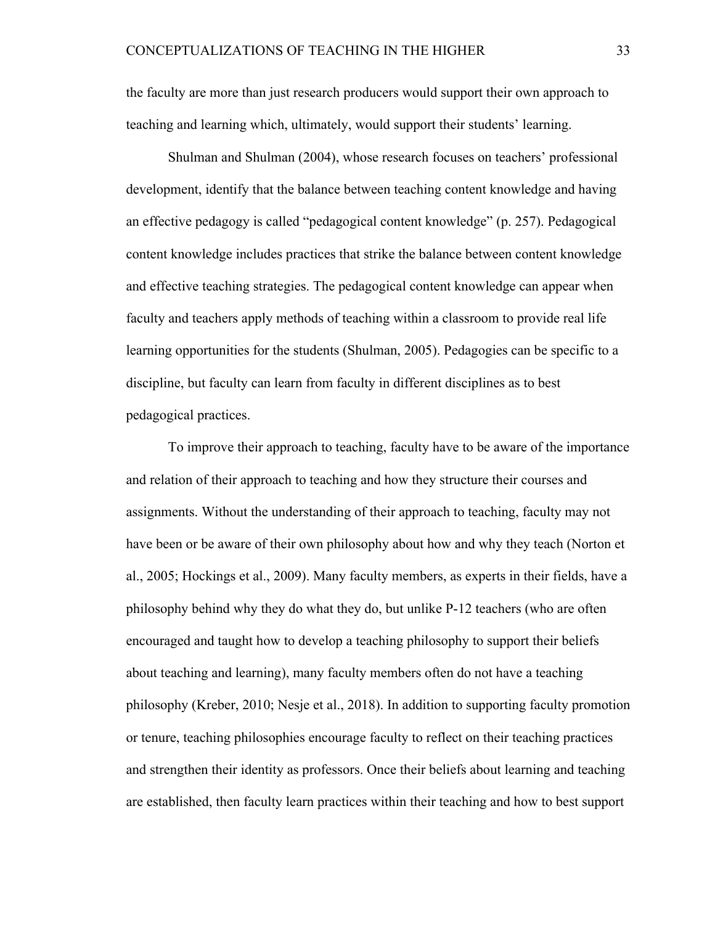the faculty are more than just research producers would support their own approach to teaching and learning which, ultimately, would support their students' learning.

Shulman and Shulman (2004), whose research focuses on teachers' professional development, identify that the balance between teaching content knowledge and having an effective pedagogy is called "pedagogical content knowledge" (p. 257). Pedagogical content knowledge includes practices that strike the balance between content knowledge and effective teaching strategies. The pedagogical content knowledge can appear when faculty and teachers apply methods of teaching within a classroom to provide real life learning opportunities for the students (Shulman, 2005). Pedagogies can be specific to a discipline, but faculty can learn from faculty in different disciplines as to best pedagogical practices.

To improve their approach to teaching, faculty have to be aware of the importance and relation of their approach to teaching and how they structure their courses and assignments. Without the understanding of their approach to teaching, faculty may not have been or be aware of their own philosophy about how and why they teach (Norton et al., 2005; Hockings et al., 2009). Many faculty members, as experts in their fields, have a philosophy behind why they do what they do, but unlike P-12 teachers (who are often encouraged and taught how to develop a teaching philosophy to support their beliefs about teaching and learning), many faculty members often do not have a teaching philosophy (Kreber, 2010; Nesje et al., 2018). In addition to supporting faculty promotion or tenure, teaching philosophies encourage faculty to reflect on their teaching practices and strengthen their identity as professors. Once their beliefs about learning and teaching are established, then faculty learn practices within their teaching and how to best support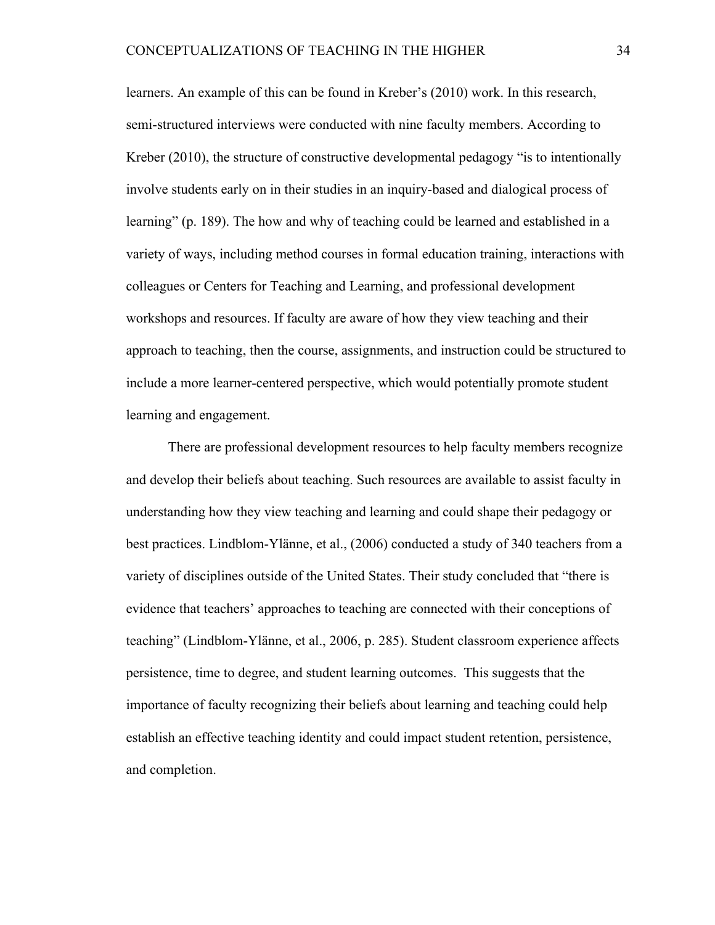learners. An example of this can be found in Kreber's (2010) work. In this research, semi-structured interviews were conducted with nine faculty members. According to Kreber (2010), the structure of constructive developmental pedagogy "is to intentionally involve students early on in their studies in an inquiry-based and dialogical process of learning" (p. 189). The how and why of teaching could be learned and established in a variety of ways, including method courses in formal education training, interactions with colleagues or Centers for Teaching and Learning, and professional development workshops and resources. If faculty are aware of how they view teaching and their approach to teaching, then the course, assignments, and instruction could be structured to include a more learner-centered perspective, which would potentially promote student learning and engagement.

There are professional development resources to help faculty members recognize and develop their beliefs about teaching. Such resources are available to assist faculty in understanding how they view teaching and learning and could shape their pedagogy or best practices. Lindblom-Ylänne, et al., (2006) conducted a study of 340 teachers from a variety of disciplines outside of the United States. Their study concluded that "there is evidence that teachers' approaches to teaching are connected with their conceptions of teaching" (Lindblom-Ylänne, et al., 2006, p. 285). Student classroom experience affects persistence, time to degree, and student learning outcomes. This suggests that the importance of faculty recognizing their beliefs about learning and teaching could help establish an effective teaching identity and could impact student retention, persistence, and completion.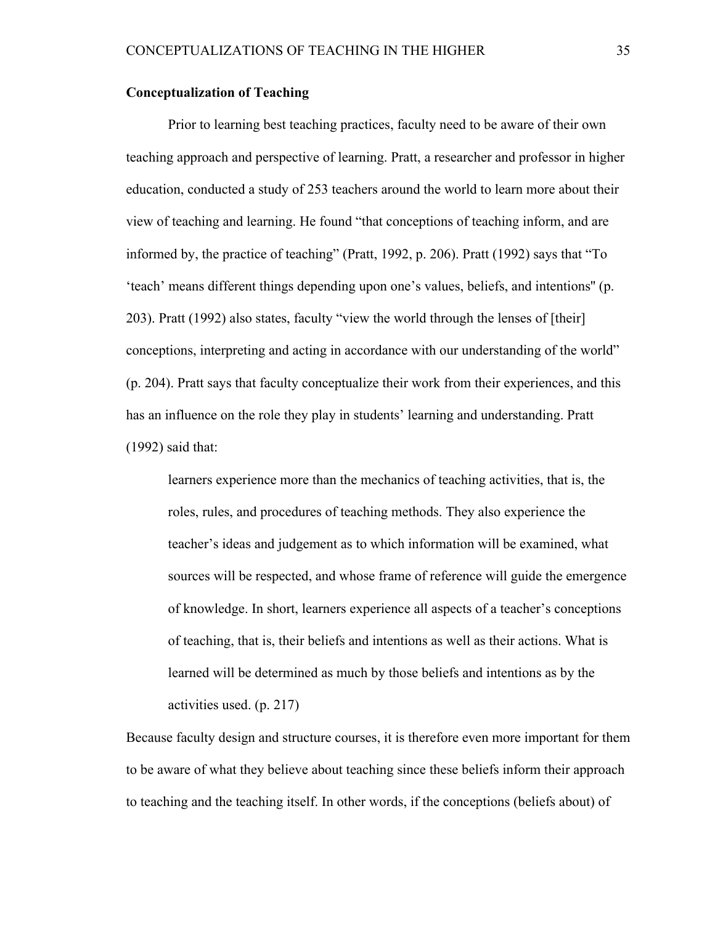### **Conceptualization of Teaching**

Prior to learning best teaching practices, faculty need to be aware of their own teaching approach and perspective of learning. Pratt, a researcher and professor in higher education, conducted a study of 253 teachers around the world to learn more about their view of teaching and learning. He found "that conceptions of teaching inform, and are informed by, the practice of teaching" (Pratt, 1992, p. 206). Pratt (1992) says that "To 'teach' means different things depending upon one's values, beliefs, and intentions'' (p. 203). Pratt (1992) also states, faculty "view the world through the lenses of [their] conceptions, interpreting and acting in accordance with our understanding of the world" (p. 204). Pratt says that faculty conceptualize their work from their experiences, and this has an influence on the role they play in students' learning and understanding. Pratt (1992) said that:

learners experience more than the mechanics of teaching activities, that is, the roles, rules, and procedures of teaching methods. They also experience the teacher's ideas and judgement as to which information will be examined, what sources will be respected, and whose frame of reference will guide the emergence of knowledge. In short, learners experience all aspects of a teacher's conceptions of teaching, that is, their beliefs and intentions as well as their actions. What is learned will be determined as much by those beliefs and intentions as by the activities used. (p. 217)

Because faculty design and structure courses, it is therefore even more important for them to be aware of what they believe about teaching since these beliefs inform their approach to teaching and the teaching itself. In other words, if the conceptions (beliefs about) of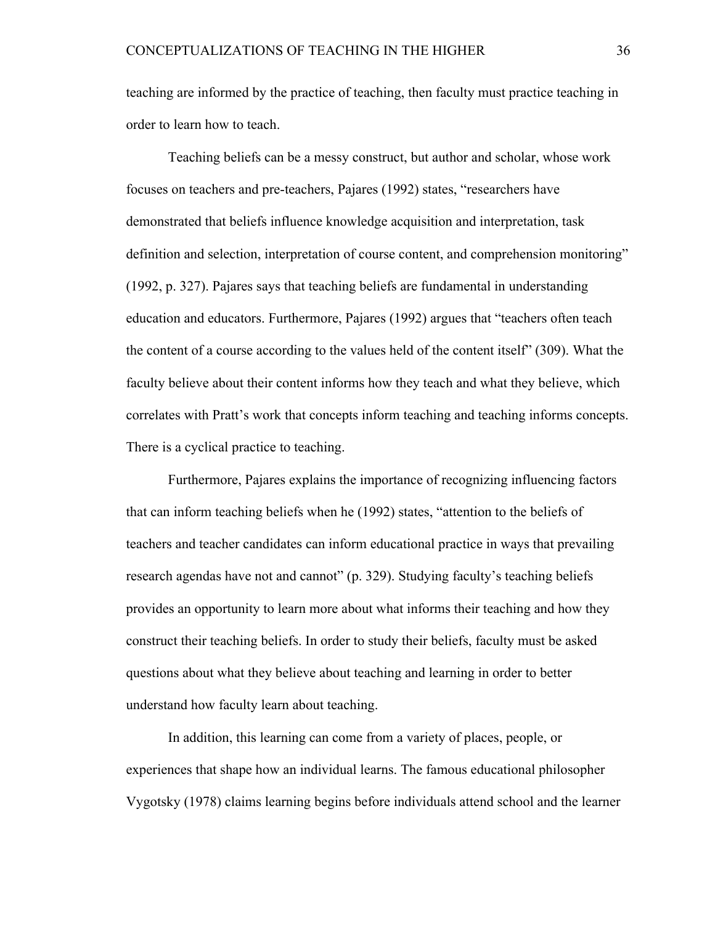teaching are informed by the practice of teaching, then faculty must practice teaching in order to learn how to teach.

Teaching beliefs can be a messy construct, but author and scholar, whose work focuses on teachers and pre-teachers, Pajares (1992) states, "researchers have demonstrated that beliefs influence knowledge acquisition and interpretation, task definition and selection, interpretation of course content, and comprehension monitoring" (1992, p. 327). Pajares says that teaching beliefs are fundamental in understanding education and educators. Furthermore, Pajares (1992) argues that "teachers often teach the content of a course according to the values held of the content itself" (309). What the faculty believe about their content informs how they teach and what they believe, which correlates with Pratt's work that concepts inform teaching and teaching informs concepts. There is a cyclical practice to teaching.

Furthermore, Pajares explains the importance of recognizing influencing factors that can inform teaching beliefs when he (1992) states, "attention to the beliefs of teachers and teacher candidates can inform educational practice in ways that prevailing research agendas have not and cannot" (p. 329). Studying faculty's teaching beliefs provides an opportunity to learn more about what informs their teaching and how they construct their teaching beliefs. In order to study their beliefs, faculty must be asked questions about what they believe about teaching and learning in order to better understand how faculty learn about teaching.

In addition, this learning can come from a variety of places, people, or experiences that shape how an individual learns. The famous educational philosopher Vygotsky (1978) claims learning begins before individuals attend school and the learner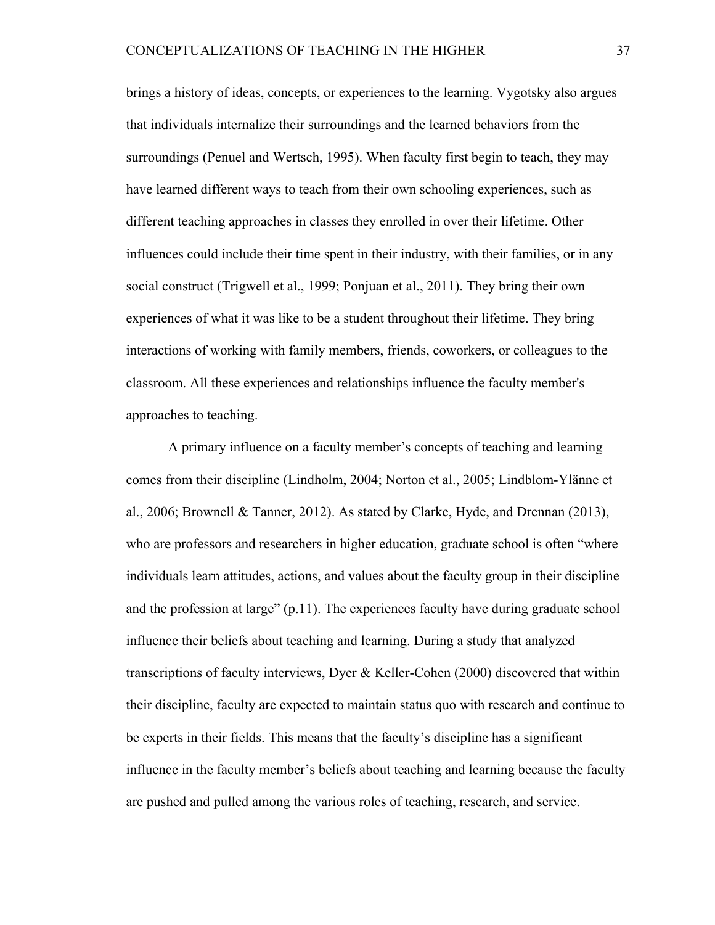brings a history of ideas, concepts, or experiences to the learning. Vygotsky also argues that individuals internalize their surroundings and the learned behaviors from the surroundings (Penuel and Wertsch, 1995). When faculty first begin to teach, they may have learned different ways to teach from their own schooling experiences, such as different teaching approaches in classes they enrolled in over their lifetime. Other influences could include their time spent in their industry, with their families, or in any social construct (Trigwell et al., 1999; Ponjuan et al., 2011). They bring their own experiences of what it was like to be a student throughout their lifetime. They bring interactions of working with family members, friends, coworkers, or colleagues to the classroom. All these experiences and relationships influence the faculty member's approaches to teaching.

A primary influence on a faculty member's concepts of teaching and learning comes from their discipline (Lindholm, 2004; Norton et al., 2005; Lindblom-Ylänne et al., 2006; Brownell & Tanner, 2012). As stated by Clarke, Hyde, and Drennan (2013), who are professors and researchers in higher education, graduate school is often "where individuals learn attitudes, actions, and values about the faculty group in their discipline and the profession at large" (p.11). The experiences faculty have during graduate school influence their beliefs about teaching and learning. During a study that analyzed transcriptions of faculty interviews, Dyer & Keller-Cohen (2000) discovered that within their discipline, faculty are expected to maintain status quo with research and continue to be experts in their fields. This means that the faculty's discipline has a significant influence in the faculty member's beliefs about teaching and learning because the faculty are pushed and pulled among the various roles of teaching, research, and service.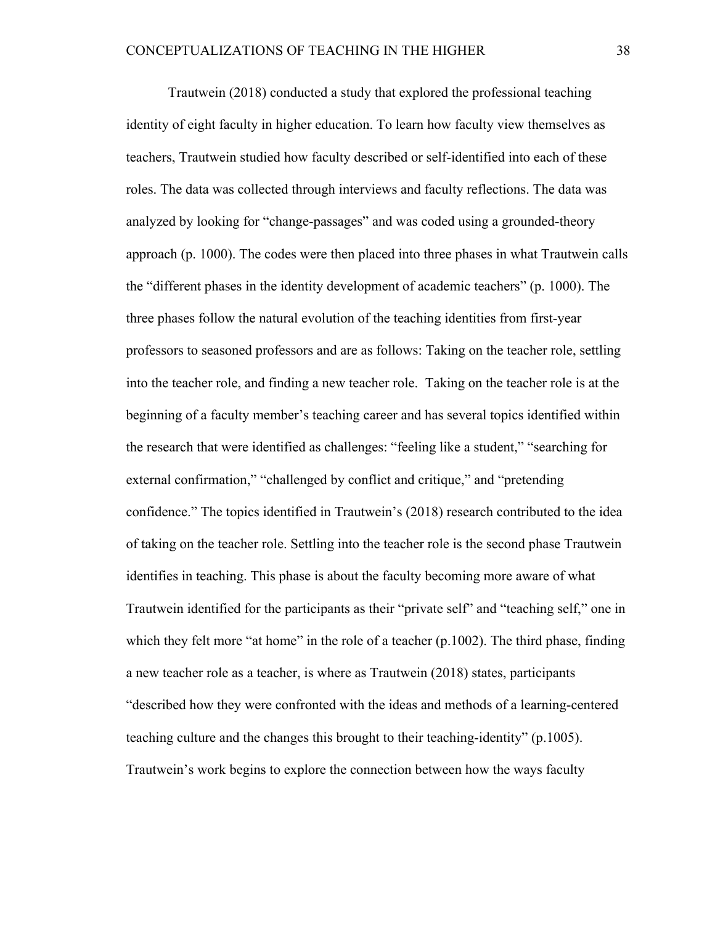Trautwein (2018) conducted a study that explored the professional teaching identity of eight faculty in higher education. To learn how faculty view themselves as teachers, Trautwein studied how faculty described or self-identified into each of these roles. The data was collected through interviews and faculty reflections. The data was analyzed by looking for "change-passages" and was coded using a grounded-theory approach (p. 1000). The codes were then placed into three phases in what Trautwein calls the "different phases in the identity development of academic teachers" (p. 1000). The three phases follow the natural evolution of the teaching identities from first-year professors to seasoned professors and are as follows: Taking on the teacher role, settling into the teacher role, and finding a new teacher role. Taking on the teacher role is at the beginning of a faculty member's teaching career and has several topics identified within the research that were identified as challenges: "feeling like a student," "searching for external confirmation," "challenged by conflict and critique," and "pretending confidence." The topics identified in Trautwein's (2018) research contributed to the idea of taking on the teacher role. Settling into the teacher role is the second phase Trautwein identifies in teaching. This phase is about the faculty becoming more aware of what Trautwein identified for the participants as their "private self" and "teaching self," one in which they felt more "at home" in the role of a teacher  $(p.1002)$ . The third phase, finding a new teacher role as a teacher, is where as Trautwein (2018) states, participants "described how they were confronted with the ideas and methods of a learning-centered teaching culture and the changes this brought to their teaching-identity" (p.1005). Trautwein's work begins to explore the connection between how the ways faculty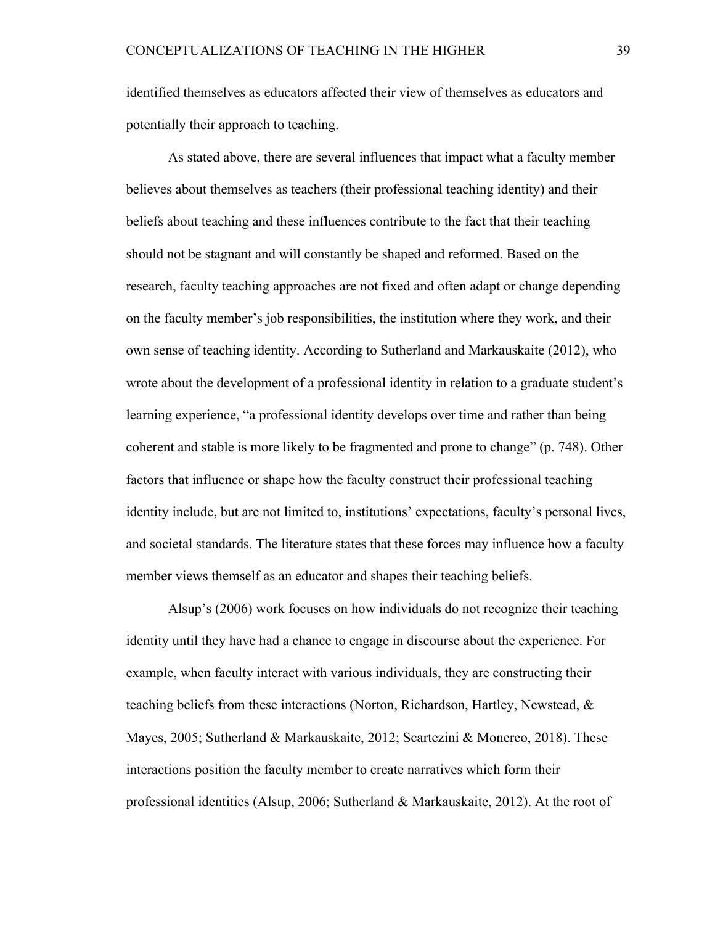identified themselves as educators affected their view of themselves as educators and potentially their approach to teaching.

As stated above, there are several influences that impact what a faculty member believes about themselves as teachers (their professional teaching identity) and their beliefs about teaching and these influences contribute to the fact that their teaching should not be stagnant and will constantly be shaped and reformed. Based on the research, faculty teaching approaches are not fixed and often adapt or change depending on the faculty member's job responsibilities, the institution where they work, and their own sense of teaching identity. According to Sutherland and Markauskaite (2012), who wrote about the development of a professional identity in relation to a graduate student's learning experience, "a professional identity develops over time and rather than being coherent and stable is more likely to be fragmented and prone to change" (p. 748). Other factors that influence or shape how the faculty construct their professional teaching identity include, but are not limited to, institutions' expectations, faculty's personal lives, and societal standards. The literature states that these forces may influence how a faculty member views themself as an educator and shapes their teaching beliefs.

Alsup's (2006) work focuses on how individuals do not recognize their teaching identity until they have had a chance to engage in discourse about the experience. For example, when faculty interact with various individuals, they are constructing their teaching beliefs from these interactions (Norton, Richardson, Hartley, Newstead, & Mayes, 2005; Sutherland & Markauskaite, 2012; Scartezini & Monereo, 2018). These interactions position the faculty member to create narratives which form their professional identities (Alsup, 2006; Sutherland & Markauskaite, 2012). At the root of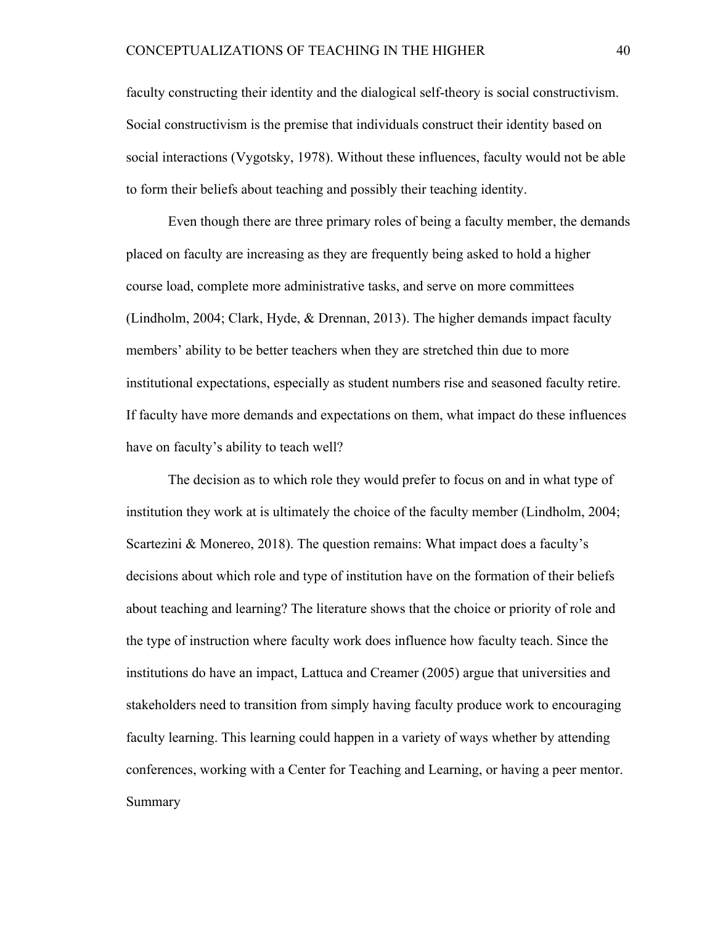faculty constructing their identity and the dialogical self-theory is social constructivism. Social constructivism is the premise that individuals construct their identity based on social interactions (Vygotsky, 1978). Without these influences, faculty would not be able to form their beliefs about teaching and possibly their teaching identity.

Even though there are three primary roles of being a faculty member, the demands placed on faculty are increasing as they are frequently being asked to hold a higher course load, complete more administrative tasks, and serve on more committees (Lindholm, 2004; Clark, Hyde, & Drennan, 2013). The higher demands impact faculty members' ability to be better teachers when they are stretched thin due to more institutional expectations, especially as student numbers rise and seasoned faculty retire. If faculty have more demands and expectations on them, what impact do these influences have on faculty's ability to teach well?

The decision as to which role they would prefer to focus on and in what type of institution they work at is ultimately the choice of the faculty member (Lindholm, 2004; Scartezini & Monereo, 2018). The question remains: What impact does a faculty's decisions about which role and type of institution have on the formation of their beliefs about teaching and learning? The literature shows that the choice or priority of role and the type of instruction where faculty work does influence how faculty teach. Since the institutions do have an impact, Lattuca and Creamer (2005) argue that universities and stakeholders need to transition from simply having faculty produce work to encouraging faculty learning. This learning could happen in a variety of ways whether by attending conferences, working with a Center for Teaching and Learning, or having a peer mentor. Summary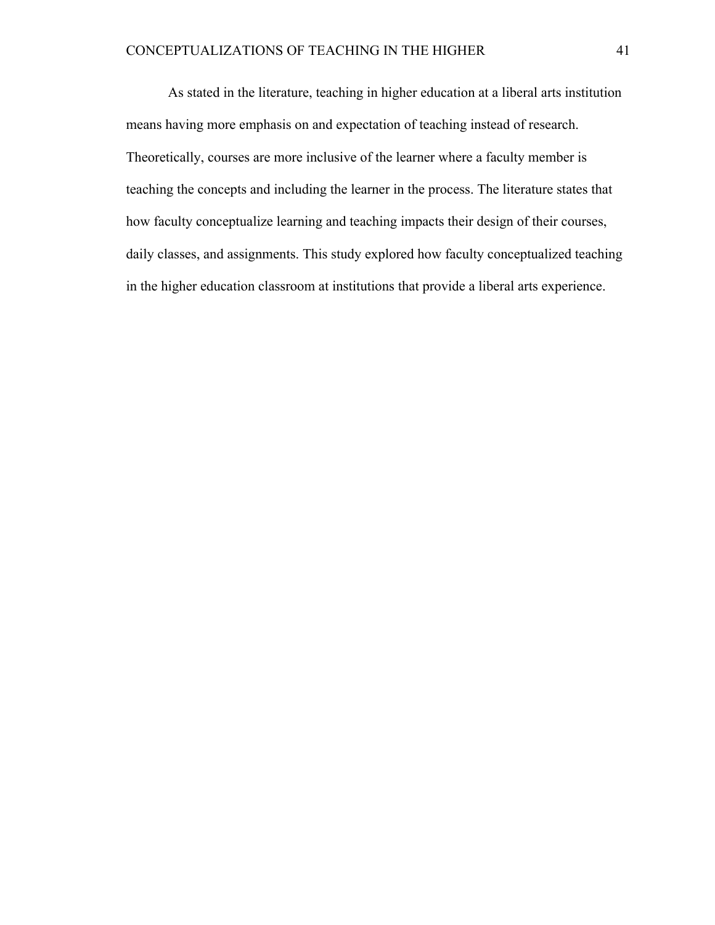As stated in the literature, teaching in higher education at a liberal arts institution means having more emphasis on and expectation of teaching instead of research. Theoretically, courses are more inclusive of the learner where a faculty member is teaching the concepts and including the learner in the process. The literature states that how faculty conceptualize learning and teaching impacts their design of their courses, daily classes, and assignments. This study explored how faculty conceptualized teaching in the higher education classroom at institutions that provide a liberal arts experience.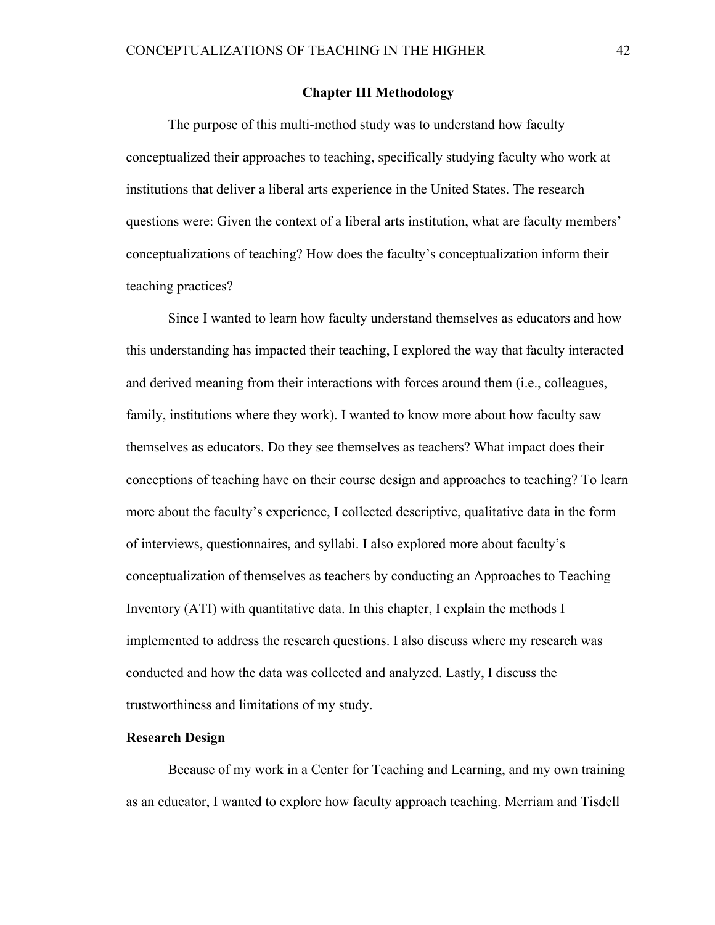#### **Chapter III Methodology**

The purpose of this multi-method study was to understand how faculty conceptualized their approaches to teaching, specifically studying faculty who work at institutions that deliver a liberal arts experience in the United States. The research questions were: Given the context of a liberal arts institution, what are faculty members' conceptualizations of teaching? How does the faculty's conceptualization inform their teaching practices?

Since I wanted to learn how faculty understand themselves as educators and how this understanding has impacted their teaching, I explored the way that faculty interacted and derived meaning from their interactions with forces around them (i.e., colleagues, family, institutions where they work). I wanted to know more about how faculty saw themselves as educators. Do they see themselves as teachers? What impact does their conceptions of teaching have on their course design and approaches to teaching? To learn more about the faculty's experience, I collected descriptive, qualitative data in the form of interviews, questionnaires, and syllabi. I also explored more about faculty's conceptualization of themselves as teachers by conducting an Approaches to Teaching Inventory (ATI) with quantitative data. In this chapter, I explain the methods I implemented to address the research questions. I also discuss where my research was conducted and how the data was collected and analyzed. Lastly, I discuss the trustworthiness and limitations of my study.

#### **Research Design**

Because of my work in a Center for Teaching and Learning, and my own training as an educator, I wanted to explore how faculty approach teaching. Merriam and Tisdell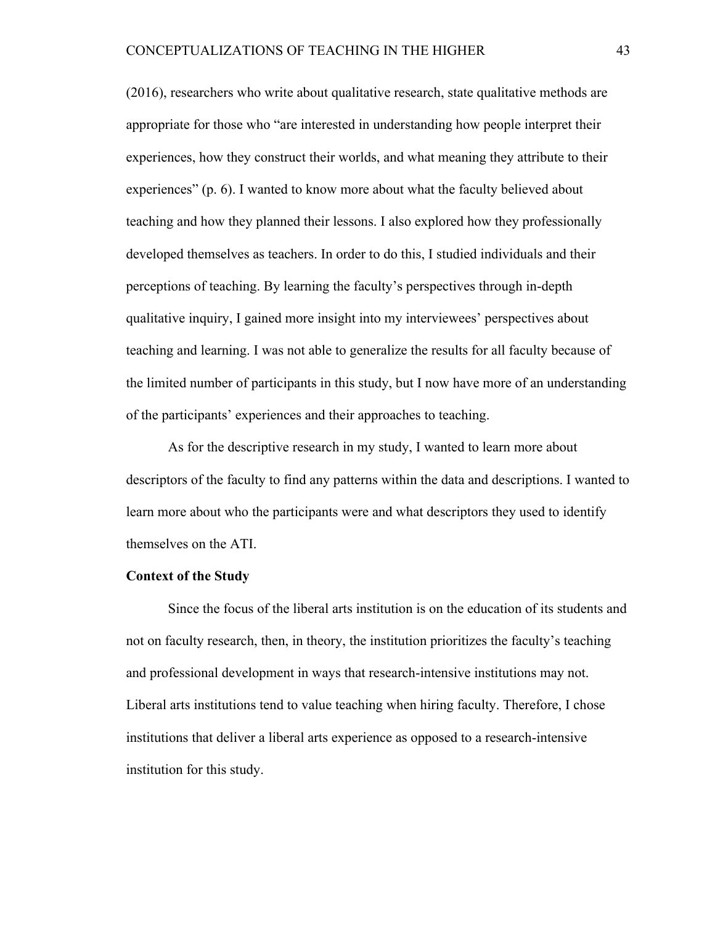(2016), researchers who write about qualitative research, state qualitative methods are appropriate for those who "are interested in understanding how people interpret their experiences, how they construct their worlds, and what meaning they attribute to their experiences" (p. 6). I wanted to know more about what the faculty believed about teaching and how they planned their lessons. I also explored how they professionally developed themselves as teachers. In order to do this, I studied individuals and their perceptions of teaching. By learning the faculty's perspectives through in-depth qualitative inquiry, I gained more insight into my interviewees' perspectives about teaching and learning. I was not able to generalize the results for all faculty because of the limited number of participants in this study, but I now have more of an understanding of the participants' experiences and their approaches to teaching.

As for the descriptive research in my study, I wanted to learn more about descriptors of the faculty to find any patterns within the data and descriptions. I wanted to learn more about who the participants were and what descriptors they used to identify themselves on the ATI.

#### **Context of the Study**

Since the focus of the liberal arts institution is on the education of its students and not on faculty research, then, in theory, the institution prioritizes the faculty's teaching and professional development in ways that research-intensive institutions may not. Liberal arts institutions tend to value teaching when hiring faculty. Therefore, I chose institutions that deliver a liberal arts experience as opposed to a research-intensive institution for this study.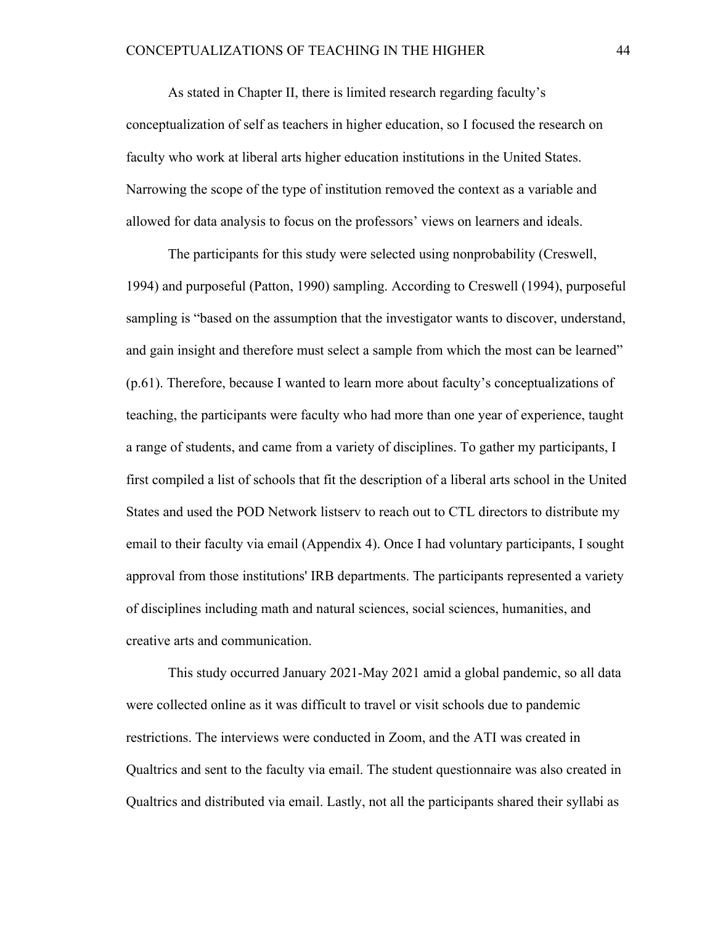As stated in Chapter II, there is limited research regarding faculty's conceptualization of self as teachers in higher education, so I focused the research on faculty who work at liberal arts higher education institutions in the United States. Narrowing the scope of the type of institution removed the context as a variable and allowed for data analysis to focus on the professors' views on learners and ideals.

The participants for this study were selected using nonprobability (Creswell, 1994) and purposeful (Patton, 1990) sampling. According to Creswell (1994), purposeful sampling is "based on the assumption that the investigator wants to discover, understand, and gain insight and therefore must select a sample from which the most can be learned" (p.61). Therefore, because I wanted to learn more about faculty's conceptualizations of teaching, the participants were faculty who had more than one year of experience, taught a range of students, and came from a variety of disciplines. To gather my participants, I first compiled a list of schools that fit the description of a liberal arts school in the United States and used the POD Network listserv to reach out to CTL directors to distribute my email to their faculty via email (Appendix 4). Once I had voluntary participants, I sought approval from those institutions' IRB departments. The participants represented a variety of disciplines including math and natural sciences, social sciences, humanities, and creative arts and communication.

This study occurred January 2021-May 2021 amid a global pandemic, so all data were collected online as it was difficult to travel or visit schools due to pandemic restrictions. The interviews were conducted in Zoom, and the ATI was created in Qualtrics and sent to the faculty via email. The student questionnaire was also created in Qualtrics and distributed via email. Lastly, not all the participants shared their syllabi as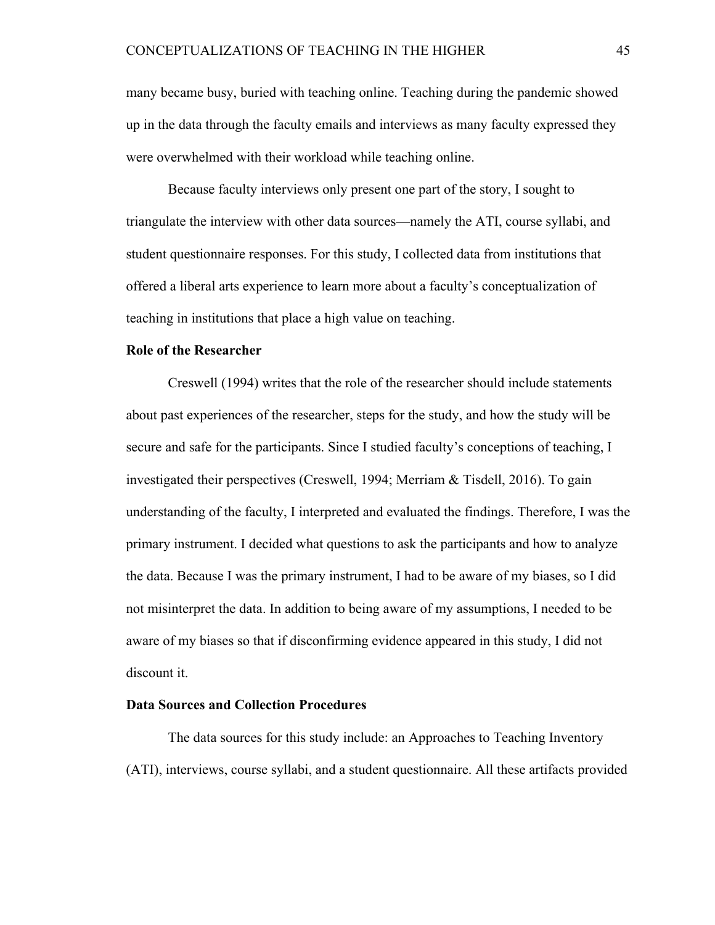many became busy, buried with teaching online. Teaching during the pandemic showed up in the data through the faculty emails and interviews as many faculty expressed they were overwhelmed with their workload while teaching online.

Because faculty interviews only present one part of the story, I sought to triangulate the interview with other data sources—namely the ATI, course syllabi, and student questionnaire responses. For this study, I collected data from institutions that offered a liberal arts experience to learn more about a faculty's conceptualization of teaching in institutions that place a high value on teaching.

#### **Role of the Researcher**

Creswell (1994) writes that the role of the researcher should include statements about past experiences of the researcher, steps for the study, and how the study will be secure and safe for the participants. Since I studied faculty's conceptions of teaching, I investigated their perspectives (Creswell, 1994; Merriam & Tisdell, 2016). To gain understanding of the faculty, I interpreted and evaluated the findings. Therefore, I was the primary instrument. I decided what questions to ask the participants and how to analyze the data. Because I was the primary instrument, I had to be aware of my biases, so I did not misinterpret the data. In addition to being aware of my assumptions, I needed to be aware of my biases so that if disconfirming evidence appeared in this study, I did not discount it.

## **Data Sources and Collection Procedures**

The data sources for this study include: an Approaches to Teaching Inventory (ATI), interviews, course syllabi, and a student questionnaire. All these artifacts provided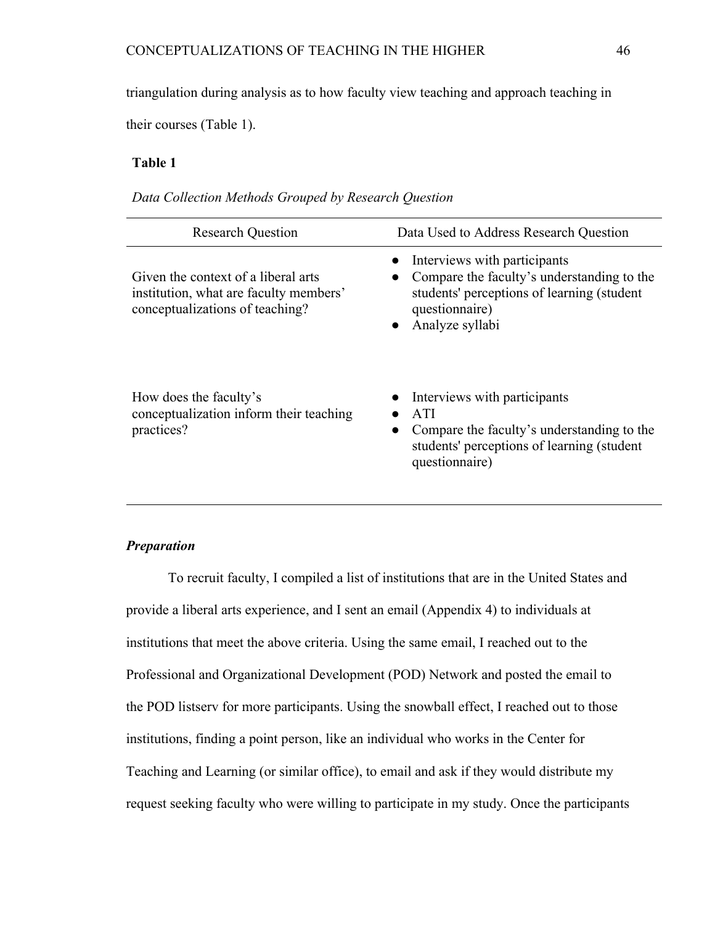triangulation during analysis as to how faculty view teaching and approach teaching in

their courses (Table 1).

## **Table 1**

|  | Data Collection Methods Grouped by Research Question |  |
|--|------------------------------------------------------|--|
|--|------------------------------------------------------|--|

| <b>Research Question</b>                                                                                         | Data Used to Address Research Question                                                                                                                                                    |
|------------------------------------------------------------------------------------------------------------------|-------------------------------------------------------------------------------------------------------------------------------------------------------------------------------------------|
| Given the context of a liberal arts<br>institution, what are faculty members'<br>conceptualizations of teaching? | • Interviews with participants<br>Compare the faculty's understanding to the<br>$\bullet$<br>students' perceptions of learning (student<br>questionnaire)<br>Analyze syllabi<br>$\bullet$ |
| How does the faculty's<br>conceptualization inform their teaching<br>practices?                                  | • Interviews with participants<br>ATI<br>Compare the faculty's understanding to the<br>$\bullet$<br>students' perceptions of learning (student<br>questionnaire)                          |

## *Preparation*

To recruit faculty, I compiled a list of institutions that are in the United States and provide a liberal arts experience, and I sent an email (Appendix 4) to individuals at institutions that meet the above criteria. Using the same email, I reached out to the Professional and Organizational Development (POD) Network and posted the email to the POD listserv for more participants. Using the snowball effect, I reached out to those institutions, finding a point person, like an individual who works in the Center for Teaching and Learning (or similar office), to email and ask if they would distribute my request seeking faculty who were willing to participate in my study. Once the participants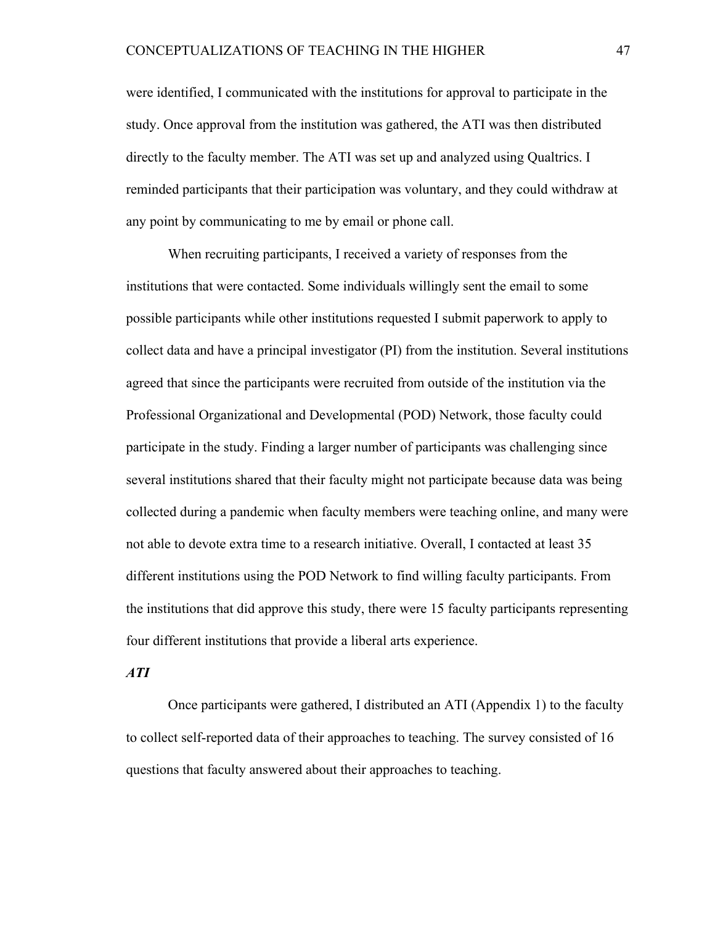were identified, I communicated with the institutions for approval to participate in the study. Once approval from the institution was gathered, the ATI was then distributed directly to the faculty member. The ATI was set up and analyzed using Qualtrics. I reminded participants that their participation was voluntary, and they could withdraw at any point by communicating to me by email or phone call.

When recruiting participants, I received a variety of responses from the institutions that were contacted. Some individuals willingly sent the email to some possible participants while other institutions requested I submit paperwork to apply to collect data and have a principal investigator (PI) from the institution. Several institutions agreed that since the participants were recruited from outside of the institution via the Professional Organizational and Developmental (POD) Network, those faculty could participate in the study. Finding a larger number of participants was challenging since several institutions shared that their faculty might not participate because data was being collected during a pandemic when faculty members were teaching online, and many were not able to devote extra time to a research initiative. Overall, I contacted at least 35 different institutions using the POD Network to find willing faculty participants. From the institutions that did approve this study, there were 15 faculty participants representing four different institutions that provide a liberal arts experience.

#### *ATI*

Once participants were gathered, I distributed an ATI (Appendix 1) to the faculty to collect self-reported data of their approaches to teaching. The survey consisted of 16 questions that faculty answered about their approaches to teaching.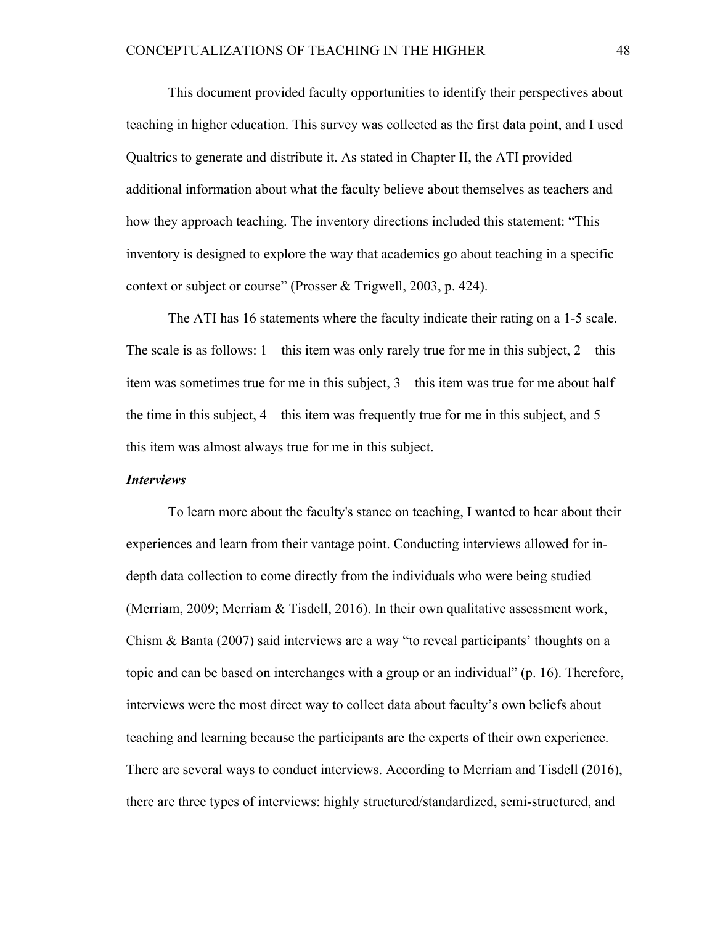This document provided faculty opportunities to identify their perspectives about teaching in higher education. This survey was collected as the first data point, and I used Qualtrics to generate and distribute it. As stated in Chapter II, the ATI provided additional information about what the faculty believe about themselves as teachers and how they approach teaching. The inventory directions included this statement: "This inventory is designed to explore the way that academics go about teaching in a specific context or subject or course" (Prosser & Trigwell, 2003, p. 424).

The ATI has 16 statements where the faculty indicate their rating on a 1-5 scale. The scale is as follows: 1—this item was only rarely true for me in this subject, 2—this item was sometimes true for me in this subject, 3—this item was true for me about half the time in this subject, 4—this item was frequently true for me in this subject, and 5 this item was almost always true for me in this subject.

#### *Interviews*

To learn more about the faculty's stance on teaching, I wanted to hear about their experiences and learn from their vantage point. Conducting interviews allowed for indepth data collection to come directly from the individuals who were being studied (Merriam, 2009; Merriam & Tisdell, 2016). In their own qualitative assessment work, Chism & Banta (2007) said interviews are a way "to reveal participants' thoughts on a topic and can be based on interchanges with a group or an individual" (p. 16). Therefore, interviews were the most direct way to collect data about faculty's own beliefs about teaching and learning because the participants are the experts of their own experience. There are several ways to conduct interviews. According to Merriam and Tisdell (2016), there are three types of interviews: highly structured/standardized, semi-structured, and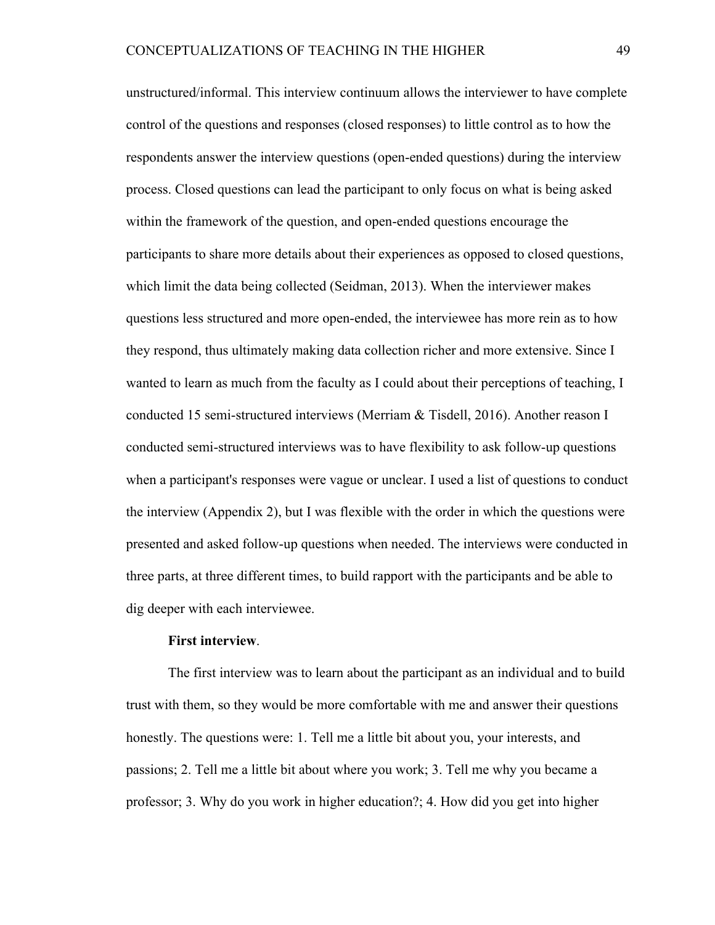unstructured/informal. This interview continuum allows the interviewer to have complete control of the questions and responses (closed responses) to little control as to how the respondents answer the interview questions (open-ended questions) during the interview process. Closed questions can lead the participant to only focus on what is being asked within the framework of the question, and open-ended questions encourage the participants to share more details about their experiences as opposed to closed questions, which limit the data being collected (Seidman, 2013). When the interviewer makes questions less structured and more open-ended, the interviewee has more rein as to how they respond, thus ultimately making data collection richer and more extensive. Since I wanted to learn as much from the faculty as I could about their perceptions of teaching, I conducted 15 semi-structured interviews (Merriam & Tisdell, 2016). Another reason I conducted semi-structured interviews was to have flexibility to ask follow-up questions when a participant's responses were vague or unclear. I used a list of questions to conduct the interview (Appendix 2), but I was flexible with the order in which the questions were presented and asked follow-up questions when needed. The interviews were conducted in three parts, at three different times, to build rapport with the participants and be able to dig deeper with each interviewee.

#### **First interview**.

The first interview was to learn about the participant as an individual and to build trust with them, so they would be more comfortable with me and answer their questions honestly. The questions were: 1. Tell me a little bit about you, your interests, and passions; 2. Tell me a little bit about where you work; 3. Tell me why you became a professor; 3. Why do you work in higher education?; 4. How did you get into higher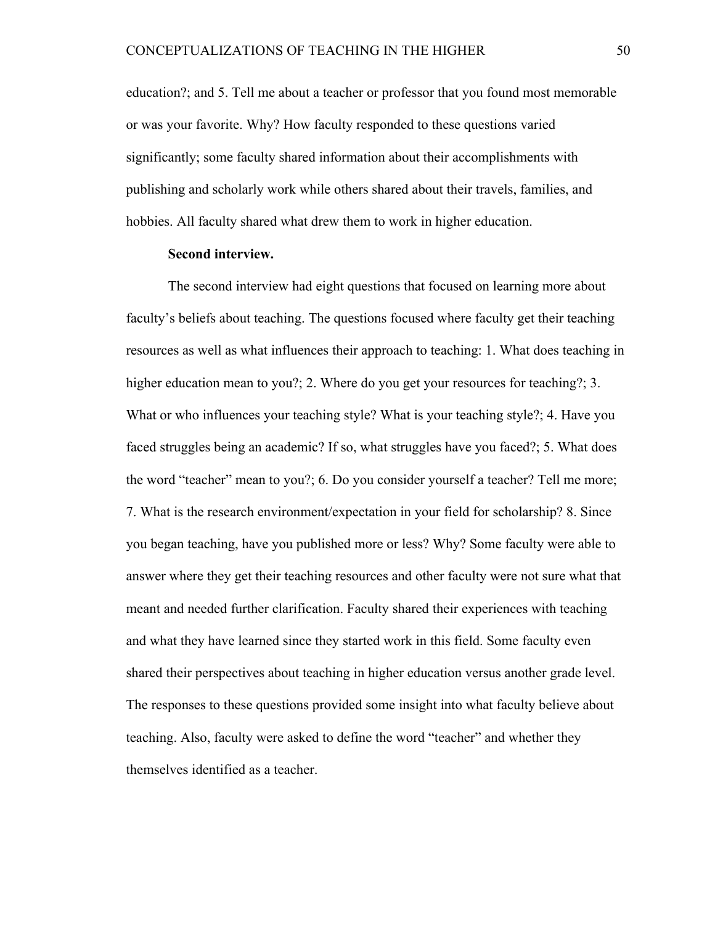education?; and 5. Tell me about a teacher or professor that you found most memorable or was your favorite. Why? How faculty responded to these questions varied significantly; some faculty shared information about their accomplishments with publishing and scholarly work while others shared about their travels, families, and hobbies. All faculty shared what drew them to work in higher education.

#### **Second interview.**

The second interview had eight questions that focused on learning more about faculty's beliefs about teaching. The questions focused where faculty get their teaching resources as well as what influences their approach to teaching: 1. What does teaching in higher education mean to you?; 2. Where do you get your resources for teaching?; 3. What or who influences your teaching style? What is your teaching style?; 4. Have you faced struggles being an academic? If so, what struggles have you faced?; 5. What does the word "teacher" mean to you?; 6. Do you consider yourself a teacher? Tell me more; 7. What is the research environment/expectation in your field for scholarship? 8. Since you began teaching, have you published more or less? Why? Some faculty were able to answer where they get their teaching resources and other faculty were not sure what that meant and needed further clarification. Faculty shared their experiences with teaching and what they have learned since they started work in this field. Some faculty even shared their perspectives about teaching in higher education versus another grade level. The responses to these questions provided some insight into what faculty believe about teaching. Also, faculty were asked to define the word "teacher" and whether they themselves identified as a teacher.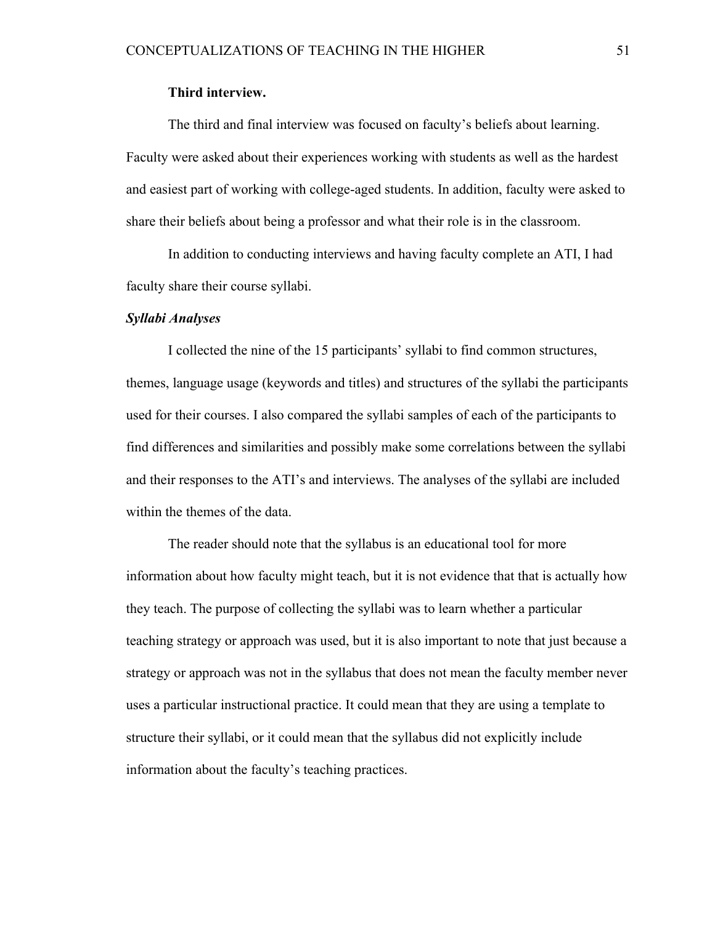#### **Third interview.**

The third and final interview was focused on faculty's beliefs about learning. Faculty were asked about their experiences working with students as well as the hardest and easiest part of working with college-aged students. In addition, faculty were asked to share their beliefs about being a professor and what their role is in the classroom.

In addition to conducting interviews and having faculty complete an ATI, I had faculty share their course syllabi.

#### *Syllabi Analyses*

I collected the nine of the 15 participants' syllabi to find common structures, themes, language usage (keywords and titles) and structures of the syllabi the participants used for their courses. I also compared the syllabi samples of each of the participants to find differences and similarities and possibly make some correlations between the syllabi and their responses to the ATI's and interviews. The analyses of the syllabi are included within the themes of the data.

The reader should note that the syllabus is an educational tool for more information about how faculty might teach, but it is not evidence that that is actually how they teach. The purpose of collecting the syllabi was to learn whether a particular teaching strategy or approach was used, but it is also important to note that just because a strategy or approach was not in the syllabus that does not mean the faculty member never uses a particular instructional practice. It could mean that they are using a template to structure their syllabi, or it could mean that the syllabus did not explicitly include information about the faculty's teaching practices.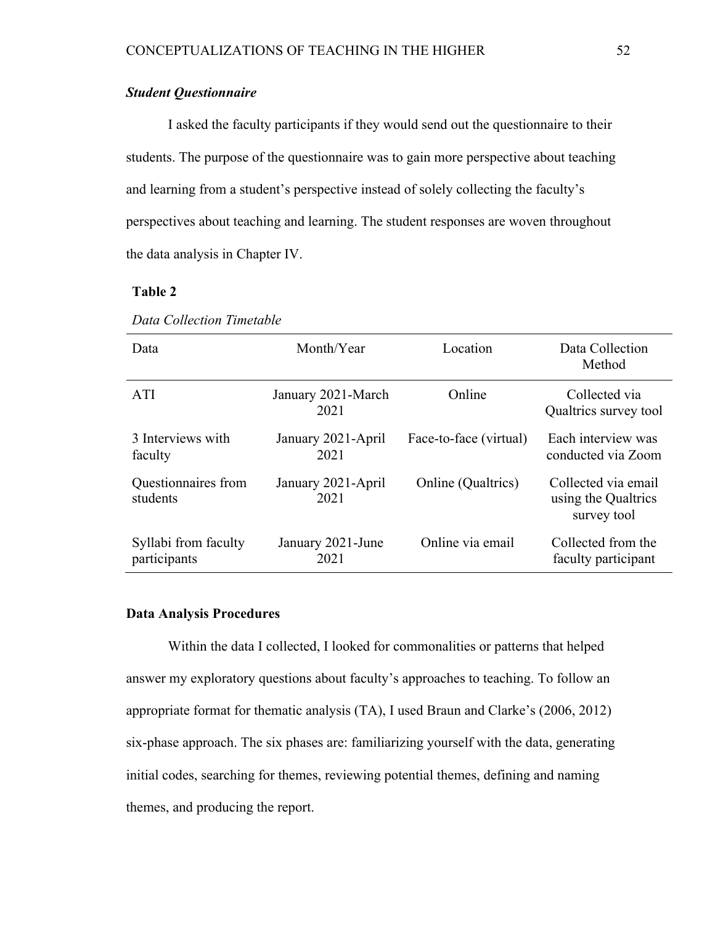### *Student Questionnaire*

I asked the faculty participants if they would send out the questionnaire to their students. The purpose of the questionnaire was to gain more perspective about teaching and learning from a student's perspective instead of solely collecting the faculty's perspectives about teaching and learning. The student responses are woven throughout the data analysis in Chapter IV.

## **Table 2**

| Data                                 | Month/Year                 | Location               | Data Collection<br>Method                                 |
|--------------------------------------|----------------------------|------------------------|-----------------------------------------------------------|
| <b>ATI</b>                           | January 2021-March<br>2021 | Online                 | Collected via<br>Qualtrics survey tool                    |
| 3 Interviews with<br>faculty         | January 2021-April<br>2021 | Face-to-face (virtual) | Each interview was<br>conducted via Zoom                  |
| Questionnaires from<br>students      | January 2021-April<br>2021 | Online (Qualtrics)     | Collected via email<br>using the Qualtrics<br>survey tool |
| Syllabi from faculty<br>participants | January 2021-June<br>2021  | Online via email       | Collected from the<br>faculty participant                 |

*Data Collection Timetable*

#### **Data Analysis Procedures**

Within the data I collected, I looked for commonalities or patterns that helped answer my exploratory questions about faculty's approaches to teaching. To follow an appropriate format for thematic analysis (TA), I used Braun and Clarke's (2006, 2012) six-phase approach. The six phases are: familiarizing yourself with the data, generating initial codes, searching for themes, reviewing potential themes, defining and naming themes, and producing the report.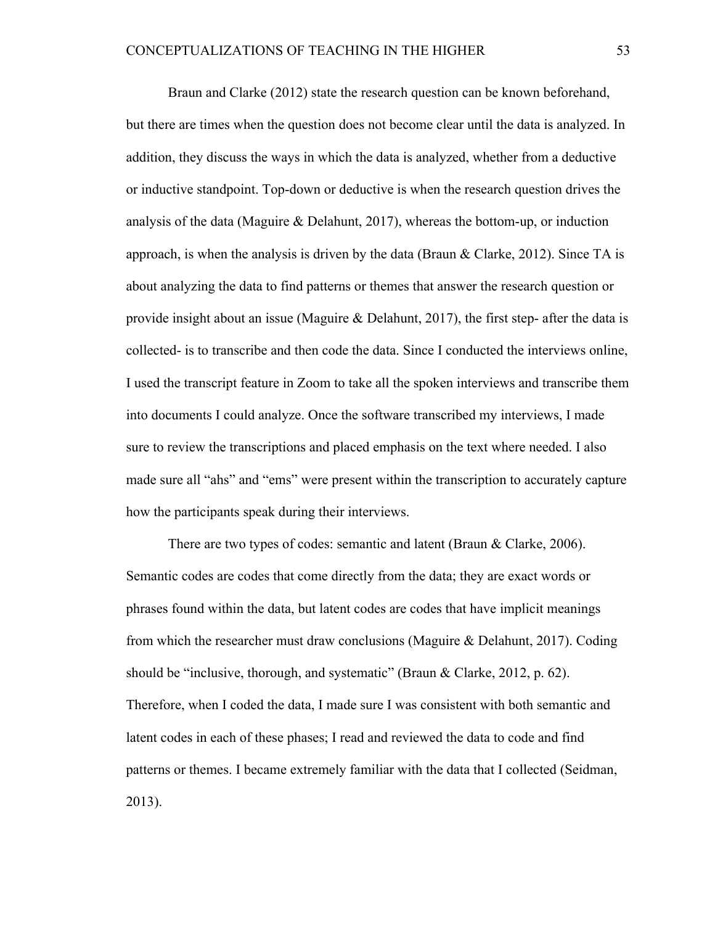Braun and Clarke (2012) state the research question can be known beforehand, but there are times when the question does not become clear until the data is analyzed. In addition, they discuss the ways in which the data is analyzed, whether from a deductive or inductive standpoint. Top-down or deductive is when the research question drives the analysis of the data (Maguire  $\&$  Delahunt, 2017), whereas the bottom-up, or induction approach, is when the analysis is driven by the data (Braun & Clarke, 2012). Since TA is about analyzing the data to find patterns or themes that answer the research question or provide insight about an issue (Maguire & Delahunt, 2017), the first step- after the data is collected- is to transcribe and then code the data. Since I conducted the interviews online, I used the transcript feature in Zoom to take all the spoken interviews and transcribe them into documents I could analyze. Once the software transcribed my interviews, I made sure to review the transcriptions and placed emphasis on the text where needed. I also made sure all "ahs" and "ems" were present within the transcription to accurately capture how the participants speak during their interviews.

There are two types of codes: semantic and latent (Braun & Clarke, 2006). Semantic codes are codes that come directly from the data; they are exact words or phrases found within the data, but latent codes are codes that have implicit meanings from which the researcher must draw conclusions (Maguire & Delahunt, 2017). Coding should be "inclusive, thorough, and systematic" (Braun & Clarke, 2012, p. 62). Therefore, when I coded the data, I made sure I was consistent with both semantic and latent codes in each of these phases; I read and reviewed the data to code and find patterns or themes. I became extremely familiar with the data that I collected (Seidman, 2013).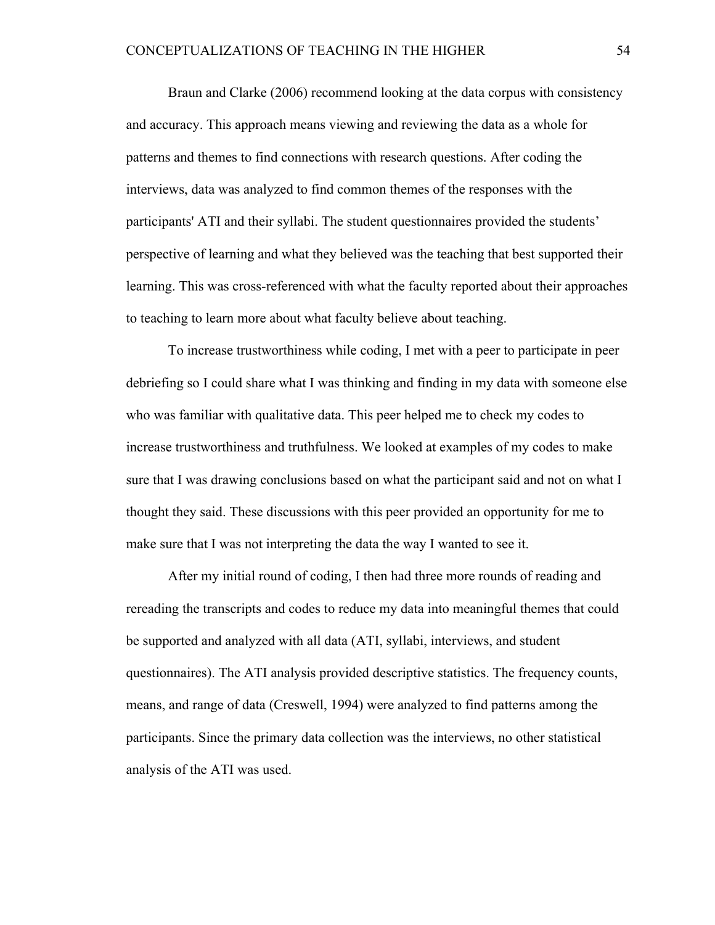Braun and Clarke (2006) recommend looking at the data corpus with consistency and accuracy. This approach means viewing and reviewing the data as a whole for patterns and themes to find connections with research questions. After coding the interviews, data was analyzed to find common themes of the responses with the participants' ATI and their syllabi. The student questionnaires provided the students' perspective of learning and what they believed was the teaching that best supported their learning. This was cross-referenced with what the faculty reported about their approaches to teaching to learn more about what faculty believe about teaching.

To increase trustworthiness while coding, I met with a peer to participate in peer debriefing so I could share what I was thinking and finding in my data with someone else who was familiar with qualitative data. This peer helped me to check my codes to increase trustworthiness and truthfulness. We looked at examples of my codes to make sure that I was drawing conclusions based on what the participant said and not on what I thought they said. These discussions with this peer provided an opportunity for me to make sure that I was not interpreting the data the way I wanted to see it.

After my initial round of coding, I then had three more rounds of reading and rereading the transcripts and codes to reduce my data into meaningful themes that could be supported and analyzed with all data (ATI, syllabi, interviews, and student questionnaires). The ATI analysis provided descriptive statistics. The frequency counts, means, and range of data (Creswell, 1994) were analyzed to find patterns among the participants. Since the primary data collection was the interviews, no other statistical analysis of the ATI was used.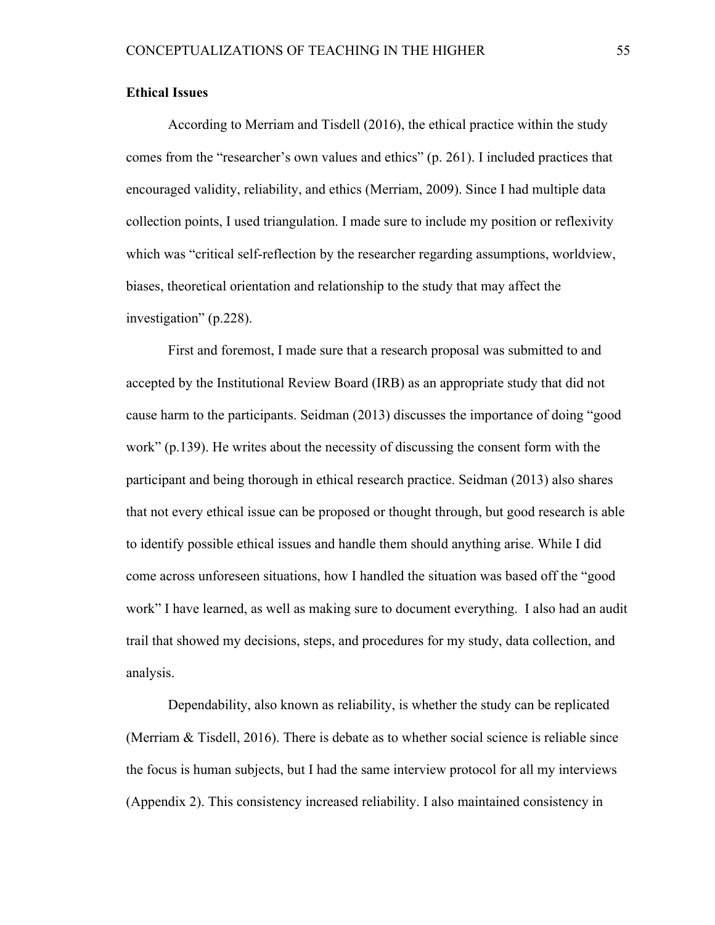#### **Ethical Issues**

According to Merriam and Tisdell (2016), the ethical practice within the study comes from the "researcher's own values and ethics" (p. 261). I included practices that encouraged validity, reliability, and ethics (Merriam, 2009). Since I had multiple data collection points, I used triangulation. I made sure to include my position or reflexivity which was "critical self-reflection by the researcher regarding assumptions, worldview, biases, theoretical orientation and relationship to the study that may affect the investigation" (p.228).

First and foremost, I made sure that a research proposal was submitted to and accepted by the Institutional Review Board (IRB) as an appropriate study that did not cause harm to the participants. Seidman (2013) discusses the importance of doing "good work" (p.139). He writes about the necessity of discussing the consent form with the participant and being thorough in ethical research practice. Seidman (2013) also shares that not every ethical issue can be proposed or thought through, but good research is able to identify possible ethical issues and handle them should anything arise. While I did come across unforeseen situations, how I handled the situation was based off the "good work" I have learned, as well as making sure to document everything. I also had an audit trail that showed my decisions, steps, and procedures for my study, data collection, and analysis.

Dependability, also known as reliability, is whether the study can be replicated (Merriam  $\&$  Tisdell, 2016). There is debate as to whether social science is reliable since the focus is human subjects, but I had the same interview protocol for all my interviews (Appendix 2). This consistency increased reliability. I also maintained consistency in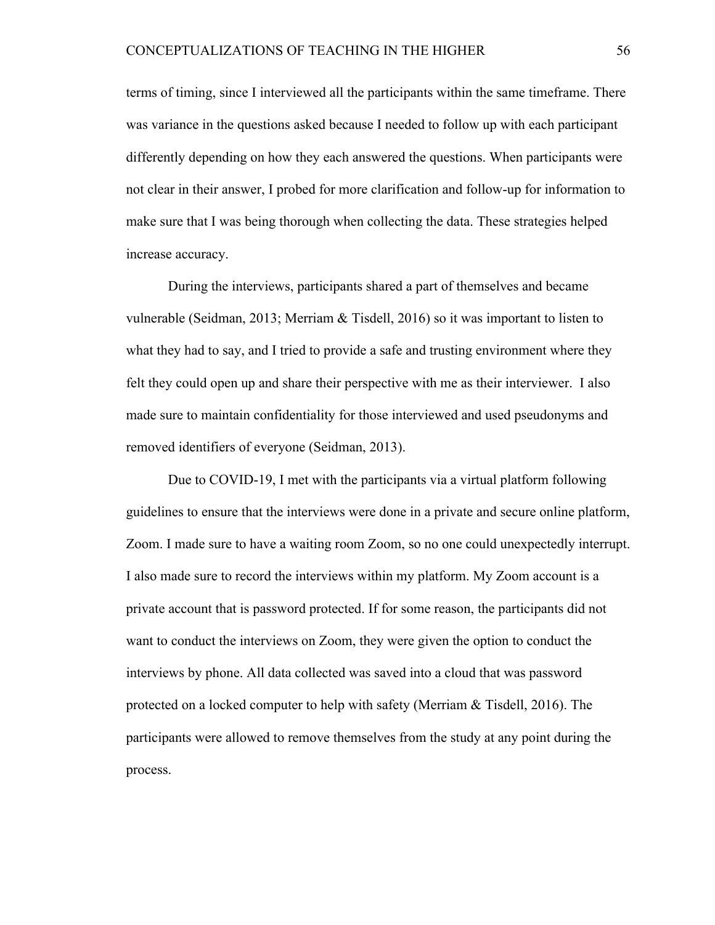terms of timing, since I interviewed all the participants within the same timeframe. There was variance in the questions asked because I needed to follow up with each participant differently depending on how they each answered the questions. When participants were not clear in their answer, I probed for more clarification and follow-up for information to make sure that I was being thorough when collecting the data. These strategies helped increase accuracy.

During the interviews, participants shared a part of themselves and became vulnerable (Seidman, 2013; Merriam & Tisdell, 2016) so it was important to listen to what they had to say, and I tried to provide a safe and trusting environment where they felt they could open up and share their perspective with me as their interviewer. I also made sure to maintain confidentiality for those interviewed and used pseudonyms and removed identifiers of everyone (Seidman, 2013).

Due to COVID-19, I met with the participants via a virtual platform following guidelines to ensure that the interviews were done in a private and secure online platform, Zoom. I made sure to have a waiting room Zoom, so no one could unexpectedly interrupt. I also made sure to record the interviews within my platform. My Zoom account is a private account that is password protected. If for some reason, the participants did not want to conduct the interviews on Zoom, they were given the option to conduct the interviews by phone. All data collected was saved into a cloud that was password protected on a locked computer to help with safety (Merriam & Tisdell, 2016). The participants were allowed to remove themselves from the study at any point during the process.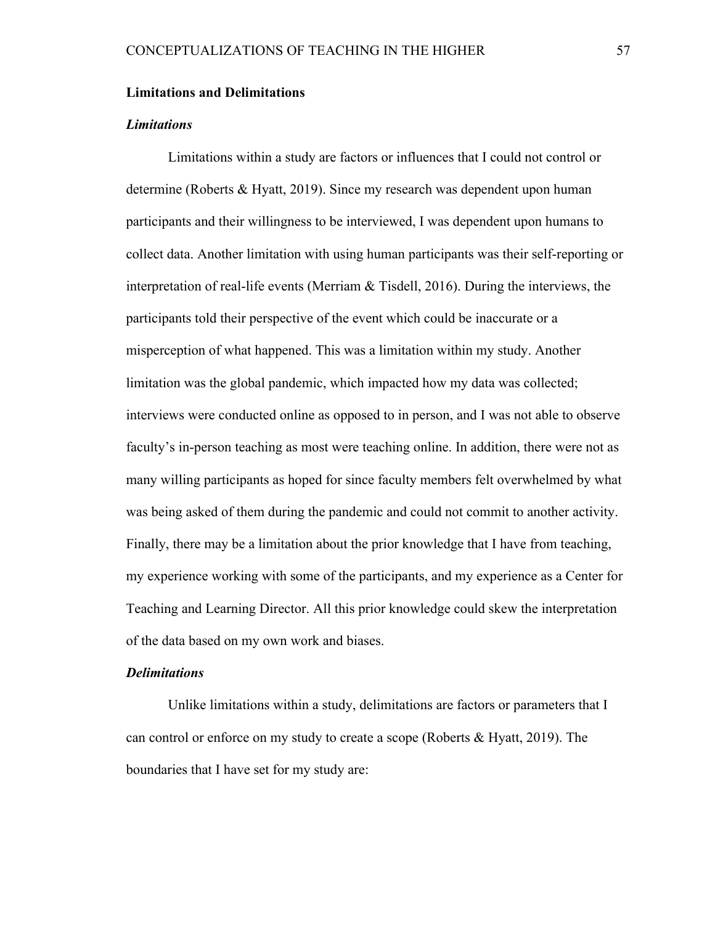#### **Limitations and Delimitations**

#### *Limitations*

Limitations within a study are factors or influences that I could not control or determine (Roberts & Hyatt, 2019). Since my research was dependent upon human participants and their willingness to be interviewed, I was dependent upon humans to collect data. Another limitation with using human participants was their self-reporting or interpretation of real-life events (Merriam & Tisdell, 2016). During the interviews, the participants told their perspective of the event which could be inaccurate or a misperception of what happened. This was a limitation within my study. Another limitation was the global pandemic, which impacted how my data was collected; interviews were conducted online as opposed to in person, and I was not able to observe faculty's in-person teaching as most were teaching online. In addition, there were not as many willing participants as hoped for since faculty members felt overwhelmed by what was being asked of them during the pandemic and could not commit to another activity. Finally, there may be a limitation about the prior knowledge that I have from teaching, my experience working with some of the participants, and my experience as a Center for Teaching and Learning Director. All this prior knowledge could skew the interpretation of the data based on my own work and biases.

#### *Delimitations*

Unlike limitations within a study, delimitations are factors or parameters that I can control or enforce on my study to create a scope (Roberts & Hyatt, 2019). The boundaries that I have set for my study are: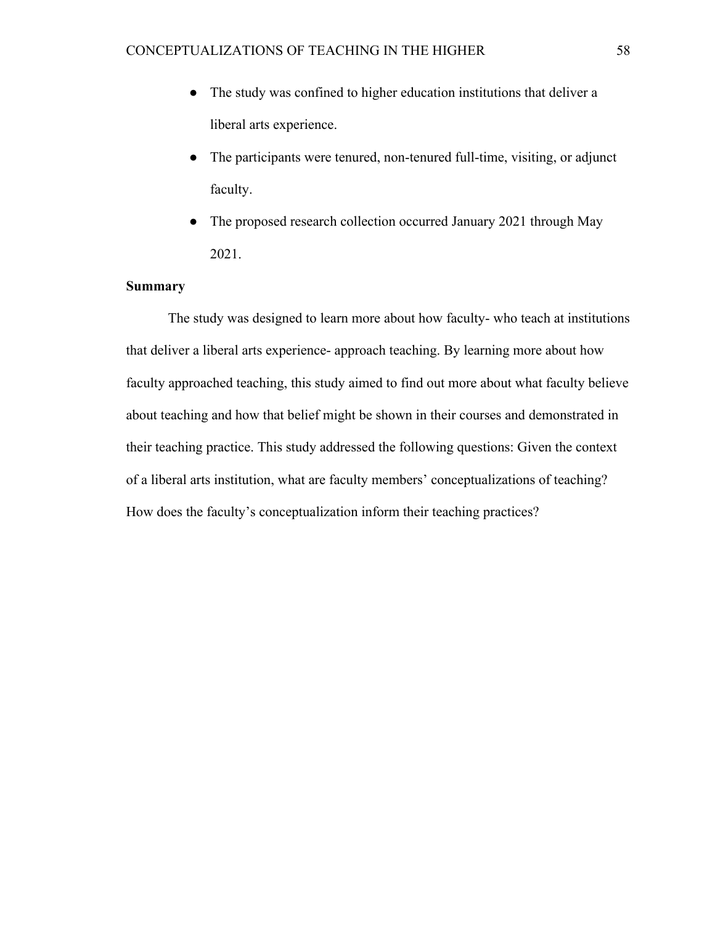- The study was confined to higher education institutions that deliver a liberal arts experience.
- The participants were tenured, non-tenured full-time, visiting, or adjunct faculty.
- The proposed research collection occurred January 2021 through May 2021.

## **Summary**

The study was designed to learn more about how faculty- who teach at institutions that deliver a liberal arts experience- approach teaching. By learning more about how faculty approached teaching, this study aimed to find out more about what faculty believe about teaching and how that belief might be shown in their courses and demonstrated in their teaching practice. This study addressed the following questions: Given the context of a liberal arts institution, what are faculty members' conceptualizations of teaching? How does the faculty's conceptualization inform their teaching practices?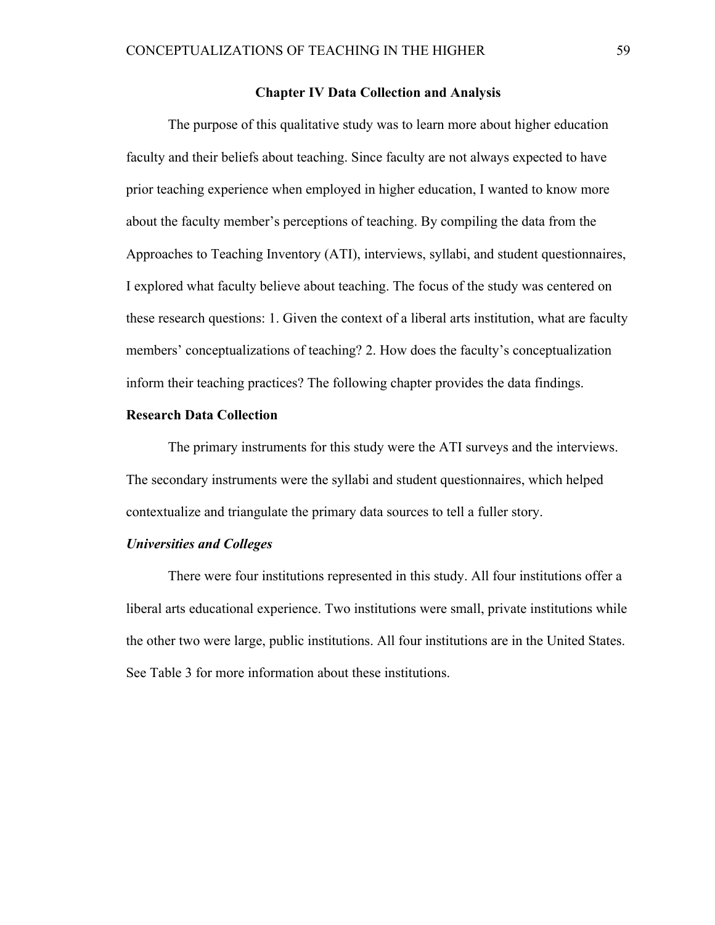#### **Chapter IV Data Collection and Analysis**

The purpose of this qualitative study was to learn more about higher education faculty and their beliefs about teaching. Since faculty are not always expected to have prior teaching experience when employed in higher education, I wanted to know more about the faculty member's perceptions of teaching. By compiling the data from the Approaches to Teaching Inventory (ATI), interviews, syllabi, and student questionnaires, I explored what faculty believe about teaching. The focus of the study was centered on these research questions: 1. Given the context of a liberal arts institution, what are faculty members' conceptualizations of teaching? 2. How does the faculty's conceptualization inform their teaching practices? The following chapter provides the data findings.

#### **Research Data Collection**

The primary instruments for this study were the ATI surveys and the interviews. The secondary instruments were the syllabi and student questionnaires, which helped contextualize and triangulate the primary data sources to tell a fuller story.

#### *Universities and Colleges*

There were four institutions represented in this study. All four institutions offer a liberal arts educational experience. Two institutions were small, private institutions while the other two were large, public institutions. All four institutions are in the United States. See Table 3 for more information about these institutions.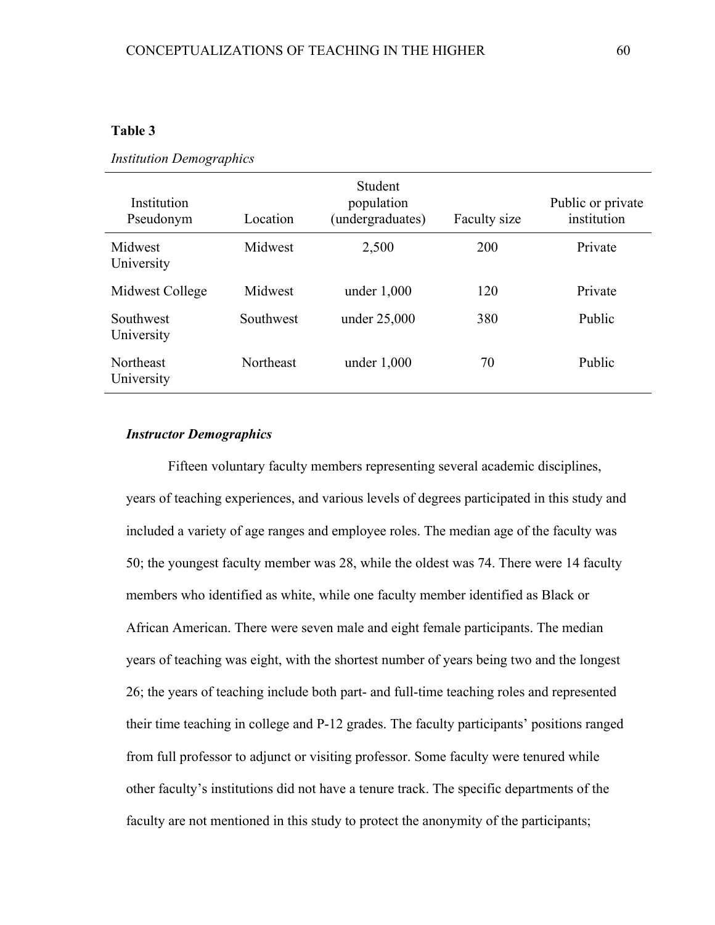## **Table 3**

| Institution<br>Pseudonym       | Location         | Student<br>population<br>(undergraduates) | Faculty size | Public or private<br>institution |
|--------------------------------|------------------|-------------------------------------------|--------------|----------------------------------|
| Midwest<br>University          | Midwest          | 2,500                                     | 200          | Private                          |
| Midwest College                | Midwest          | under $1,000$                             | 120          | Private                          |
| Southwest<br>University        | Southwest        | under 25,000                              | 380          | Public                           |
| <b>Northeast</b><br>University | <b>Northeast</b> | under $1,000$                             | 70           | Public                           |

#### *Institution Demographics*

#### *Instructor Demographics*

Fifteen voluntary faculty members representing several academic disciplines, years of teaching experiences, and various levels of degrees participated in this study and included a variety of age ranges and employee roles. The median age of the faculty was 50; the youngest faculty member was 28, while the oldest was 74. There were 14 faculty members who identified as white, while one faculty member identified as Black or African American. There were seven male and eight female participants. The median years of teaching was eight, with the shortest number of years being two and the longest 26; the years of teaching include both part- and full-time teaching roles and represented their time teaching in college and P-12 grades. The faculty participants' positions ranged from full professor to adjunct or visiting professor. Some faculty were tenured while other faculty's institutions did not have a tenure track. The specific departments of the faculty are not mentioned in this study to protect the anonymity of the participants;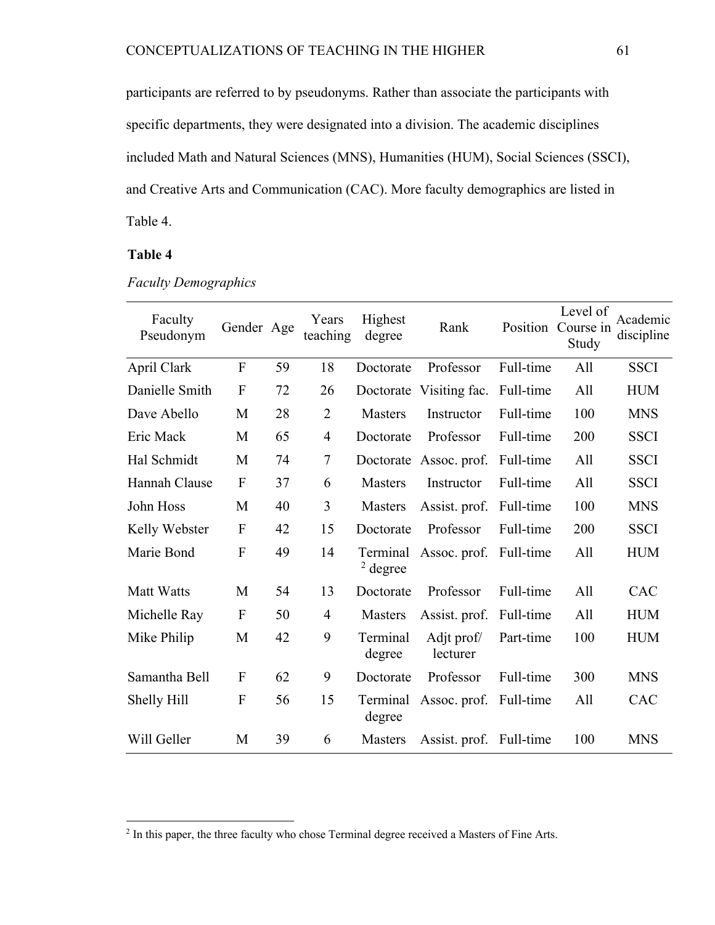participants are referred to by pseudonyms. Rather than associate the participants with specific departments, they were designated into a division. The academic disciplines included Math and Natural Sciences (MNS), Humanities (HUM), Social Sciences (SSCI), and Creative Arts and Communication (CAC). More faculty demographics are listed in Table 4.

## **Table 4**

| Faculty<br>Pseudonym | Gender Age                |    | Years<br>teaching | Highest<br>degree      | Rank                    | Position  | Level of<br>Course in<br>Study | Academic<br>discipline |
|----------------------|---------------------------|----|-------------------|------------------------|-------------------------|-----------|--------------------------------|------------------------|
| April Clark          | $\overline{F}$            | 59 | 18                | Doctorate              | Professor               | Full-time | All                            | <b>SSCI</b>            |
| Danielle Smith       | $\mathbf{F}$              | 72 | 26                |                        | Doctorate Visiting fac. | Full-time | All                            | <b>HUM</b>             |
| Dave Abello          | M                         | 28 | $\overline{2}$    | <b>Masters</b>         | Instructor              | Full-time | 100                            | <b>MNS</b>             |
| Eric Mack            | M                         | 65 | $\overline{4}$    | Doctorate              | Professor               | Full-time | 200                            | <b>SSCI</b>            |
| Hal Schmidt          | M                         | 74 | $\overline{7}$    |                        | Doctorate Assoc. prof.  | Full-time | All                            | <b>SSCI</b>            |
| Hannah Clause        | $\overline{F}$            | 37 | 6                 | <b>Masters</b>         | Instructor              | Full-time | All                            | <b>SSCI</b>            |
| John Hoss            | M                         | 40 | 3                 | <b>Masters</b>         | Assist. prof.           | Full-time | 100                            | <b>MNS</b>             |
| Kelly Webster        | $\mathbf{F}$              | 42 | 15                | Doctorate              | Professor               | Full-time | 200                            | <b>SSCI</b>            |
| Marie Bond           | $\boldsymbol{F}$          | 49 | 14                | Terminal<br>$2$ degree | Assoc. prof. Full-time  |           | All                            | <b>HUM</b>             |
| <b>Matt Watts</b>    | M                         | 54 | 13                | Doctorate              | Professor               | Full-time | All                            | CAC                    |
| Michelle Ray         | $\mathbf{F}$              | 50 | $\overline{4}$    | <b>Masters</b>         | Assist. prof. Full-time |           | All                            | <b>HUM</b>             |
| Mike Philip          | M                         | 42 | 9                 | Terminal<br>degree     | Adjt prof/<br>lecturer  | Part-time | 100                            | <b>HUM</b>             |
| Samantha Bell        | $\mathbf F$               | 62 | 9                 | Doctorate              | Professor               | Full-time | 300                            | <b>MNS</b>             |
| Shelly Hill          | $\boldsymbol{\mathrm{F}}$ | 56 | 15                | Terminal<br>degree     | Assoc. prof. Full-time  |           | All                            | CAC                    |
| Will Geller          | M                         | 39 | 6                 | Masters                | Assist. prof. Full-time |           | 100                            | <b>MNS</b>             |

*Faculty Demographics*

<sup>&</sup>lt;sup>2</sup> In this paper, the three faculty who chose Terminal degree received a Masters of Fine Arts.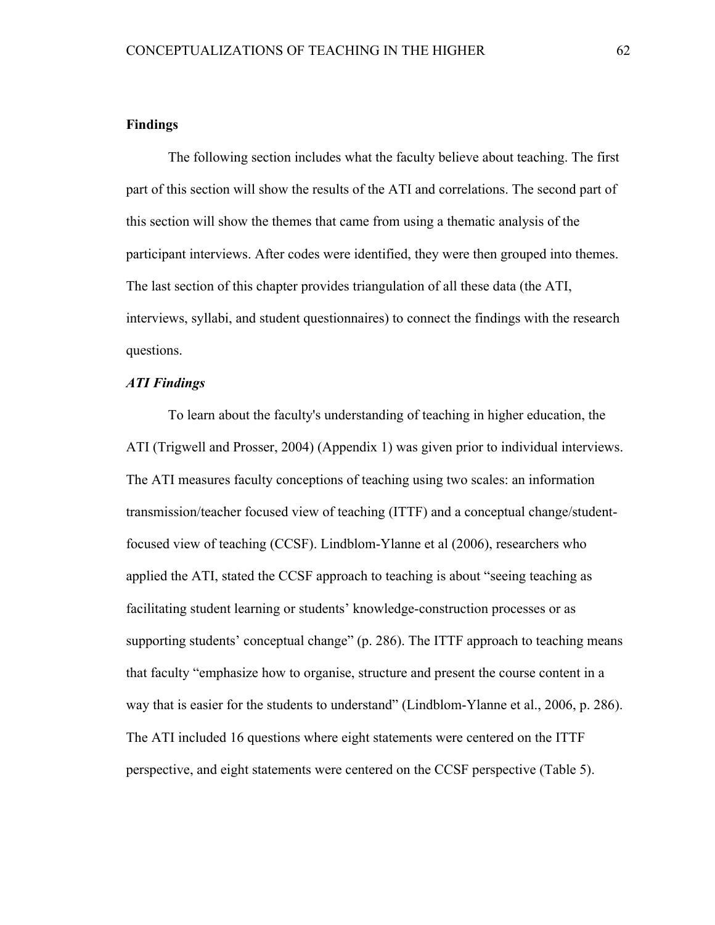#### **Findings**

The following section includes what the faculty believe about teaching. The first part of this section will show the results of the ATI and correlations. The second part of this section will show the themes that came from using a thematic analysis of the participant interviews. After codes were identified, they were then grouped into themes. The last section of this chapter provides triangulation of all these data (the ATI, interviews, syllabi, and student questionnaires) to connect the findings with the research questions.

## *ATI Findings*

To learn about the faculty's understanding of teaching in higher education, the ATI (Trigwell and Prosser, 2004) (Appendix 1) was given prior to individual interviews. The ATI measures faculty conceptions of teaching using two scales: an information transmission/teacher focused view of teaching (ITTF) and a conceptual change/studentfocused view of teaching (CCSF). Lindblom-Ylanne et al (2006), researchers who applied the ATI, stated the CCSF approach to teaching is about "seeing teaching as facilitating student learning or students' knowledge-construction processes or as supporting students' conceptual change" (p. 286). The ITTF approach to teaching means that faculty "emphasize how to organise, structure and present the course content in a way that is easier for the students to understand" (Lindblom-Ylanne et al., 2006, p. 286). The ATI included 16 questions where eight statements were centered on the ITTF perspective, and eight statements were centered on the CCSF perspective (Table 5).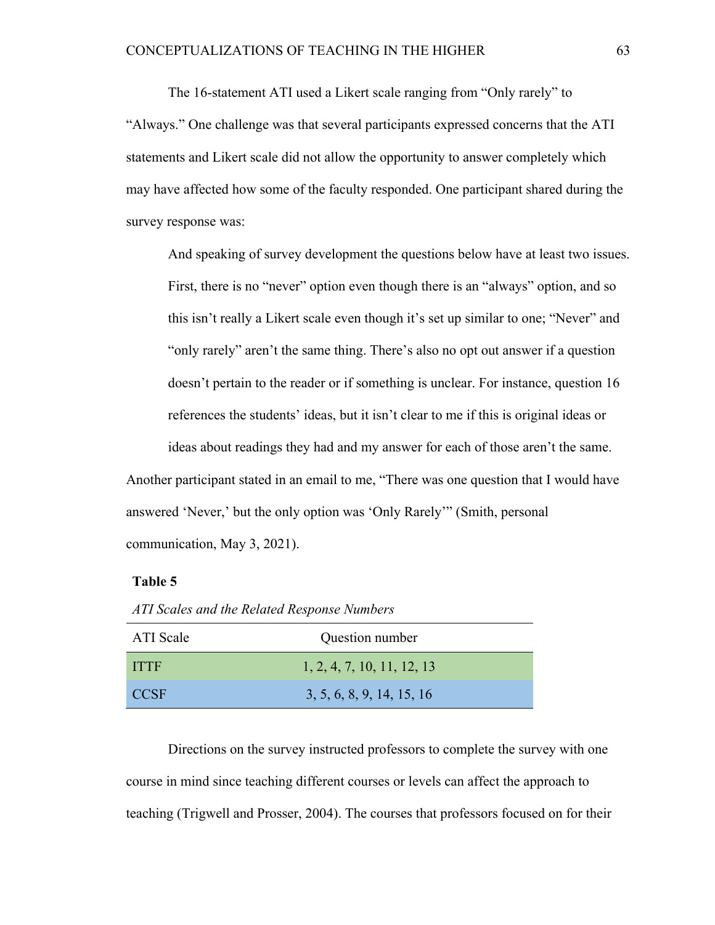The 16-statement ATI used a Likert scale ranging from "Only rarely" to "Always." One challenge was that several participants expressed concerns that the ATI statements and Likert scale did not allow the opportunity to answer completely which may have affected how some of the faculty responded. One participant shared during the survey response was:

And speaking of survey development the questions below have at least two issues. First, there is no "never" option even though there is an "always" option, and so this isn't really a Likert scale even though it's set up similar to one; "Never" and "only rarely" aren't the same thing. There's also no opt out answer if a question doesn't pertain to the reader or if something is unclear. For instance, question 16 references the students' ideas, but it isn't clear to me if this is original ideas or ideas about readings they had and my answer for each of those aren't the same.

Another participant stated in an email to me, "There was one question that I would have answered 'Never,' but the only option was 'Only Rarely'" (Smith, personal communication, May 3, 2021).

### **Table 5**

| <b>ATI</b> Scale | Question number            |
|------------------|----------------------------|
| <b>ITTE</b>      | 1, 2, 4, 7, 10, 11, 12, 13 |
| <b>CCSF</b>      | 3, 5, 6, 8, 9, 14, 15, 16  |

*ATI Scales and the Related Response Numbers*

Directions on the survey instructed professors to complete the survey with one course in mind since teaching different courses or levels can affect the approach to teaching (Trigwell and Prosser, 2004). The courses that professors focused on for their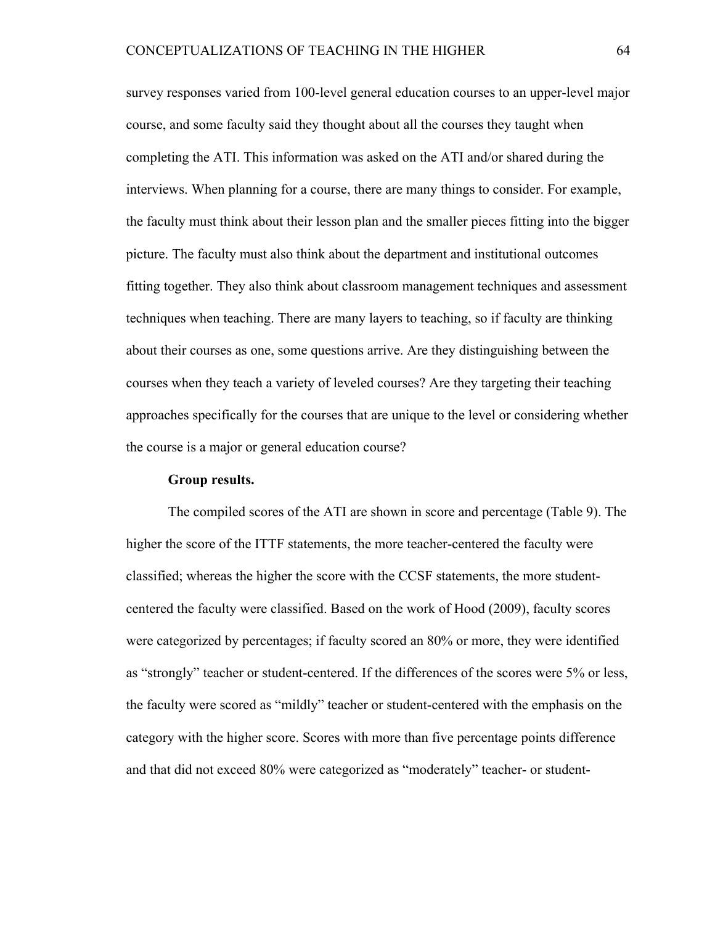survey responses varied from 100-level general education courses to an upper-level major course, and some faculty said they thought about all the courses they taught when completing the ATI. This information was asked on the ATI and/or shared during the interviews. When planning for a course, there are many things to consider. For example, the faculty must think about their lesson plan and the smaller pieces fitting into the bigger picture. The faculty must also think about the department and institutional outcomes fitting together. They also think about classroom management techniques and assessment techniques when teaching. There are many layers to teaching, so if faculty are thinking about their courses as one, some questions arrive. Are they distinguishing between the courses when they teach a variety of leveled courses? Are they targeting their teaching approaches specifically for the courses that are unique to the level or considering whether the course is a major or general education course?

#### **Group results.**

The compiled scores of the ATI are shown in score and percentage (Table 9). The higher the score of the ITTF statements, the more teacher-centered the faculty were classified; whereas the higher the score with the CCSF statements, the more studentcentered the faculty were classified. Based on the work of Hood (2009), faculty scores were categorized by percentages; if faculty scored an 80% or more, they were identified as "strongly" teacher or student-centered. If the differences of the scores were 5% or less, the faculty were scored as "mildly" teacher or student-centered with the emphasis on the category with the higher score. Scores with more than five percentage points difference and that did not exceed 80% were categorized as "moderately" teacher- or student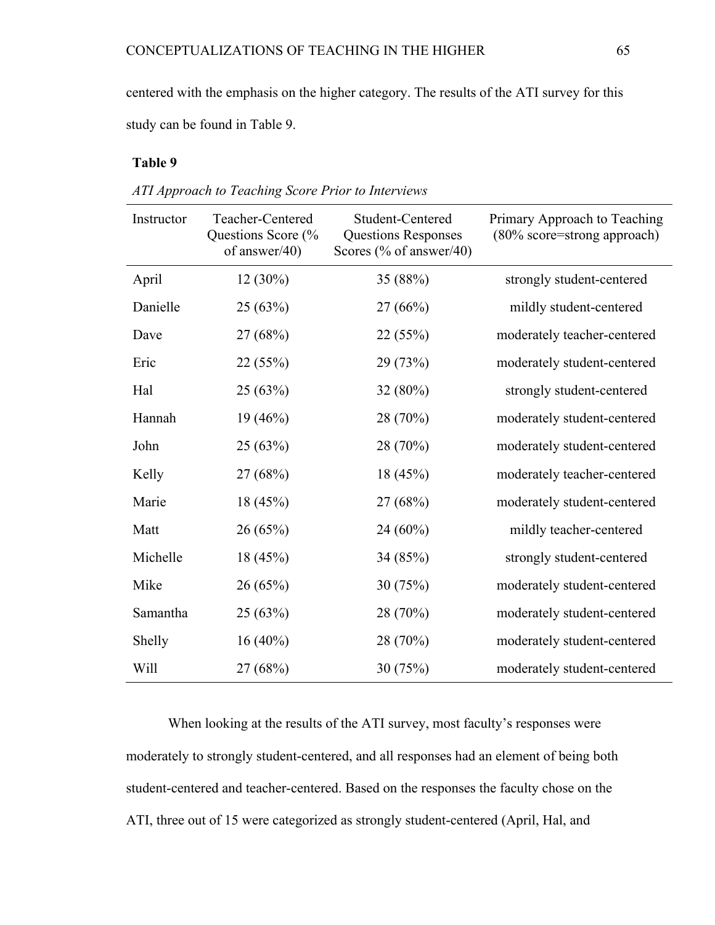centered with the emphasis on the higher category. The results of the ATI survey for this study can be found in Table 9.

## **Table 9**

| Instructor | Teacher-Centered<br>Questions Score (%<br>of answer/40) | Student-Centered<br><b>Questions Responses</b><br>Scores (% of answer/40) | Primary Approach to Teaching<br>(80% score=strong approach) |
|------------|---------------------------------------------------------|---------------------------------------------------------------------------|-------------------------------------------------------------|
| April      | $12(30\%)$                                              | 35 (88%)                                                                  | strongly student-centered                                   |
| Danielle   | 25(63%)                                                 | 27(66%)                                                                   | mildly student-centered                                     |
| Dave       | 27 (68%)                                                | 22(55%)                                                                   | moderately teacher-centered                                 |
| Eric       | 22 (55%)                                                | 29 (73%)                                                                  | moderately student-centered                                 |
| Hal        | 25(63%)                                                 | $32(80\%)$                                                                | strongly student-centered                                   |
| Hannah     | 19 (46%)                                                | 28 (70%)                                                                  | moderately student-centered                                 |
| John       | 25(63%)                                                 | 28 (70%)                                                                  | moderately student-centered                                 |
| Kelly      | 27 (68%)                                                | 18 (45%)                                                                  | moderately teacher-centered                                 |
| Marie      | 18(45%)                                                 | 27 (68%)                                                                  | moderately student-centered                                 |
| Matt       | 26(65%)                                                 | $24(60\%)$                                                                | mildly teacher-centered                                     |
| Michelle   | 18 (45%)                                                | 34 (85%)                                                                  | strongly student-centered                                   |
| Mike       | 26(65%)                                                 | 30(75%)                                                                   | moderately student-centered                                 |
| Samantha   | 25 (63%)                                                | 28 (70%)                                                                  | moderately student-centered                                 |
| Shelly     | $16(40\%)$                                              | 28 (70%)                                                                  | moderately student-centered                                 |
| Will       | 27 (68%)                                                | 30(75%)                                                                   | moderately student-centered                                 |

*ATI Approach to Teaching Score Prior to Interviews*

When looking at the results of the ATI survey, most faculty's responses were moderately to strongly student-centered, and all responses had an element of being both student-centered and teacher-centered. Based on the responses the faculty chose on the ATI, three out of 15 were categorized as strongly student-centered (April, Hal, and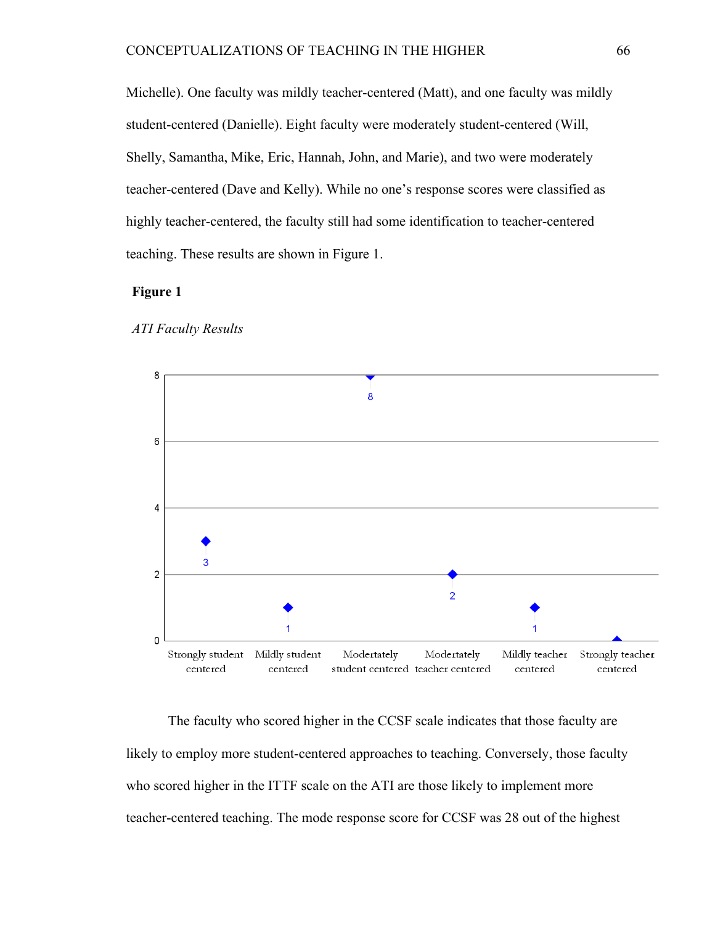Michelle). One faculty was mildly teacher-centered (Matt), and one faculty was mildly student-centered (Danielle). Eight faculty were moderately student-centered (Will, Shelly, Samantha, Mike, Eric, Hannah, John, and Marie), and two were moderately teacher-centered (Dave and Kelly). While no one's response scores were classified as highly teacher-centered, the faculty still had some identification to teacher-centered teaching. These results are shown in Figure 1.

## **Figure 1**



#### *ATI Faculty Results*

The faculty who scored higher in the CCSF scale indicates that those faculty are likely to employ more student-centered approaches to teaching. Conversely, those faculty who scored higher in the ITTF scale on the ATI are those likely to implement more teacher-centered teaching. The mode response score for CCSF was 28 out of the highest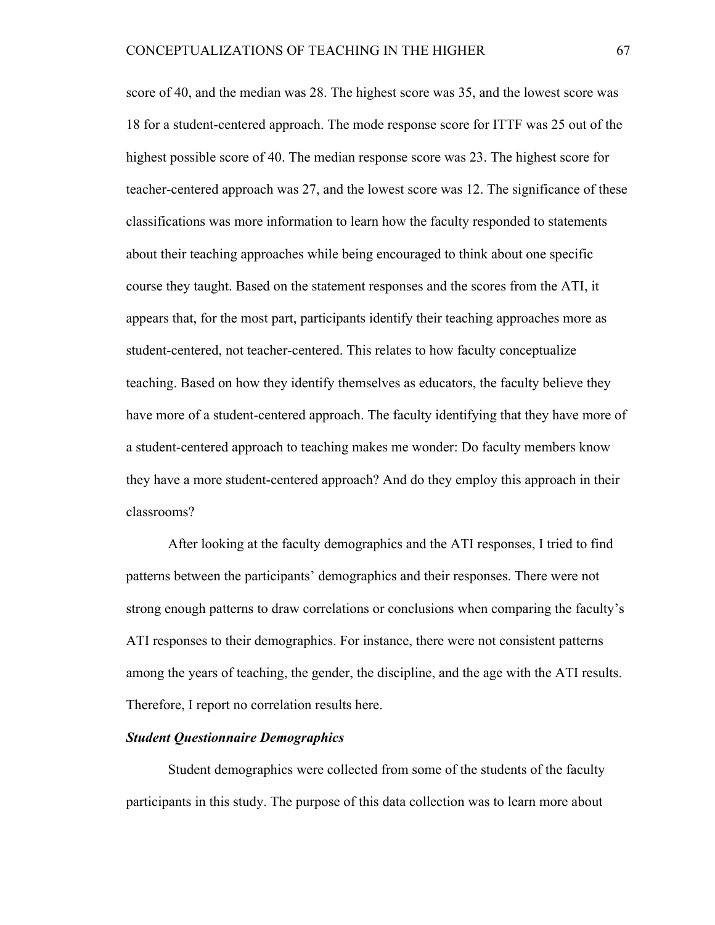score of 40, and the median was 28. The highest score was 35, and the lowest score was 18 for a student-centered approach. The mode response score for ITTF was 25 out of the highest possible score of 40. The median response score was 23. The highest score for teacher-centered approach was 27, and the lowest score was 12. The significance of these classifications was more information to learn how the faculty responded to statements about their teaching approaches while being encouraged to think about one specific course they taught. Based on the statement responses and the scores from the ATI, it appears that, for the most part, participants identify their teaching approaches more as student-centered, not teacher-centered. This relates to how faculty conceptualize teaching. Based on how they identify themselves as educators, the faculty believe they have more of a student-centered approach. The faculty identifying that they have more of a student-centered approach to teaching makes me wonder: Do faculty members know they have a more student-centered approach? And do they employ this approach in their classrooms?

After looking at the faculty demographics and the ATI responses, I tried to find patterns between the participants' demographics and their responses. There were not strong enough patterns to draw correlations or conclusions when comparing the faculty's ATI responses to their demographics. For instance, there were not consistent patterns among the years of teaching, the gender, the discipline, and the age with the ATI results. Therefore, I report no correlation results here.

#### *Student Questionnaire Demographics*

Student demographics were collected from some of the students of the faculty participants in this study. The purpose of this data collection was to learn more about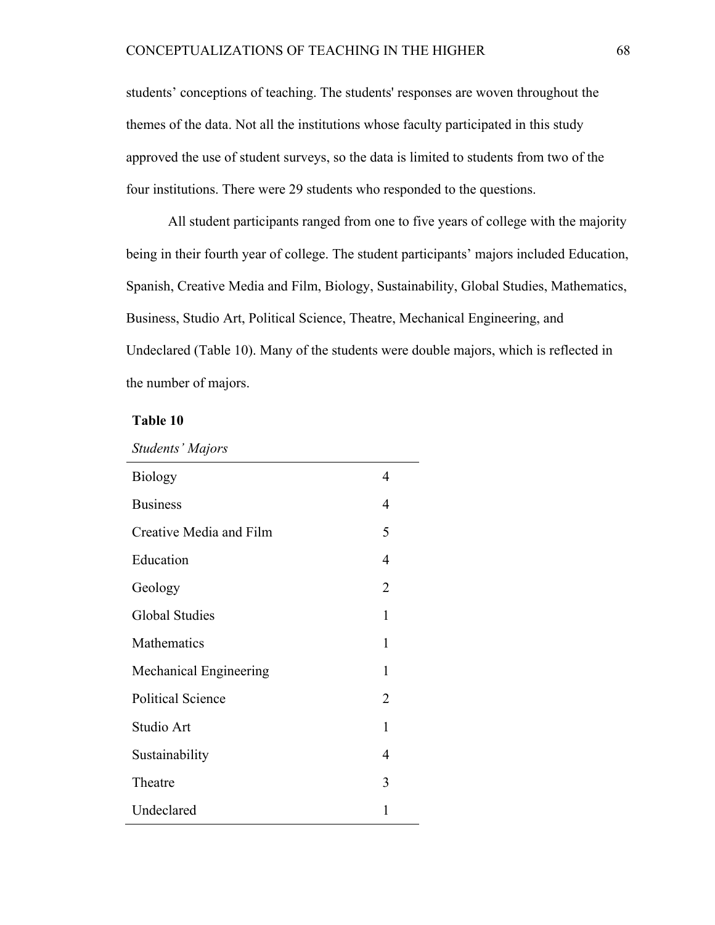students' conceptions of teaching. The students' responses are woven throughout the themes of the data. Not all the institutions whose faculty participated in this study approved the use of student surveys, so the data is limited to students from two of the four institutions. There were 29 students who responded to the questions.

All student participants ranged from one to five years of college with the majority being in their fourth year of college. The student participants' majors included Education, Spanish, Creative Media and Film, Biology, Sustainability, Global Studies, Mathematics, Business, Studio Art, Political Science, Theatre, Mechanical Engineering, and Undeclared (Table 10). Many of the students were double majors, which is reflected in the number of majors.

## **Table 10**

| <b>Students' Majors</b> |  |
|-------------------------|--|
|-------------------------|--|

| <b>Biology</b>           | 4              |
|--------------------------|----------------|
| <b>Business</b>          | 4              |
| Creative Media and Film  | 5              |
| Education                | 4              |
| Geology                  | $\overline{2}$ |
| <b>Global Studies</b>    | 1              |
| Mathematics              | 1              |
| Mechanical Engineering   | 1              |
| <b>Political Science</b> | 2              |
| Studio Art               | 1              |
| Sustainability           | 4              |
| Theatre                  | 3              |
| Undeclared               | 1              |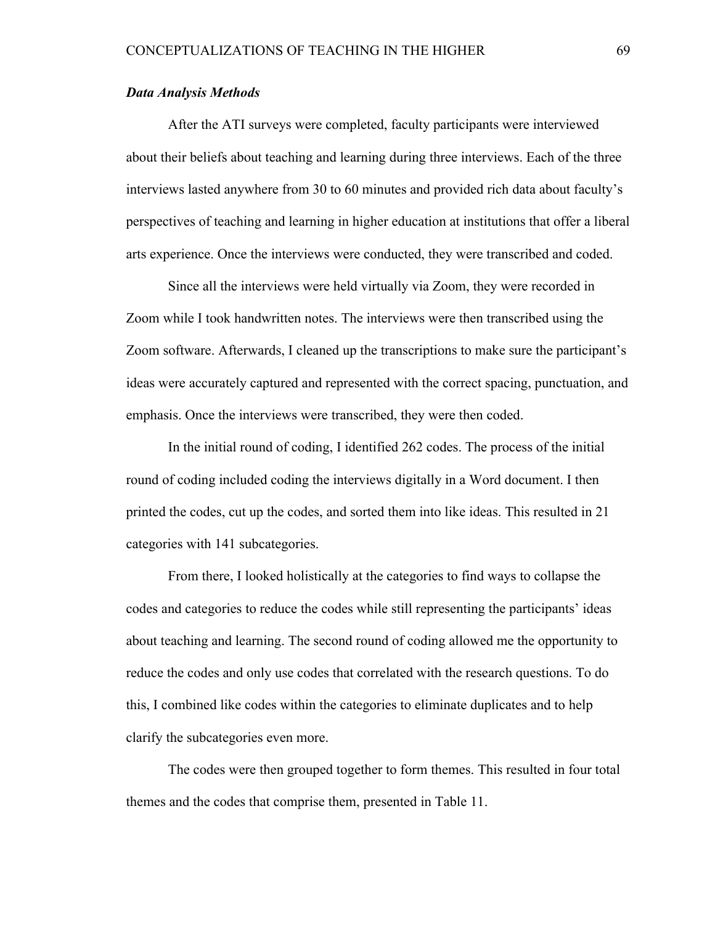#### *Data Analysis Methods*

After the ATI surveys were completed, faculty participants were interviewed about their beliefs about teaching and learning during three interviews. Each of the three interviews lasted anywhere from 30 to 60 minutes and provided rich data about faculty's perspectives of teaching and learning in higher education at institutions that offer a liberal arts experience. Once the interviews were conducted, they were transcribed and coded.

Since all the interviews were held virtually via Zoom, they were recorded in Zoom while I took handwritten notes. The interviews were then transcribed using the Zoom software. Afterwards, I cleaned up the transcriptions to make sure the participant's ideas were accurately captured and represented with the correct spacing, punctuation, and emphasis. Once the interviews were transcribed, they were then coded.

In the initial round of coding, I identified 262 codes. The process of the initial round of coding included coding the interviews digitally in a Word document. I then printed the codes, cut up the codes, and sorted them into like ideas. This resulted in 21 categories with 141 subcategories.

From there, I looked holistically at the categories to find ways to collapse the codes and categories to reduce the codes while still representing the participants' ideas about teaching and learning. The second round of coding allowed me the opportunity to reduce the codes and only use codes that correlated with the research questions. To do this, I combined like codes within the categories to eliminate duplicates and to help clarify the subcategories even more.

The codes were then grouped together to form themes. This resulted in four total themes and the codes that comprise them, presented in Table 11.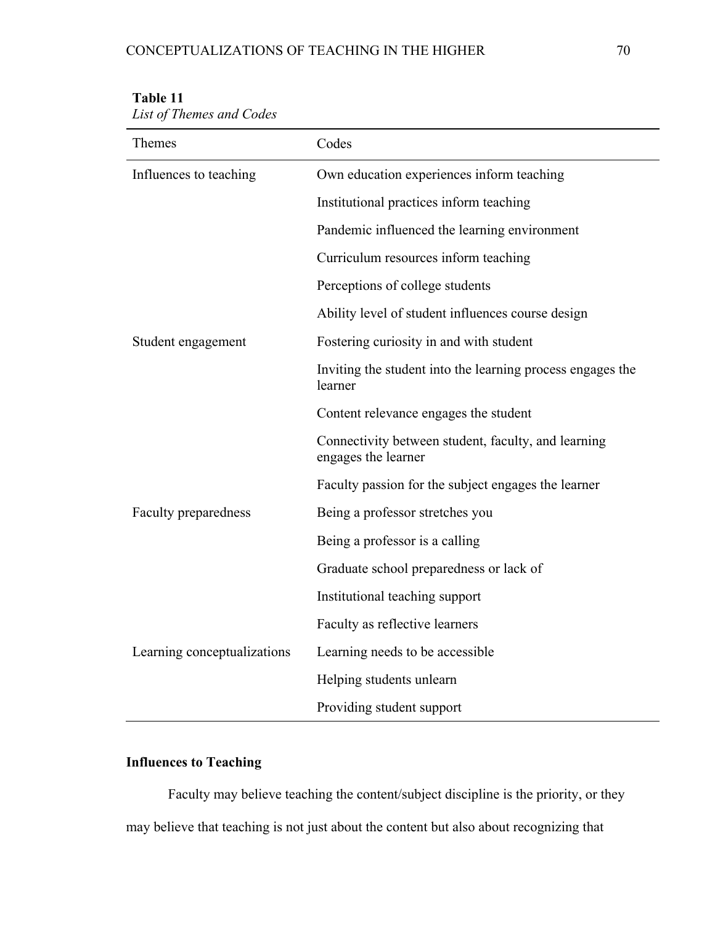# CONCEPTUALIZATIONS OF TEACHING IN THE HIGHER  $70$

| INCEPTUALIZATIONS OF TEACHING IN THE HIGHER |  |
|---------------------------------------------|--|
|                                             |  |
|                                             |  |
|                                             |  |

| Themes                      | Codes                                                                      |
|-----------------------------|----------------------------------------------------------------------------|
| Influences to teaching      | Own education experiences inform teaching                                  |
|                             | Institutional practices inform teaching                                    |
|                             | Pandemic influenced the learning environment                               |
|                             | Curriculum resources inform teaching                                       |
|                             | Perceptions of college students                                            |
|                             | Ability level of student influences course design                          |
| Student engagement          | Fostering curiosity in and with student                                    |
|                             | Inviting the student into the learning process engages the<br>learner      |
|                             | Content relevance engages the student                                      |
|                             | Connectivity between student, faculty, and learning<br>engages the learner |
|                             | Faculty passion for the subject engages the learner                        |
| <b>Faculty preparedness</b> | Being a professor stretches you                                            |
|                             | Being a professor is a calling                                             |
|                             | Graduate school preparedness or lack of                                    |
|                             | Institutional teaching support                                             |
|                             | Faculty as reflective learners                                             |
| Learning conceptualizations | Learning needs to be accessible                                            |
|                             | Helping students unlearn                                                   |
|                             | Providing student support                                                  |

## **Table 11**

*List of Themes and Codes* 

## **Influences to Teaching**

Faculty may believe teaching the content/subject discipline is the priority, or they may believe that teaching is not just about the content but also about recognizing that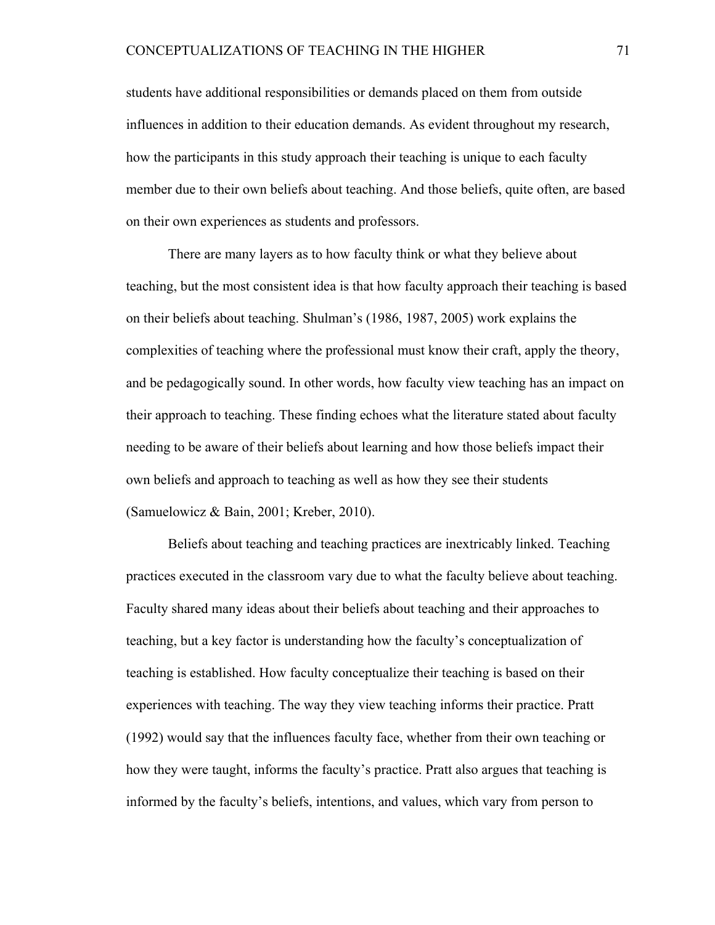students have additional responsibilities or demands placed on them from outside influences in addition to their education demands. As evident throughout my research, how the participants in this study approach their teaching is unique to each faculty member due to their own beliefs about teaching. And those beliefs, quite often, are based on their own experiences as students and professors.

There are many layers as to how faculty think or what they believe about teaching, but the most consistent idea is that how faculty approach their teaching is based on their beliefs about teaching. Shulman's (1986, 1987, 2005) work explains the complexities of teaching where the professional must know their craft, apply the theory, and be pedagogically sound. In other words, how faculty view teaching has an impact on their approach to teaching. These finding echoes what the literature stated about faculty needing to be aware of their beliefs about learning and how those beliefs impact their own beliefs and approach to teaching as well as how they see their students (Samuelowicz & Bain, 2001; Kreber, 2010).

Beliefs about teaching and teaching practices are inextricably linked. Teaching practices executed in the classroom vary due to what the faculty believe about teaching. Faculty shared many ideas about their beliefs about teaching and their approaches to teaching, but a key factor is understanding how the faculty's conceptualization of teaching is established. How faculty conceptualize their teaching is based on their experiences with teaching. The way they view teaching informs their practice. Pratt (1992) would say that the influences faculty face, whether from their own teaching or how they were taught, informs the faculty's practice. Pratt also argues that teaching is informed by the faculty's beliefs, intentions, and values, which vary from person to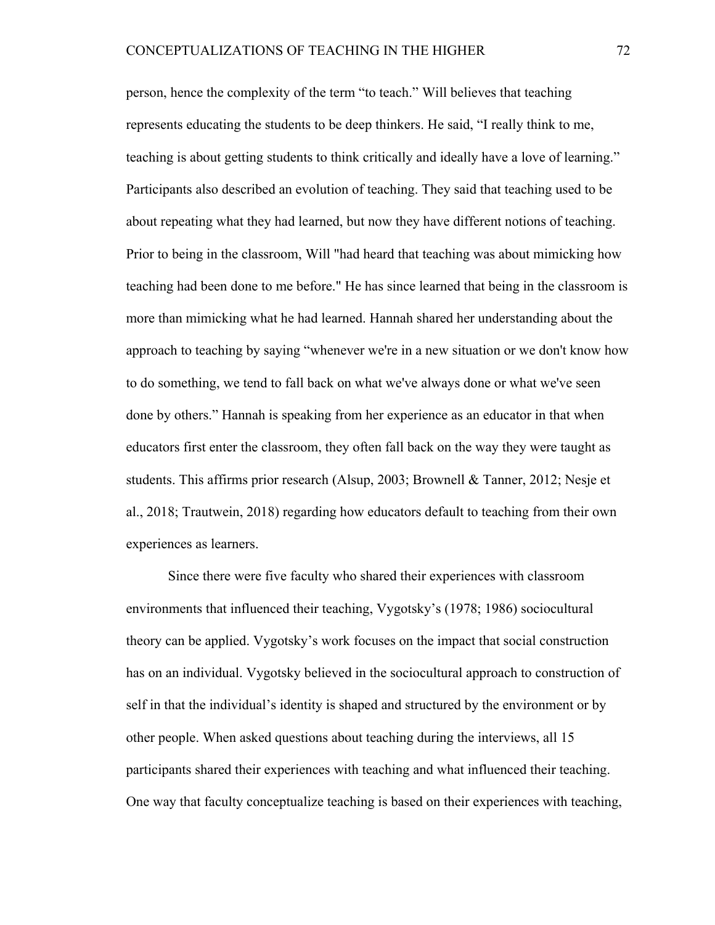person, hence the complexity of the term "to teach." Will believes that teaching represents educating the students to be deep thinkers. He said, "I really think to me, teaching is about getting students to think critically and ideally have a love of learning." Participants also described an evolution of teaching. They said that teaching used to be about repeating what they had learned, but now they have different notions of teaching. Prior to being in the classroom, Will "had heard that teaching was about mimicking how teaching had been done to me before." He has since learned that being in the classroom is more than mimicking what he had learned. Hannah shared her understanding about the approach to teaching by saying "whenever we're in a new situation or we don't know how to do something, we tend to fall back on what we've always done or what we've seen done by others." Hannah is speaking from her experience as an educator in that when educators first enter the classroom, they often fall back on the way they were taught as students. This affirms prior research (Alsup, 2003; Brownell & Tanner, 2012; Nesje et al., 2018; Trautwein, 2018) regarding how educators default to teaching from their own experiences as learners.

Since there were five faculty who shared their experiences with classroom environments that influenced their teaching, Vygotsky's (1978; 1986) sociocultural theory can be applied. Vygotsky's work focuses on the impact that social construction has on an individual. Vygotsky believed in the sociocultural approach to construction of self in that the individual's identity is shaped and structured by the environment or by other people. When asked questions about teaching during the interviews, all 15 participants shared their experiences with teaching and what influenced their teaching. One way that faculty conceptualize teaching is based on their experiences with teaching,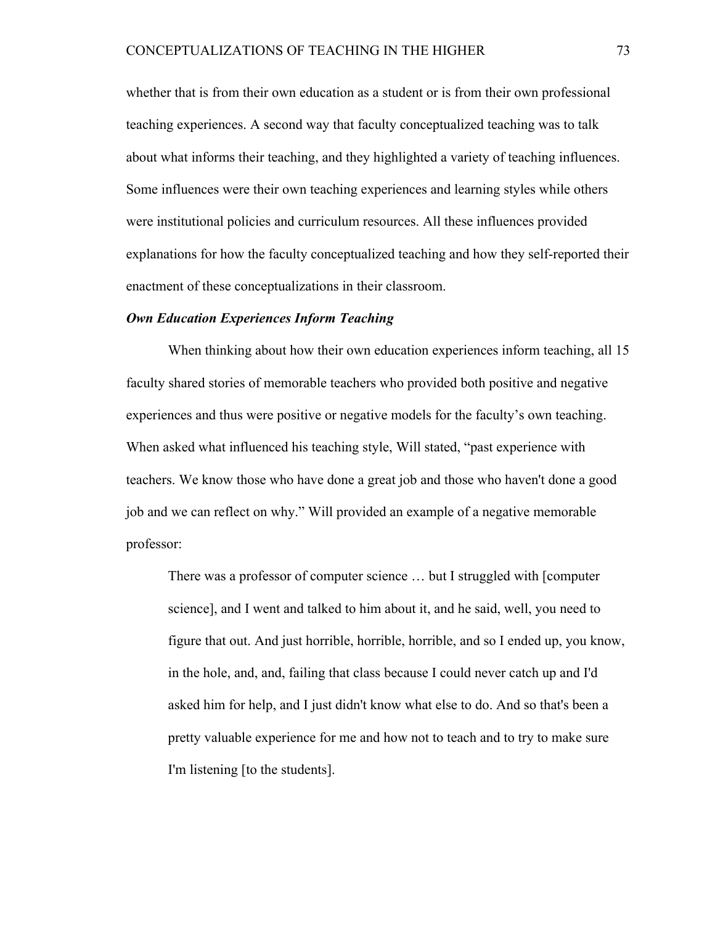whether that is from their own education as a student or is from their own professional teaching experiences. A second way that faculty conceptualized teaching was to talk about what informs their teaching, and they highlighted a variety of teaching influences. Some influences were their own teaching experiences and learning styles while others were institutional policies and curriculum resources. All these influences provided explanations for how the faculty conceptualized teaching and how they self-reported their enactment of these conceptualizations in their classroom.

## *Own Education Experiences Inform Teaching*

When thinking about how their own education experiences inform teaching, all 15 faculty shared stories of memorable teachers who provided both positive and negative experiences and thus were positive or negative models for the faculty's own teaching. When asked what influenced his teaching style, Will stated, "past experience with teachers. We know those who have done a great job and those who haven't done a good job and we can reflect on why." Will provided an example of a negative memorable professor:

There was a professor of computer science … but I struggled with [computer science], and I went and talked to him about it, and he said, well, you need to figure that out. And just horrible, horrible, horrible, and so I ended up, you know, in the hole, and, and, failing that class because I could never catch up and I'd asked him for help, and I just didn't know what else to do. And so that's been a pretty valuable experience for me and how not to teach and to try to make sure I'm listening [to the students].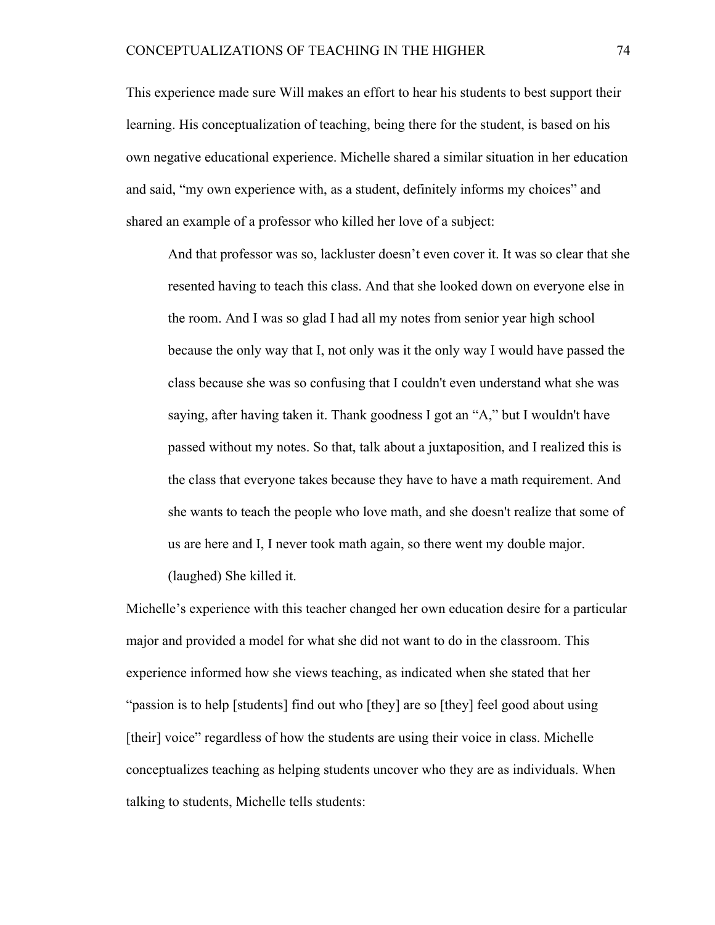This experience made sure Will makes an effort to hear his students to best support their learning. His conceptualization of teaching, being there for the student, is based on his own negative educational experience. Michelle shared a similar situation in her education and said, "my own experience with, as a student, definitely informs my choices" and shared an example of a professor who killed her love of a subject:

And that professor was so, lackluster doesn't even cover it. It was so clear that she resented having to teach this class. And that she looked down on everyone else in the room. And I was so glad I had all my notes from senior year high school because the only way that I, not only was it the only way I would have passed the class because she was so confusing that I couldn't even understand what she was saying, after having taken it. Thank goodness I got an "A," but I wouldn't have passed without my notes. So that, talk about a juxtaposition, and I realized this is the class that everyone takes because they have to have a math requirement. And she wants to teach the people who love math, and she doesn't realize that some of us are here and I, I never took math again, so there went my double major.

(laughed) She killed it.

Michelle's experience with this teacher changed her own education desire for a particular major and provided a model for what she did not want to do in the classroom. This experience informed how she views teaching, as indicated when she stated that her "passion is to help [students] find out who [they] are so [they] feel good about using [their] voice" regardless of how the students are using their voice in class. Michelle conceptualizes teaching as helping students uncover who they are as individuals. When talking to students, Michelle tells students: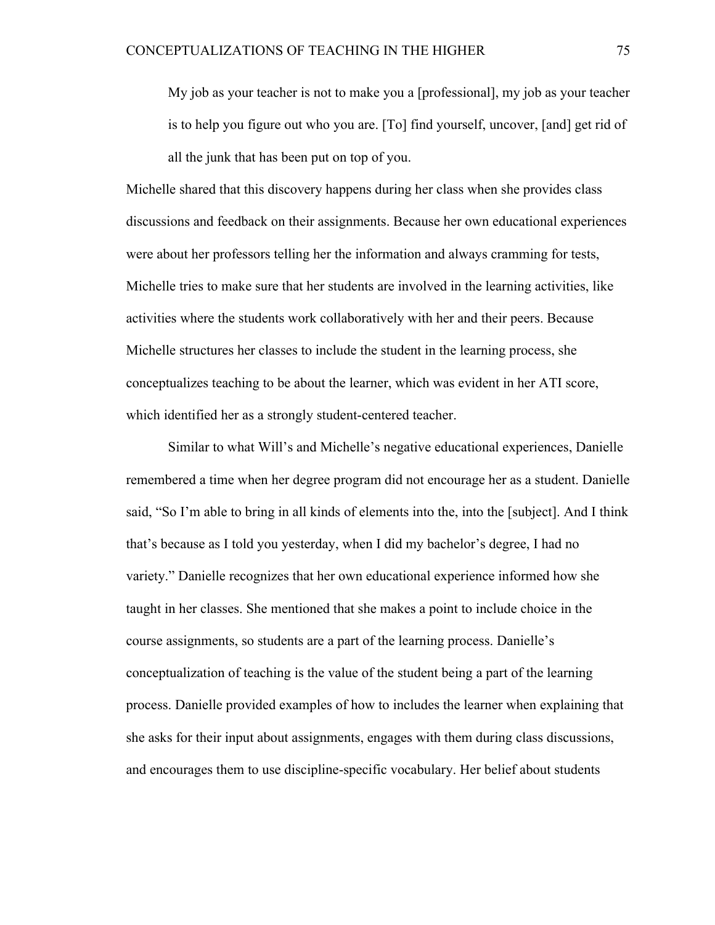My job as your teacher is not to make you a [professional], my job as your teacher is to help you figure out who you are. [To] find yourself, uncover, [and] get rid of all the junk that has been put on top of you.

Michelle shared that this discovery happens during her class when she provides class discussions and feedback on their assignments. Because her own educational experiences were about her professors telling her the information and always cramming for tests, Michelle tries to make sure that her students are involved in the learning activities, like activities where the students work collaboratively with her and their peers. Because Michelle structures her classes to include the student in the learning process, she conceptualizes teaching to be about the learner, which was evident in her ATI score, which identified her as a strongly student-centered teacher.

Similar to what Will's and Michelle's negative educational experiences, Danielle remembered a time when her degree program did not encourage her as a student. Danielle said, "So I'm able to bring in all kinds of elements into the, into the [subject]. And I think that's because as I told you yesterday, when I did my bachelor's degree, I had no variety." Danielle recognizes that her own educational experience informed how she taught in her classes. She mentioned that she makes a point to include choice in the course assignments, so students are a part of the learning process. Danielle's conceptualization of teaching is the value of the student being a part of the learning process. Danielle provided examples of how to includes the learner when explaining that she asks for their input about assignments, engages with them during class discussions, and encourages them to use discipline-specific vocabulary. Her belief about students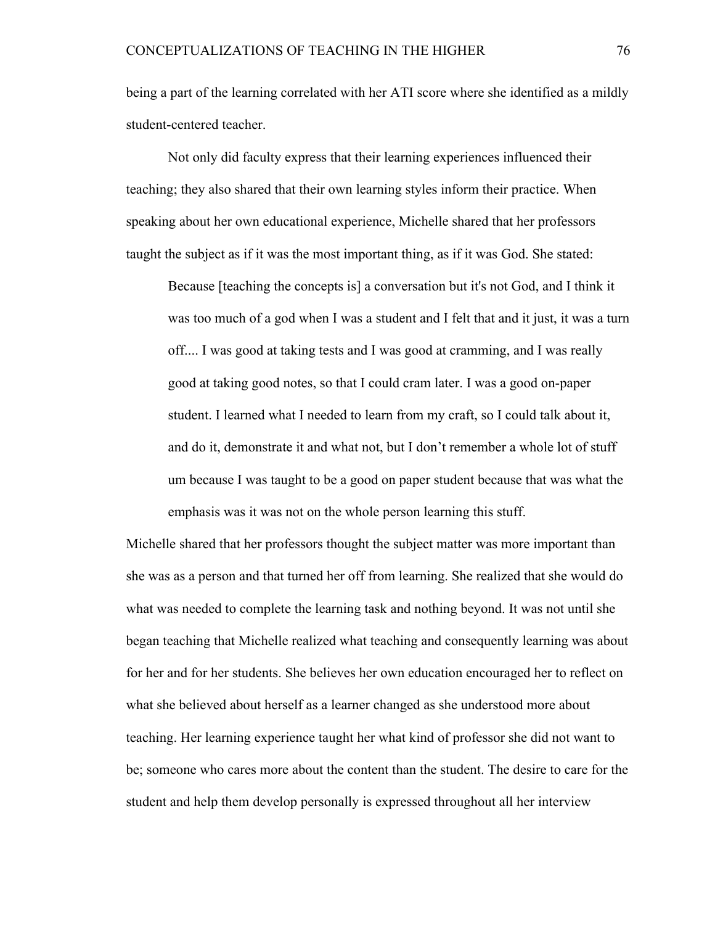being a part of the learning correlated with her ATI score where she identified as a mildly student-centered teacher.

Not only did faculty express that their learning experiences influenced their teaching; they also shared that their own learning styles inform their practice. When speaking about her own educational experience, Michelle shared that her professors taught the subject as if it was the most important thing, as if it was God. She stated:

Because [teaching the concepts is] a conversation but it's not God, and I think it was too much of a god when I was a student and I felt that and it just, it was a turn off.... I was good at taking tests and I was good at cramming, and I was really good at taking good notes, so that I could cram later. I was a good on-paper student. I learned what I needed to learn from my craft, so I could talk about it, and do it, demonstrate it and what not, but I don't remember a whole lot of stuff um because I was taught to be a good on paper student because that was what the emphasis was it was not on the whole person learning this stuff.

Michelle shared that her professors thought the subject matter was more important than she was as a person and that turned her off from learning. She realized that she would do what was needed to complete the learning task and nothing beyond. It was not until she began teaching that Michelle realized what teaching and consequently learning was about for her and for her students. She believes her own education encouraged her to reflect on what she believed about herself as a learner changed as she understood more about teaching. Her learning experience taught her what kind of professor she did not want to be; someone who cares more about the content than the student. The desire to care for the student and help them develop personally is expressed throughout all her interview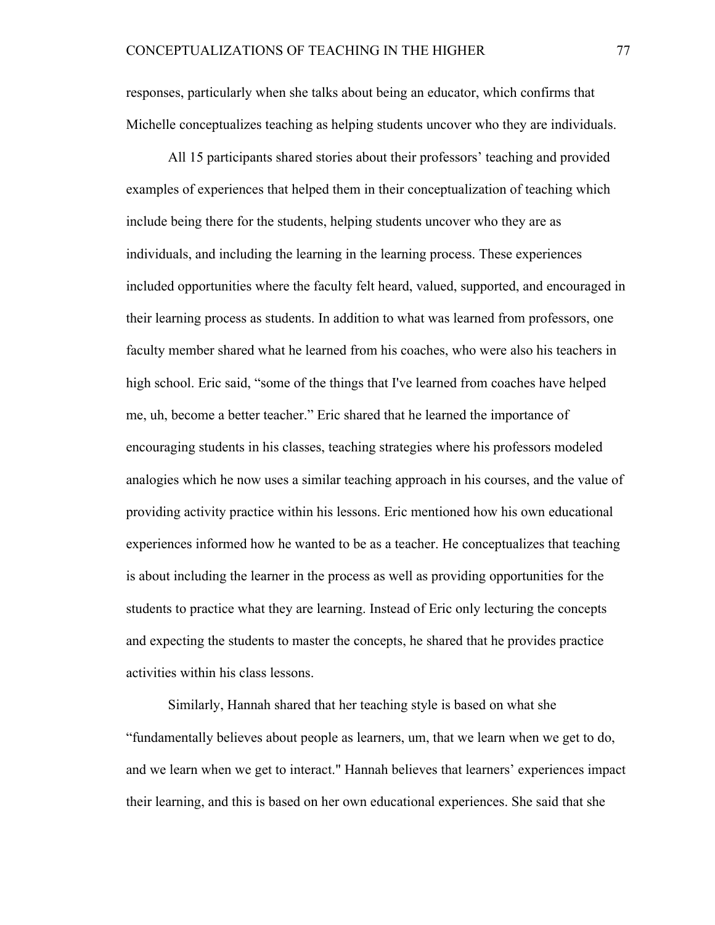responses, particularly when she talks about being an educator, which confirms that Michelle conceptualizes teaching as helping students uncover who they are individuals.

All 15 participants shared stories about their professors' teaching and provided examples of experiences that helped them in their conceptualization of teaching which include being there for the students, helping students uncover who they are as individuals, and including the learning in the learning process. These experiences included opportunities where the faculty felt heard, valued, supported, and encouraged in their learning process as students. In addition to what was learned from professors, one faculty member shared what he learned from his coaches, who were also his teachers in high school. Eric said, "some of the things that I've learned from coaches have helped me, uh, become a better teacher." Eric shared that he learned the importance of encouraging students in his classes, teaching strategies where his professors modeled analogies which he now uses a similar teaching approach in his courses, and the value of providing activity practice within his lessons. Eric mentioned how his own educational experiences informed how he wanted to be as a teacher. He conceptualizes that teaching is about including the learner in the process as well as providing opportunities for the students to practice what they are learning. Instead of Eric only lecturing the concepts and expecting the students to master the concepts, he shared that he provides practice activities within his class lessons.

Similarly, Hannah shared that her teaching style is based on what she "fundamentally believes about people as learners, um, that we learn when we get to do, and we learn when we get to interact." Hannah believes that learners' experiences impact their learning, and this is based on her own educational experiences. She said that she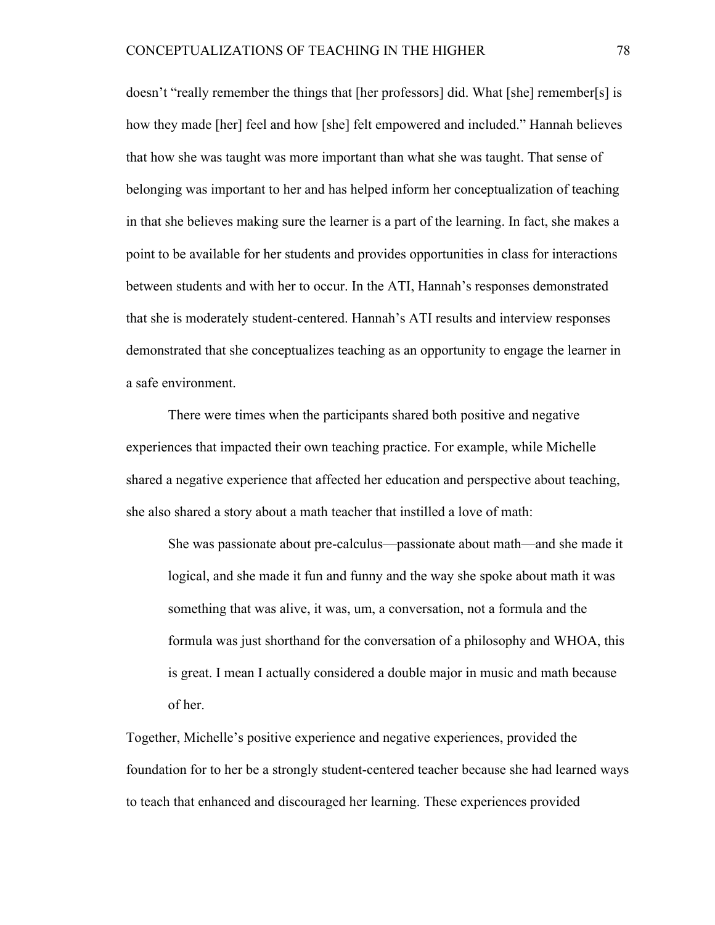doesn't "really remember the things that [her professors] did. What [she] remember[s] is how they made [her] feel and how [she] felt empowered and included." Hannah believes that how she was taught was more important than what she was taught. That sense of belonging was important to her and has helped inform her conceptualization of teaching in that she believes making sure the learner is a part of the learning. In fact, she makes a point to be available for her students and provides opportunities in class for interactions between students and with her to occur. In the ATI, Hannah's responses demonstrated that she is moderately student-centered. Hannah's ATI results and interview responses demonstrated that she conceptualizes teaching as an opportunity to engage the learner in a safe environment.

There were times when the participants shared both positive and negative experiences that impacted their own teaching practice. For example, while Michelle shared a negative experience that affected her education and perspective about teaching, she also shared a story about a math teacher that instilled a love of math:

She was passionate about pre-calculus—passionate about math—and she made it logical, and she made it fun and funny and the way she spoke about math it was something that was alive, it was, um, a conversation, not a formula and the formula was just shorthand for the conversation of a philosophy and WHOA, this is great. I mean I actually considered a double major in music and math because of her.

Together, Michelle's positive experience and negative experiences, provided the foundation for to her be a strongly student-centered teacher because she had learned ways to teach that enhanced and discouraged her learning. These experiences provided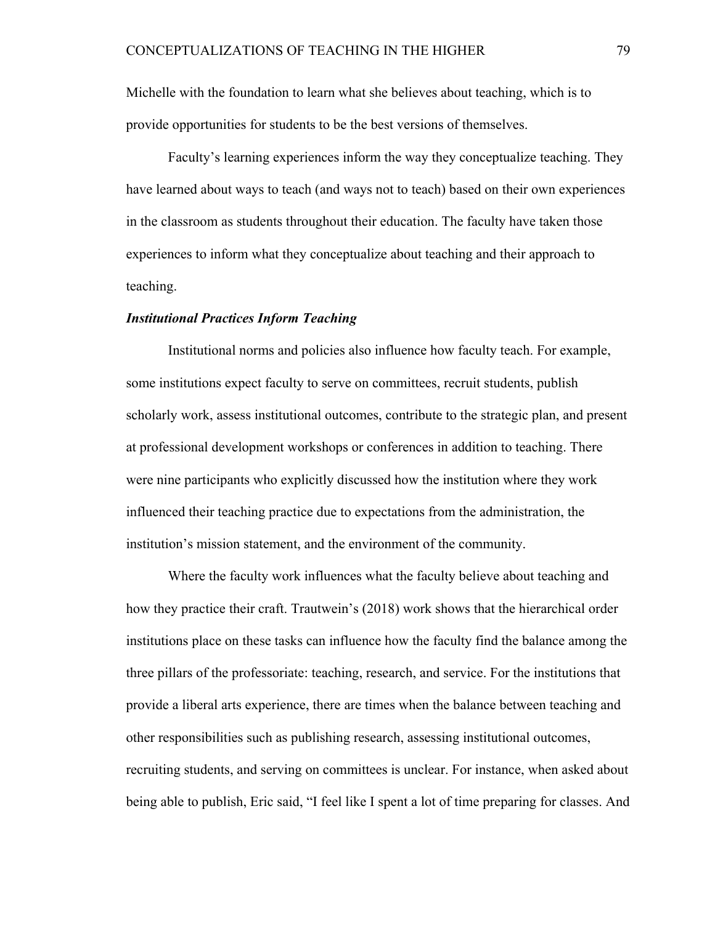Michelle with the foundation to learn what she believes about teaching, which is to provide opportunities for students to be the best versions of themselves.

Faculty's learning experiences inform the way they conceptualize teaching. They have learned about ways to teach (and ways not to teach) based on their own experiences in the classroom as students throughout their education. The faculty have taken those experiences to inform what they conceptualize about teaching and their approach to teaching.

## *Institutional Practices Inform Teaching*

Institutional norms and policies also influence how faculty teach. For example, some institutions expect faculty to serve on committees, recruit students, publish scholarly work, assess institutional outcomes, contribute to the strategic plan, and present at professional development workshops or conferences in addition to teaching. There were nine participants who explicitly discussed how the institution where they work influenced their teaching practice due to expectations from the administration, the institution's mission statement, and the environment of the community.

Where the faculty work influences what the faculty believe about teaching and how they practice their craft. Trautwein's (2018) work shows that the hierarchical order institutions place on these tasks can influence how the faculty find the balance among the three pillars of the professoriate: teaching, research, and service. For the institutions that provide a liberal arts experience, there are times when the balance between teaching and other responsibilities such as publishing research, assessing institutional outcomes, recruiting students, and serving on committees is unclear. For instance, when asked about being able to publish, Eric said, "I feel like I spent a lot of time preparing for classes. And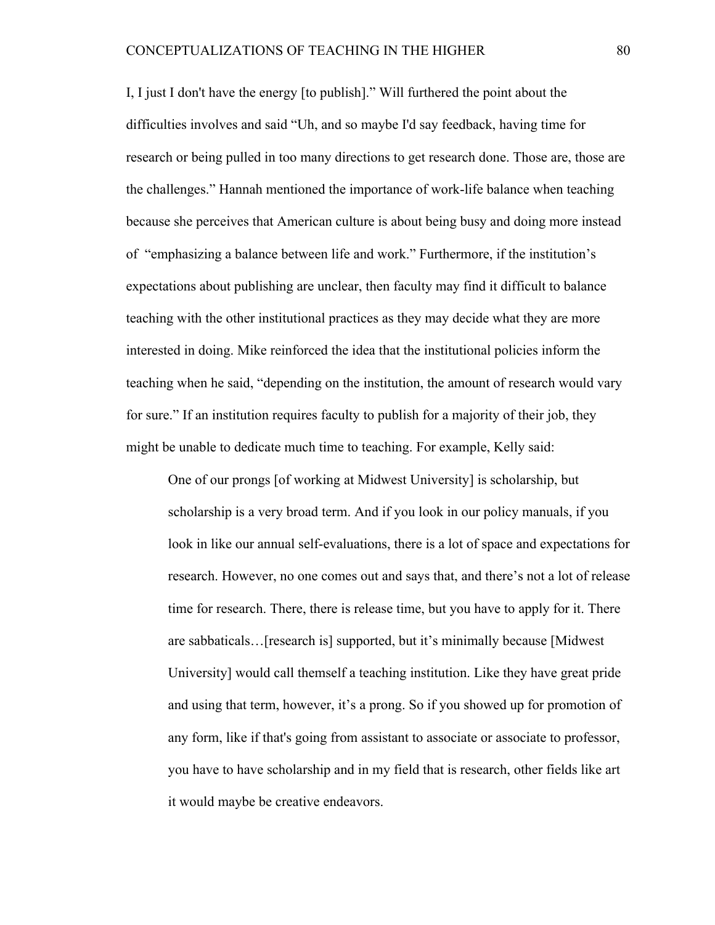I, I just I don't have the energy [to publish]." Will furthered the point about the difficulties involves and said "Uh, and so maybe I'd say feedback, having time for research or being pulled in too many directions to get research done. Those are, those are the challenges." Hannah mentioned the importance of work-life balance when teaching because she perceives that American culture is about being busy and doing more instead of "emphasizing a balance between life and work." Furthermore, if the institution's expectations about publishing are unclear, then faculty may find it difficult to balance teaching with the other institutional practices as they may decide what they are more interested in doing. Mike reinforced the idea that the institutional policies inform the teaching when he said, "depending on the institution, the amount of research would vary for sure." If an institution requires faculty to publish for a majority of their job, they might be unable to dedicate much time to teaching. For example, Kelly said:

One of our prongs [of working at Midwest University] is scholarship, but scholarship is a very broad term. And if you look in our policy manuals, if you look in like our annual self-evaluations, there is a lot of space and expectations for research. However, no one comes out and says that, and there's not a lot of release time for research. There, there is release time, but you have to apply for it. There are sabbaticals…[research is] supported, but it's minimally because [Midwest University] would call themself a teaching institution. Like they have great pride and using that term, however, it's a prong. So if you showed up for promotion of any form, like if that's going from assistant to associate or associate to professor, you have to have scholarship and in my field that is research, other fields like art it would maybe be creative endeavors.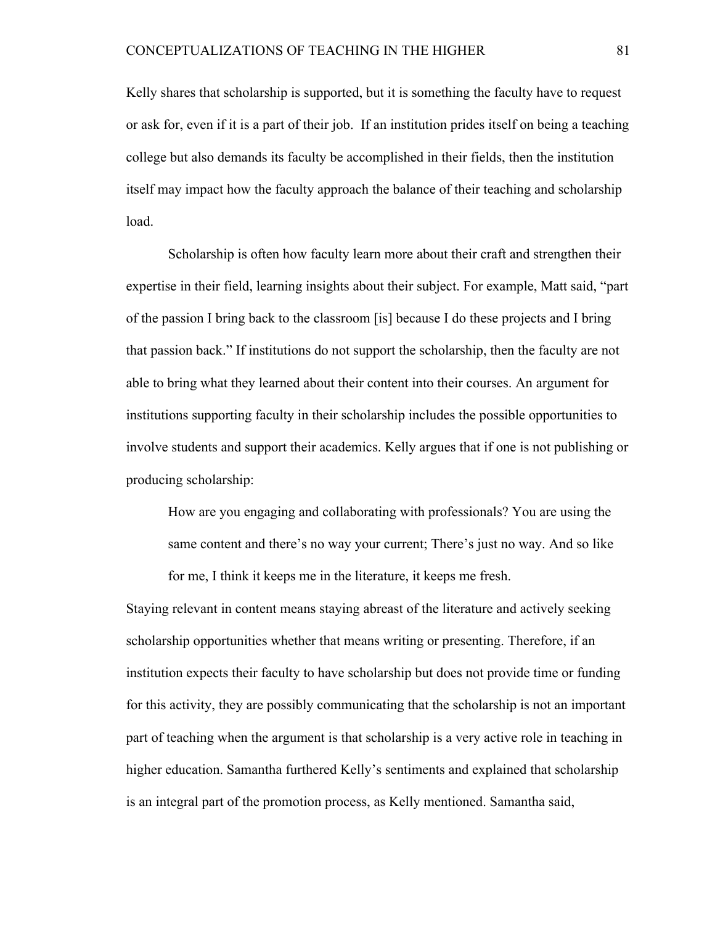Kelly shares that scholarship is supported, but it is something the faculty have to request or ask for, even if it is a part of their job. If an institution prides itself on being a teaching college but also demands its faculty be accomplished in their fields, then the institution itself may impact how the faculty approach the balance of their teaching and scholarship load.

Scholarship is often how faculty learn more about their craft and strengthen their expertise in their field, learning insights about their subject. For example, Matt said, "part of the passion I bring back to the classroom [is] because I do these projects and I bring that passion back." If institutions do not support the scholarship, then the faculty are not able to bring what they learned about their content into their courses. An argument for institutions supporting faculty in their scholarship includes the possible opportunities to involve students and support their academics. Kelly argues that if one is not publishing or producing scholarship:

How are you engaging and collaborating with professionals? You are using the same content and there's no way your current; There's just no way. And so like for me, I think it keeps me in the literature, it keeps me fresh.

Staying relevant in content means staying abreast of the literature and actively seeking scholarship opportunities whether that means writing or presenting. Therefore, if an institution expects their faculty to have scholarship but does not provide time or funding for this activity, they are possibly communicating that the scholarship is not an important part of teaching when the argument is that scholarship is a very active role in teaching in higher education. Samantha furthered Kelly's sentiments and explained that scholarship is an integral part of the promotion process, as Kelly mentioned. Samantha said,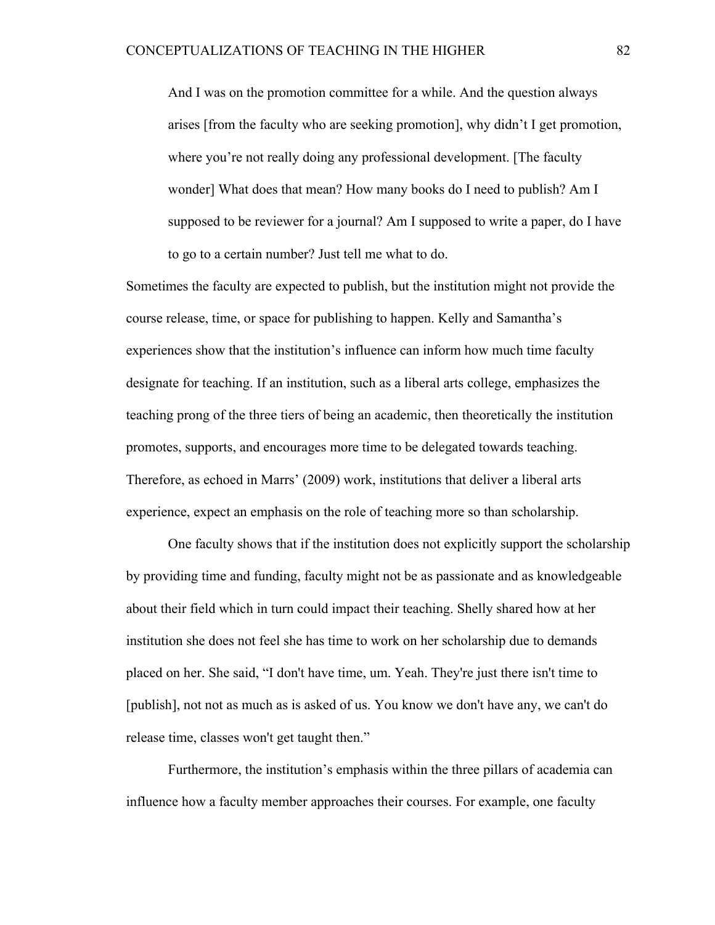And I was on the promotion committee for a while. And the question always arises [from the faculty who are seeking promotion], why didn't I get promotion, where you're not really doing any professional development. [The faculty wonder] What does that mean? How many books do I need to publish? Am I supposed to be reviewer for a journal? Am I supposed to write a paper, do I have to go to a certain number? Just tell me what to do.

Sometimes the faculty are expected to publish, but the institution might not provide the course release, time, or space for publishing to happen. Kelly and Samantha's experiences show that the institution's influence can inform how much time faculty designate for teaching. If an institution, such as a liberal arts college, emphasizes the teaching prong of the three tiers of being an academic, then theoretically the institution promotes, supports, and encourages more time to be delegated towards teaching. Therefore, as echoed in Marrs' (2009) work, institutions that deliver a liberal arts experience, expect an emphasis on the role of teaching more so than scholarship.

One faculty shows that if the institution does not explicitly support the scholarship by providing time and funding, faculty might not be as passionate and as knowledgeable about their field which in turn could impact their teaching. Shelly shared how at her institution she does not feel she has time to work on her scholarship due to demands placed on her. She said, "I don't have time, um. Yeah. They're just there isn't time to [publish], not not as much as is asked of us. You know we don't have any, we can't do release time, classes won't get taught then."

Furthermore, the institution's emphasis within the three pillars of academia can influence how a faculty member approaches their courses. For example, one faculty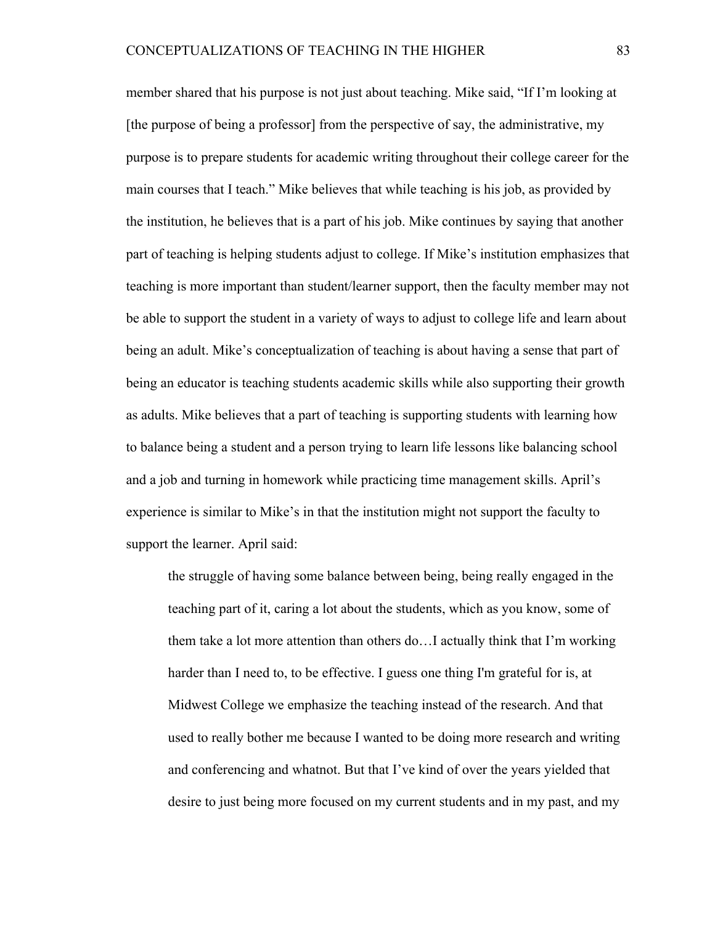member shared that his purpose is not just about teaching. Mike said, "If I'm looking at [the purpose of being a professor] from the perspective of say, the administrative, my purpose is to prepare students for academic writing throughout their college career for the main courses that I teach." Mike believes that while teaching is his job, as provided by the institution, he believes that is a part of his job. Mike continues by saying that another part of teaching is helping students adjust to college. If Mike's institution emphasizes that teaching is more important than student/learner support, then the faculty member may not be able to support the student in a variety of ways to adjust to college life and learn about being an adult. Mike's conceptualization of teaching is about having a sense that part of being an educator is teaching students academic skills while also supporting their growth as adults. Mike believes that a part of teaching is supporting students with learning how to balance being a student and a person trying to learn life lessons like balancing school and a job and turning in homework while practicing time management skills. April's experience is similar to Mike's in that the institution might not support the faculty to support the learner. April said:

the struggle of having some balance between being, being really engaged in the teaching part of it, caring a lot about the students, which as you know, some of them take a lot more attention than others do…I actually think that I'm working harder than I need to, to be effective. I guess one thing I'm grateful for is, at Midwest College we emphasize the teaching instead of the research. And that used to really bother me because I wanted to be doing more research and writing and conferencing and whatnot. But that I've kind of over the years yielded that desire to just being more focused on my current students and in my past, and my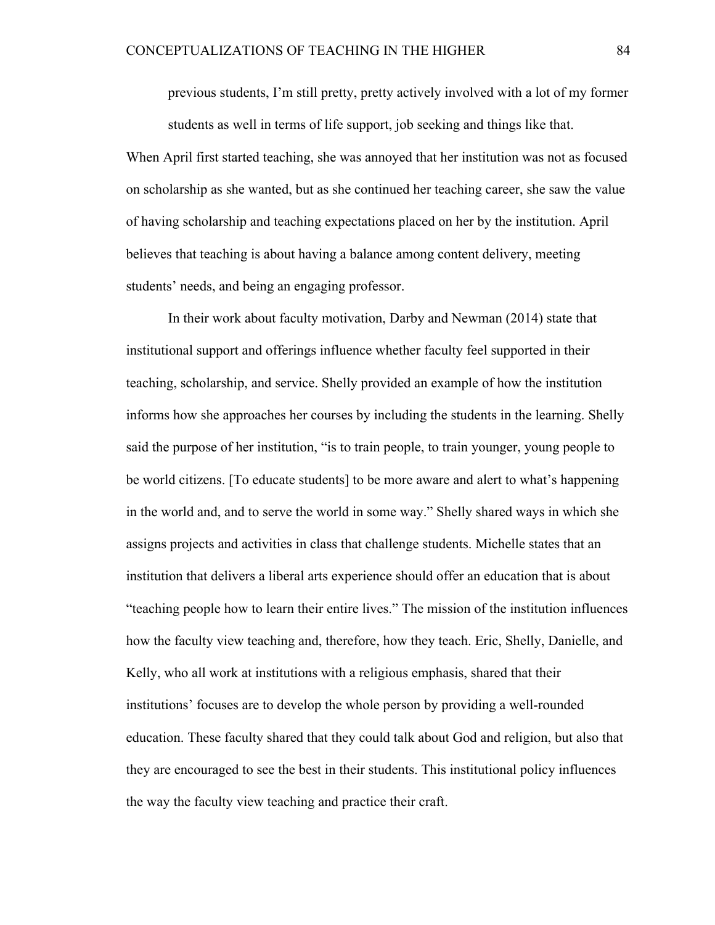previous students, I'm still pretty, pretty actively involved with a lot of my former students as well in terms of life support, job seeking and things like that.

When April first started teaching, she was annoyed that her institution was not as focused on scholarship as she wanted, but as she continued her teaching career, she saw the value of having scholarship and teaching expectations placed on her by the institution. April believes that teaching is about having a balance among content delivery, meeting students' needs, and being an engaging professor.

In their work about faculty motivation, Darby and Newman (2014) state that institutional support and offerings influence whether faculty feel supported in their teaching, scholarship, and service. Shelly provided an example of how the institution informs how she approaches her courses by including the students in the learning. Shelly said the purpose of her institution, "is to train people, to train younger, young people to be world citizens. [To educate students] to be more aware and alert to what's happening in the world and, and to serve the world in some way." Shelly shared ways in which she assigns projects and activities in class that challenge students. Michelle states that an institution that delivers a liberal arts experience should offer an education that is about "teaching people how to learn their entire lives." The mission of the institution influences how the faculty view teaching and, therefore, how they teach. Eric, Shelly, Danielle, and Kelly, who all work at institutions with a religious emphasis, shared that their institutions' focuses are to develop the whole person by providing a well-rounded education. These faculty shared that they could talk about God and religion, but also that they are encouraged to see the best in their students. This institutional policy influences the way the faculty view teaching and practice their craft.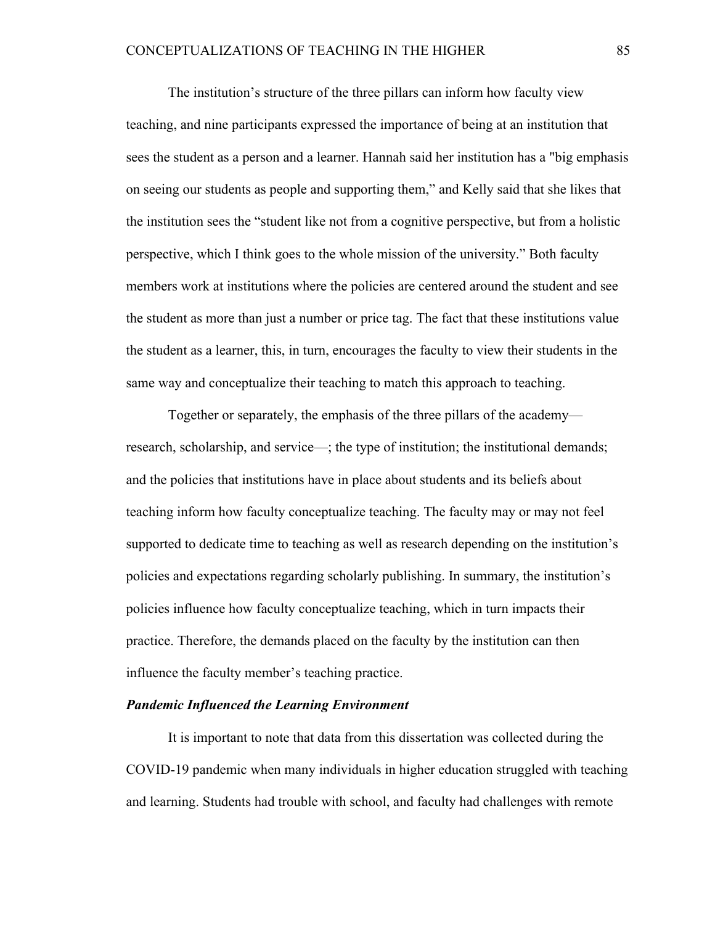The institution's structure of the three pillars can inform how faculty view teaching, and nine participants expressed the importance of being at an institution that sees the student as a person and a learner. Hannah said her institution has a "big emphasis on seeing our students as people and supporting them," and Kelly said that she likes that the institution sees the "student like not from a cognitive perspective, but from a holistic perspective, which I think goes to the whole mission of the university." Both faculty members work at institutions where the policies are centered around the student and see the student as more than just a number or price tag. The fact that these institutions value the student as a learner, this, in turn, encourages the faculty to view their students in the same way and conceptualize their teaching to match this approach to teaching.

Together or separately, the emphasis of the three pillars of the academy research, scholarship, and service—; the type of institution; the institutional demands; and the policies that institutions have in place about students and its beliefs about teaching inform how faculty conceptualize teaching. The faculty may or may not feel supported to dedicate time to teaching as well as research depending on the institution's policies and expectations regarding scholarly publishing. In summary, the institution's policies influence how faculty conceptualize teaching, which in turn impacts their practice. Therefore, the demands placed on the faculty by the institution can then influence the faculty member's teaching practice.

### *Pandemic Influenced the Learning Environment*

It is important to note that data from this dissertation was collected during the COVID-19 pandemic when many individuals in higher education struggled with teaching and learning. Students had trouble with school, and faculty had challenges with remote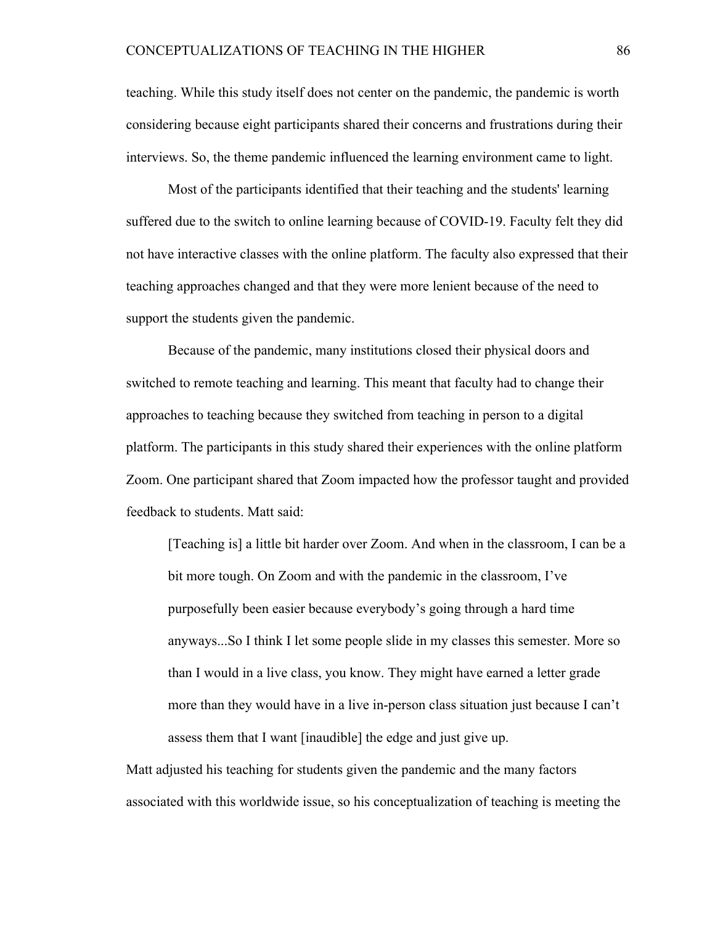teaching. While this study itself does not center on the pandemic, the pandemic is worth considering because eight participants shared their concerns and frustrations during their interviews. So, the theme pandemic influenced the learning environment came to light.

Most of the participants identified that their teaching and the students' learning suffered due to the switch to online learning because of COVID-19. Faculty felt they did not have interactive classes with the online platform. The faculty also expressed that their teaching approaches changed and that they were more lenient because of the need to support the students given the pandemic.

Because of the pandemic, many institutions closed their physical doors and switched to remote teaching and learning. This meant that faculty had to change their approaches to teaching because they switched from teaching in person to a digital platform. The participants in this study shared their experiences with the online platform Zoom. One participant shared that Zoom impacted how the professor taught and provided feedback to students. Matt said:

[Teaching is] a little bit harder over Zoom. And when in the classroom, I can be a bit more tough. On Zoom and with the pandemic in the classroom, I've purposefully been easier because everybody's going through a hard time anyways...So I think I let some people slide in my classes this semester. More so than I would in a live class, you know. They might have earned a letter grade more than they would have in a live in-person class situation just because I can't assess them that I want [inaudible] the edge and just give up.

Matt adjusted his teaching for students given the pandemic and the many factors associated with this worldwide issue, so his conceptualization of teaching is meeting the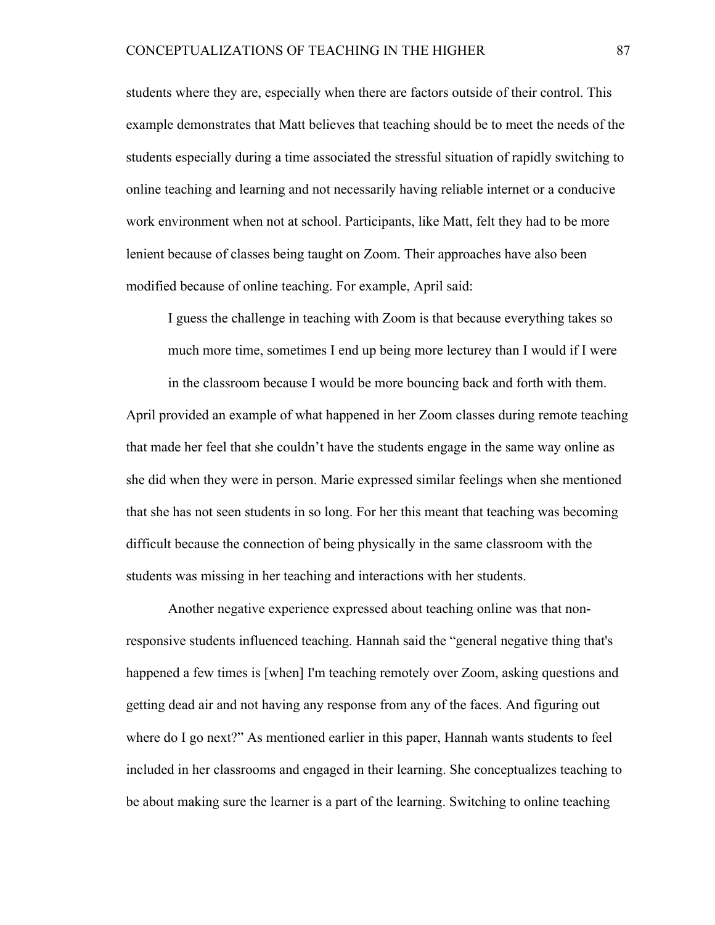students where they are, especially when there are factors outside of their control. This example demonstrates that Matt believes that teaching should be to meet the needs of the students especially during a time associated the stressful situation of rapidly switching to online teaching and learning and not necessarily having reliable internet or a conducive work environment when not at school. Participants, like Matt, felt they had to be more lenient because of classes being taught on Zoom. Their approaches have also been modified because of online teaching. For example, April said:

I guess the challenge in teaching with Zoom is that because everything takes so much more time, sometimes I end up being more lecturey than I would if I were

in the classroom because I would be more bouncing back and forth with them.

April provided an example of what happened in her Zoom classes during remote teaching that made her feel that she couldn't have the students engage in the same way online as she did when they were in person. Marie expressed similar feelings when she mentioned that she has not seen students in so long. For her this meant that teaching was becoming difficult because the connection of being physically in the same classroom with the students was missing in her teaching and interactions with her students.

Another negative experience expressed about teaching online was that nonresponsive students influenced teaching. Hannah said the "general negative thing that's happened a few times is [when] I'm teaching remotely over Zoom, asking questions and getting dead air and not having any response from any of the faces. And figuring out where do I go next?" As mentioned earlier in this paper, Hannah wants students to feel included in her classrooms and engaged in their learning. She conceptualizes teaching to be about making sure the learner is a part of the learning. Switching to online teaching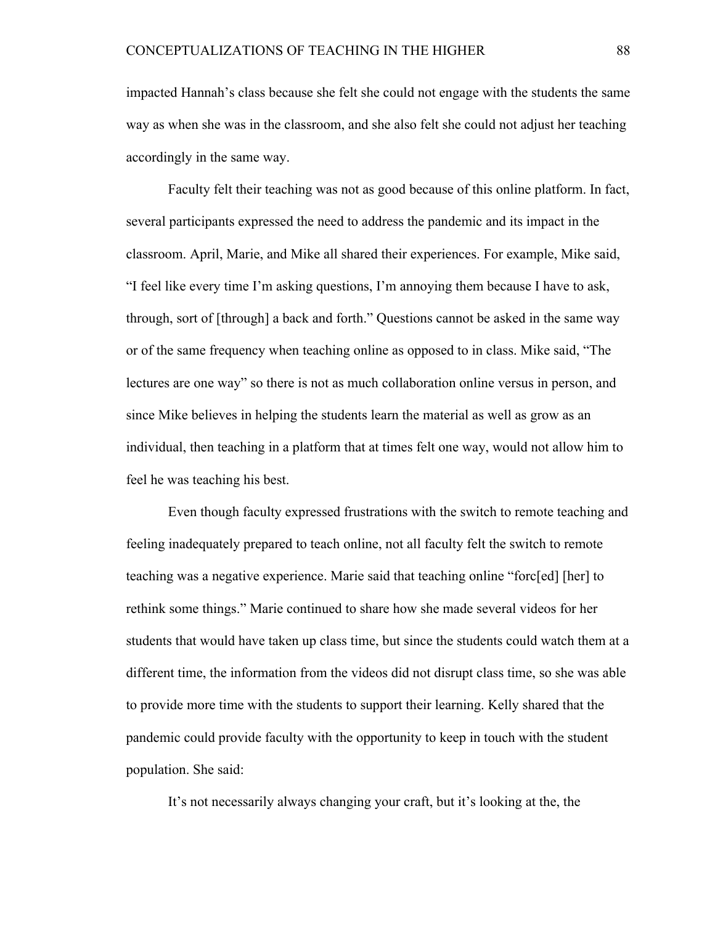impacted Hannah's class because she felt she could not engage with the students the same way as when she was in the classroom, and she also felt she could not adjust her teaching accordingly in the same way.

Faculty felt their teaching was not as good because of this online platform. In fact, several participants expressed the need to address the pandemic and its impact in the classroom. April, Marie, and Mike all shared their experiences. For example, Mike said, "I feel like every time I'm asking questions, I'm annoying them because I have to ask, through, sort of [through] a back and forth." Questions cannot be asked in the same way or of the same frequency when teaching online as opposed to in class. Mike said, "The lectures are one way" so there is not as much collaboration online versus in person, and since Mike believes in helping the students learn the material as well as grow as an individual, then teaching in a platform that at times felt one way, would not allow him to feel he was teaching his best.

Even though faculty expressed frustrations with the switch to remote teaching and feeling inadequately prepared to teach online, not all faculty felt the switch to remote teaching was a negative experience. Marie said that teaching online "forc[ed] [her] to rethink some things." Marie continued to share how she made several videos for her students that would have taken up class time, but since the students could watch them at a different time, the information from the videos did not disrupt class time, so she was able to provide more time with the students to support their learning. Kelly shared that the pandemic could provide faculty with the opportunity to keep in touch with the student population. She said:

It's not necessarily always changing your craft, but it's looking at the, the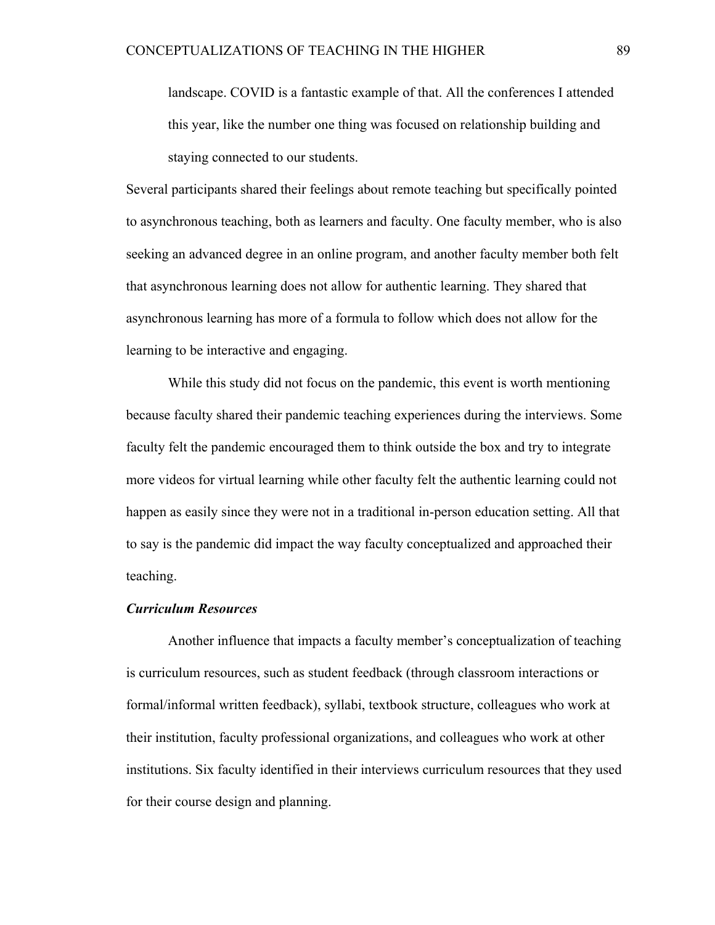landscape. COVID is a fantastic example of that. All the conferences I attended this year, like the number one thing was focused on relationship building and staying connected to our students.

Several participants shared their feelings about remote teaching but specifically pointed to asynchronous teaching, both as learners and faculty. One faculty member, who is also seeking an advanced degree in an online program, and another faculty member both felt that asynchronous learning does not allow for authentic learning. They shared that asynchronous learning has more of a formula to follow which does not allow for the learning to be interactive and engaging.

While this study did not focus on the pandemic, this event is worth mentioning because faculty shared their pandemic teaching experiences during the interviews. Some faculty felt the pandemic encouraged them to think outside the box and try to integrate more videos for virtual learning while other faculty felt the authentic learning could not happen as easily since they were not in a traditional in-person education setting. All that to say is the pandemic did impact the way faculty conceptualized and approached their teaching.

# *Curriculum Resources*

Another influence that impacts a faculty member's conceptualization of teaching is curriculum resources, such as student feedback (through classroom interactions or formal/informal written feedback), syllabi, textbook structure, colleagues who work at their institution, faculty professional organizations, and colleagues who work at other institutions. Six faculty identified in their interviews curriculum resources that they used for their course design and planning.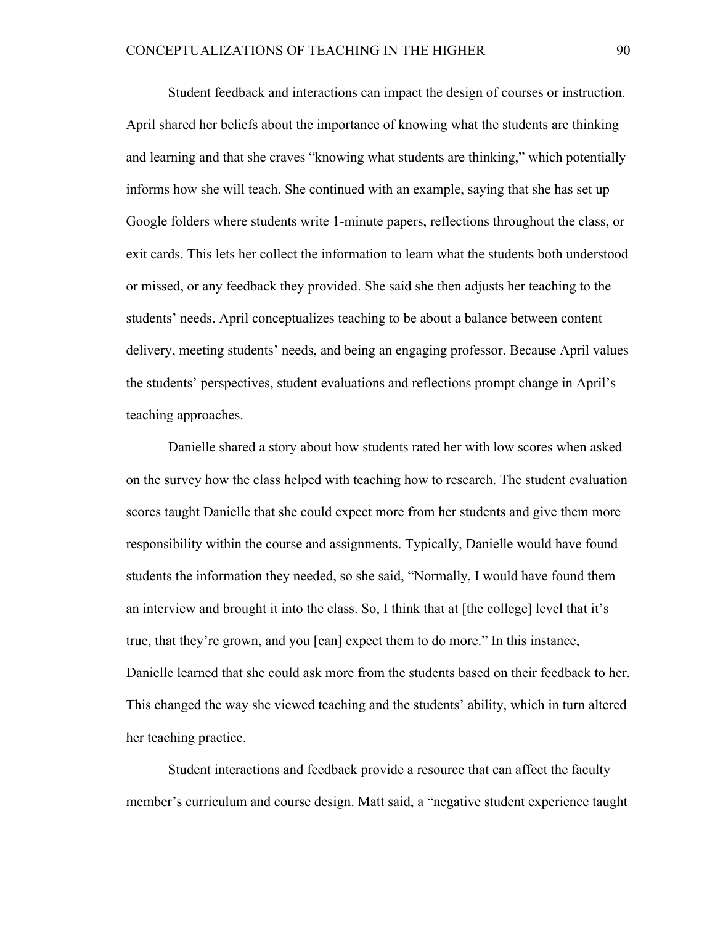Student feedback and interactions can impact the design of courses or instruction. April shared her beliefs about the importance of knowing what the students are thinking and learning and that she craves "knowing what students are thinking," which potentially informs how she will teach. She continued with an example, saying that she has set up Google folders where students write 1-minute papers, reflections throughout the class, or exit cards. This lets her collect the information to learn what the students both understood or missed, or any feedback they provided. She said she then adjusts her teaching to the students' needs. April conceptualizes teaching to be about a balance between content delivery, meeting students' needs, and being an engaging professor. Because April values the students' perspectives, student evaluations and reflections prompt change in April's teaching approaches.

Danielle shared a story about how students rated her with low scores when asked on the survey how the class helped with teaching how to research. The student evaluation scores taught Danielle that she could expect more from her students and give them more responsibility within the course and assignments. Typically, Danielle would have found students the information they needed, so she said, "Normally, I would have found them an interview and brought it into the class. So, I think that at [the college] level that it's true, that they're grown, and you [can] expect them to do more." In this instance, Danielle learned that she could ask more from the students based on their feedback to her. This changed the way she viewed teaching and the students' ability, which in turn altered her teaching practice.

Student interactions and feedback provide a resource that can affect the faculty member's curriculum and course design. Matt said, a "negative student experience taught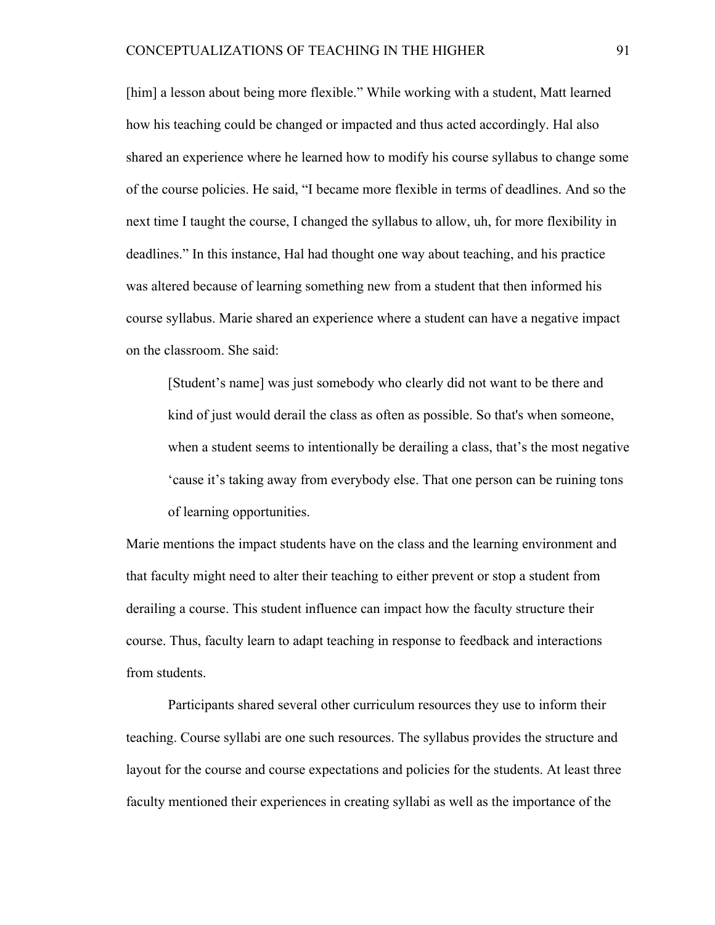[him] a lesson about being more flexible." While working with a student, Matt learned how his teaching could be changed or impacted and thus acted accordingly. Hal also shared an experience where he learned how to modify his course syllabus to change some of the course policies. He said, "I became more flexible in terms of deadlines. And so the next time I taught the course, I changed the syllabus to allow, uh, for more flexibility in deadlines." In this instance, Hal had thought one way about teaching, and his practice was altered because of learning something new from a student that then informed his course syllabus. Marie shared an experience where a student can have a negative impact on the classroom. She said:

[Student's name] was just somebody who clearly did not want to be there and kind of just would derail the class as often as possible. So that's when someone, when a student seems to intentionally be derailing a class, that's the most negative 'cause it's taking away from everybody else. That one person can be ruining tons of learning opportunities.

Marie mentions the impact students have on the class and the learning environment and that faculty might need to alter their teaching to either prevent or stop a student from derailing a course. This student influence can impact how the faculty structure their course. Thus, faculty learn to adapt teaching in response to feedback and interactions from students.

Participants shared several other curriculum resources they use to inform their teaching. Course syllabi are one such resources. The syllabus provides the structure and layout for the course and course expectations and policies for the students. At least three faculty mentioned their experiences in creating syllabi as well as the importance of the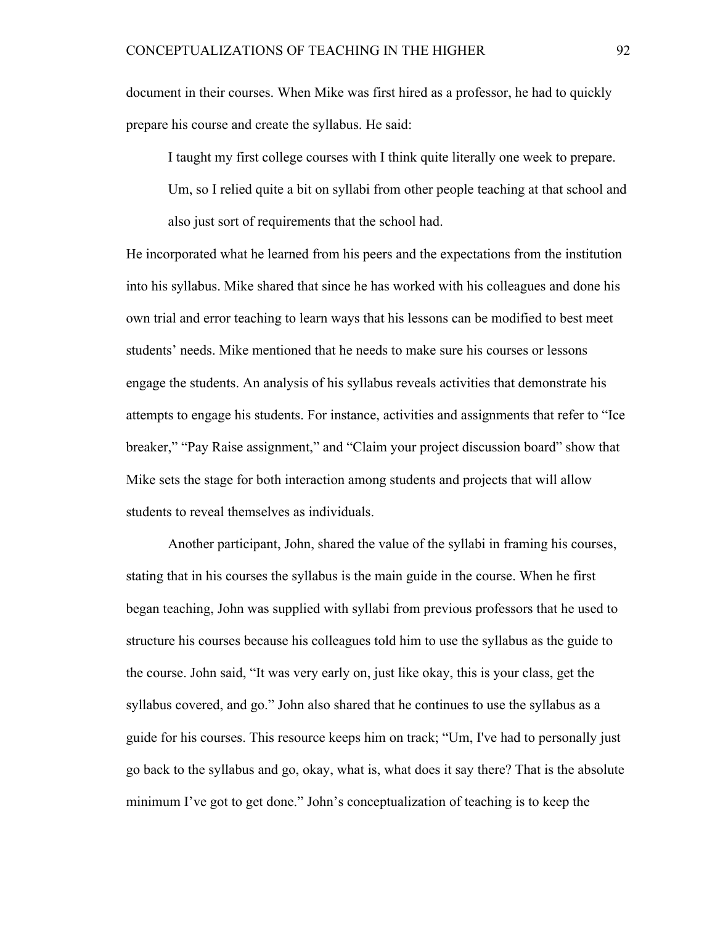document in their courses. When Mike was first hired as a professor, he had to quickly prepare his course and create the syllabus. He said:

I taught my first college courses with I think quite literally one week to prepare.

Um, so I relied quite a bit on syllabi from other people teaching at that school and also just sort of requirements that the school had.

He incorporated what he learned from his peers and the expectations from the institution into his syllabus. Mike shared that since he has worked with his colleagues and done his own trial and error teaching to learn ways that his lessons can be modified to best meet students' needs. Mike mentioned that he needs to make sure his courses or lessons engage the students. An analysis of his syllabus reveals activities that demonstrate his attempts to engage his students. For instance, activities and assignments that refer to "Ice breaker," "Pay Raise assignment," and "Claim your project discussion board" show that Mike sets the stage for both interaction among students and projects that will allow students to reveal themselves as individuals.

Another participant, John, shared the value of the syllabi in framing his courses, stating that in his courses the syllabus is the main guide in the course. When he first began teaching, John was supplied with syllabi from previous professors that he used to structure his courses because his colleagues told him to use the syllabus as the guide to the course. John said, "It was very early on, just like okay, this is your class, get the syllabus covered, and go." John also shared that he continues to use the syllabus as a guide for his courses. This resource keeps him on track; "Um, I've had to personally just go back to the syllabus and go, okay, what is, what does it say there? That is the absolute minimum I've got to get done." John's conceptualization of teaching is to keep the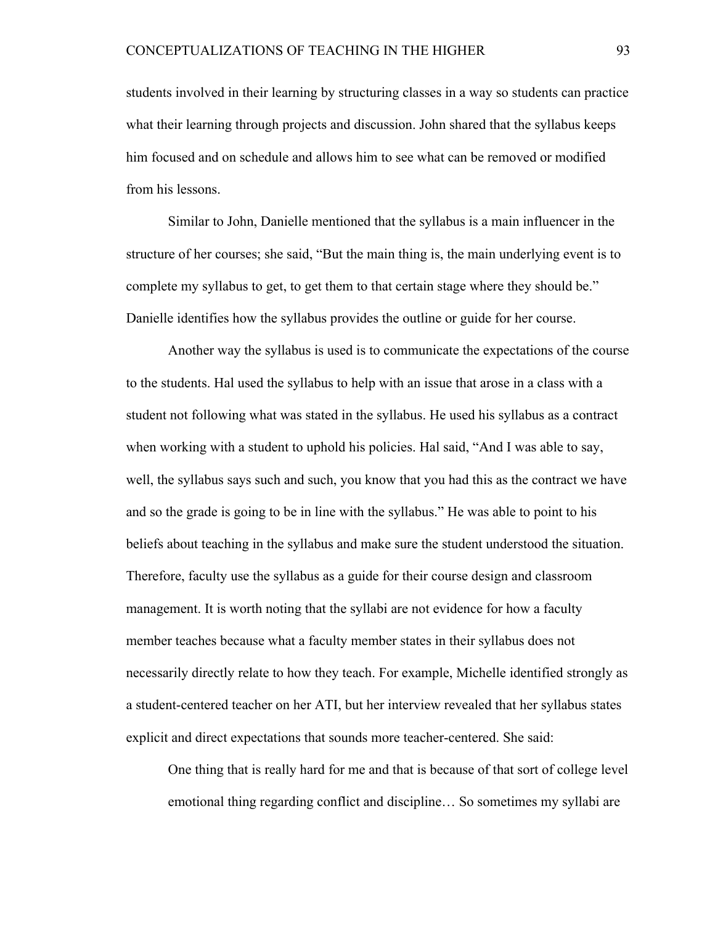students involved in their learning by structuring classes in a way so students can practice what their learning through projects and discussion. John shared that the syllabus keeps him focused and on schedule and allows him to see what can be removed or modified from his lessons.

Similar to John, Danielle mentioned that the syllabus is a main influencer in the structure of her courses; she said, "But the main thing is, the main underlying event is to complete my syllabus to get, to get them to that certain stage where they should be." Danielle identifies how the syllabus provides the outline or guide for her course.

Another way the syllabus is used is to communicate the expectations of the course to the students. Hal used the syllabus to help with an issue that arose in a class with a student not following what was stated in the syllabus. He used his syllabus as a contract when working with a student to uphold his policies. Hal said, "And I was able to say, well, the syllabus says such and such, you know that you had this as the contract we have and so the grade is going to be in line with the syllabus." He was able to point to his beliefs about teaching in the syllabus and make sure the student understood the situation. Therefore, faculty use the syllabus as a guide for their course design and classroom management. It is worth noting that the syllabi are not evidence for how a faculty member teaches because what a faculty member states in their syllabus does not necessarily directly relate to how they teach. For example, Michelle identified strongly as a student-centered teacher on her ATI, but her interview revealed that her syllabus states explicit and direct expectations that sounds more teacher-centered. She said:

One thing that is really hard for me and that is because of that sort of college level emotional thing regarding conflict and discipline… So sometimes my syllabi are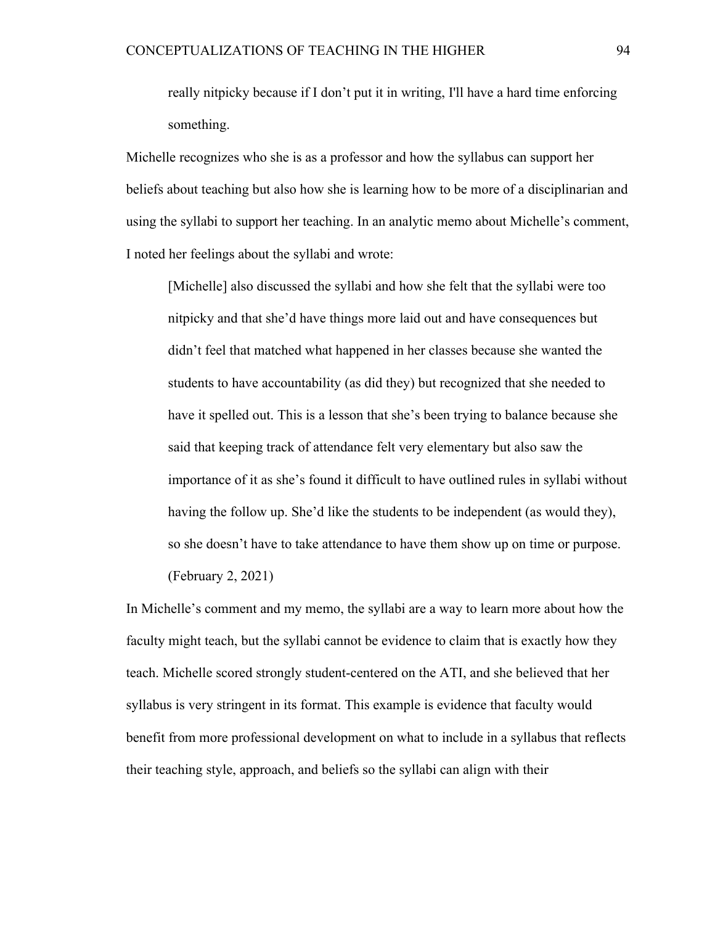really nitpicky because if I don't put it in writing, I'll have a hard time enforcing something.

Michelle recognizes who she is as a professor and how the syllabus can support her beliefs about teaching but also how she is learning how to be more of a disciplinarian and using the syllabi to support her teaching. In an analytic memo about Michelle's comment, I noted her feelings about the syllabi and wrote:

[Michelle] also discussed the syllabi and how she felt that the syllabi were too nitpicky and that she'd have things more laid out and have consequences but didn't feel that matched what happened in her classes because she wanted the students to have accountability (as did they) but recognized that she needed to have it spelled out. This is a lesson that she's been trying to balance because she said that keeping track of attendance felt very elementary but also saw the importance of it as she's found it difficult to have outlined rules in syllabi without having the follow up. She'd like the students to be independent (as would they), so she doesn't have to take attendance to have them show up on time or purpose. (February 2, 2021)

In Michelle's comment and my memo, the syllabi are a way to learn more about how the faculty might teach, but the syllabi cannot be evidence to claim that is exactly how they teach. Michelle scored strongly student-centered on the ATI, and she believed that her syllabus is very stringent in its format. This example is evidence that faculty would benefit from more professional development on what to include in a syllabus that reflects their teaching style, approach, and beliefs so the syllabi can align with their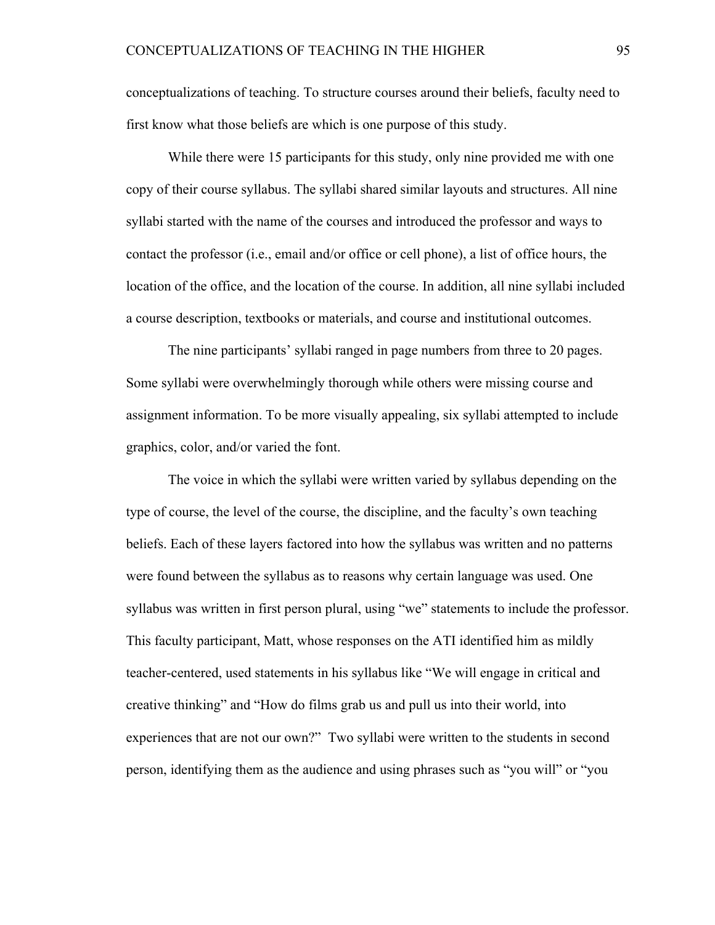conceptualizations of teaching. To structure courses around their beliefs, faculty need to first know what those beliefs are which is one purpose of this study.

While there were 15 participants for this study, only nine provided me with one copy of their course syllabus. The syllabi shared similar layouts and structures. All nine syllabi started with the name of the courses and introduced the professor and ways to contact the professor (i.e., email and/or office or cell phone), a list of office hours, the location of the office, and the location of the course. In addition, all nine syllabi included a course description, textbooks or materials, and course and institutional outcomes.

The nine participants' syllabi ranged in page numbers from three to 20 pages. Some syllabi were overwhelmingly thorough while others were missing course and assignment information. To be more visually appealing, six syllabi attempted to include graphics, color, and/or varied the font.

The voice in which the syllabi were written varied by syllabus depending on the type of course, the level of the course, the discipline, and the faculty's own teaching beliefs. Each of these layers factored into how the syllabus was written and no patterns were found between the syllabus as to reasons why certain language was used. One syllabus was written in first person plural, using "we" statements to include the professor. This faculty participant, Matt, whose responses on the ATI identified him as mildly teacher-centered, used statements in his syllabus like "We will engage in critical and creative thinking" and "How do films grab us and pull us into their world, into experiences that are not our own?" Two syllabi were written to the students in second person, identifying them as the audience and using phrases such as "you will" or "you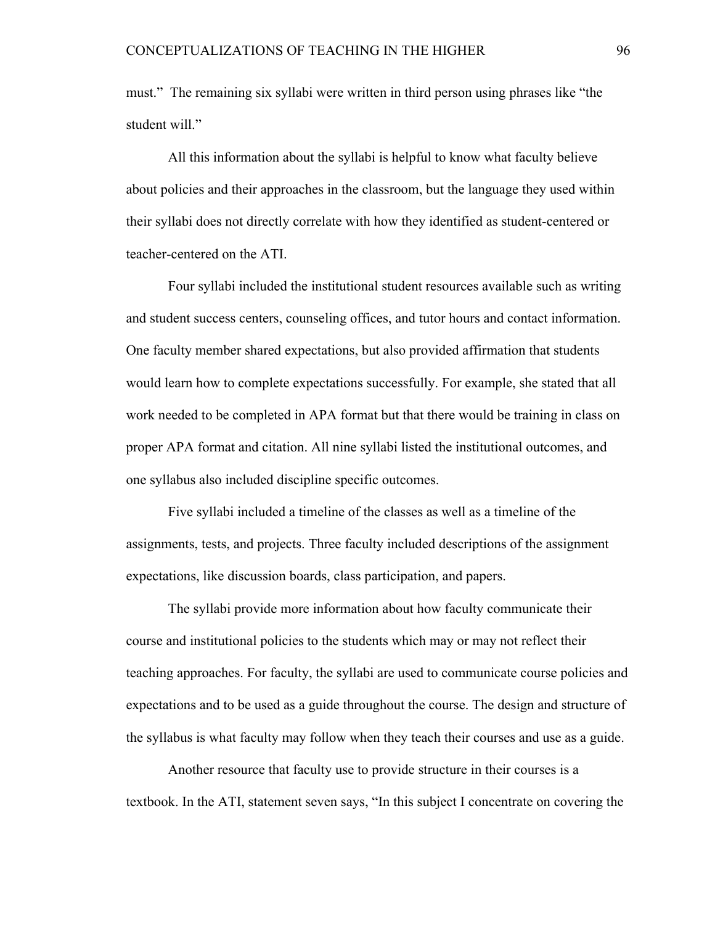must." The remaining six syllabi were written in third person using phrases like "the student will."

All this information about the syllabi is helpful to know what faculty believe about policies and their approaches in the classroom, but the language they used within their syllabi does not directly correlate with how they identified as student-centered or teacher-centered on the ATI.

Four syllabi included the institutional student resources available such as writing and student success centers, counseling offices, and tutor hours and contact information. One faculty member shared expectations, but also provided affirmation that students would learn how to complete expectations successfully. For example, she stated that all work needed to be completed in APA format but that there would be training in class on proper APA format and citation. All nine syllabi listed the institutional outcomes, and one syllabus also included discipline specific outcomes.

Five syllabi included a timeline of the classes as well as a timeline of the assignments, tests, and projects. Three faculty included descriptions of the assignment expectations, like discussion boards, class participation, and papers.

The syllabi provide more information about how faculty communicate their course and institutional policies to the students which may or may not reflect their teaching approaches. For faculty, the syllabi are used to communicate course policies and expectations and to be used as a guide throughout the course. The design and structure of the syllabus is what faculty may follow when they teach their courses and use as a guide.

Another resource that faculty use to provide structure in their courses is a textbook. In the ATI, statement seven says, "In this subject I concentrate on covering the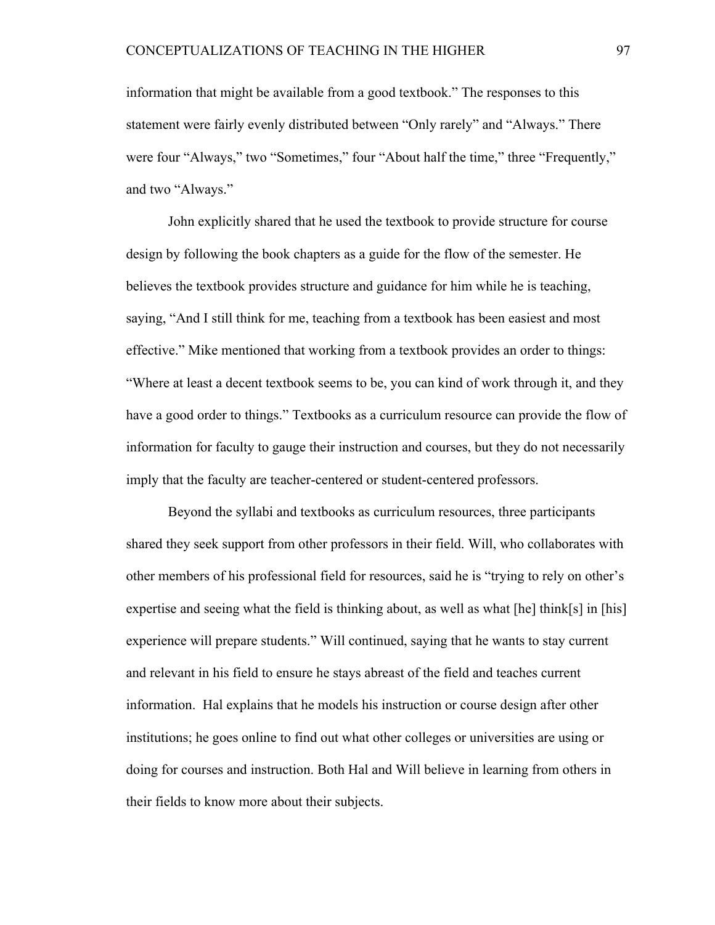information that might be available from a good textbook." The responses to this statement were fairly evenly distributed between "Only rarely" and "Always." There were four "Always," two "Sometimes," four "About half the time," three "Frequently," and two "Always."

John explicitly shared that he used the textbook to provide structure for course design by following the book chapters as a guide for the flow of the semester. He believes the textbook provides structure and guidance for him while he is teaching, saying, "And I still think for me, teaching from a textbook has been easiest and most effective." Mike mentioned that working from a textbook provides an order to things: "Where at least a decent textbook seems to be, you can kind of work through it, and they have a good order to things." Textbooks as a curriculum resource can provide the flow of information for faculty to gauge their instruction and courses, but they do not necessarily imply that the faculty are teacher-centered or student-centered professors.

Beyond the syllabi and textbooks as curriculum resources, three participants shared they seek support from other professors in their field. Will, who collaborates with other members of his professional field for resources, said he is "trying to rely on other's expertise and seeing what the field is thinking about, as well as what [he] think[s] in [his] experience will prepare students." Will continued, saying that he wants to stay current and relevant in his field to ensure he stays abreast of the field and teaches current information. Hal explains that he models his instruction or course design after other institutions; he goes online to find out what other colleges or universities are using or doing for courses and instruction. Both Hal and Will believe in learning from others in their fields to know more about their subjects.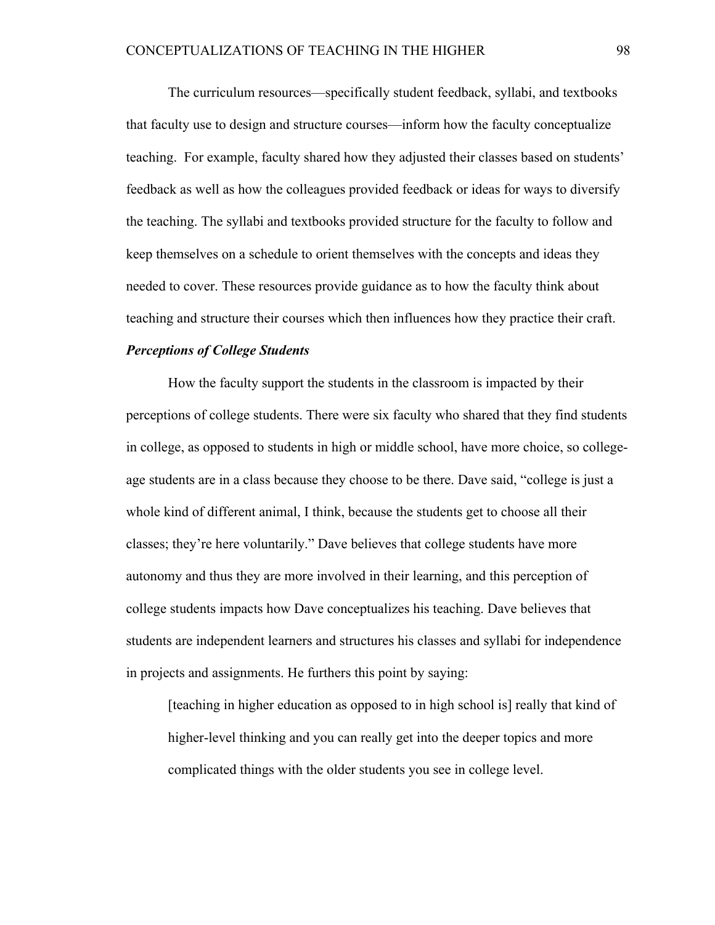The curriculum resources—specifically student feedback, syllabi, and textbooks that faculty use to design and structure courses—inform how the faculty conceptualize teaching. For example, faculty shared how they adjusted their classes based on students' feedback as well as how the colleagues provided feedback or ideas for ways to diversify the teaching. The syllabi and textbooks provided structure for the faculty to follow and keep themselves on a schedule to orient themselves with the concepts and ideas they needed to cover. These resources provide guidance as to how the faculty think about teaching and structure their courses which then influences how they practice their craft.

### *Perceptions of College Students*

How the faculty support the students in the classroom is impacted by their perceptions of college students. There were six faculty who shared that they find students in college, as opposed to students in high or middle school, have more choice, so collegeage students are in a class because they choose to be there. Dave said, "college is just a whole kind of different animal, I think, because the students get to choose all their classes; they're here voluntarily." Dave believes that college students have more autonomy and thus they are more involved in their learning, and this perception of college students impacts how Dave conceptualizes his teaching. Dave believes that students are independent learners and structures his classes and syllabi for independence in projects and assignments. He furthers this point by saying:

[teaching in higher education as opposed to in high school is] really that kind of higher-level thinking and you can really get into the deeper topics and more complicated things with the older students you see in college level.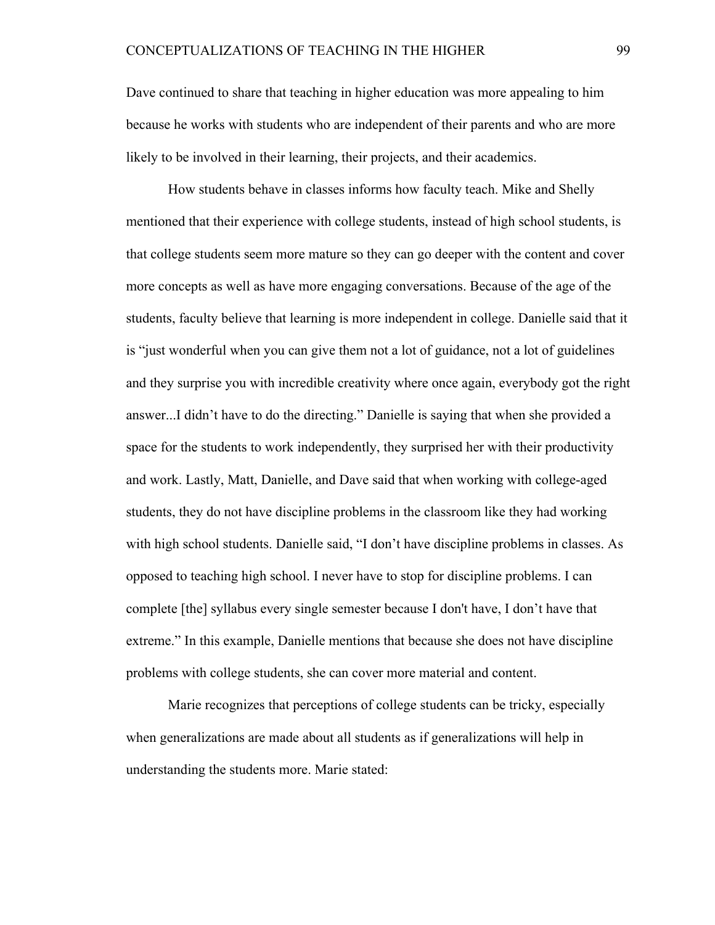Dave continued to share that teaching in higher education was more appealing to him because he works with students who are independent of their parents and who are more likely to be involved in their learning, their projects, and their academics.

How students behave in classes informs how faculty teach. Mike and Shelly mentioned that their experience with college students, instead of high school students, is that college students seem more mature so they can go deeper with the content and cover more concepts as well as have more engaging conversations. Because of the age of the students, faculty believe that learning is more independent in college. Danielle said that it is "just wonderful when you can give them not a lot of guidance, not a lot of guidelines and they surprise you with incredible creativity where once again, everybody got the right answer...I didn't have to do the directing." Danielle is saying that when she provided a space for the students to work independently, they surprised her with their productivity and work. Lastly, Matt, Danielle, and Dave said that when working with college-aged students, they do not have discipline problems in the classroom like they had working with high school students. Danielle said, "I don't have discipline problems in classes. As opposed to teaching high school. I never have to stop for discipline problems. I can complete [the] syllabus every single semester because I don't have, I don't have that extreme." In this example, Danielle mentions that because she does not have discipline problems with college students, she can cover more material and content.

Marie recognizes that perceptions of college students can be tricky, especially when generalizations are made about all students as if generalizations will help in understanding the students more. Marie stated: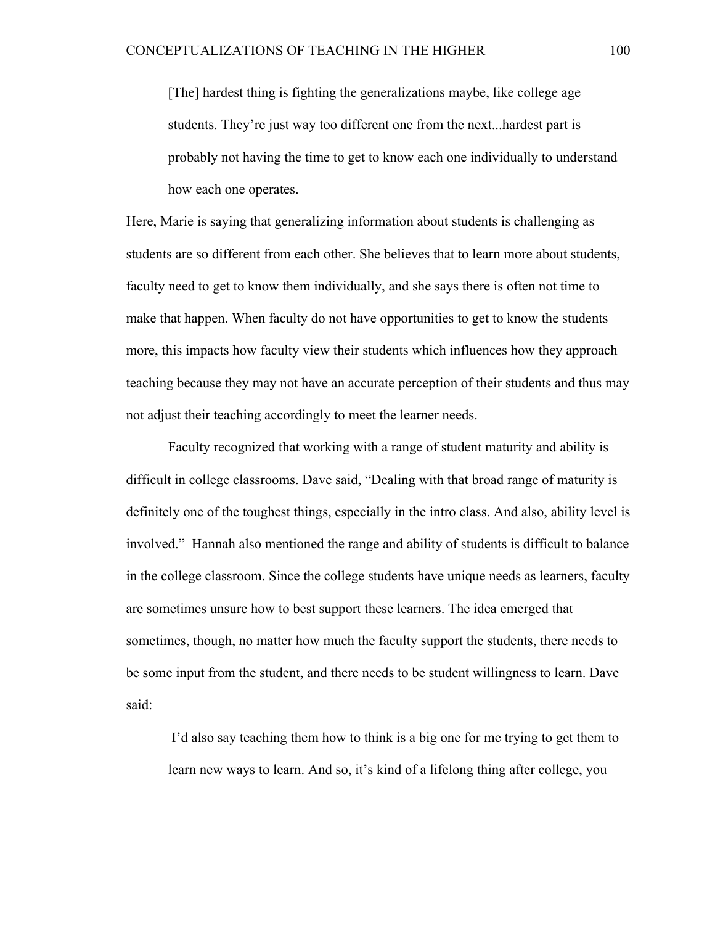[The] hardest thing is fighting the generalizations maybe, like college age students. They're just way too different one from the next...hardest part is probably not having the time to get to know each one individually to understand how each one operates.

Here, Marie is saying that generalizing information about students is challenging as students are so different from each other. She believes that to learn more about students, faculty need to get to know them individually, and she says there is often not time to make that happen. When faculty do not have opportunities to get to know the students more, this impacts how faculty view their students which influences how they approach teaching because they may not have an accurate perception of their students and thus may not adjust their teaching accordingly to meet the learner needs.

Faculty recognized that working with a range of student maturity and ability is difficult in college classrooms. Dave said, "Dealing with that broad range of maturity is definitely one of the toughest things, especially in the intro class. And also, ability level is involved." Hannah also mentioned the range and ability of students is difficult to balance in the college classroom. Since the college students have unique needs as learners, faculty are sometimes unsure how to best support these learners. The idea emerged that sometimes, though, no matter how much the faculty support the students, there needs to be some input from the student, and there needs to be student willingness to learn. Dave said:

I'd also say teaching them how to think is a big one for me trying to get them to learn new ways to learn. And so, it's kind of a lifelong thing after college, you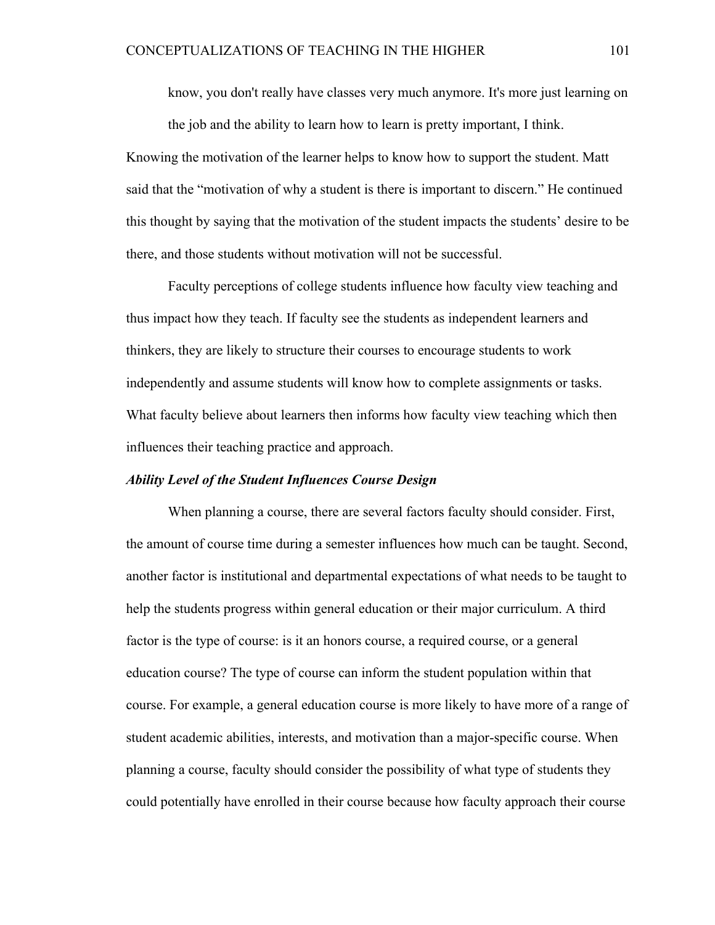know, you don't really have classes very much anymore. It's more just learning on the job and the ability to learn how to learn is pretty important, I think.

Knowing the motivation of the learner helps to know how to support the student. Matt said that the "motivation of why a student is there is important to discern." He continued this thought by saying that the motivation of the student impacts the students' desire to be there, and those students without motivation will not be successful.

Faculty perceptions of college students influence how faculty view teaching and thus impact how they teach. If faculty see the students as independent learners and thinkers, they are likely to structure their courses to encourage students to work independently and assume students will know how to complete assignments or tasks. What faculty believe about learners then informs how faculty view teaching which then influences their teaching practice and approach.

## *Ability Level of the Student Influences Course Design*

When planning a course, there are several factors faculty should consider. First, the amount of course time during a semester influences how much can be taught. Second, another factor is institutional and departmental expectations of what needs to be taught to help the students progress within general education or their major curriculum. A third factor is the type of course: is it an honors course, a required course, or a general education course? The type of course can inform the student population within that course. For example, a general education course is more likely to have more of a range of student academic abilities, interests, and motivation than a major-specific course. When planning a course, faculty should consider the possibility of what type of students they could potentially have enrolled in their course because how faculty approach their course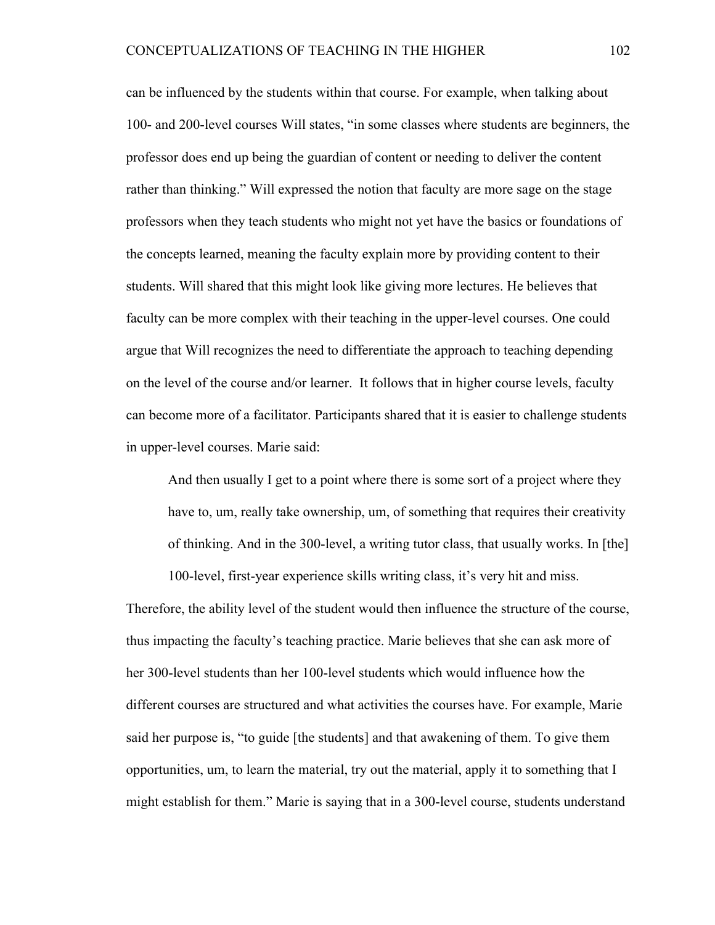can be influenced by the students within that course. For example, when talking about 100- and 200-level courses Will states, "in some classes where students are beginners, the professor does end up being the guardian of content or needing to deliver the content rather than thinking." Will expressed the notion that faculty are more sage on the stage professors when they teach students who might not yet have the basics or foundations of the concepts learned, meaning the faculty explain more by providing content to their students. Will shared that this might look like giving more lectures. He believes that faculty can be more complex with their teaching in the upper-level courses. One could argue that Will recognizes the need to differentiate the approach to teaching depending on the level of the course and/or learner. It follows that in higher course levels, faculty can become more of a facilitator. Participants shared that it is easier to challenge students in upper-level courses. Marie said:

And then usually I get to a point where there is some sort of a project where they have to, um, really take ownership, um, of something that requires their creativity of thinking. And in the 300-level, a writing tutor class, that usually works. In [the]

100-level, first-year experience skills writing class, it's very hit and miss.

Therefore, the ability level of the student would then influence the structure of the course, thus impacting the faculty's teaching practice. Marie believes that she can ask more of her 300-level students than her 100-level students which would influence how the different courses are structured and what activities the courses have. For example, Marie said her purpose is, "to guide [the students] and that awakening of them. To give them opportunities, um, to learn the material, try out the material, apply it to something that I might establish for them." Marie is saying that in a 300-level course, students understand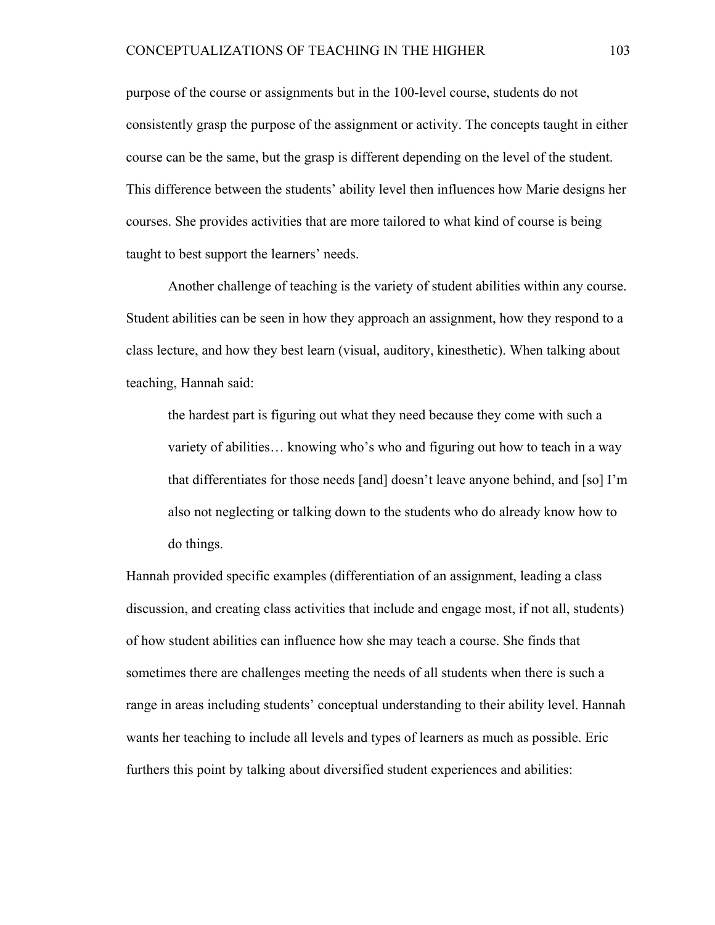purpose of the course or assignments but in the 100-level course, students do not consistently grasp the purpose of the assignment or activity. The concepts taught in either course can be the same, but the grasp is different depending on the level of the student. This difference between the students' ability level then influences how Marie designs her courses. She provides activities that are more tailored to what kind of course is being taught to best support the learners' needs.

Another challenge of teaching is the variety of student abilities within any course. Student abilities can be seen in how they approach an assignment, how they respond to a class lecture, and how they best learn (visual, auditory, kinesthetic). When talking about teaching, Hannah said:

the hardest part is figuring out what they need because they come with such a variety of abilities… knowing who's who and figuring out how to teach in a way that differentiates for those needs [and] doesn't leave anyone behind, and [so] I'm also not neglecting or talking down to the students who do already know how to do things.

Hannah provided specific examples (differentiation of an assignment, leading a class discussion, and creating class activities that include and engage most, if not all, students) of how student abilities can influence how she may teach a course. She finds that sometimes there are challenges meeting the needs of all students when there is such a range in areas including students' conceptual understanding to their ability level. Hannah wants her teaching to include all levels and types of learners as much as possible. Eric furthers this point by talking about diversified student experiences and abilities: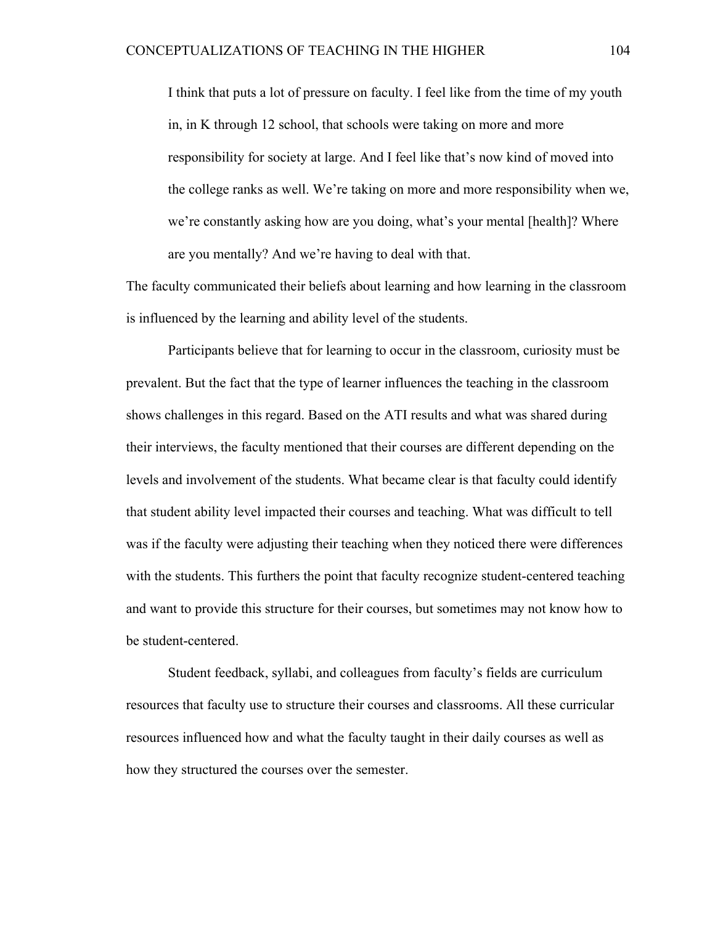I think that puts a lot of pressure on faculty. I feel like from the time of my youth in, in K through 12 school, that schools were taking on more and more responsibility for society at large. And I feel like that's now kind of moved into the college ranks as well. We're taking on more and more responsibility when we, we're constantly asking how are you doing, what's your mental [health]? Where are you mentally? And we're having to deal with that.

The faculty communicated their beliefs about learning and how learning in the classroom is influenced by the learning and ability level of the students.

Participants believe that for learning to occur in the classroom, curiosity must be prevalent. But the fact that the type of learner influences the teaching in the classroom shows challenges in this regard. Based on the ATI results and what was shared during their interviews, the faculty mentioned that their courses are different depending on the levels and involvement of the students. What became clear is that faculty could identify that student ability level impacted their courses and teaching. What was difficult to tell was if the faculty were adjusting their teaching when they noticed there were differences with the students. This furthers the point that faculty recognize student-centered teaching and want to provide this structure for their courses, but sometimes may not know how to be student-centered.

Student feedback, syllabi, and colleagues from faculty's fields are curriculum resources that faculty use to structure their courses and classrooms. All these curricular resources influenced how and what the faculty taught in their daily courses as well as how they structured the courses over the semester.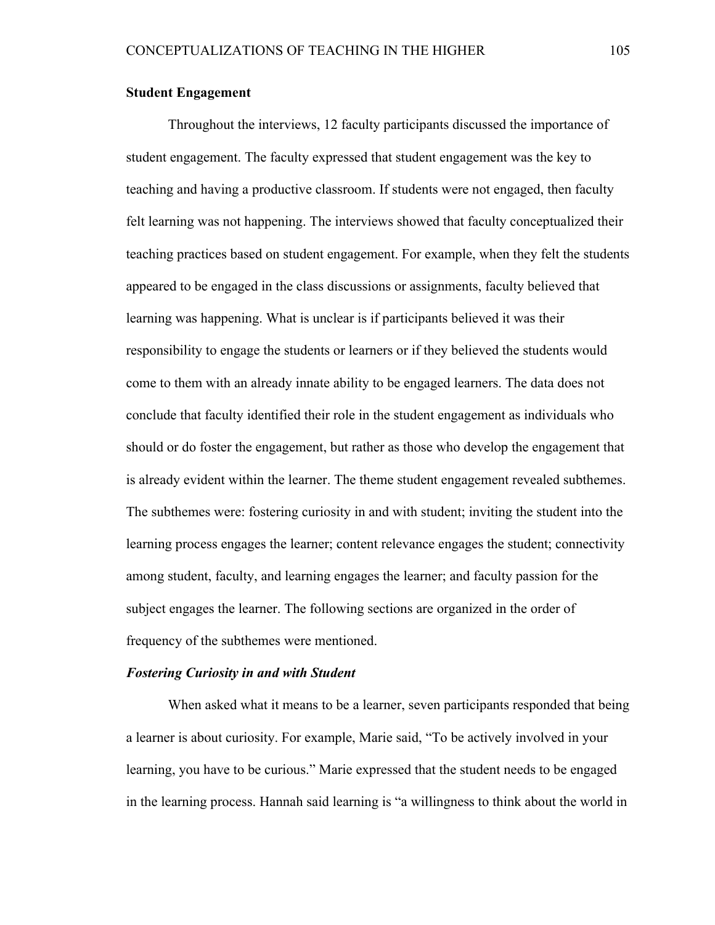# **Student Engagement**

Throughout the interviews, 12 faculty participants discussed the importance of student engagement. The faculty expressed that student engagement was the key to teaching and having a productive classroom. If students were not engaged, then faculty felt learning was not happening. The interviews showed that faculty conceptualized their teaching practices based on student engagement. For example, when they felt the students appeared to be engaged in the class discussions or assignments, faculty believed that learning was happening. What is unclear is if participants believed it was their responsibility to engage the students or learners or if they believed the students would come to them with an already innate ability to be engaged learners. The data does not conclude that faculty identified their role in the student engagement as individuals who should or do foster the engagement, but rather as those who develop the engagement that is already evident within the learner. The theme student engagement revealed subthemes. The subthemes were: fostering curiosity in and with student; inviting the student into the learning process engages the learner; content relevance engages the student; connectivity among student, faculty, and learning engages the learner; and faculty passion for the subject engages the learner. The following sections are organized in the order of frequency of the subthemes were mentioned.

### *Fostering Curiosity in and with Student*

When asked what it means to be a learner, seven participants responded that being a learner is about curiosity. For example, Marie said, "To be actively involved in your learning, you have to be curious." Marie expressed that the student needs to be engaged in the learning process. Hannah said learning is "a willingness to think about the world in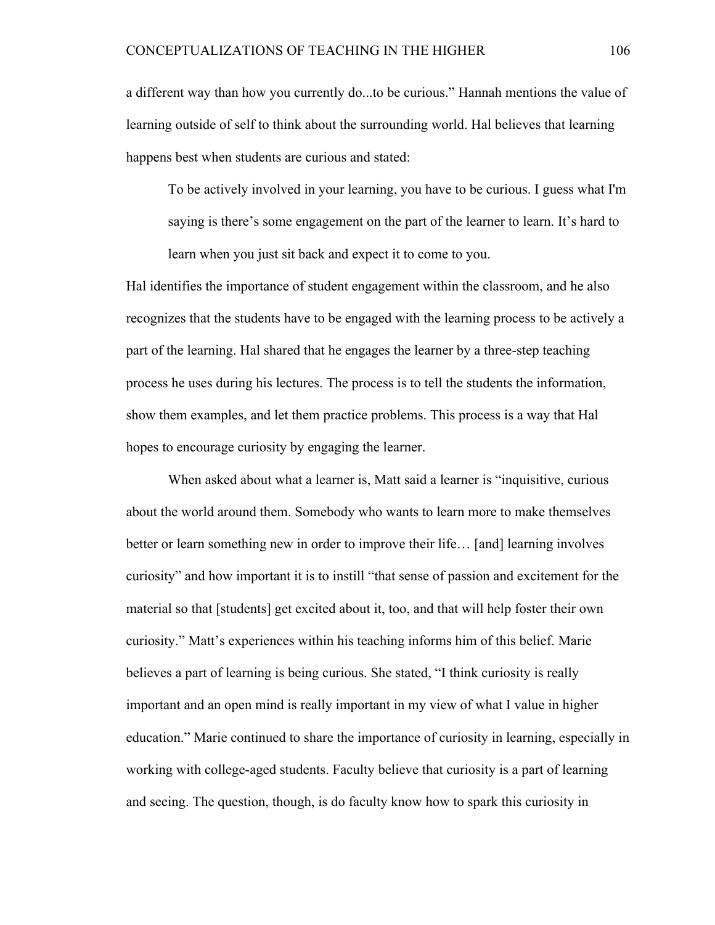a different way than how you currently do...to be curious." Hannah mentions the value of learning outside of self to think about the surrounding world. Hal believes that learning happens best when students are curious and stated:

To be actively involved in your learning, you have to be curious. I guess what I'm saying is there's some engagement on the part of the learner to learn. It's hard to learn when you just sit back and expect it to come to you.

Hal identifies the importance of student engagement within the classroom, and he also recognizes that the students have to be engaged with the learning process to be actively a part of the learning. Hal shared that he engages the learner by a three-step teaching process he uses during his lectures. The process is to tell the students the information, show them examples, and let them practice problems. This process is a way that Hal hopes to encourage curiosity by engaging the learner.

When asked about what a learner is, Matt said a learner is "inquisitive, curious about the world around them. Somebody who wants to learn more to make themselves better or learn something new in order to improve their life... [and] learning involves curiosity" and how important it is to instill "that sense of passion and excitement for the material so that [students] get excited about it, too, and that will help foster their own curiosity." Matt's experiences within his teaching informs him of this belief. Marie believes a part of learning is being curious. She stated, "I think curiosity is really important and an open mind is really important in my view of what I value in higher education." Marie continued to share the importance of curiosity in learning, especially in working with college-aged students. Faculty believe that curiosity is a part of learning and seeing. The question, though, is do faculty know how to spark this curiosity in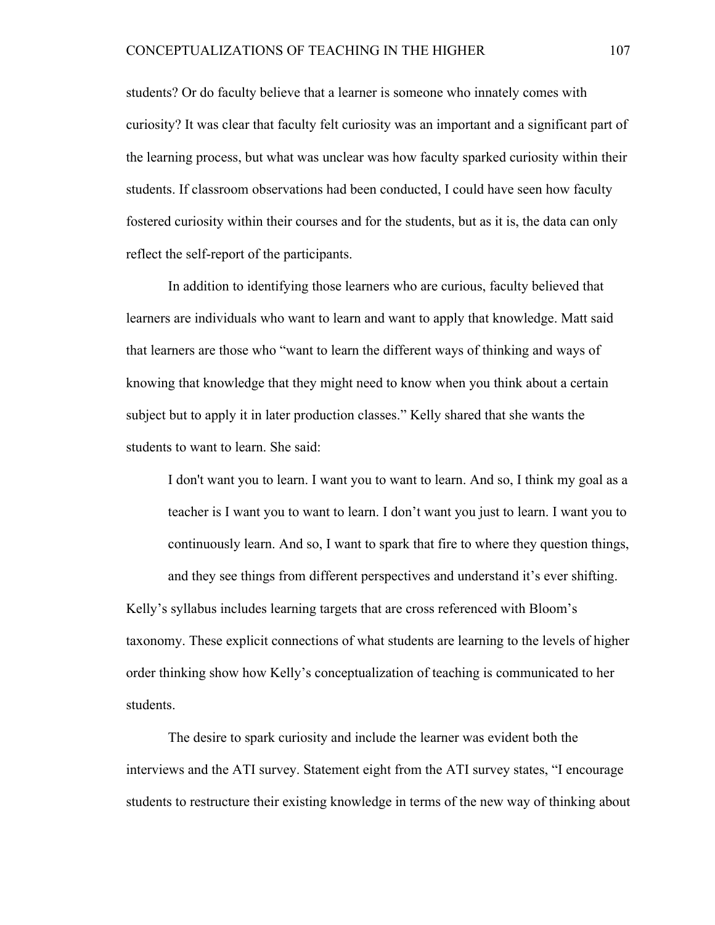students? Or do faculty believe that a learner is someone who innately comes with curiosity? It was clear that faculty felt curiosity was an important and a significant part of the learning process, but what was unclear was how faculty sparked curiosity within their students. If classroom observations had been conducted, I could have seen how faculty fostered curiosity within their courses and for the students, but as it is, the data can only reflect the self-report of the participants.

In addition to identifying those learners who are curious, faculty believed that learners are individuals who want to learn and want to apply that knowledge. Matt said that learners are those who "want to learn the different ways of thinking and ways of knowing that knowledge that they might need to know when you think about a certain subject but to apply it in later production classes." Kelly shared that she wants the students to want to learn. She said:

I don't want you to learn. I want you to want to learn. And so, I think my goal as a teacher is I want you to want to learn. I don't want you just to learn. I want you to continuously learn. And so, I want to spark that fire to where they question things, and they see things from different perspectives and understand it's ever shifting.

Kelly's syllabus includes learning targets that are cross referenced with Bloom's taxonomy. These explicit connections of what students are learning to the levels of higher order thinking show how Kelly's conceptualization of teaching is communicated to her students.

The desire to spark curiosity and include the learner was evident both the interviews and the ATI survey. Statement eight from the ATI survey states, "I encourage students to restructure their existing knowledge in terms of the new way of thinking about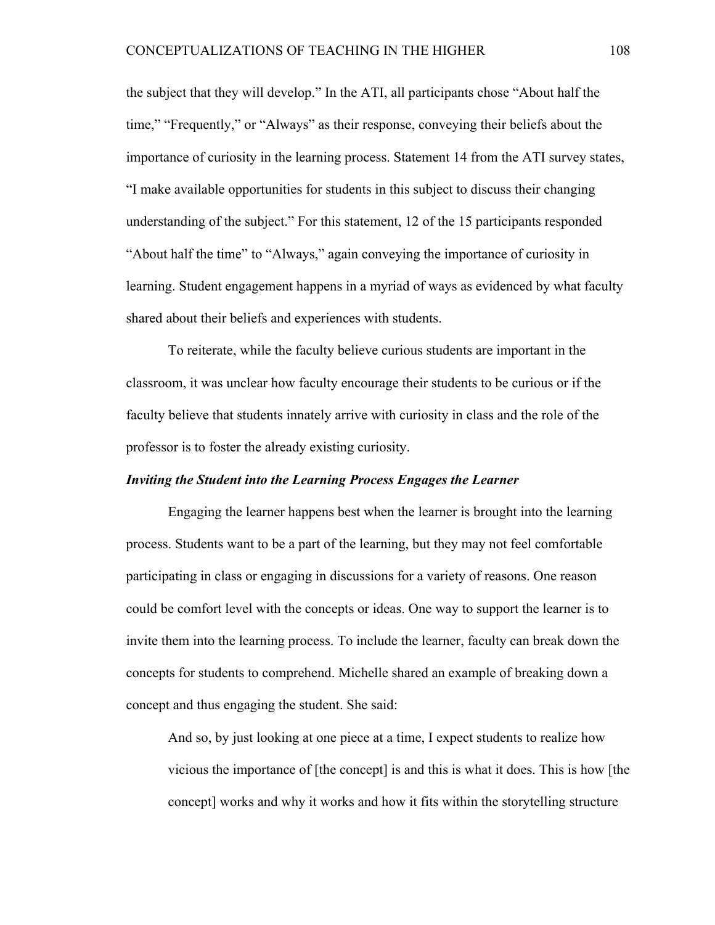the subject that they will develop." In the ATI, all participants chose "About half the time," "Frequently," or "Always" as their response, conveying their beliefs about the importance of curiosity in the learning process. Statement 14 from the ATI survey states, "I make available opportunities for students in this subject to discuss their changing understanding of the subject." For this statement, 12 of the 15 participants responded "About half the time" to "Always," again conveying the importance of curiosity in learning. Student engagement happens in a myriad of ways as evidenced by what faculty shared about their beliefs and experiences with students.

To reiterate, while the faculty believe curious students are important in the classroom, it was unclear how faculty encourage their students to be curious or if the faculty believe that students innately arrive with curiosity in class and the role of the professor is to foster the already existing curiosity.

# *Inviting the Student into the Learning Process Engages the Learner*

Engaging the learner happens best when the learner is brought into the learning process. Students want to be a part of the learning, but they may not feel comfortable participating in class or engaging in discussions for a variety of reasons. One reason could be comfort level with the concepts or ideas. One way to support the learner is to invite them into the learning process. To include the learner, faculty can break down the concepts for students to comprehend. Michelle shared an example of breaking down a concept and thus engaging the student. She said:

And so, by just looking at one piece at a time, I expect students to realize how vicious the importance of [the concept] is and this is what it does. This is how [the concept] works and why it works and how it fits within the storytelling structure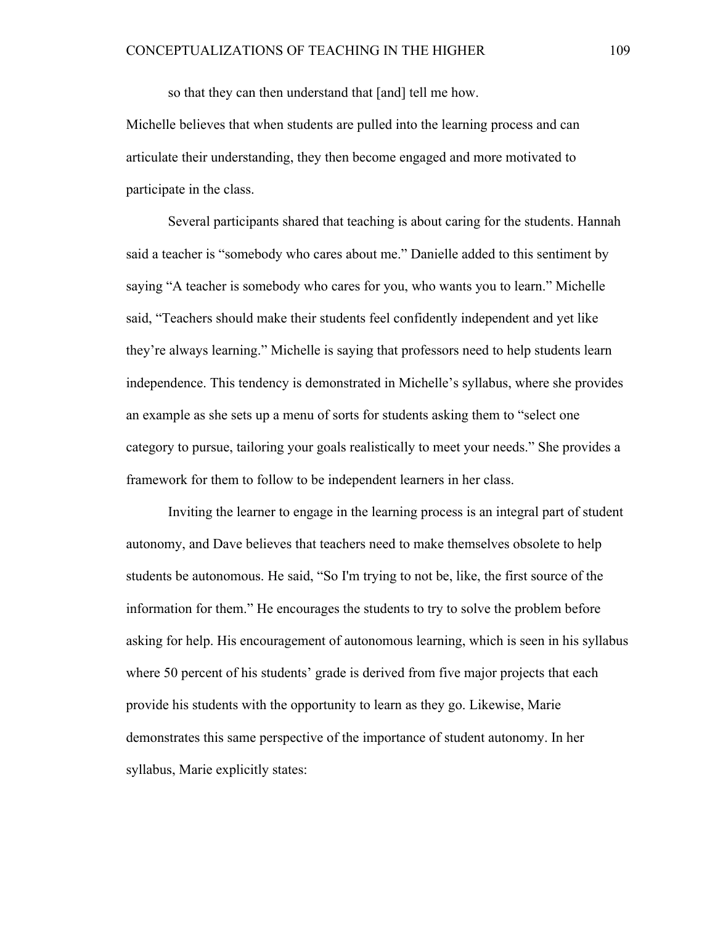so that they can then understand that [and] tell me how.

Michelle believes that when students are pulled into the learning process and can articulate their understanding, they then become engaged and more motivated to participate in the class.

Several participants shared that teaching is about caring for the students. Hannah said a teacher is "somebody who cares about me." Danielle added to this sentiment by saying "A teacher is somebody who cares for you, who wants you to learn." Michelle said, "Teachers should make their students feel confidently independent and yet like they're always learning." Michelle is saying that professors need to help students learn independence. This tendency is demonstrated in Michelle's syllabus, where she provides an example as she sets up a menu of sorts for students asking them to "select one category to pursue, tailoring your goals realistically to meet your needs." She provides a framework for them to follow to be independent learners in her class.

Inviting the learner to engage in the learning process is an integral part of student autonomy, and Dave believes that teachers need to make themselves obsolete to help students be autonomous. He said, "So I'm trying to not be, like, the first source of the information for them." He encourages the students to try to solve the problem before asking for help. His encouragement of autonomous learning, which is seen in his syllabus where 50 percent of his students' grade is derived from five major projects that each provide his students with the opportunity to learn as they go. Likewise, Marie demonstrates this same perspective of the importance of student autonomy. In her syllabus, Marie explicitly states: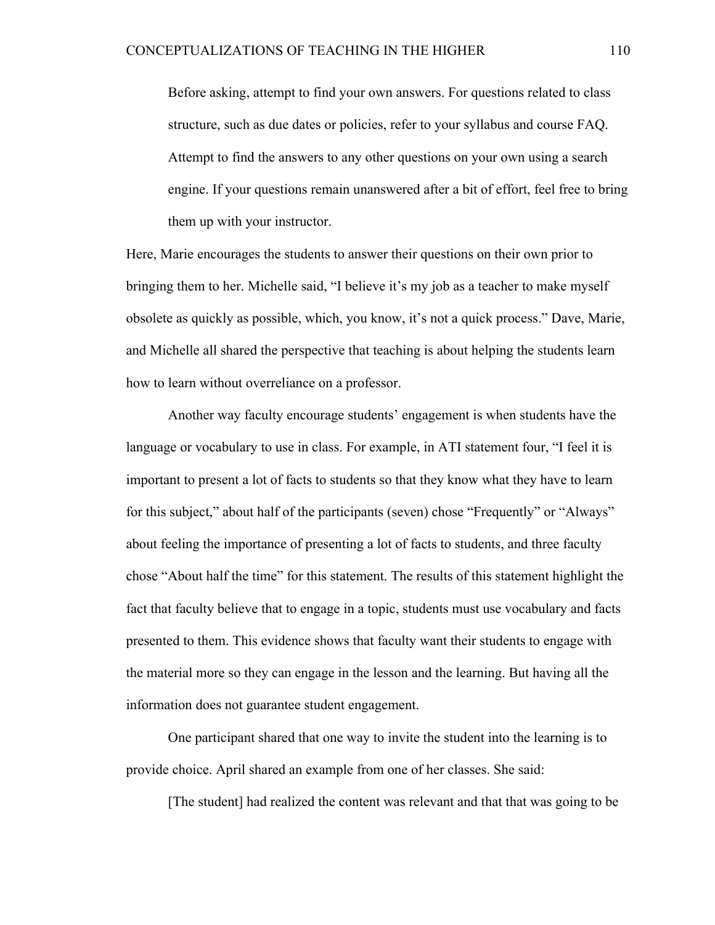Before asking, attempt to find your own answers. For questions related to class structure, such as due dates or policies, refer to your syllabus and course FAQ. Attempt to find the answers to any other questions on your own using a search engine. If your questions remain unanswered after a bit of effort, feel free to bring them up with your instructor.

Here, Marie encourages the students to answer their questions on their own prior to bringing them to her. Michelle said, "I believe it's my job as a teacher to make myself obsolete as quickly as possible, which, you know, it's not a quick process." Dave, Marie, and Michelle all shared the perspective that teaching is about helping the students learn how to learn without overreliance on a professor.

Another way faculty encourage students' engagement is when students have the language or vocabulary to use in class. For example, in ATI statement four, "I feel it is important to present a lot of facts to students so that they know what they have to learn for this subject," about half of the participants (seven) chose "Frequently" or "Always" about feeling the importance of presenting a lot of facts to students, and three faculty chose "About half the time" for this statement. The results of this statement highlight the fact that faculty believe that to engage in a topic, students must use vocabulary and facts presented to them. This evidence shows that faculty want their students to engage with the material more so they can engage in the lesson and the learning. But having all the information does not guarantee student engagement.

One participant shared that one way to invite the student into the learning is to provide choice. April shared an example from one of her classes. She said:

[The student] had realized the content was relevant and that that was going to be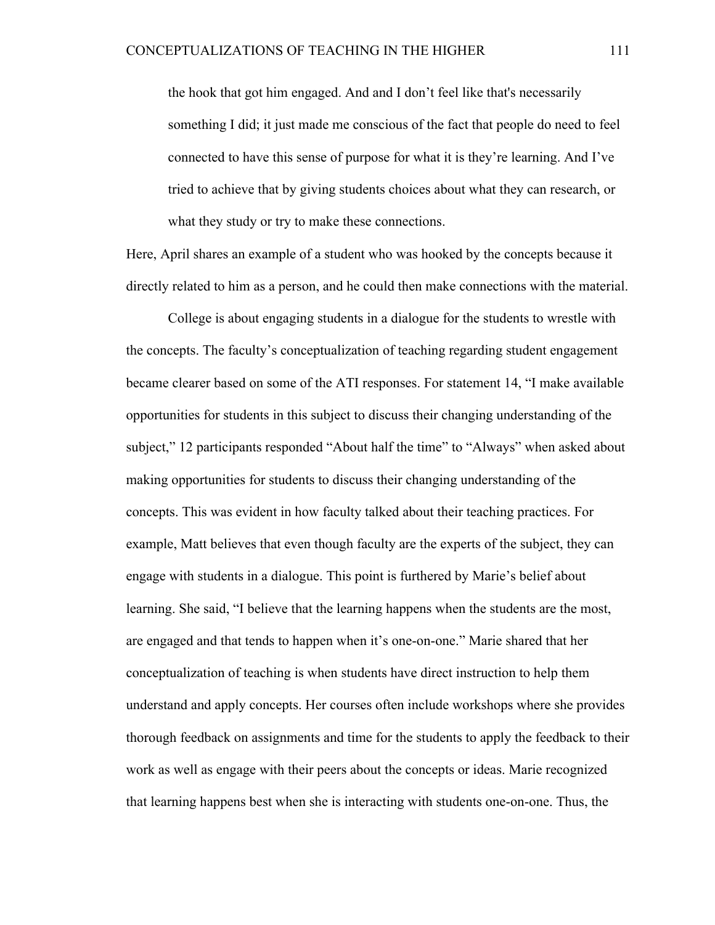the hook that got him engaged. And and I don't feel like that's necessarily something I did; it just made me conscious of the fact that people do need to feel connected to have this sense of purpose for what it is they're learning. And I've tried to achieve that by giving students choices about what they can research, or what they study or try to make these connections.

Here, April shares an example of a student who was hooked by the concepts because it directly related to him as a person, and he could then make connections with the material.

College is about engaging students in a dialogue for the students to wrestle with the concepts. The faculty's conceptualization of teaching regarding student engagement became clearer based on some of the ATI responses. For statement 14, "I make available opportunities for students in this subject to discuss their changing understanding of the subject," 12 participants responded "About half the time" to "Always" when asked about making opportunities for students to discuss their changing understanding of the concepts. This was evident in how faculty talked about their teaching practices. For example, Matt believes that even though faculty are the experts of the subject, they can engage with students in a dialogue. This point is furthered by Marie's belief about learning. She said, "I believe that the learning happens when the students are the most, are engaged and that tends to happen when it's one-on-one." Marie shared that her conceptualization of teaching is when students have direct instruction to help them understand and apply concepts. Her courses often include workshops where she provides thorough feedback on assignments and time for the students to apply the feedback to their work as well as engage with their peers about the concepts or ideas. Marie recognized that learning happens best when she is interacting with students one-on-one. Thus, the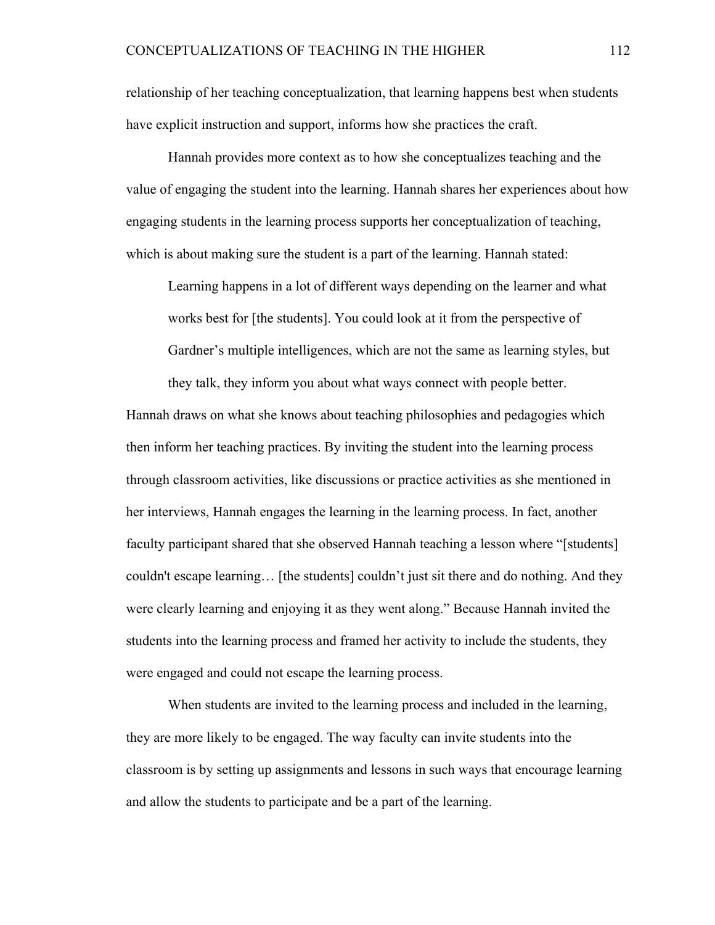relationship of her teaching conceptualization, that learning happens best when students have explicit instruction and support, informs how she practices the craft.

Hannah provides more context as to how she conceptualizes teaching and the value of engaging the student into the learning. Hannah shares her experiences about how engaging students in the learning process supports her conceptualization of teaching, which is about making sure the student is a part of the learning. Hannah stated:

Learning happens in a lot of different ways depending on the learner and what works best for [the students]. You could look at it from the perspective of Gardner's multiple intelligences, which are not the same as learning styles, but they talk, they inform you about what ways connect with people better.

Hannah draws on what she knows about teaching philosophies and pedagogies which then inform her teaching practices. By inviting the student into the learning process through classroom activities, like discussions or practice activities as she mentioned in her interviews, Hannah engages the learning in the learning process. In fact, another faculty participant shared that she observed Hannah teaching a lesson where "[students] couldn't escape learning… [the students] couldn't just sit there and do nothing. And they were clearly learning and enjoying it as they went along." Because Hannah invited the students into the learning process and framed her activity to include the students, they were engaged and could not escape the learning process.

When students are invited to the learning process and included in the learning, they are more likely to be engaged. The way faculty can invite students into the classroom is by setting up assignments and lessons in such ways that encourage learning and allow the students to participate and be a part of the learning.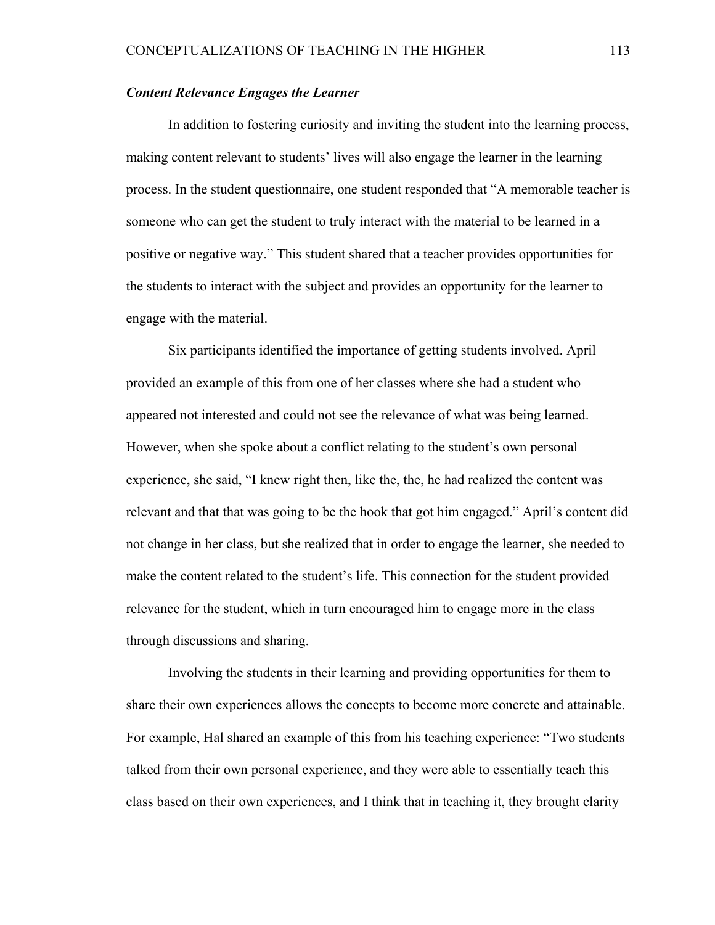# *Content Relevance Engages the Learner*

In addition to fostering curiosity and inviting the student into the learning process, making content relevant to students' lives will also engage the learner in the learning process. In the student questionnaire, one student responded that "A memorable teacher is someone who can get the student to truly interact with the material to be learned in a positive or negative way." This student shared that a teacher provides opportunities for the students to interact with the subject and provides an opportunity for the learner to engage with the material.

Six participants identified the importance of getting students involved. April provided an example of this from one of her classes where she had a student who appeared not interested and could not see the relevance of what was being learned. However, when she spoke about a conflict relating to the student's own personal experience, she said, "I knew right then, like the, the, he had realized the content was relevant and that that was going to be the hook that got him engaged." April's content did not change in her class, but she realized that in order to engage the learner, she needed to make the content related to the student's life. This connection for the student provided relevance for the student, which in turn encouraged him to engage more in the class through discussions and sharing.

Involving the students in their learning and providing opportunities for them to share their own experiences allows the concepts to become more concrete and attainable. For example, Hal shared an example of this from his teaching experience: "Two students talked from their own personal experience, and they were able to essentially teach this class based on their own experiences, and I think that in teaching it, they brought clarity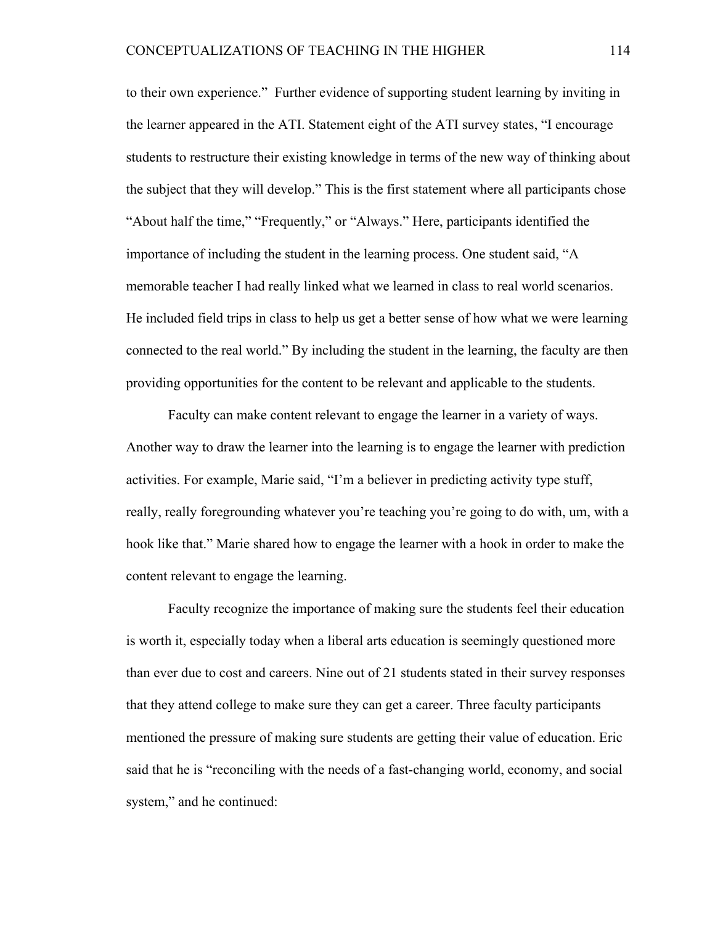to their own experience." Further evidence of supporting student learning by inviting in the learner appeared in the ATI. Statement eight of the ATI survey states, "I encourage students to restructure their existing knowledge in terms of the new way of thinking about the subject that they will develop." This is the first statement where all participants chose "About half the time," "Frequently," or "Always." Here, participants identified the importance of including the student in the learning process. One student said, "A memorable teacher I had really linked what we learned in class to real world scenarios. He included field trips in class to help us get a better sense of how what we were learning connected to the real world." By including the student in the learning, the faculty are then providing opportunities for the content to be relevant and applicable to the students.

Faculty can make content relevant to engage the learner in a variety of ways. Another way to draw the learner into the learning is to engage the learner with prediction activities. For example, Marie said, "I'm a believer in predicting activity type stuff, really, really foregrounding whatever you're teaching you're going to do with, um, with a hook like that." Marie shared how to engage the learner with a hook in order to make the content relevant to engage the learning.

Faculty recognize the importance of making sure the students feel their education is worth it, especially today when a liberal arts education is seemingly questioned more than ever due to cost and careers. Nine out of 21 students stated in their survey responses that they attend college to make sure they can get a career. Three faculty participants mentioned the pressure of making sure students are getting their value of education. Eric said that he is "reconciling with the needs of a fast-changing world, economy, and social system," and he continued: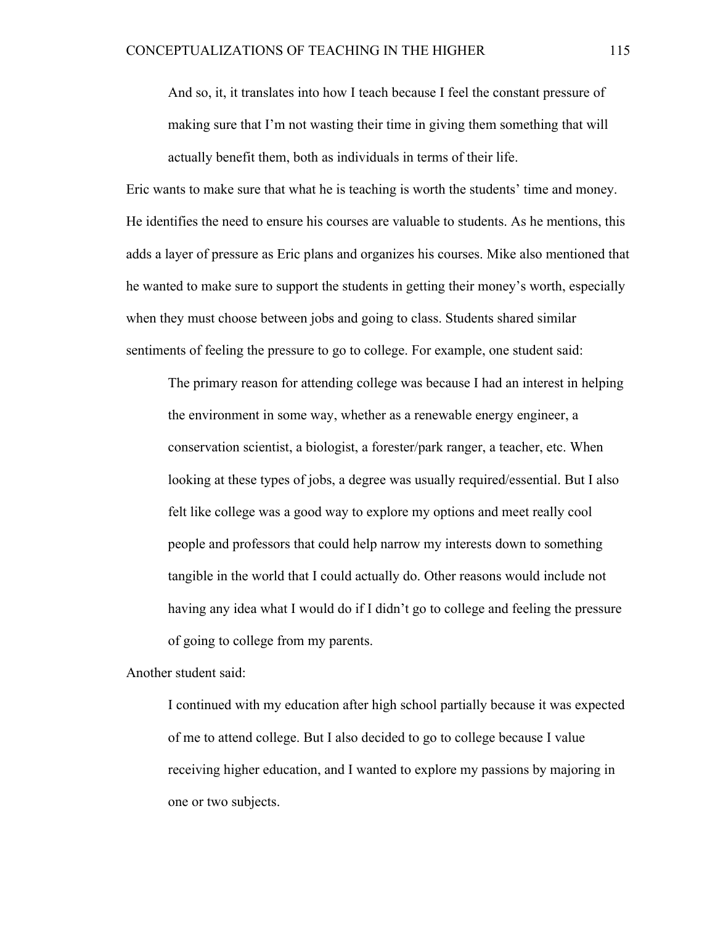And so, it, it translates into how I teach because I feel the constant pressure of making sure that I'm not wasting their time in giving them something that will actually benefit them, both as individuals in terms of their life.

Eric wants to make sure that what he is teaching is worth the students' time and money. He identifies the need to ensure his courses are valuable to students. As he mentions, this adds a layer of pressure as Eric plans and organizes his courses. Mike also mentioned that he wanted to make sure to support the students in getting their money's worth, especially when they must choose between jobs and going to class. Students shared similar sentiments of feeling the pressure to go to college. For example, one student said:

The primary reason for attending college was because I had an interest in helping the environment in some way, whether as a renewable energy engineer, a conservation scientist, a biologist, a forester/park ranger, a teacher, etc. When looking at these types of jobs, a degree was usually required/essential. But I also felt like college was a good way to explore my options and meet really cool people and professors that could help narrow my interests down to something tangible in the world that I could actually do. Other reasons would include not having any idea what I would do if I didn't go to college and feeling the pressure of going to college from my parents.

Another student said:

I continued with my education after high school partially because it was expected of me to attend college. But I also decided to go to college because I value receiving higher education, and I wanted to explore my passions by majoring in one or two subjects.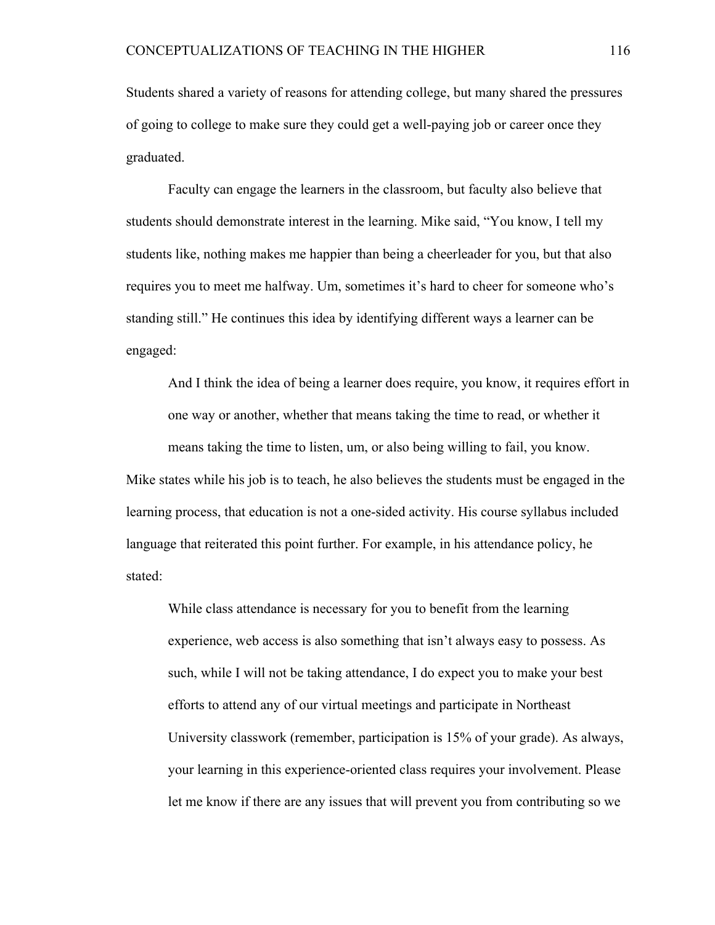Students shared a variety of reasons for attending college, but many shared the pressures of going to college to make sure they could get a well-paying job or career once they graduated.

Faculty can engage the learners in the classroom, but faculty also believe that students should demonstrate interest in the learning. Mike said, "You know, I tell my students like, nothing makes me happier than being a cheerleader for you, but that also requires you to meet me halfway. Um, sometimes it's hard to cheer for someone who's standing still." He continues this idea by identifying different ways a learner can be engaged:

And I think the idea of being a learner does require, you know, it requires effort in one way or another, whether that means taking the time to read, or whether it means taking the time to listen, um, or also being willing to fail, you know.

Mike states while his job is to teach, he also believes the students must be engaged in the learning process, that education is not a one-sided activity. His course syllabus included language that reiterated this point further. For example, in his attendance policy, he stated:

While class attendance is necessary for you to benefit from the learning experience, web access is also something that isn't always easy to possess. As such, while I will not be taking attendance, I do expect you to make your best efforts to attend any of our virtual meetings and participate in Northeast University classwork (remember, participation is 15% of your grade). As always, your learning in this experience-oriented class requires your involvement. Please let me know if there are any issues that will prevent you from contributing so we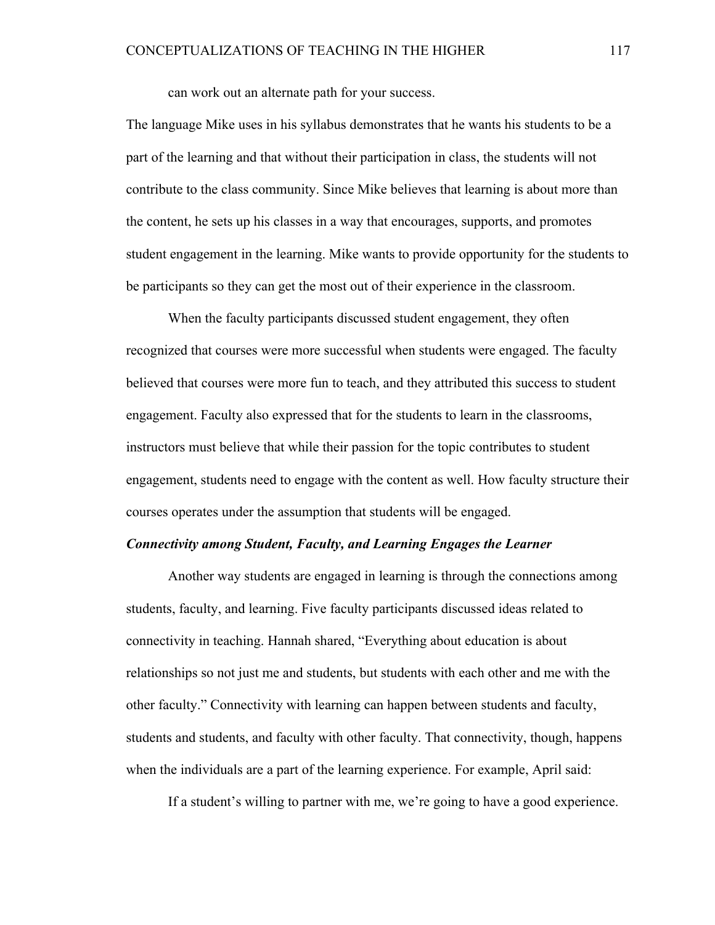can work out an alternate path for your success.

The language Mike uses in his syllabus demonstrates that he wants his students to be a part of the learning and that without their participation in class, the students will not contribute to the class community. Since Mike believes that learning is about more than the content, he sets up his classes in a way that encourages, supports, and promotes student engagement in the learning. Mike wants to provide opportunity for the students to be participants so they can get the most out of their experience in the classroom.

When the faculty participants discussed student engagement, they often recognized that courses were more successful when students were engaged. The faculty believed that courses were more fun to teach, and they attributed this success to student engagement. Faculty also expressed that for the students to learn in the classrooms, instructors must believe that while their passion for the topic contributes to student engagement, students need to engage with the content as well. How faculty structure their courses operates under the assumption that students will be engaged.

#### *Connectivity among Student, Faculty, and Learning Engages the Learner*

Another way students are engaged in learning is through the connections among students, faculty, and learning. Five faculty participants discussed ideas related to connectivity in teaching. Hannah shared, "Everything about education is about relationships so not just me and students, but students with each other and me with the other faculty." Connectivity with learning can happen between students and faculty, students and students, and faculty with other faculty. That connectivity, though, happens when the individuals are a part of the learning experience. For example, April said:

If a student's willing to partner with me, we're going to have a good experience.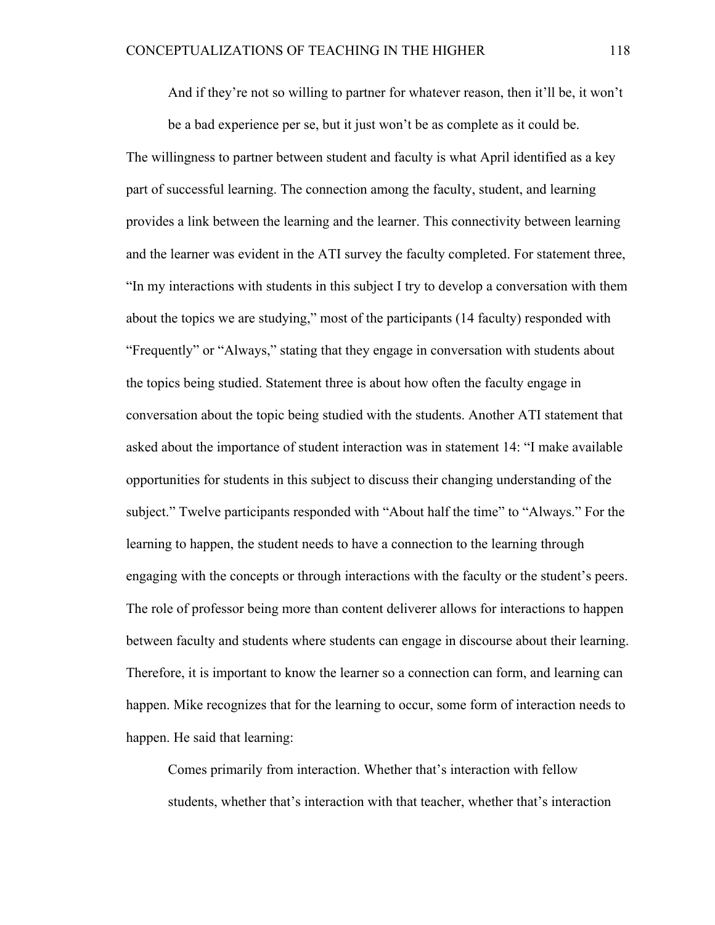And if they're not so willing to partner for whatever reason, then it'll be, it won't

be a bad experience per se, but it just won't be as complete as it could be. The willingness to partner between student and faculty is what April identified as a key part of successful learning. The connection among the faculty, student, and learning provides a link between the learning and the learner. This connectivity between learning and the learner was evident in the ATI survey the faculty completed. For statement three, "In my interactions with students in this subject I try to develop a conversation with them about the topics we are studying," most of the participants (14 faculty) responded with "Frequently" or "Always," stating that they engage in conversation with students about the topics being studied. Statement three is about how often the faculty engage in conversation about the topic being studied with the students. Another ATI statement that asked about the importance of student interaction was in statement 14: "I make available opportunities for students in this subject to discuss their changing understanding of the subject." Twelve participants responded with "About half the time" to "Always." For the learning to happen, the student needs to have a connection to the learning through engaging with the concepts or through interactions with the faculty or the student's peers. The role of professor being more than content deliverer allows for interactions to happen between faculty and students where students can engage in discourse about their learning. Therefore, it is important to know the learner so a connection can form, and learning can happen. Mike recognizes that for the learning to occur, some form of interaction needs to happen. He said that learning:

Comes primarily from interaction. Whether that's interaction with fellow students, whether that's interaction with that teacher, whether that's interaction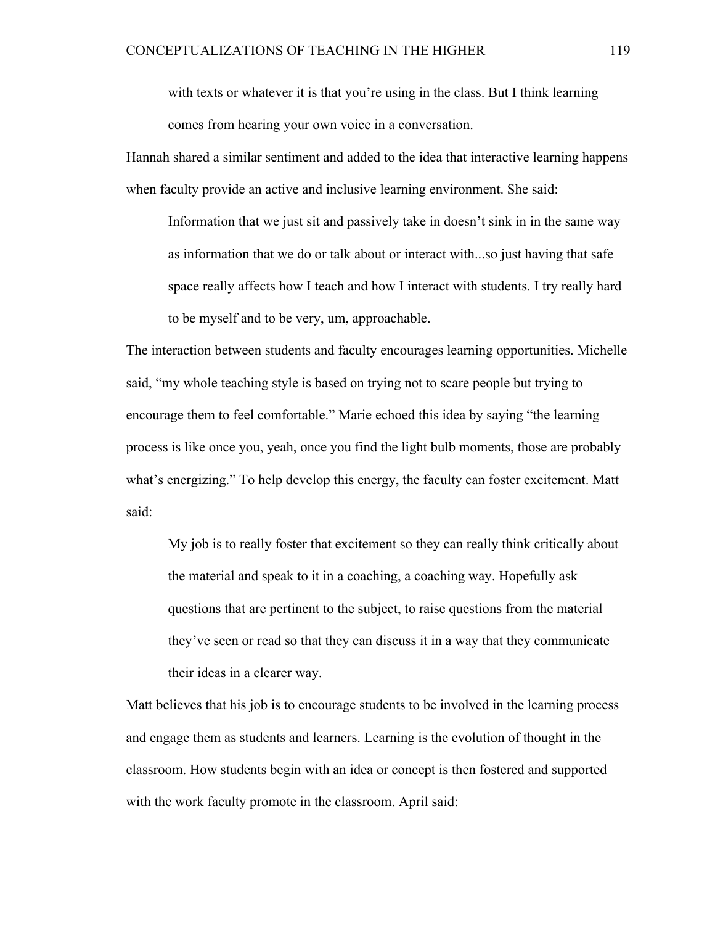with texts or whatever it is that you're using in the class. But I think learning comes from hearing your own voice in a conversation.

Hannah shared a similar sentiment and added to the idea that interactive learning happens when faculty provide an active and inclusive learning environment. She said:

Information that we just sit and passively take in doesn't sink in in the same way as information that we do or talk about or interact with...so just having that safe space really affects how I teach and how I interact with students. I try really hard to be myself and to be very, um, approachable.

The interaction between students and faculty encourages learning opportunities. Michelle said, "my whole teaching style is based on trying not to scare people but trying to encourage them to feel comfortable." Marie echoed this idea by saying "the learning process is like once you, yeah, once you find the light bulb moments, those are probably what's energizing." To help develop this energy, the faculty can foster excitement. Matt said:

My job is to really foster that excitement so they can really think critically about the material and speak to it in a coaching, a coaching way. Hopefully ask questions that are pertinent to the subject, to raise questions from the material they've seen or read so that they can discuss it in a way that they communicate their ideas in a clearer way.

Matt believes that his job is to encourage students to be involved in the learning process and engage them as students and learners. Learning is the evolution of thought in the classroom. How students begin with an idea or concept is then fostered and supported with the work faculty promote in the classroom. April said: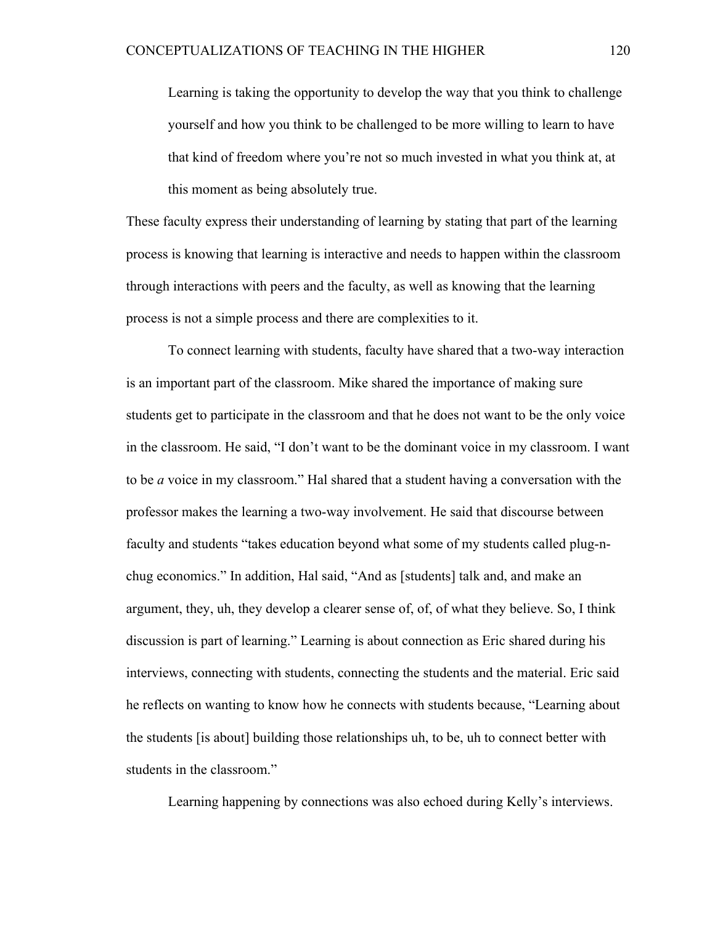Learning is taking the opportunity to develop the way that you think to challenge yourself and how you think to be challenged to be more willing to learn to have that kind of freedom where you're not so much invested in what you think at, at this moment as being absolutely true.

These faculty express their understanding of learning by stating that part of the learning process is knowing that learning is interactive and needs to happen within the classroom through interactions with peers and the faculty, as well as knowing that the learning process is not a simple process and there are complexities to it.

To connect learning with students, faculty have shared that a two-way interaction is an important part of the classroom. Mike shared the importance of making sure students get to participate in the classroom and that he does not want to be the only voice in the classroom. He said, "I don't want to be the dominant voice in my classroom. I want to be *a* voice in my classroom." Hal shared that a student having a conversation with the professor makes the learning a two-way involvement. He said that discourse between faculty and students "takes education beyond what some of my students called plug-nchug economics." In addition, Hal said, "And as [students] talk and, and make an argument, they, uh, they develop a clearer sense of, of, of what they believe. So, I think discussion is part of learning." Learning is about connection as Eric shared during his interviews, connecting with students, connecting the students and the material. Eric said he reflects on wanting to know how he connects with students because, "Learning about the students [is about] building those relationships uh, to be, uh to connect better with students in the classroom."

Learning happening by connections was also echoed during Kelly's interviews.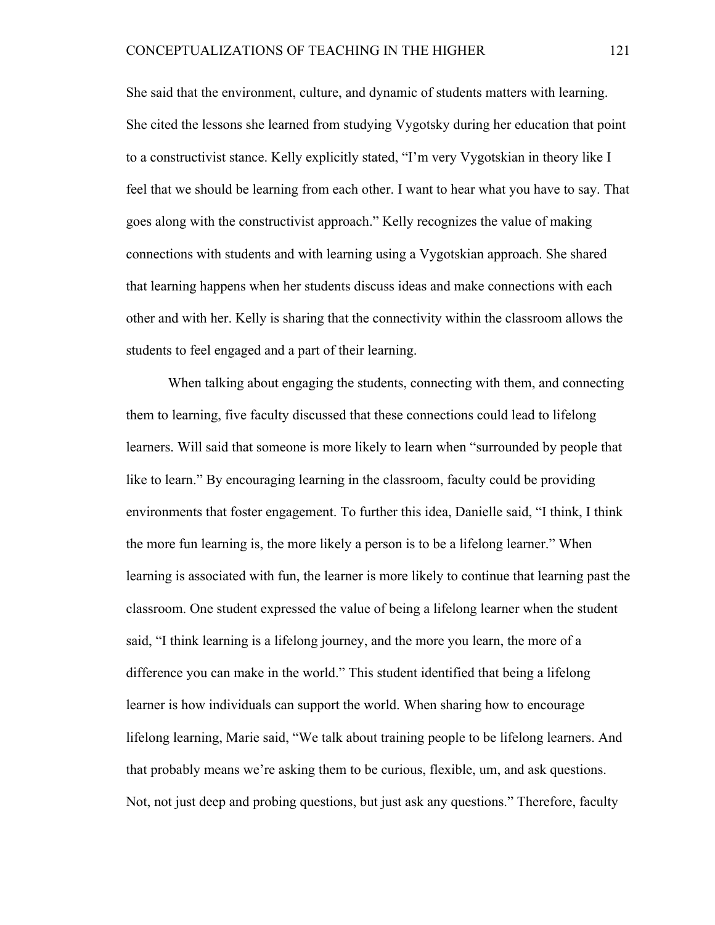She said that the environment, culture, and dynamic of students matters with learning. She cited the lessons she learned from studying Vygotsky during her education that point to a constructivist stance. Kelly explicitly stated, "I'm very Vygotskian in theory like I feel that we should be learning from each other. I want to hear what you have to say. That goes along with the constructivist approach." Kelly recognizes the value of making connections with students and with learning using a Vygotskian approach. She shared that learning happens when her students discuss ideas and make connections with each other and with her. Kelly is sharing that the connectivity within the classroom allows the students to feel engaged and a part of their learning.

When talking about engaging the students, connecting with them, and connecting them to learning, five faculty discussed that these connections could lead to lifelong learners. Will said that someone is more likely to learn when "surrounded by people that like to learn." By encouraging learning in the classroom, faculty could be providing environments that foster engagement. To further this idea, Danielle said, "I think, I think the more fun learning is, the more likely a person is to be a lifelong learner." When learning is associated with fun, the learner is more likely to continue that learning past the classroom. One student expressed the value of being a lifelong learner when the student said, "I think learning is a lifelong journey, and the more you learn, the more of a difference you can make in the world." This student identified that being a lifelong learner is how individuals can support the world. When sharing how to encourage lifelong learning, Marie said, "We talk about training people to be lifelong learners. And that probably means we're asking them to be curious, flexible, um, and ask questions. Not, not just deep and probing questions, but just ask any questions." Therefore, faculty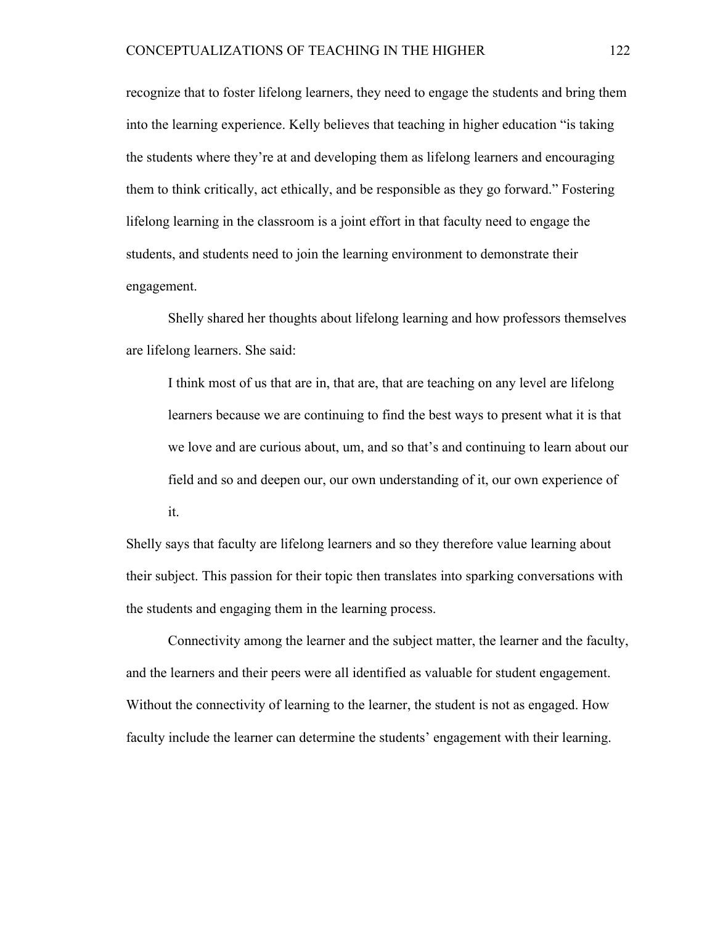recognize that to foster lifelong learners, they need to engage the students and bring them into the learning experience. Kelly believes that teaching in higher education "is taking the students where they're at and developing them as lifelong learners and encouraging them to think critically, act ethically, and be responsible as they go forward." Fostering lifelong learning in the classroom is a joint effort in that faculty need to engage the students, and students need to join the learning environment to demonstrate their engagement.

Shelly shared her thoughts about lifelong learning and how professors themselves are lifelong learners. She said:

I think most of us that are in, that are, that are teaching on any level are lifelong learners because we are continuing to find the best ways to present what it is that we love and are curious about, um, and so that's and continuing to learn about our field and so and deepen our, our own understanding of it, our own experience of it.

Shelly says that faculty are lifelong learners and so they therefore value learning about their subject. This passion for their topic then translates into sparking conversations with the students and engaging them in the learning process.

Connectivity among the learner and the subject matter, the learner and the faculty, and the learners and their peers were all identified as valuable for student engagement. Without the connectivity of learning to the learner, the student is not as engaged. How faculty include the learner can determine the students' engagement with their learning.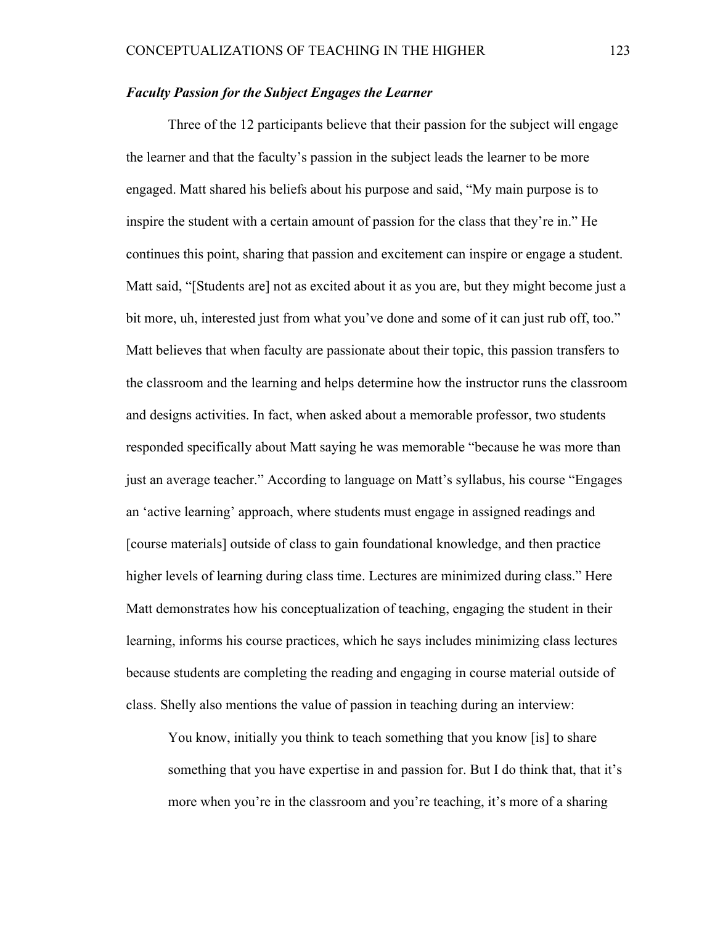# *Faculty Passion for the Subject Engages the Learner*

Three of the 12 participants believe that their passion for the subject will engage the learner and that the faculty's passion in the subject leads the learner to be more engaged. Matt shared his beliefs about his purpose and said, "My main purpose is to inspire the student with a certain amount of passion for the class that they're in." He continues this point, sharing that passion and excitement can inspire or engage a student. Matt said, "[Students are] not as excited about it as you are, but they might become just a bit more, uh, interested just from what you've done and some of it can just rub off, too." Matt believes that when faculty are passionate about their topic, this passion transfers to the classroom and the learning and helps determine how the instructor runs the classroom and designs activities. In fact, when asked about a memorable professor, two students responded specifically about Matt saying he was memorable "because he was more than just an average teacher." According to language on Matt's syllabus, his course "Engages an 'active learning' approach, where students must engage in assigned readings and [course materials] outside of class to gain foundational knowledge, and then practice higher levels of learning during class time. Lectures are minimized during class." Here Matt demonstrates how his conceptualization of teaching, engaging the student in their learning, informs his course practices, which he says includes minimizing class lectures because students are completing the reading and engaging in course material outside of class. Shelly also mentions the value of passion in teaching during an interview:

You know, initially you think to teach something that you know [is] to share something that you have expertise in and passion for. But I do think that, that it's more when you're in the classroom and you're teaching, it's more of a sharing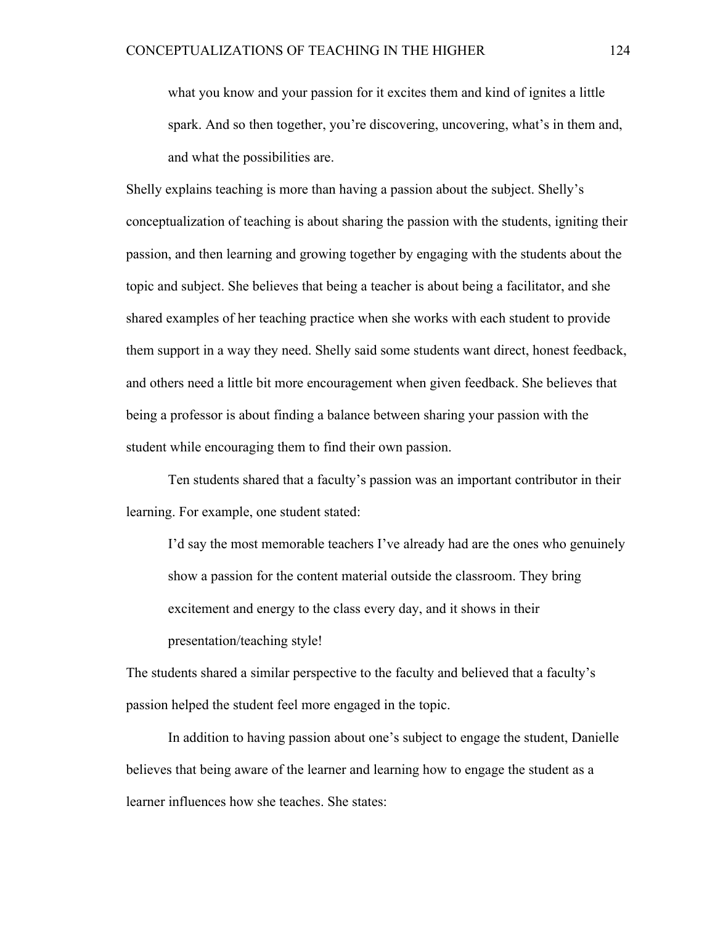what you know and your passion for it excites them and kind of ignites a little spark. And so then together, you're discovering, uncovering, what's in them and, and what the possibilities are.

Shelly explains teaching is more than having a passion about the subject. Shelly's conceptualization of teaching is about sharing the passion with the students, igniting their passion, and then learning and growing together by engaging with the students about the topic and subject. She believes that being a teacher is about being a facilitator, and she shared examples of her teaching practice when she works with each student to provide them support in a way they need. Shelly said some students want direct, honest feedback, and others need a little bit more encouragement when given feedback. She believes that being a professor is about finding a balance between sharing your passion with the student while encouraging them to find their own passion.

Ten students shared that a faculty's passion was an important contributor in their learning. For example, one student stated:

I'd say the most memorable teachers I've already had are the ones who genuinely show a passion for the content material outside the classroom. They bring excitement and energy to the class every day, and it shows in their presentation/teaching style!

The students shared a similar perspective to the faculty and believed that a faculty's passion helped the student feel more engaged in the topic.

In addition to having passion about one's subject to engage the student, Danielle believes that being aware of the learner and learning how to engage the student as a learner influences how she teaches. She states: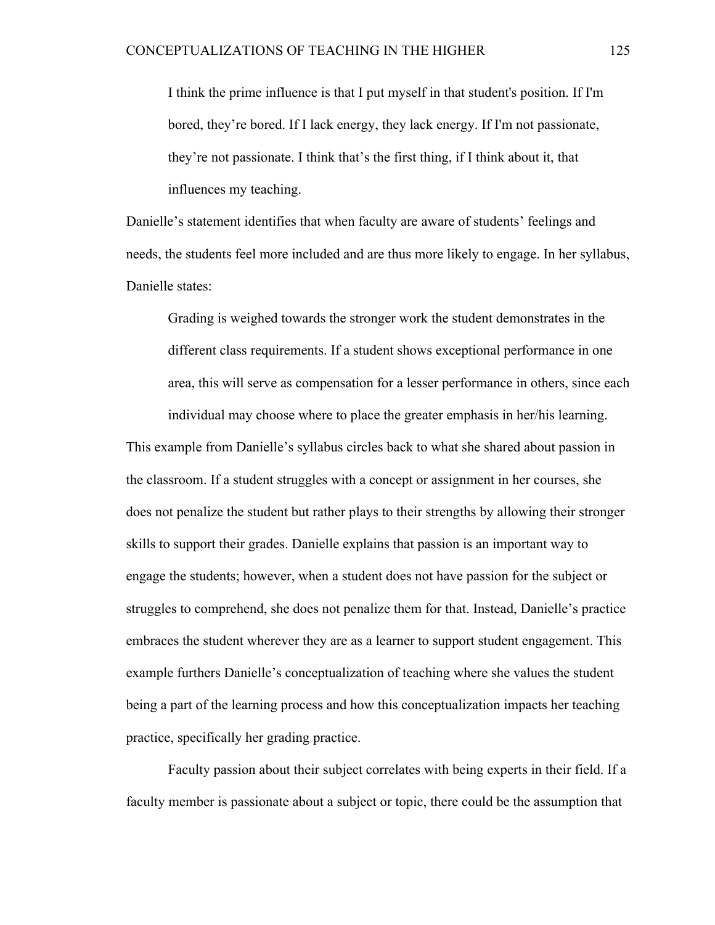I think the prime influence is that I put myself in that student's position. If I'm bored, they're bored. If I lack energy, they lack energy. If I'm not passionate, they're not passionate. I think that's the first thing, if I think about it, that influences my teaching.

Danielle's statement identifies that when faculty are aware of students' feelings and needs, the students feel more included and are thus more likely to engage. In her syllabus, Danielle states:

Grading is weighed towards the stronger work the student demonstrates in the different class requirements. If a student shows exceptional performance in one area, this will serve as compensation for a lesser performance in others, since each individual may choose where to place the greater emphasis in her/his learning.

This example from Danielle's syllabus circles back to what she shared about passion in the classroom. If a student struggles with a concept or assignment in her courses, she does not penalize the student but rather plays to their strengths by allowing their stronger skills to support their grades. Danielle explains that passion is an important way to engage the students; however, when a student does not have passion for the subject or struggles to comprehend, she does not penalize them for that. Instead, Danielle's practice embraces the student wherever they are as a learner to support student engagement. This example furthers Danielle's conceptualization of teaching where she values the student being a part of the learning process and how this conceptualization impacts her teaching practice, specifically her grading practice.

Faculty passion about their subject correlates with being experts in their field. If a faculty member is passionate about a subject or topic, there could be the assumption that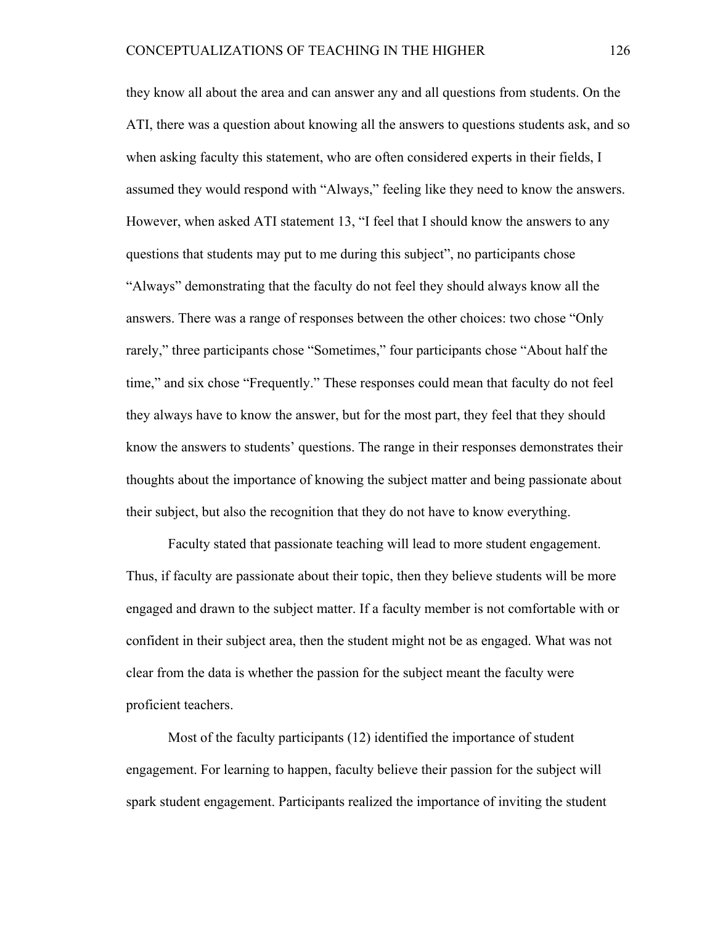they know all about the area and can answer any and all questions from students. On the ATI, there was a question about knowing all the answers to questions students ask, and so when asking faculty this statement, who are often considered experts in their fields, I assumed they would respond with "Always," feeling like they need to know the answers. However, when asked ATI statement 13, "I feel that I should know the answers to any questions that students may put to me during this subject", no participants chose "Always" demonstrating that the faculty do not feel they should always know all the answers. There was a range of responses between the other choices: two chose "Only rarely," three participants chose "Sometimes," four participants chose "About half the time," and six chose "Frequently." These responses could mean that faculty do not feel they always have to know the answer, but for the most part, they feel that they should know the answers to students' questions. The range in their responses demonstrates their thoughts about the importance of knowing the subject matter and being passionate about their subject, but also the recognition that they do not have to know everything.

Faculty stated that passionate teaching will lead to more student engagement. Thus, if faculty are passionate about their topic, then they believe students will be more engaged and drawn to the subject matter. If a faculty member is not comfortable with or confident in their subject area, then the student might not be as engaged. What was not clear from the data is whether the passion for the subject meant the faculty were proficient teachers.

Most of the faculty participants (12) identified the importance of student engagement. For learning to happen, faculty believe their passion for the subject will spark student engagement. Participants realized the importance of inviting the student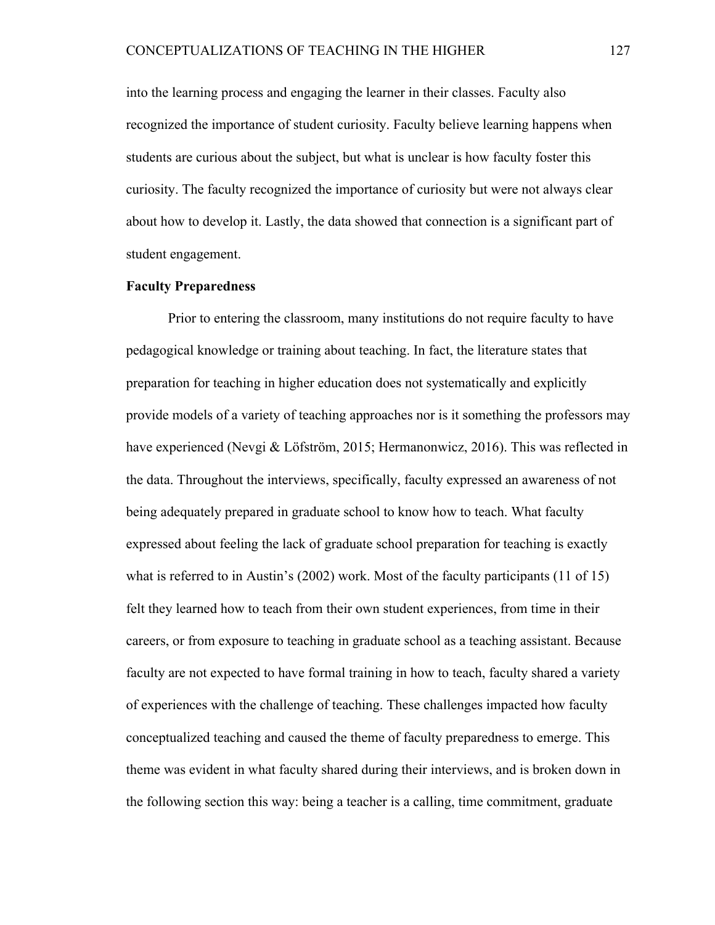into the learning process and engaging the learner in their classes. Faculty also recognized the importance of student curiosity. Faculty believe learning happens when students are curious about the subject, but what is unclear is how faculty foster this curiosity. The faculty recognized the importance of curiosity but were not always clear about how to develop it. Lastly, the data showed that connection is a significant part of student engagement.

### **Faculty Preparedness**

Prior to entering the classroom, many institutions do not require faculty to have pedagogical knowledge or training about teaching. In fact, the literature states that preparation for teaching in higher education does not systematically and explicitly provide models of a variety of teaching approaches nor is it something the professors may have experienced (Nevgi & Löfström, 2015; Hermanonwicz, 2016). This was reflected in the data. Throughout the interviews, specifically, faculty expressed an awareness of not being adequately prepared in graduate school to know how to teach. What faculty expressed about feeling the lack of graduate school preparation for teaching is exactly what is referred to in Austin's (2002) work. Most of the faculty participants (11 of 15) felt they learned how to teach from their own student experiences, from time in their careers, or from exposure to teaching in graduate school as a teaching assistant. Because faculty are not expected to have formal training in how to teach, faculty shared a variety of experiences with the challenge of teaching. These challenges impacted how faculty conceptualized teaching and caused the theme of faculty preparedness to emerge. This theme was evident in what faculty shared during their interviews, and is broken down in the following section this way: being a teacher is a calling, time commitment, graduate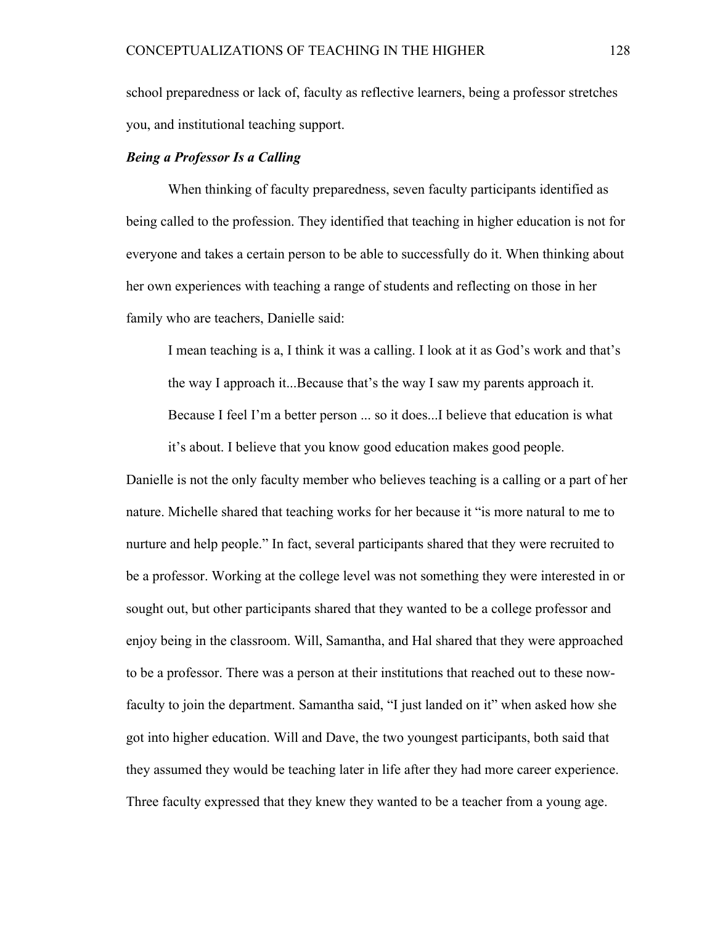school preparedness or lack of, faculty as reflective learners, being a professor stretches you, and institutional teaching support.

# *Being a Professor Is a Calling*

When thinking of faculty preparedness, seven faculty participants identified as being called to the profession. They identified that teaching in higher education is not for everyone and takes a certain person to be able to successfully do it. When thinking about her own experiences with teaching a range of students and reflecting on those in her family who are teachers, Danielle said:

I mean teaching is a, I think it was a calling. I look at it as God's work and that's the way I approach it...Because that's the way I saw my parents approach it. Because I feel I'm a better person ... so it does...I believe that education is what it's about. I believe that you know good education makes good people.

Danielle is not the only faculty member who believes teaching is a calling or a part of her nature. Michelle shared that teaching works for her because it "is more natural to me to nurture and help people." In fact, several participants shared that they were recruited to be a professor. Working at the college level was not something they were interested in or sought out, but other participants shared that they wanted to be a college professor and enjoy being in the classroom. Will, Samantha, and Hal shared that they were approached to be a professor. There was a person at their institutions that reached out to these nowfaculty to join the department. Samantha said, "I just landed on it" when asked how she got into higher education. Will and Dave, the two youngest participants, both said that they assumed they would be teaching later in life after they had more career experience. Three faculty expressed that they knew they wanted to be a teacher from a young age.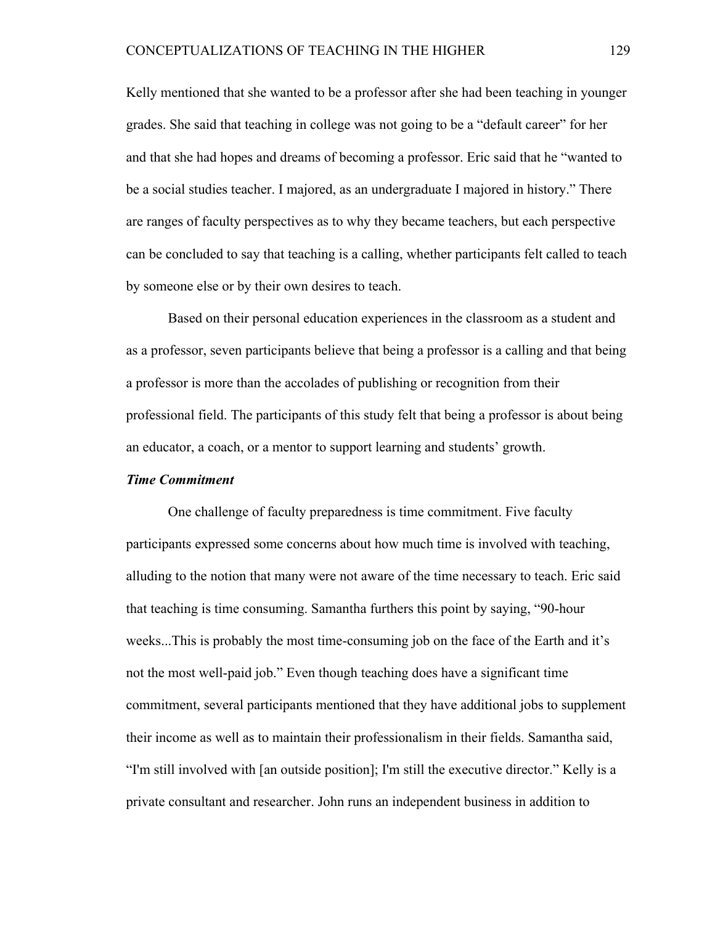Kelly mentioned that she wanted to be a professor after she had been teaching in younger grades. She said that teaching in college was not going to be a "default career" for her and that she had hopes and dreams of becoming a professor. Eric said that he "wanted to be a social studies teacher. I majored, as an undergraduate I majored in history." There are ranges of faculty perspectives as to why they became teachers, but each perspective can be concluded to say that teaching is a calling, whether participants felt called to teach by someone else or by their own desires to teach.

Based on their personal education experiences in the classroom as a student and as a professor, seven participants believe that being a professor is a calling and that being a professor is more than the accolades of publishing or recognition from their professional field. The participants of this study felt that being a professor is about being an educator, a coach, or a mentor to support learning and students' growth.

# *Time Commitment*

One challenge of faculty preparedness is time commitment. Five faculty participants expressed some concerns about how much time is involved with teaching, alluding to the notion that many were not aware of the time necessary to teach. Eric said that teaching is time consuming. Samantha furthers this point by saying, "90-hour weeks...This is probably the most time-consuming job on the face of the Earth and it's not the most well-paid job." Even though teaching does have a significant time commitment, several participants mentioned that they have additional jobs to supplement their income as well as to maintain their professionalism in their fields. Samantha said, "I'm still involved with [an outside position]; I'm still the executive director." Kelly is a private consultant and researcher. John runs an independent business in addition to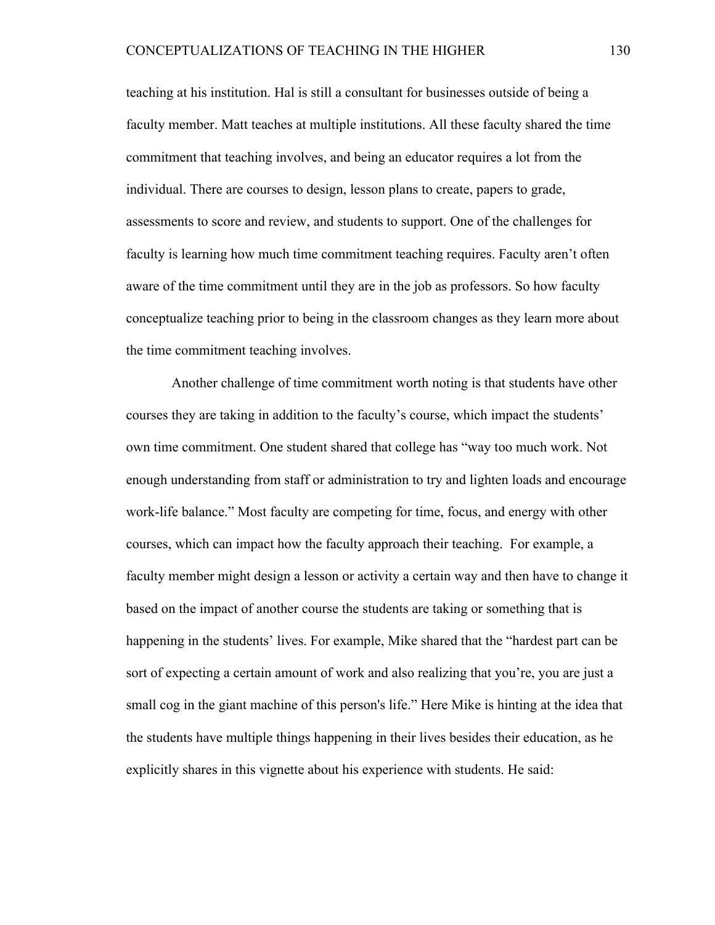teaching at his institution. Hal is still a consultant for businesses outside of being a faculty member. Matt teaches at multiple institutions. All these faculty shared the time commitment that teaching involves, and being an educator requires a lot from the individual. There are courses to design, lesson plans to create, papers to grade, assessments to score and review, and students to support. One of the challenges for faculty is learning how much time commitment teaching requires. Faculty aren't often aware of the time commitment until they are in the job as professors. So how faculty conceptualize teaching prior to being in the classroom changes as they learn more about the time commitment teaching involves.

Another challenge of time commitment worth noting is that students have other courses they are taking in addition to the faculty's course, which impact the students' own time commitment. One student shared that college has "way too much work. Not enough understanding from staff or administration to try and lighten loads and encourage work-life balance." Most faculty are competing for time, focus, and energy with other courses, which can impact how the faculty approach their teaching. For example, a faculty member might design a lesson or activity a certain way and then have to change it based on the impact of another course the students are taking or something that is happening in the students' lives. For example, Mike shared that the "hardest part can be sort of expecting a certain amount of work and also realizing that you're, you are just a small cog in the giant machine of this person's life." Here Mike is hinting at the idea that the students have multiple things happening in their lives besides their education, as he explicitly shares in this vignette about his experience with students. He said: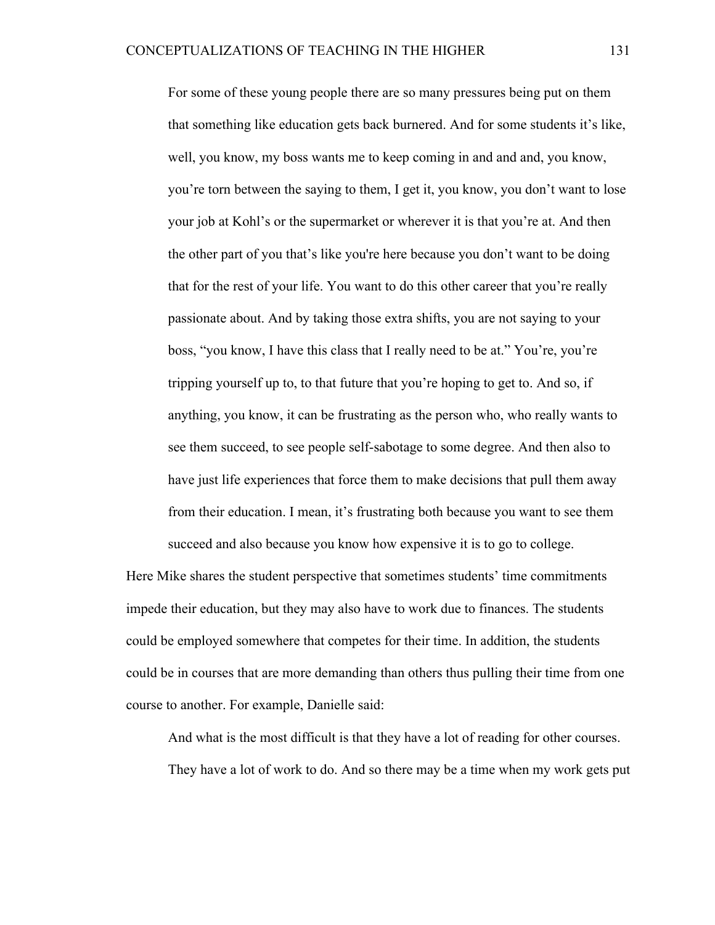For some of these young people there are so many pressures being put on them that something like education gets back burnered. And for some students it's like, well, you know, my boss wants me to keep coming in and and and, you know, you're torn between the saying to them, I get it, you know, you don't want to lose your job at Kohl's or the supermarket or wherever it is that you're at. And then the other part of you that's like you're here because you don't want to be doing that for the rest of your life. You want to do this other career that you're really passionate about. And by taking those extra shifts, you are not saying to your boss, "you know, I have this class that I really need to be at." You're, you're tripping yourself up to, to that future that you're hoping to get to. And so, if anything, you know, it can be frustrating as the person who, who really wants to see them succeed, to see people self-sabotage to some degree. And then also to have just life experiences that force them to make decisions that pull them away from their education. I mean, it's frustrating both because you want to see them succeed and also because you know how expensive it is to go to college.

Here Mike shares the student perspective that sometimes students' time commitments impede their education, but they may also have to work due to finances. The students could be employed somewhere that competes for their time. In addition, the students could be in courses that are more demanding than others thus pulling their time from one course to another. For example, Danielle said:

And what is the most difficult is that they have a lot of reading for other courses.

They have a lot of work to do. And so there may be a time when my work gets put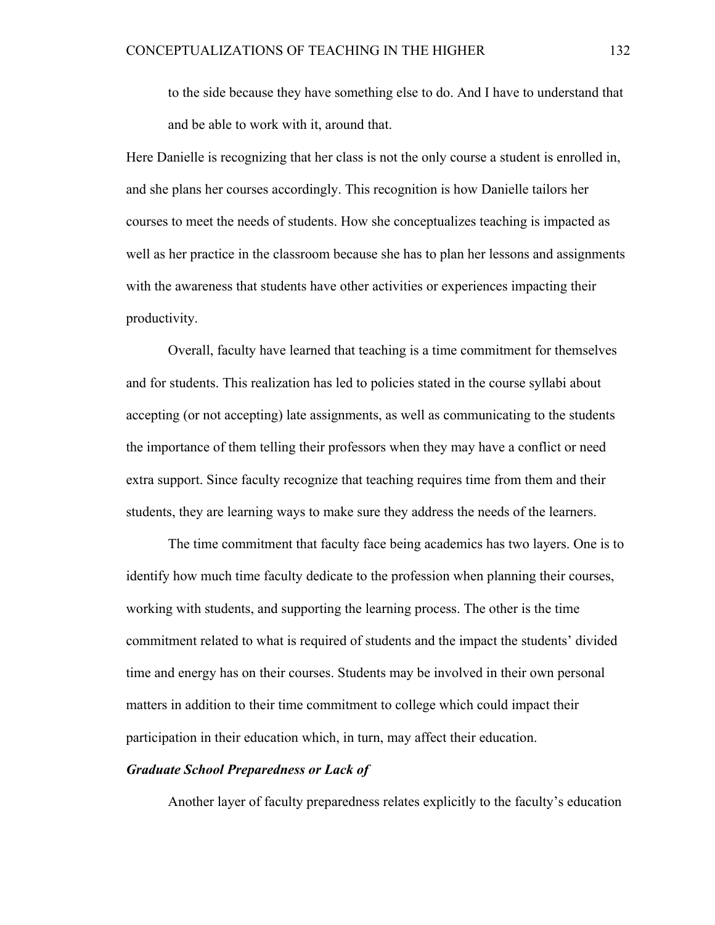to the side because they have something else to do. And I have to understand that and be able to work with it, around that.

Here Danielle is recognizing that her class is not the only course a student is enrolled in, and she plans her courses accordingly. This recognition is how Danielle tailors her courses to meet the needs of students. How she conceptualizes teaching is impacted as well as her practice in the classroom because she has to plan her lessons and assignments with the awareness that students have other activities or experiences impacting their productivity.

Overall, faculty have learned that teaching is a time commitment for themselves and for students. This realization has led to policies stated in the course syllabi about accepting (or not accepting) late assignments, as well as communicating to the students the importance of them telling their professors when they may have a conflict or need extra support. Since faculty recognize that teaching requires time from them and their students, they are learning ways to make sure they address the needs of the learners.

The time commitment that faculty face being academics has two layers. One is to identify how much time faculty dedicate to the profession when planning their courses, working with students, and supporting the learning process. The other is the time commitment related to what is required of students and the impact the students' divided time and energy has on their courses. Students may be involved in their own personal matters in addition to their time commitment to college which could impact their participation in their education which, in turn, may affect their education.

# *Graduate School Preparedness or Lack of*

Another layer of faculty preparedness relates explicitly to the faculty's education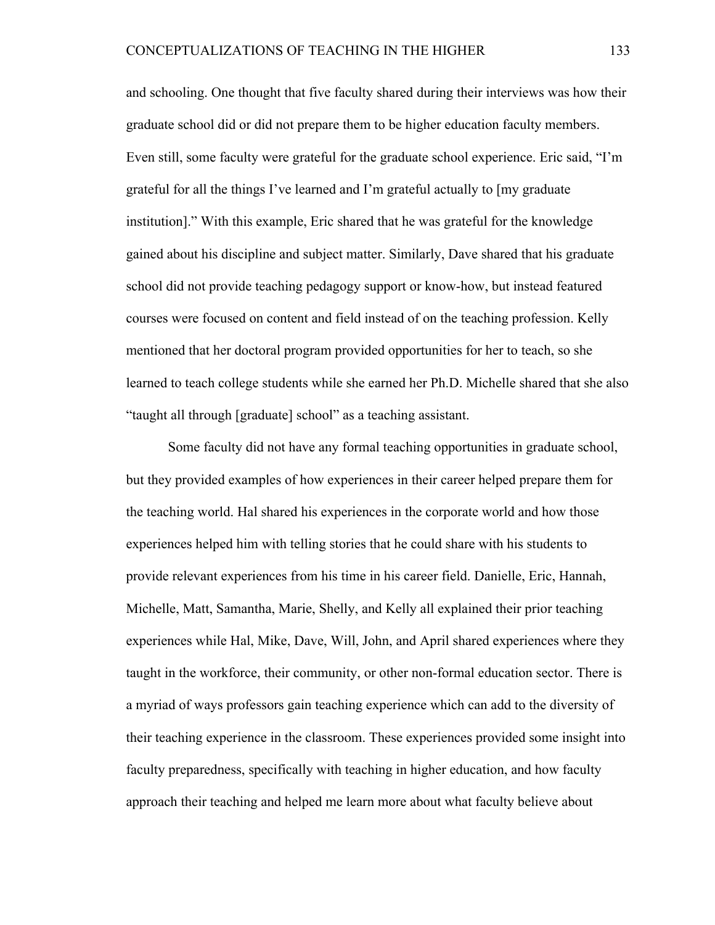and schooling. One thought that five faculty shared during their interviews was how their graduate school did or did not prepare them to be higher education faculty members. Even still, some faculty were grateful for the graduate school experience. Eric said, "I'm grateful for all the things I've learned and I'm grateful actually to [my graduate institution]." With this example, Eric shared that he was grateful for the knowledge gained about his discipline and subject matter. Similarly, Dave shared that his graduate school did not provide teaching pedagogy support or know-how, but instead featured courses were focused on content and field instead of on the teaching profession. Kelly mentioned that her doctoral program provided opportunities for her to teach, so she learned to teach college students while she earned her Ph.D. Michelle shared that she also "taught all through [graduate] school" as a teaching assistant.

Some faculty did not have any formal teaching opportunities in graduate school, but they provided examples of how experiences in their career helped prepare them for the teaching world. Hal shared his experiences in the corporate world and how those experiences helped him with telling stories that he could share with his students to provide relevant experiences from his time in his career field. Danielle, Eric, Hannah, Michelle, Matt, Samantha, Marie, Shelly, and Kelly all explained their prior teaching experiences while Hal, Mike, Dave, Will, John, and April shared experiences where they taught in the workforce, their community, or other non-formal education sector. There is a myriad of ways professors gain teaching experience which can add to the diversity of their teaching experience in the classroom. These experiences provided some insight into faculty preparedness, specifically with teaching in higher education, and how faculty approach their teaching and helped me learn more about what faculty believe about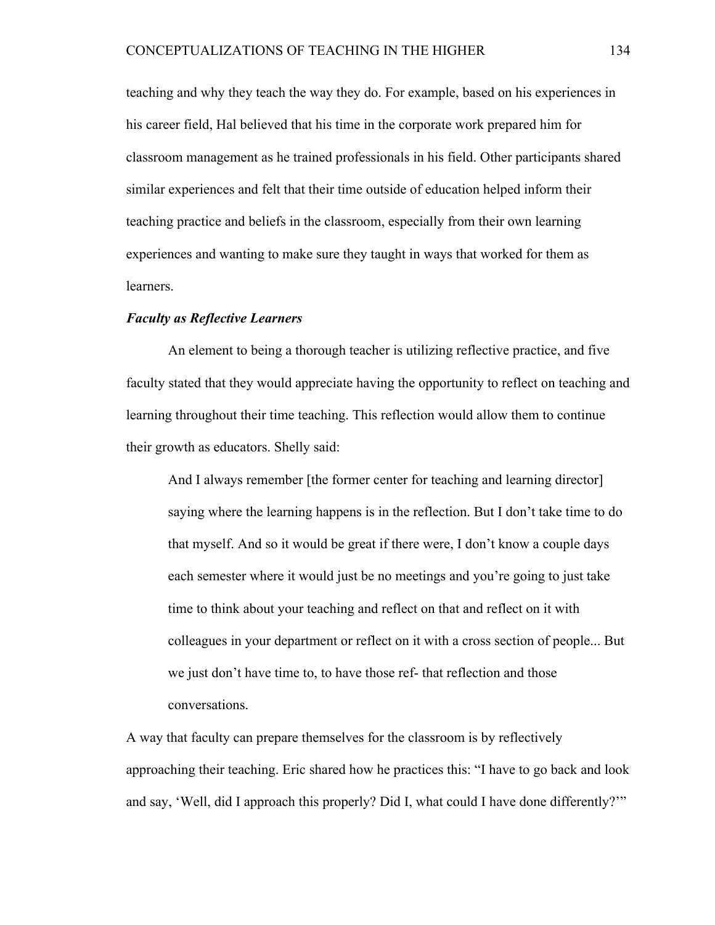teaching and why they teach the way they do. For example, based on his experiences in his career field, Hal believed that his time in the corporate work prepared him for classroom management as he trained professionals in his field. Other participants shared similar experiences and felt that their time outside of education helped inform their teaching practice and beliefs in the classroom, especially from their own learning experiences and wanting to make sure they taught in ways that worked for them as learners.

# *Faculty as Reflective Learners*

An element to being a thorough teacher is utilizing reflective practice, and five faculty stated that they would appreciate having the opportunity to reflect on teaching and learning throughout their time teaching. This reflection would allow them to continue their growth as educators. Shelly said:

And I always remember [the former center for teaching and learning director] saying where the learning happens is in the reflection. But I don't take time to do that myself. And so it would be great if there were, I don't know a couple days each semester where it would just be no meetings and you're going to just take time to think about your teaching and reflect on that and reflect on it with colleagues in your department or reflect on it with a cross section of people... But we just don't have time to, to have those ref- that reflection and those conversations.

A way that faculty can prepare themselves for the classroom is by reflectively approaching their teaching. Eric shared how he practices this: "I have to go back and look and say, 'Well, did I approach this properly? Did I, what could I have done differently?'"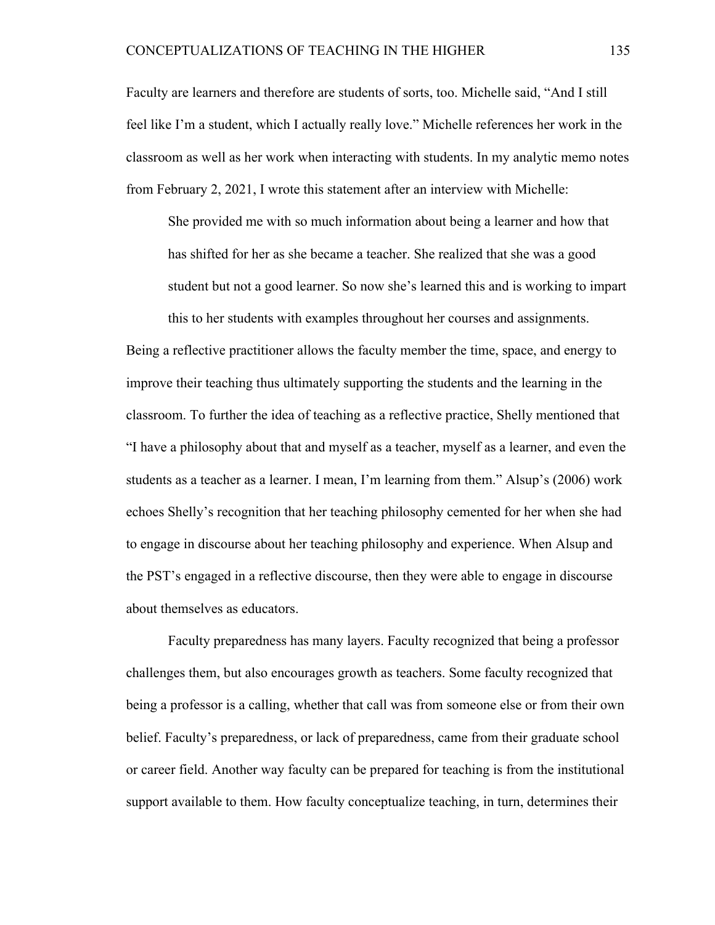Faculty are learners and therefore are students of sorts, too. Michelle said, "And I still feel like I'm a student, which I actually really love." Michelle references her work in the classroom as well as her work when interacting with students. In my analytic memo notes from February 2, 2021, I wrote this statement after an interview with Michelle:

She provided me with so much information about being a learner and how that has shifted for her as she became a teacher. She realized that she was a good student but not a good learner. So now she's learned this and is working to impart this to her students with examples throughout her courses and assignments.

Being a reflective practitioner allows the faculty member the time, space, and energy to improve their teaching thus ultimately supporting the students and the learning in the classroom. To further the idea of teaching as a reflective practice, Shelly mentioned that "I have a philosophy about that and myself as a teacher, myself as a learner, and even the students as a teacher as a learner. I mean, I'm learning from them." Alsup's (2006) work echoes Shelly's recognition that her teaching philosophy cemented for her when she had to engage in discourse about her teaching philosophy and experience. When Alsup and the PST's engaged in a reflective discourse, then they were able to engage in discourse about themselves as educators.

Faculty preparedness has many layers. Faculty recognized that being a professor challenges them, but also encourages growth as teachers. Some faculty recognized that being a professor is a calling, whether that call was from someone else or from their own belief. Faculty's preparedness, or lack of preparedness, came from their graduate school or career field. Another way faculty can be prepared for teaching is from the institutional support available to them. How faculty conceptualize teaching, in turn, determines their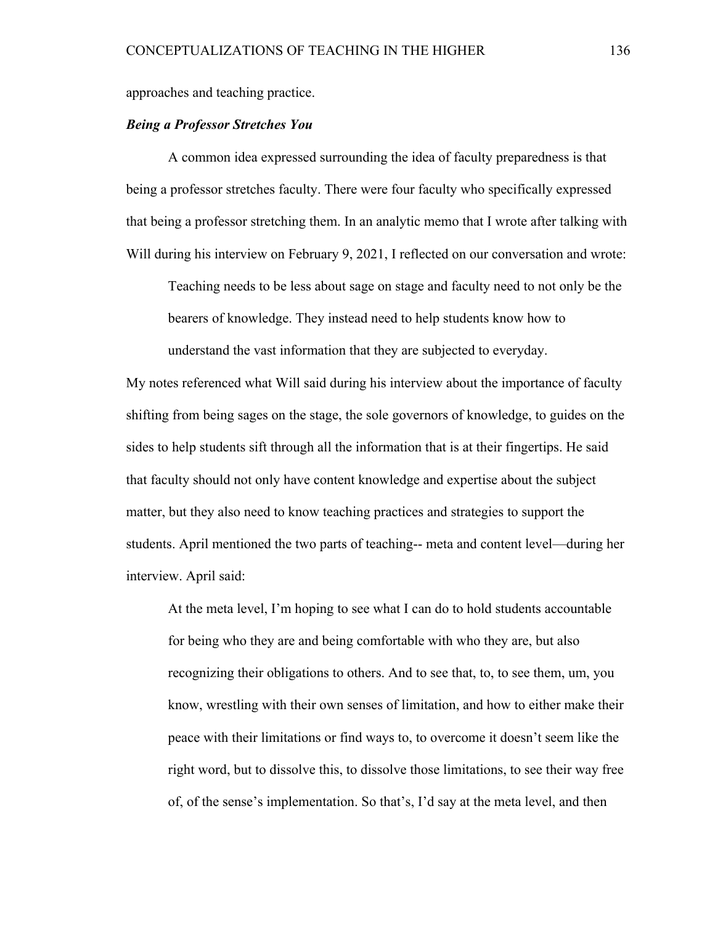approaches and teaching practice.

# *Being a Professor Stretches You*

A common idea expressed surrounding the idea of faculty preparedness is that being a professor stretches faculty. There were four faculty who specifically expressed that being a professor stretching them. In an analytic memo that I wrote after talking with Will during his interview on February 9, 2021, I reflected on our conversation and wrote:

Teaching needs to be less about sage on stage and faculty need to not only be the bearers of knowledge. They instead need to help students know how to understand the vast information that they are subjected to everyday.

My notes referenced what Will said during his interview about the importance of faculty shifting from being sages on the stage, the sole governors of knowledge, to guides on the sides to help students sift through all the information that is at their fingertips. He said that faculty should not only have content knowledge and expertise about the subject matter, but they also need to know teaching practices and strategies to support the students. April mentioned the two parts of teaching-- meta and content level—during her interview. April said:

At the meta level, I'm hoping to see what I can do to hold students accountable for being who they are and being comfortable with who they are, but also recognizing their obligations to others. And to see that, to, to see them, um, you know, wrestling with their own senses of limitation, and how to either make their peace with their limitations or find ways to, to overcome it doesn't seem like the right word, but to dissolve this, to dissolve those limitations, to see their way free of, of the sense's implementation. So that's, I'd say at the meta level, and then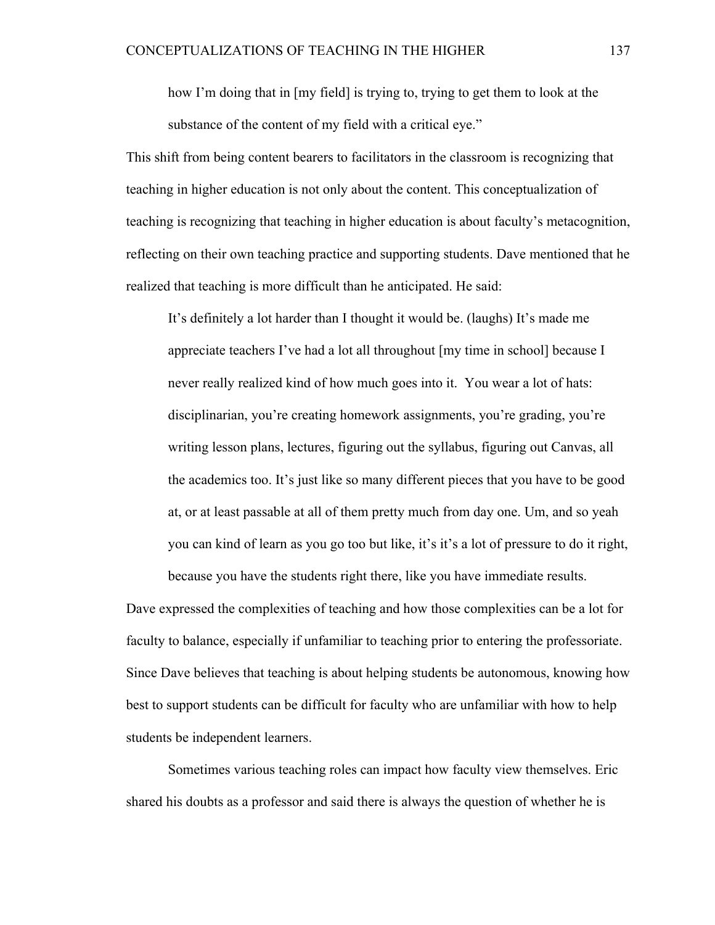how I'm doing that in [my field] is trying to, trying to get them to look at the substance of the content of my field with a critical eye."

This shift from being content bearers to facilitators in the classroom is recognizing that teaching in higher education is not only about the content. This conceptualization of teaching is recognizing that teaching in higher education is about faculty's metacognition, reflecting on their own teaching practice and supporting students. Dave mentioned that he realized that teaching is more difficult than he anticipated. He said:

It's definitely a lot harder than I thought it would be. (laughs) It's made me appreciate teachers I've had a lot all throughout [my time in school] because I never really realized kind of how much goes into it. You wear a lot of hats: disciplinarian, you're creating homework assignments, you're grading, you're writing lesson plans, lectures, figuring out the syllabus, figuring out Canvas, all the academics too. It's just like so many different pieces that you have to be good at, or at least passable at all of them pretty much from day one. Um, and so yeah you can kind of learn as you go too but like, it's it's a lot of pressure to do it right, because you have the students right there, like you have immediate results.

Dave expressed the complexities of teaching and how those complexities can be a lot for faculty to balance, especially if unfamiliar to teaching prior to entering the professoriate. Since Dave believes that teaching is about helping students be autonomous, knowing how best to support students can be difficult for faculty who are unfamiliar with how to help students be independent learners.

Sometimes various teaching roles can impact how faculty view themselves. Eric shared his doubts as a professor and said there is always the question of whether he is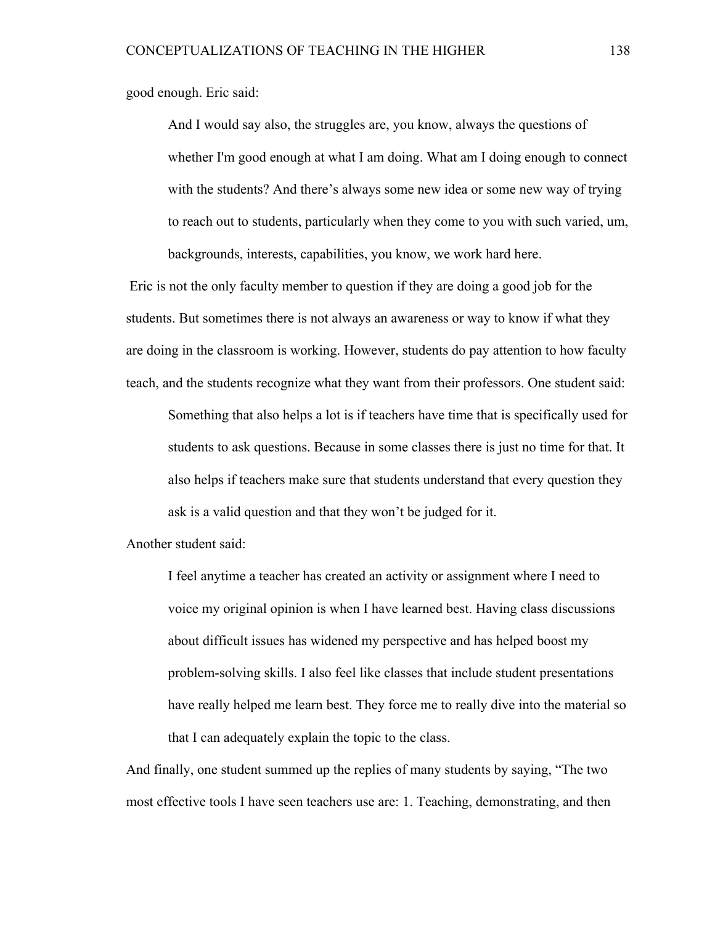good enough. Eric said:

And I would say also, the struggles are, you know, always the questions of whether I'm good enough at what I am doing. What am I doing enough to connect with the students? And there's always some new idea or some new way of trying to reach out to students, particularly when they come to you with such varied, um, backgrounds, interests, capabilities, you know, we work hard here.

Eric is not the only faculty member to question if they are doing a good job for the students. But sometimes there is not always an awareness or way to know if what they are doing in the classroom is working. However, students do pay attention to how faculty teach, and the students recognize what they want from their professors. One student said:

Something that also helps a lot is if teachers have time that is specifically used for students to ask questions. Because in some classes there is just no time for that. It also helps if teachers make sure that students understand that every question they ask is a valid question and that they won't be judged for it.

Another student said:

I feel anytime a teacher has created an activity or assignment where I need to voice my original opinion is when I have learned best. Having class discussions about difficult issues has widened my perspective and has helped boost my problem-solving skills. I also feel like classes that include student presentations have really helped me learn best. They force me to really dive into the material so that I can adequately explain the topic to the class.

And finally, one student summed up the replies of many students by saying, "The two most effective tools I have seen teachers use are: 1. Teaching, demonstrating, and then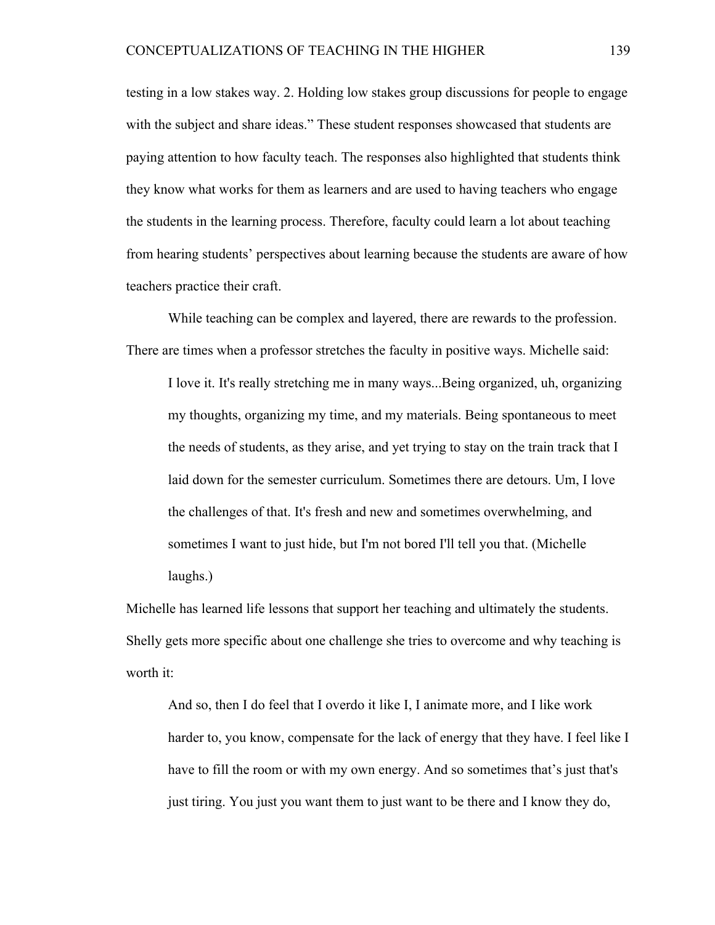testing in a low stakes way. 2. Holding low stakes group discussions for people to engage with the subject and share ideas." These student responses showcased that students are paying attention to how faculty teach. The responses also highlighted that students think they know what works for them as learners and are used to having teachers who engage the students in the learning process. Therefore, faculty could learn a lot about teaching from hearing students' perspectives about learning because the students are aware of how teachers practice their craft.

While teaching can be complex and layered, there are rewards to the profession. There are times when a professor stretches the faculty in positive ways. Michelle said:

I love it. It's really stretching me in many ways...Being organized, uh, organizing my thoughts, organizing my time, and my materials. Being spontaneous to meet the needs of students, as they arise, and yet trying to stay on the train track that I laid down for the semester curriculum. Sometimes there are detours. Um, I love the challenges of that. It's fresh and new and sometimes overwhelming, and sometimes I want to just hide, but I'm not bored I'll tell you that. (Michelle laughs.)

Michelle has learned life lessons that support her teaching and ultimately the students. Shelly gets more specific about one challenge she tries to overcome and why teaching is worth it:

And so, then I do feel that I overdo it like I, I animate more, and I like work harder to, you know, compensate for the lack of energy that they have. I feel like I have to fill the room or with my own energy. And so sometimes that's just that's just tiring. You just you want them to just want to be there and I know they do,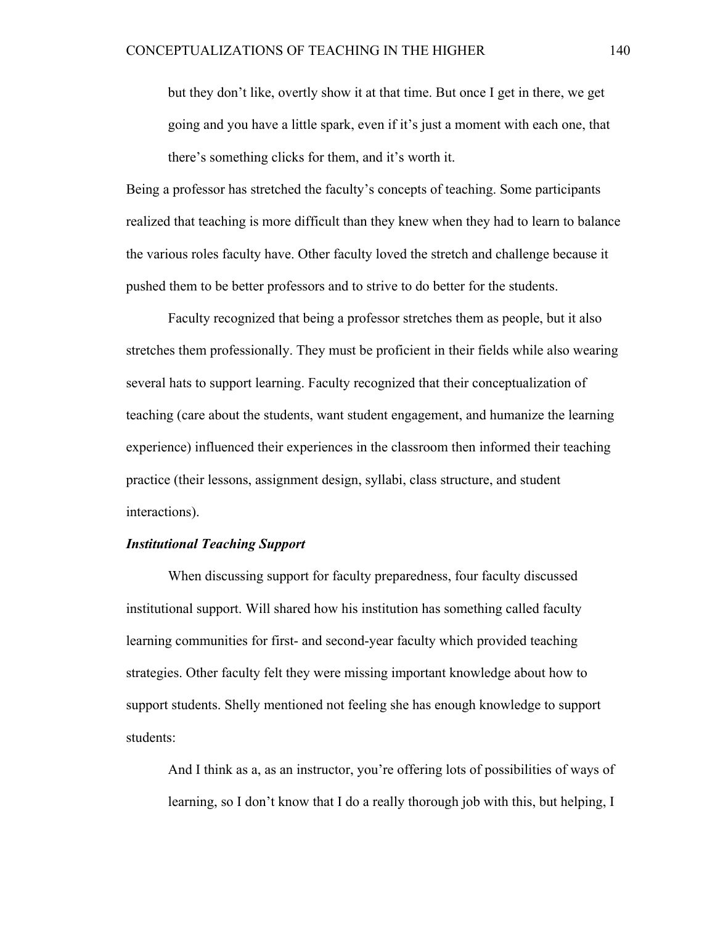but they don't like, overtly show it at that time. But once I get in there, we get going and you have a little spark, even if it's just a moment with each one, that there's something clicks for them, and it's worth it.

Being a professor has stretched the faculty's concepts of teaching. Some participants realized that teaching is more difficult than they knew when they had to learn to balance the various roles faculty have. Other faculty loved the stretch and challenge because it pushed them to be better professors and to strive to do better for the students.

Faculty recognized that being a professor stretches them as people, but it also stretches them professionally. They must be proficient in their fields while also wearing several hats to support learning. Faculty recognized that their conceptualization of teaching (care about the students, want student engagement, and humanize the learning experience) influenced their experiences in the classroom then informed their teaching practice (their lessons, assignment design, syllabi, class structure, and student interactions).

### *Institutional Teaching Support*

When discussing support for faculty preparedness, four faculty discussed institutional support. Will shared how his institution has something called faculty learning communities for first- and second-year faculty which provided teaching strategies. Other faculty felt they were missing important knowledge about how to support students. Shelly mentioned not feeling she has enough knowledge to support students:

And I think as a, as an instructor, you're offering lots of possibilities of ways of learning, so I don't know that I do a really thorough job with this, but helping, I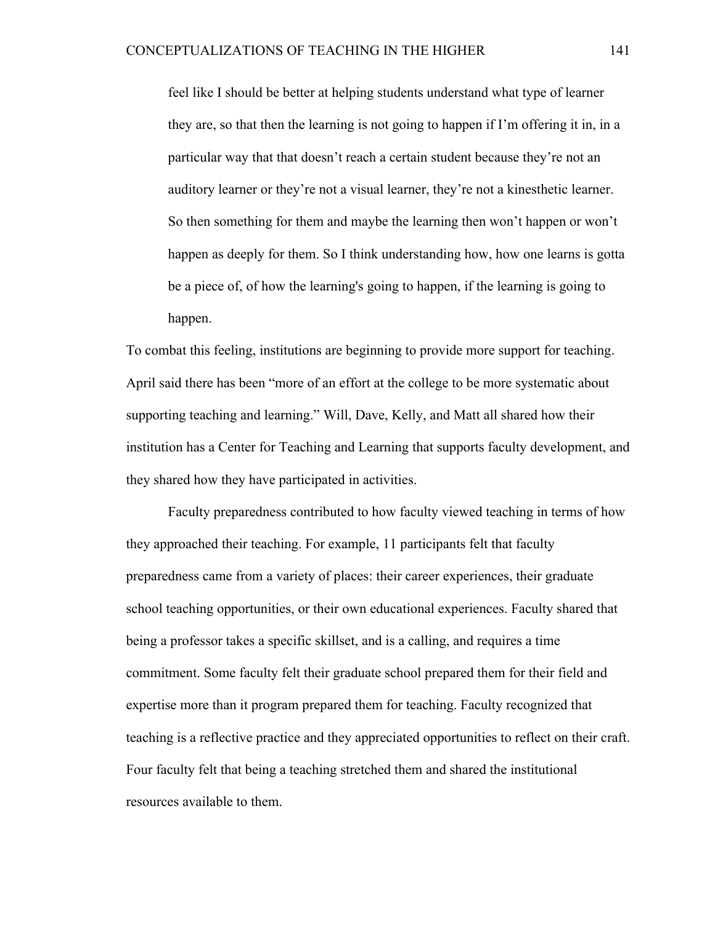feel like I should be better at helping students understand what type of learner they are, so that then the learning is not going to happen if I'm offering it in, in a particular way that that doesn't reach a certain student because they're not an auditory learner or they're not a visual learner, they're not a kinesthetic learner. So then something for them and maybe the learning then won't happen or won't happen as deeply for them. So I think understanding how, how one learns is gotta be a piece of, of how the learning's going to happen, if the learning is going to happen.

To combat this feeling, institutions are beginning to provide more support for teaching. April said there has been "more of an effort at the college to be more systematic about supporting teaching and learning." Will, Dave, Kelly, and Matt all shared how their institution has a Center for Teaching and Learning that supports faculty development, and they shared how they have participated in activities.

Faculty preparedness contributed to how faculty viewed teaching in terms of how they approached their teaching. For example, 11 participants felt that faculty preparedness came from a variety of places: their career experiences, their graduate school teaching opportunities, or their own educational experiences. Faculty shared that being a professor takes a specific skillset, and is a calling, and requires a time commitment. Some faculty felt their graduate school prepared them for their field and expertise more than it program prepared them for teaching. Faculty recognized that teaching is a reflective practice and they appreciated opportunities to reflect on their craft. Four faculty felt that being a teaching stretched them and shared the institutional resources available to them.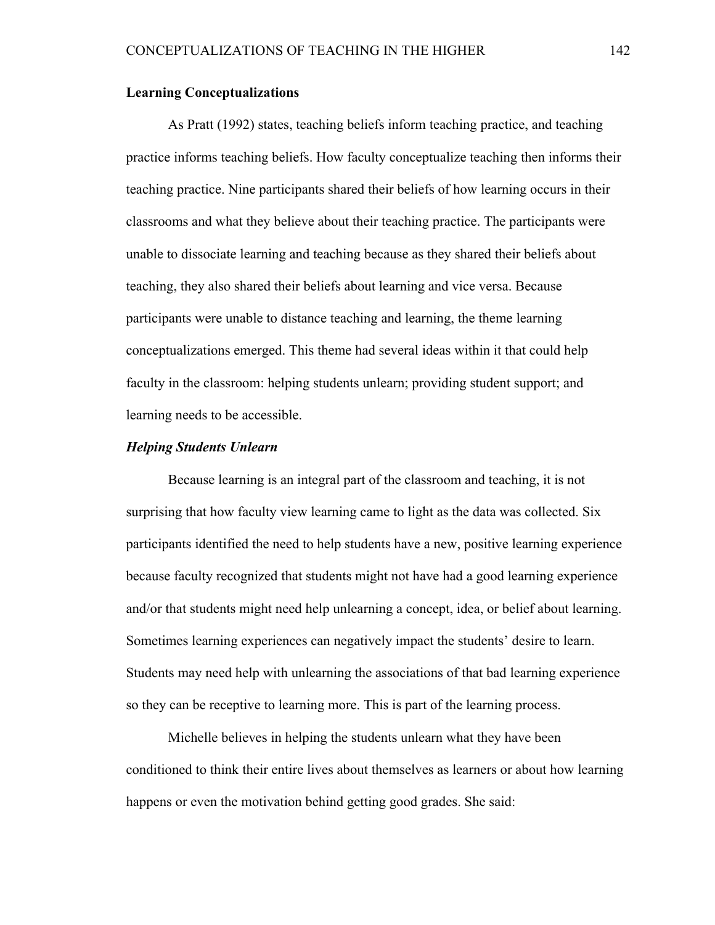### **Learning Conceptualizations**

As Pratt (1992) states, teaching beliefs inform teaching practice, and teaching practice informs teaching beliefs. How faculty conceptualize teaching then informs their teaching practice. Nine participants shared their beliefs of how learning occurs in their classrooms and what they believe about their teaching practice. The participants were unable to dissociate learning and teaching because as they shared their beliefs about teaching, they also shared their beliefs about learning and vice versa. Because participants were unable to distance teaching and learning, the theme learning conceptualizations emerged. This theme had several ideas within it that could help faculty in the classroom: helping students unlearn; providing student support; and learning needs to be accessible.

# *Helping Students Unlearn*

Because learning is an integral part of the classroom and teaching, it is not surprising that how faculty view learning came to light as the data was collected. Six participants identified the need to help students have a new, positive learning experience because faculty recognized that students might not have had a good learning experience and/or that students might need help unlearning a concept, idea, or belief about learning. Sometimes learning experiences can negatively impact the students' desire to learn. Students may need help with unlearning the associations of that bad learning experience so they can be receptive to learning more. This is part of the learning process.

Michelle believes in helping the students unlearn what they have been conditioned to think their entire lives about themselves as learners or about how learning happens or even the motivation behind getting good grades. She said: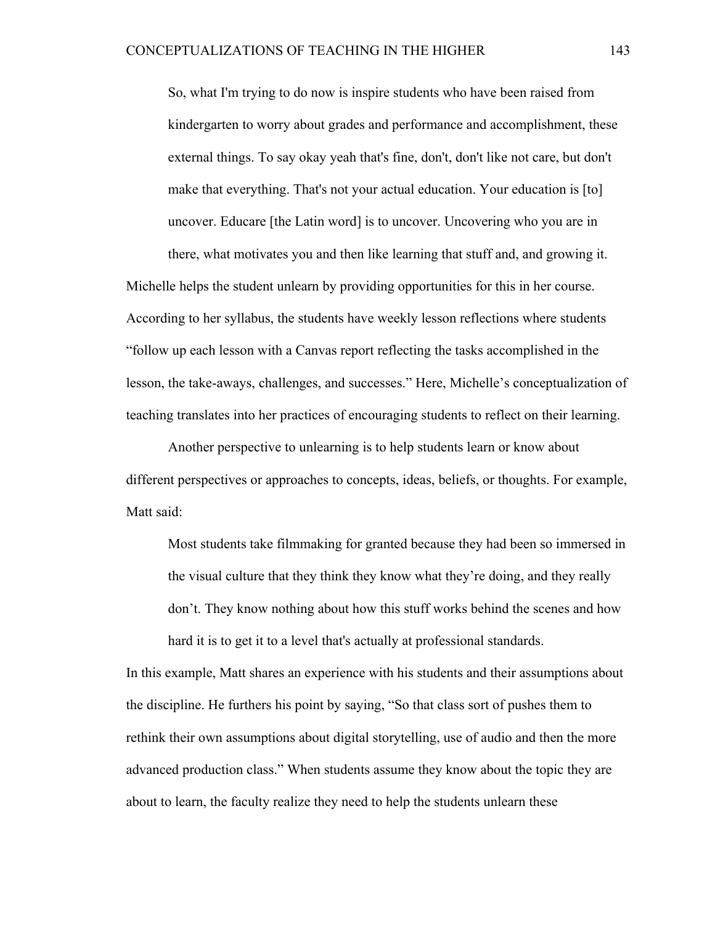So, what I'm trying to do now is inspire students who have been raised from kindergarten to worry about grades and performance and accomplishment, these external things. To say okay yeah that's fine, don't, don't like not care, but don't make that everything. That's not your actual education. Your education is [to] uncover. Educare [the Latin word] is to uncover. Uncovering who you are in there, what motivates you and then like learning that stuff and, and growing it.

Michelle helps the student unlearn by providing opportunities for this in her course. According to her syllabus, the students have weekly lesson reflections where students "follow up each lesson with a Canvas report reflecting the tasks accomplished in the lesson, the take-aways, challenges, and successes." Here, Michelle's conceptualization of teaching translates into her practices of encouraging students to reflect on their learning.

Another perspective to unlearning is to help students learn or know about different perspectives or approaches to concepts, ideas, beliefs, or thoughts. For example, Matt said:

Most students take filmmaking for granted because they had been so immersed in the visual culture that they think they know what they're doing, and they really don't. They know nothing about how this stuff works behind the scenes and how hard it is to get it to a level that's actually at professional standards.

In this example, Matt shares an experience with his students and their assumptions about the discipline. He furthers his point by saying, "So that class sort of pushes them to rethink their own assumptions about digital storytelling, use of audio and then the more advanced production class." When students assume they know about the topic they are about to learn, the faculty realize they need to help the students unlearn these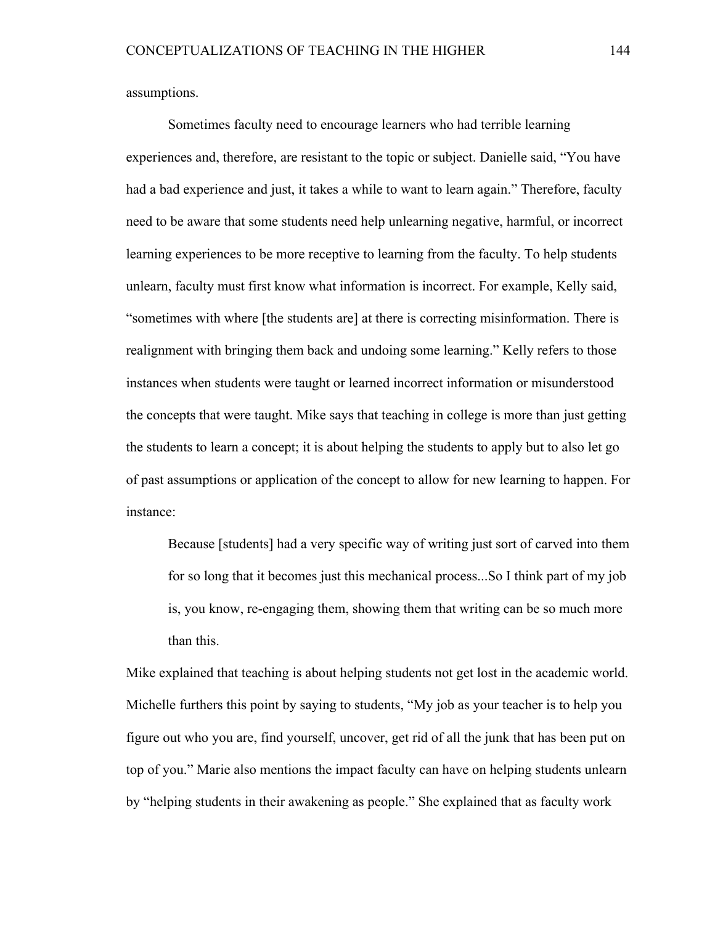assumptions.

Sometimes faculty need to encourage learners who had terrible learning experiences and, therefore, are resistant to the topic or subject. Danielle said, "You have had a bad experience and just, it takes a while to want to learn again." Therefore, faculty need to be aware that some students need help unlearning negative, harmful, or incorrect learning experiences to be more receptive to learning from the faculty. To help students unlearn, faculty must first know what information is incorrect. For example, Kelly said, "sometimes with where [the students are] at there is correcting misinformation. There is realignment with bringing them back and undoing some learning." Kelly refers to those instances when students were taught or learned incorrect information or misunderstood the concepts that were taught. Mike says that teaching in college is more than just getting the students to learn a concept; it is about helping the students to apply but to also let go of past assumptions or application of the concept to allow for new learning to happen. For instance:

Because [students] had a very specific way of writing just sort of carved into them for so long that it becomes just this mechanical process...So I think part of my job is, you know, re-engaging them, showing them that writing can be so much more than this.

Mike explained that teaching is about helping students not get lost in the academic world. Michelle furthers this point by saying to students, "My job as your teacher is to help you figure out who you are, find yourself, uncover, get rid of all the junk that has been put on top of you." Marie also mentions the impact faculty can have on helping students unlearn by "helping students in their awakening as people." She explained that as faculty work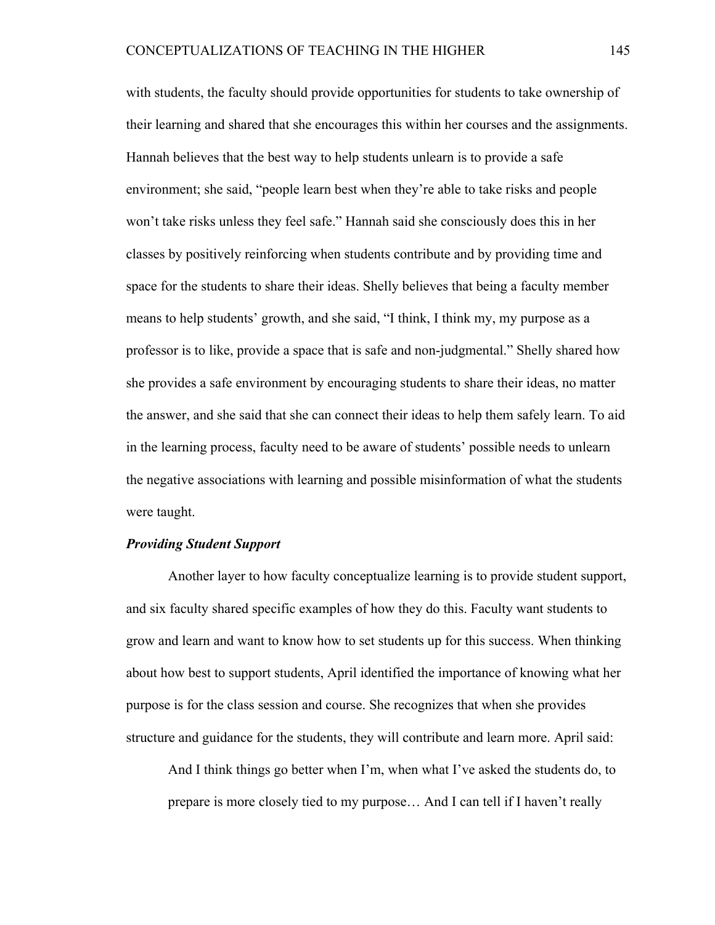with students, the faculty should provide opportunities for students to take ownership of their learning and shared that she encourages this within her courses and the assignments. Hannah believes that the best way to help students unlearn is to provide a safe environment; she said, "people learn best when they're able to take risks and people won't take risks unless they feel safe." Hannah said she consciously does this in her classes by positively reinforcing when students contribute and by providing time and space for the students to share their ideas. Shelly believes that being a faculty member means to help students' growth, and she said, "I think, I think my, my purpose as a professor is to like, provide a space that is safe and non-judgmental." Shelly shared how she provides a safe environment by encouraging students to share their ideas, no matter the answer, and she said that she can connect their ideas to help them safely learn. To aid in the learning process, faculty need to be aware of students' possible needs to unlearn the negative associations with learning and possible misinformation of what the students were taught.

#### *Providing Student Support*

Another layer to how faculty conceptualize learning is to provide student support, and six faculty shared specific examples of how they do this. Faculty want students to grow and learn and want to know how to set students up for this success. When thinking about how best to support students, April identified the importance of knowing what her purpose is for the class session and course. She recognizes that when she provides structure and guidance for the students, they will contribute and learn more. April said:

And I think things go better when I'm, when what I've asked the students do, to prepare is more closely tied to my purpose… And I can tell if I haven't really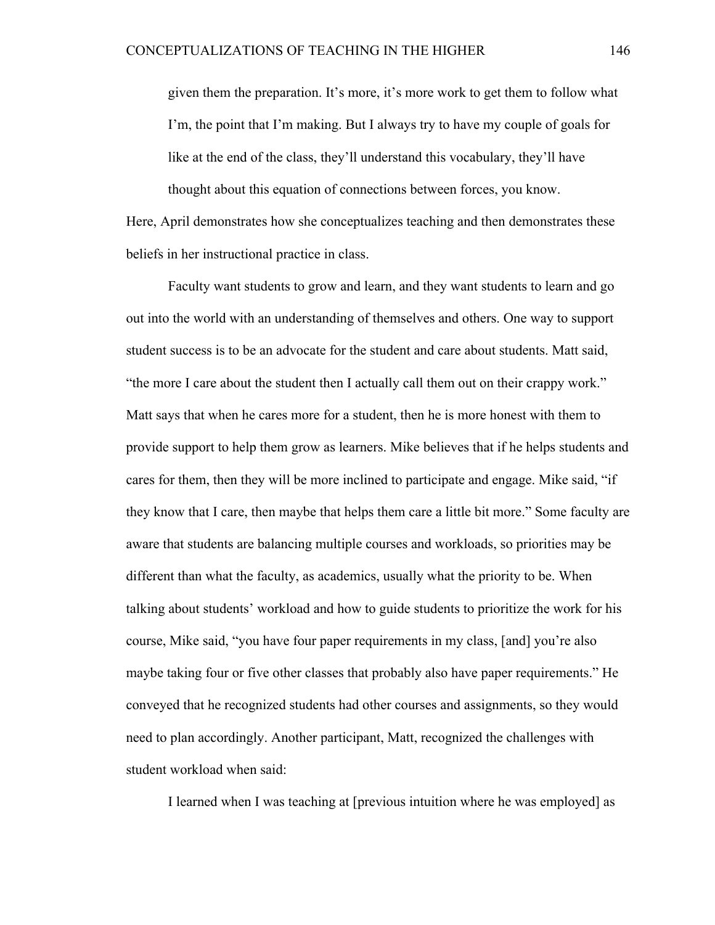given them the preparation. It's more, it's more work to get them to follow what I'm, the point that I'm making. But I always try to have my couple of goals for like at the end of the class, they'll understand this vocabulary, they'll have thought about this equation of connections between forces, you know.

Here, April demonstrates how she conceptualizes teaching and then demonstrates these beliefs in her instructional practice in class.

Faculty want students to grow and learn, and they want students to learn and go out into the world with an understanding of themselves and others. One way to support student success is to be an advocate for the student and care about students. Matt said, "the more I care about the student then I actually call them out on their crappy work." Matt says that when he cares more for a student, then he is more honest with them to provide support to help them grow as learners. Mike believes that if he helps students and cares for them, then they will be more inclined to participate and engage. Mike said, "if they know that I care, then maybe that helps them care a little bit more." Some faculty are aware that students are balancing multiple courses and workloads, so priorities may be different than what the faculty, as academics, usually what the priority to be. When talking about students' workload and how to guide students to prioritize the work for his course, Mike said, "you have four paper requirements in my class, [and] you're also maybe taking four or five other classes that probably also have paper requirements." He conveyed that he recognized students had other courses and assignments, so they would need to plan accordingly. Another participant, Matt, recognized the challenges with student workload when said:

I learned when I was teaching at [previous intuition where he was employed] as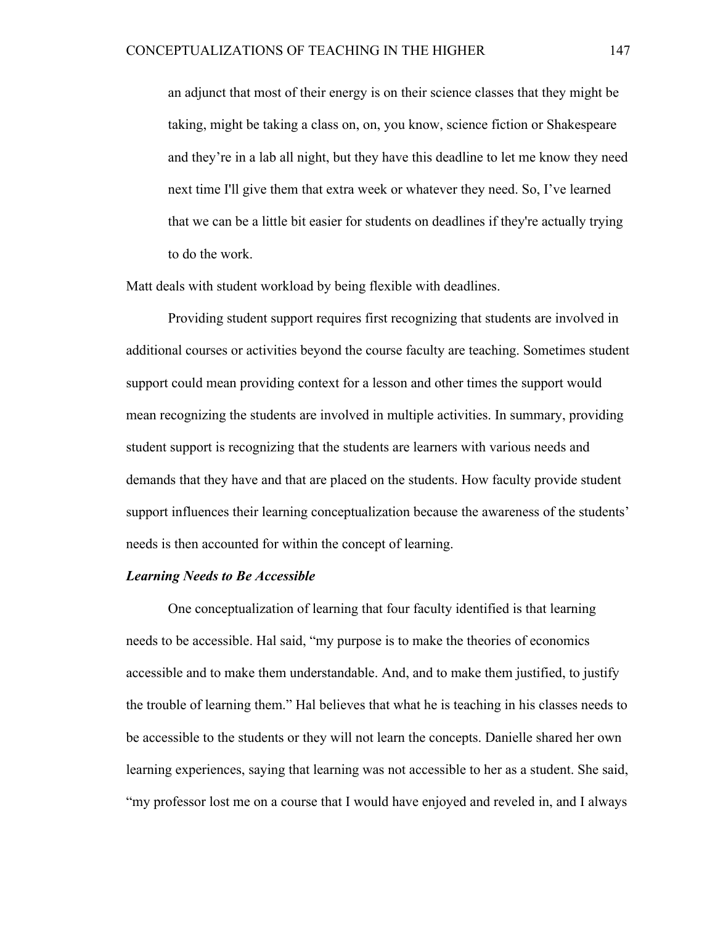an adjunct that most of their energy is on their science classes that they might be taking, might be taking a class on, on, you know, science fiction or Shakespeare and they're in a lab all night, but they have this deadline to let me know they need next time I'll give them that extra week or whatever they need. So, I've learned that we can be a little bit easier for students on deadlines if they're actually trying to do the work.

Matt deals with student workload by being flexible with deadlines.

Providing student support requires first recognizing that students are involved in additional courses or activities beyond the course faculty are teaching. Sometimes student support could mean providing context for a lesson and other times the support would mean recognizing the students are involved in multiple activities. In summary, providing student support is recognizing that the students are learners with various needs and demands that they have and that are placed on the students. How faculty provide student support influences their learning conceptualization because the awareness of the students' needs is then accounted for within the concept of learning.

# *Learning Needs to Be Accessible*

One conceptualization of learning that four faculty identified is that learning needs to be accessible. Hal said, "my purpose is to make the theories of economics accessible and to make them understandable. And, and to make them justified, to justify the trouble of learning them." Hal believes that what he is teaching in his classes needs to be accessible to the students or they will not learn the concepts. Danielle shared her own learning experiences, saying that learning was not accessible to her as a student. She said, "my professor lost me on a course that I would have enjoyed and reveled in, and I always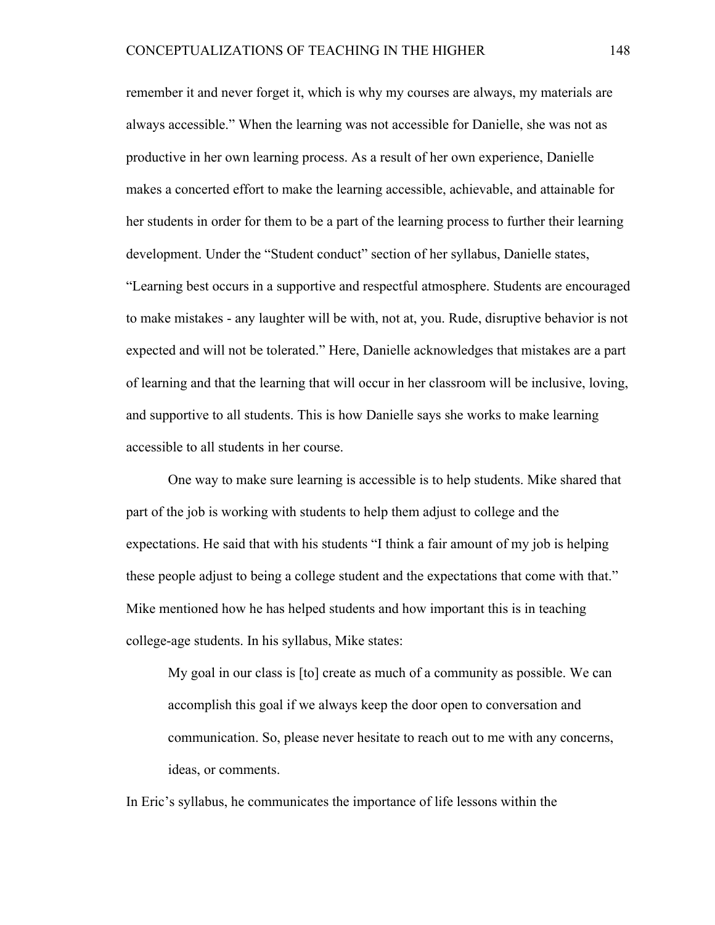remember it and never forget it, which is why my courses are always, my materials are always accessible." When the learning was not accessible for Danielle, she was not as productive in her own learning process. As a result of her own experience, Danielle makes a concerted effort to make the learning accessible, achievable, and attainable for her students in order for them to be a part of the learning process to further their learning development. Under the "Student conduct" section of her syllabus, Danielle states, "Learning best occurs in a supportive and respectful atmosphere. Students are encouraged to make mistakes - any laughter will be with, not at, you. Rude, disruptive behavior is not expected and will not be tolerated." Here, Danielle acknowledges that mistakes are a part of learning and that the learning that will occur in her classroom will be inclusive, loving, and supportive to all students. This is how Danielle says she works to make learning accessible to all students in her course.

One way to make sure learning is accessible is to help students. Mike shared that part of the job is working with students to help them adjust to college and the expectations. He said that with his students "I think a fair amount of my job is helping these people adjust to being a college student and the expectations that come with that." Mike mentioned how he has helped students and how important this is in teaching college-age students. In his syllabus, Mike states:

My goal in our class is [to] create as much of a community as possible. We can accomplish this goal if we always keep the door open to conversation and communication. So, please never hesitate to reach out to me with any concerns, ideas, or comments.

In Eric's syllabus, he communicates the importance of life lessons within the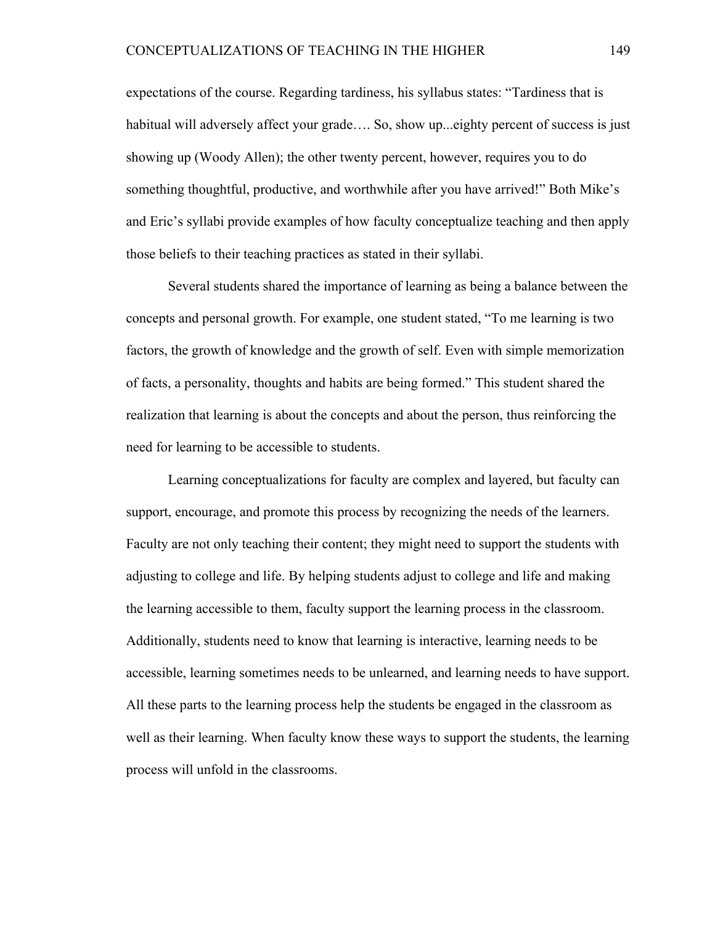expectations of the course. Regarding tardiness, his syllabus states: "Tardiness that is habitual will adversely affect your grade.... So, show up... eighty percent of success is just showing up (Woody Allen); the other twenty percent, however, requires you to do something thoughtful, productive, and worthwhile after you have arrived!" Both Mike's and Eric's syllabi provide examples of how faculty conceptualize teaching and then apply those beliefs to their teaching practices as stated in their syllabi.

Several students shared the importance of learning as being a balance between the concepts and personal growth. For example, one student stated, "To me learning is two factors, the growth of knowledge and the growth of self. Even with simple memorization of facts, a personality, thoughts and habits are being formed." This student shared the realization that learning is about the concepts and about the person, thus reinforcing the need for learning to be accessible to students.

Learning conceptualizations for faculty are complex and layered, but faculty can support, encourage, and promote this process by recognizing the needs of the learners. Faculty are not only teaching their content; they might need to support the students with adjusting to college and life. By helping students adjust to college and life and making the learning accessible to them, faculty support the learning process in the classroom. Additionally, students need to know that learning is interactive, learning needs to be accessible, learning sometimes needs to be unlearned, and learning needs to have support. All these parts to the learning process help the students be engaged in the classroom as well as their learning. When faculty know these ways to support the students, the learning process will unfold in the classrooms.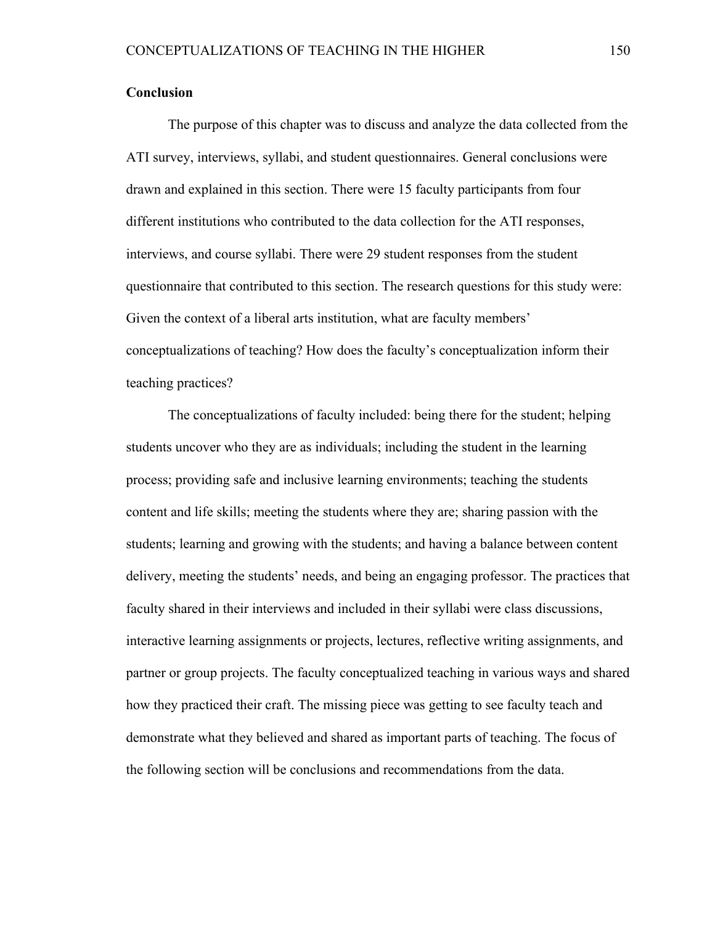# **Conclusion**

The purpose of this chapter was to discuss and analyze the data collected from the ATI survey, interviews, syllabi, and student questionnaires. General conclusions were drawn and explained in this section. There were 15 faculty participants from four different institutions who contributed to the data collection for the ATI responses, interviews, and course syllabi. There were 29 student responses from the student questionnaire that contributed to this section. The research questions for this study were: Given the context of a liberal arts institution, what are faculty members' conceptualizations of teaching? How does the faculty's conceptualization inform their teaching practices?

The conceptualizations of faculty included: being there for the student; helping students uncover who they are as individuals; including the student in the learning process; providing safe and inclusive learning environments; teaching the students content and life skills; meeting the students where they are; sharing passion with the students; learning and growing with the students; and having a balance between content delivery, meeting the students' needs, and being an engaging professor. The practices that faculty shared in their interviews and included in their syllabi were class discussions, interactive learning assignments or projects, lectures, reflective writing assignments, and partner or group projects. The faculty conceptualized teaching in various ways and shared how they practiced their craft. The missing piece was getting to see faculty teach and demonstrate what they believed and shared as important parts of teaching. The focus of the following section will be conclusions and recommendations from the data.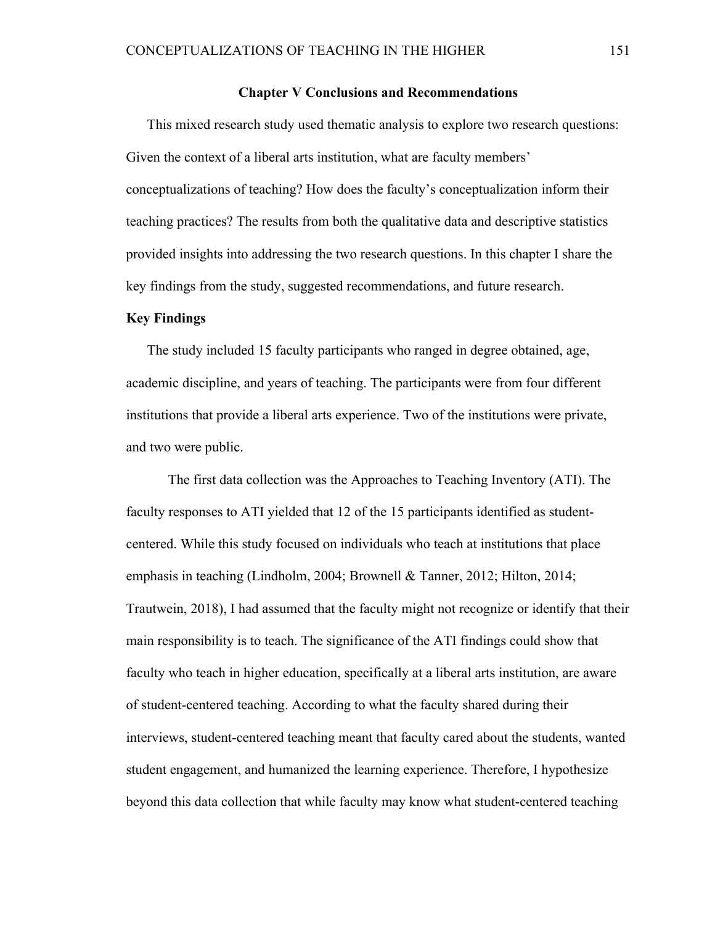#### **Chapter V Conclusions and Recommendations**

This mixed research study used thematic analysis to explore two research questions: Given the context of a liberal arts institution, what are faculty members' conceptualizations of teaching? How does the faculty's conceptualization inform their teaching practices? The results from both the qualitative data and descriptive statistics provided insights into addressing the two research questions. In this chapter I share the key findings from the study, suggested recommendations, and future research.

## **Key Findings**

The study included 15 faculty participants who ranged in degree obtained, age, academic discipline, and years of teaching. The participants were from four different institutions that provide a liberal arts experience. Two of the institutions were private, and two were public.

The first data collection was the Approaches to Teaching Inventory (ATI). The faculty responses to ATI yielded that 12 of the 15 participants identified as studentcentered. While this study focused on individuals who teach at institutions that place emphasis in teaching (Lindholm, 2004; Brownell & Tanner, 2012; Hilton, 2014; Trautwein, 2018), I had assumed that the faculty might not recognize or identify that their main responsibility is to teach. The significance of the ATI findings could show that faculty who teach in higher education, specifically at a liberal arts institution, are aware of student-centered teaching. According to what the faculty shared during their interviews, student-centered teaching meant that faculty cared about the students, wanted student engagement, and humanized the learning experience. Therefore, I hypothesize beyond this data collection that while faculty may know what student-centered teaching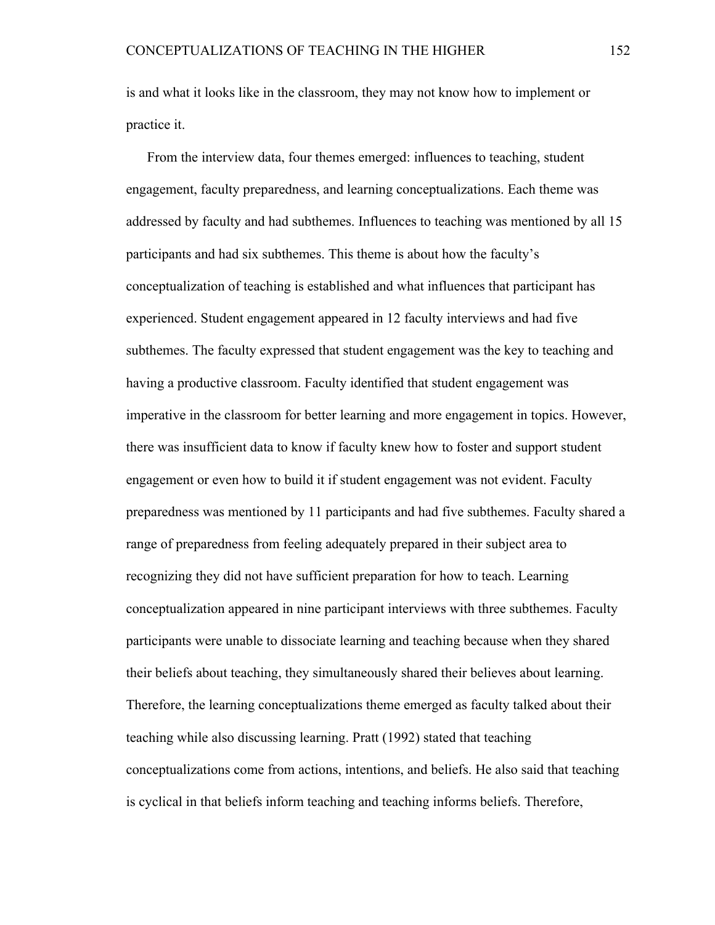is and what it looks like in the classroom, they may not know how to implement or practice it.

From the interview data, four themes emerged: influences to teaching, student engagement, faculty preparedness, and learning conceptualizations. Each theme was addressed by faculty and had subthemes. Influences to teaching was mentioned by all 15 participants and had six subthemes. This theme is about how the faculty's conceptualization of teaching is established and what influences that participant has experienced. Student engagement appeared in 12 faculty interviews and had five subthemes. The faculty expressed that student engagement was the key to teaching and having a productive classroom. Faculty identified that student engagement was imperative in the classroom for better learning and more engagement in topics. However, there was insufficient data to know if faculty knew how to foster and support student engagement or even how to build it if student engagement was not evident. Faculty preparedness was mentioned by 11 participants and had five subthemes. Faculty shared a range of preparedness from feeling adequately prepared in their subject area to recognizing they did not have sufficient preparation for how to teach. Learning conceptualization appeared in nine participant interviews with three subthemes. Faculty participants were unable to dissociate learning and teaching because when they shared their beliefs about teaching, they simultaneously shared their believes about learning. Therefore, the learning conceptualizations theme emerged as faculty talked about their teaching while also discussing learning. Pratt (1992) stated that teaching conceptualizations come from actions, intentions, and beliefs. He also said that teaching is cyclical in that beliefs inform teaching and teaching informs beliefs. Therefore,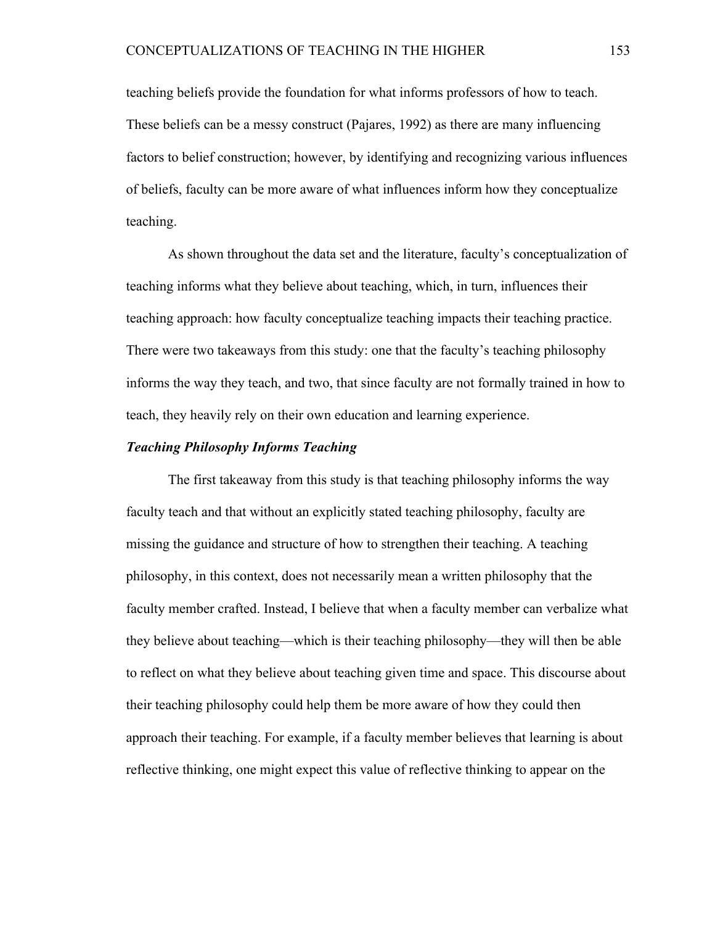teaching beliefs provide the foundation for what informs professors of how to teach. These beliefs can be a messy construct (Pajares, 1992) as there are many influencing factors to belief construction; however, by identifying and recognizing various influences of beliefs, faculty can be more aware of what influences inform how they conceptualize teaching.

As shown throughout the data set and the literature, faculty's conceptualization of teaching informs what they believe about teaching, which, in turn, influences their teaching approach: how faculty conceptualize teaching impacts their teaching practice. There were two takeaways from this study: one that the faculty's teaching philosophy informs the way they teach, and two, that since faculty are not formally trained in how to teach, they heavily rely on their own education and learning experience.

# *Teaching Philosophy Informs Teaching*

The first takeaway from this study is that teaching philosophy informs the way faculty teach and that without an explicitly stated teaching philosophy, faculty are missing the guidance and structure of how to strengthen their teaching. A teaching philosophy, in this context, does not necessarily mean a written philosophy that the faculty member crafted. Instead, I believe that when a faculty member can verbalize what they believe about teaching—which is their teaching philosophy—they will then be able to reflect on what they believe about teaching given time and space. This discourse about their teaching philosophy could help them be more aware of how they could then approach their teaching. For example, if a faculty member believes that learning is about reflective thinking, one might expect this value of reflective thinking to appear on the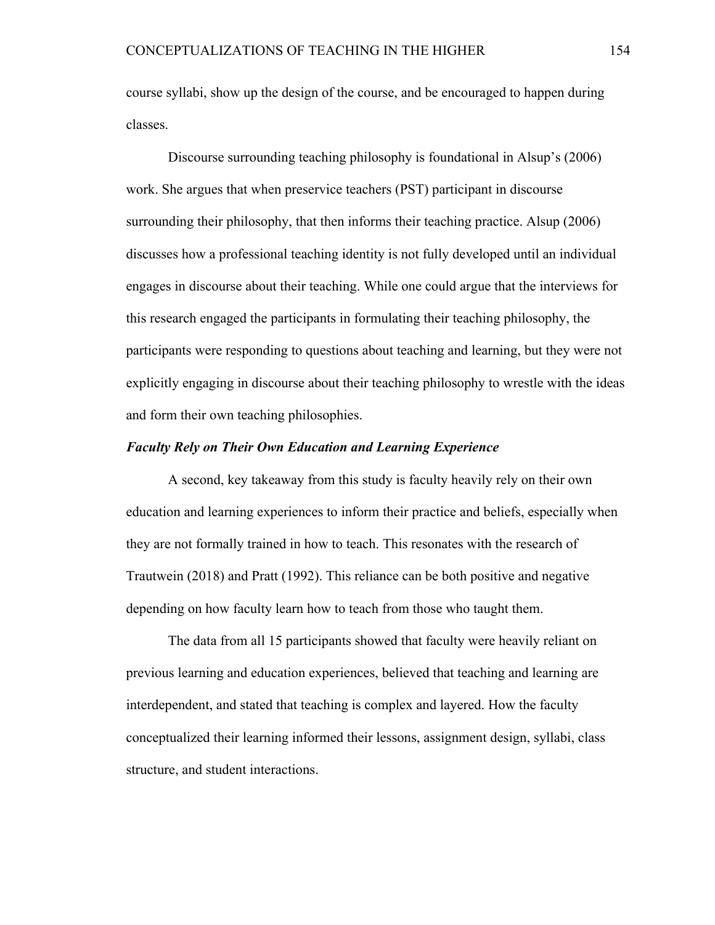course syllabi, show up the design of the course, and be encouraged to happen during classes.

Discourse surrounding teaching philosophy is foundational in Alsup's (2006) work. She argues that when preservice teachers (PST) participant in discourse surrounding their philosophy, that then informs their teaching practice. Alsup (2006) discusses how a professional teaching identity is not fully developed until an individual engages in discourse about their teaching. While one could argue that the interviews for this research engaged the participants in formulating their teaching philosophy, the participants were responding to questions about teaching and learning, but they were not explicitly engaging in discourse about their teaching philosophy to wrestle with the ideas and form their own teaching philosophies.

# *Faculty Rely on Their Own Education and Learning Experience*

A second, key takeaway from this study is faculty heavily rely on their own education and learning experiences to inform their practice and beliefs, especially when they are not formally trained in how to teach. This resonates with the research of Trautwein (2018) and Pratt (1992). This reliance can be both positive and negative depending on how faculty learn how to teach from those who taught them.

The data from all 15 participants showed that faculty were heavily reliant on previous learning and education experiences, believed that teaching and learning are interdependent, and stated that teaching is complex and layered. How the faculty conceptualized their learning informed their lessons, assignment design, syllabi, class structure, and student interactions.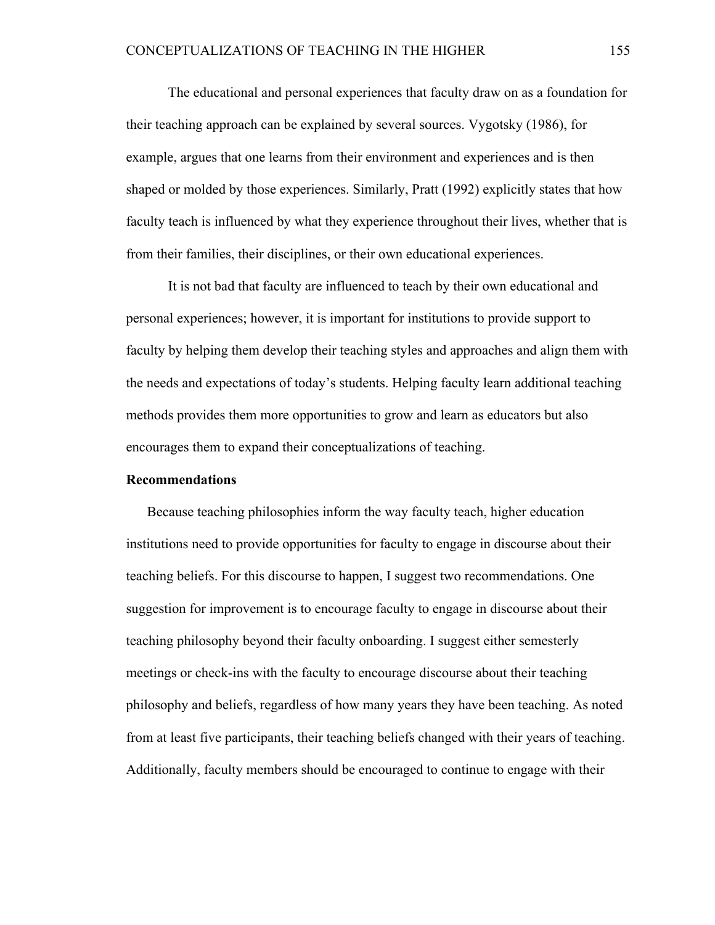The educational and personal experiences that faculty draw on as a foundation for their teaching approach can be explained by several sources. Vygotsky (1986), for example, argues that one learns from their environment and experiences and is then shaped or molded by those experiences. Similarly, Pratt (1992) explicitly states that how faculty teach is influenced by what they experience throughout their lives, whether that is from their families, their disciplines, or their own educational experiences.

It is not bad that faculty are influenced to teach by their own educational and personal experiences; however, it is important for institutions to provide support to faculty by helping them develop their teaching styles and approaches and align them with the needs and expectations of today's students. Helping faculty learn additional teaching methods provides them more opportunities to grow and learn as educators but also encourages them to expand their conceptualizations of teaching.

#### **Recommendations**

Because teaching philosophies inform the way faculty teach, higher education institutions need to provide opportunities for faculty to engage in discourse about their teaching beliefs. For this discourse to happen, I suggest two recommendations. One suggestion for improvement is to encourage faculty to engage in discourse about their teaching philosophy beyond their faculty onboarding. I suggest either semesterly meetings or check-ins with the faculty to encourage discourse about their teaching philosophy and beliefs, regardless of how many years they have been teaching. As noted from at least five participants, their teaching beliefs changed with their years of teaching. Additionally, faculty members should be encouraged to continue to engage with their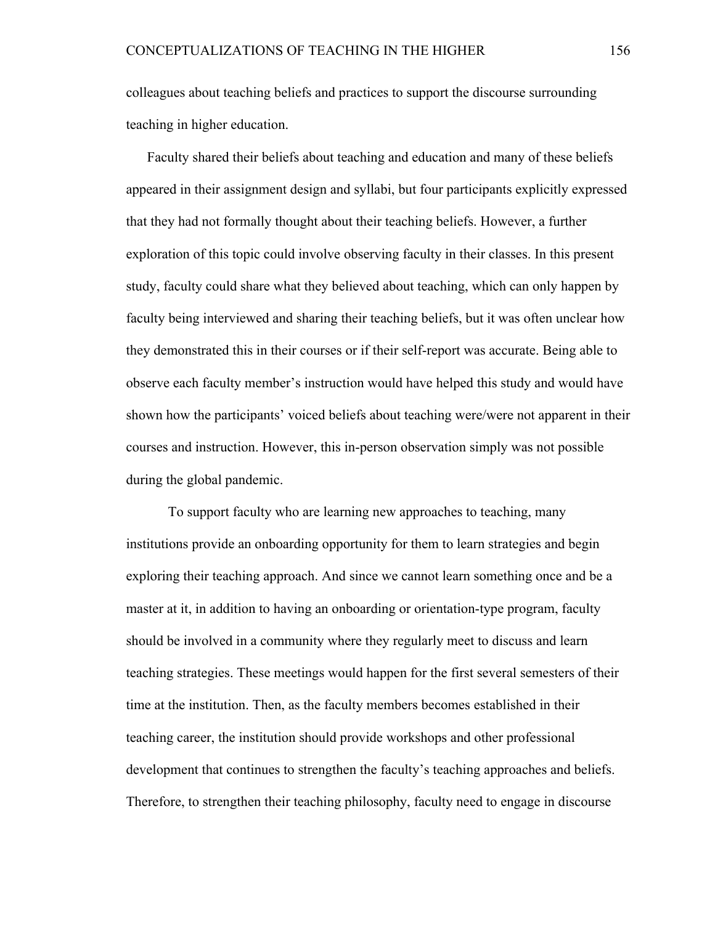colleagues about teaching beliefs and practices to support the discourse surrounding teaching in higher education.

Faculty shared their beliefs about teaching and education and many of these beliefs appeared in their assignment design and syllabi, but four participants explicitly expressed that they had not formally thought about their teaching beliefs. However, a further exploration of this topic could involve observing faculty in their classes. In this present study, faculty could share what they believed about teaching, which can only happen by faculty being interviewed and sharing their teaching beliefs, but it was often unclear how they demonstrated this in their courses or if their self-report was accurate. Being able to observe each faculty member's instruction would have helped this study and would have shown how the participants' voiced beliefs about teaching were/were not apparent in their courses and instruction. However, this in-person observation simply was not possible during the global pandemic.

To support faculty who are learning new approaches to teaching, many institutions provide an onboarding opportunity for them to learn strategies and begin exploring their teaching approach. And since we cannot learn something once and be a master at it, in addition to having an onboarding or orientation-type program, faculty should be involved in a community where they regularly meet to discuss and learn teaching strategies. These meetings would happen for the first several semesters of their time at the institution. Then, as the faculty members becomes established in their teaching career, the institution should provide workshops and other professional development that continues to strengthen the faculty's teaching approaches and beliefs. Therefore, to strengthen their teaching philosophy, faculty need to engage in discourse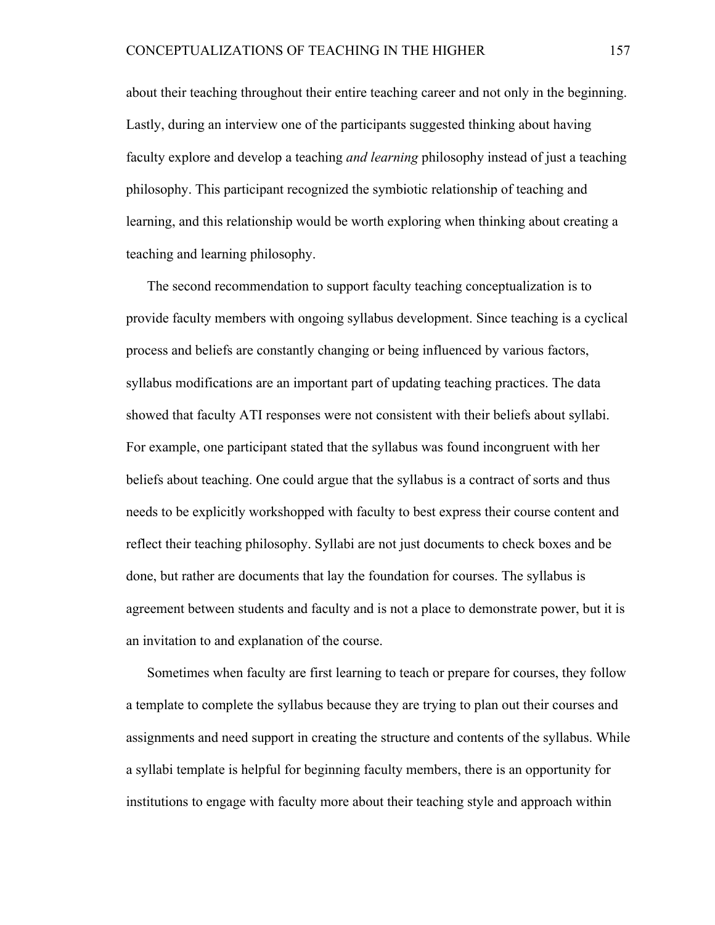about their teaching throughout their entire teaching career and not only in the beginning. Lastly, during an interview one of the participants suggested thinking about having faculty explore and develop a teaching *and learning* philosophy instead of just a teaching philosophy. This participant recognized the symbiotic relationship of teaching and learning, and this relationship would be worth exploring when thinking about creating a teaching and learning philosophy.

The second recommendation to support faculty teaching conceptualization is to provide faculty members with ongoing syllabus development. Since teaching is a cyclical process and beliefs are constantly changing or being influenced by various factors, syllabus modifications are an important part of updating teaching practices. The data showed that faculty ATI responses were not consistent with their beliefs about syllabi. For example, one participant stated that the syllabus was found incongruent with her beliefs about teaching. One could argue that the syllabus is a contract of sorts and thus needs to be explicitly workshopped with faculty to best express their course content and reflect their teaching philosophy. Syllabi are not just documents to check boxes and be done, but rather are documents that lay the foundation for courses. The syllabus is agreement between students and faculty and is not a place to demonstrate power, but it is an invitation to and explanation of the course.

Sometimes when faculty are first learning to teach or prepare for courses, they follow a template to complete the syllabus because they are trying to plan out their courses and assignments and need support in creating the structure and contents of the syllabus. While a syllabi template is helpful for beginning faculty members, there is an opportunity for institutions to engage with faculty more about their teaching style and approach within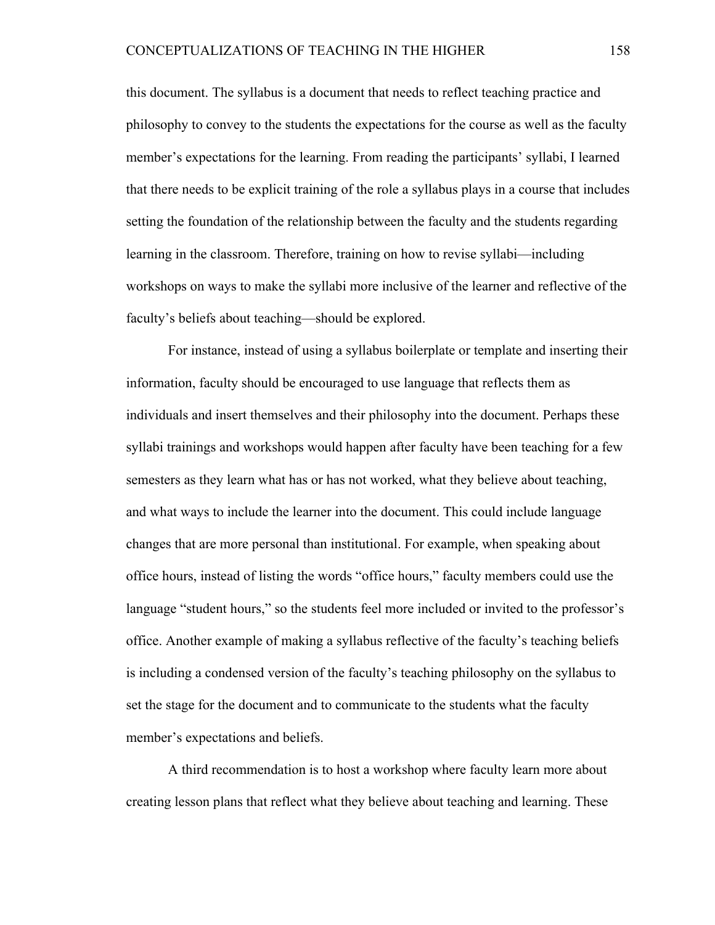this document. The syllabus is a document that needs to reflect teaching practice and philosophy to convey to the students the expectations for the course as well as the faculty member's expectations for the learning. From reading the participants' syllabi, I learned that there needs to be explicit training of the role a syllabus plays in a course that includes setting the foundation of the relationship between the faculty and the students regarding learning in the classroom. Therefore, training on how to revise syllabi—including workshops on ways to make the syllabi more inclusive of the learner and reflective of the faculty's beliefs about teaching—should be explored.

For instance, instead of using a syllabus boilerplate or template and inserting their information, faculty should be encouraged to use language that reflects them as individuals and insert themselves and their philosophy into the document. Perhaps these syllabi trainings and workshops would happen after faculty have been teaching for a few semesters as they learn what has or has not worked, what they believe about teaching, and what ways to include the learner into the document. This could include language changes that are more personal than institutional. For example, when speaking about office hours, instead of listing the words "office hours," faculty members could use the language "student hours," so the students feel more included or invited to the professor's office. Another example of making a syllabus reflective of the faculty's teaching beliefs is including a condensed version of the faculty's teaching philosophy on the syllabus to set the stage for the document and to communicate to the students what the faculty member's expectations and beliefs.

A third recommendation is to host a workshop where faculty learn more about creating lesson plans that reflect what they believe about teaching and learning. These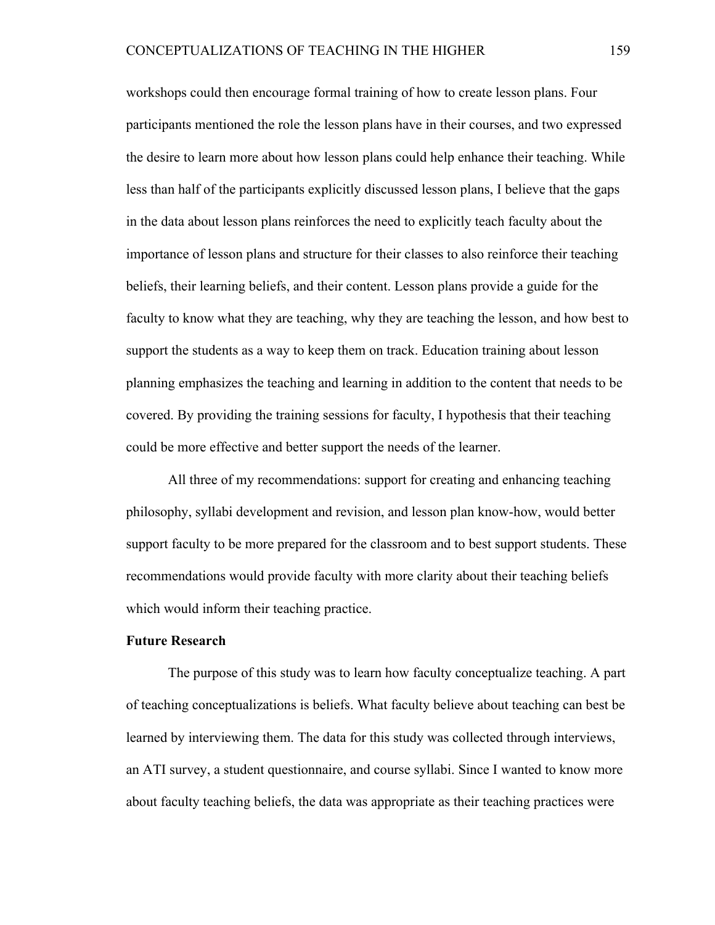workshops could then encourage formal training of how to create lesson plans. Four participants mentioned the role the lesson plans have in their courses, and two expressed the desire to learn more about how lesson plans could help enhance their teaching. While less than half of the participants explicitly discussed lesson plans, I believe that the gaps in the data about lesson plans reinforces the need to explicitly teach faculty about the importance of lesson plans and structure for their classes to also reinforce their teaching beliefs, their learning beliefs, and their content. Lesson plans provide a guide for the faculty to know what they are teaching, why they are teaching the lesson, and how best to support the students as a way to keep them on track. Education training about lesson planning emphasizes the teaching and learning in addition to the content that needs to be covered. By providing the training sessions for faculty, I hypothesis that their teaching could be more effective and better support the needs of the learner.

All three of my recommendations: support for creating and enhancing teaching philosophy, syllabi development and revision, and lesson plan know-how, would better support faculty to be more prepared for the classroom and to best support students. These recommendations would provide faculty with more clarity about their teaching beliefs which would inform their teaching practice.

#### **Future Research**

The purpose of this study was to learn how faculty conceptualize teaching. A part of teaching conceptualizations is beliefs. What faculty believe about teaching can best be learned by interviewing them. The data for this study was collected through interviews, an ATI survey, a student questionnaire, and course syllabi. Since I wanted to know more about faculty teaching beliefs, the data was appropriate as their teaching practices were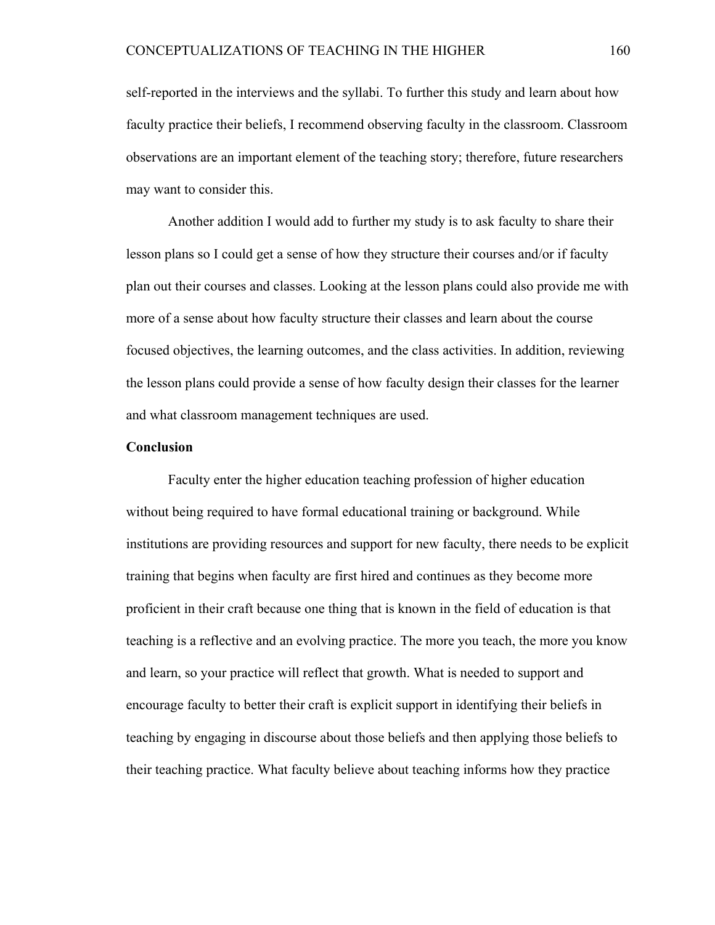self-reported in the interviews and the syllabi. To further this study and learn about how faculty practice their beliefs, I recommend observing faculty in the classroom. Classroom observations are an important element of the teaching story; therefore, future researchers may want to consider this.

Another addition I would add to further my study is to ask faculty to share their lesson plans so I could get a sense of how they structure their courses and/or if faculty plan out their courses and classes. Looking at the lesson plans could also provide me with more of a sense about how faculty structure their classes and learn about the course focused objectives, the learning outcomes, and the class activities. In addition, reviewing the lesson plans could provide a sense of how faculty design their classes for the learner and what classroom management techniques are used.

#### **Conclusion**

Faculty enter the higher education teaching profession of higher education without being required to have formal educational training or background. While institutions are providing resources and support for new faculty, there needs to be explicit training that begins when faculty are first hired and continues as they become more proficient in their craft because one thing that is known in the field of education is that teaching is a reflective and an evolving practice. The more you teach, the more you know and learn, so your practice will reflect that growth. What is needed to support and encourage faculty to better their craft is explicit support in identifying their beliefs in teaching by engaging in discourse about those beliefs and then applying those beliefs to their teaching practice. What faculty believe about teaching informs how they practice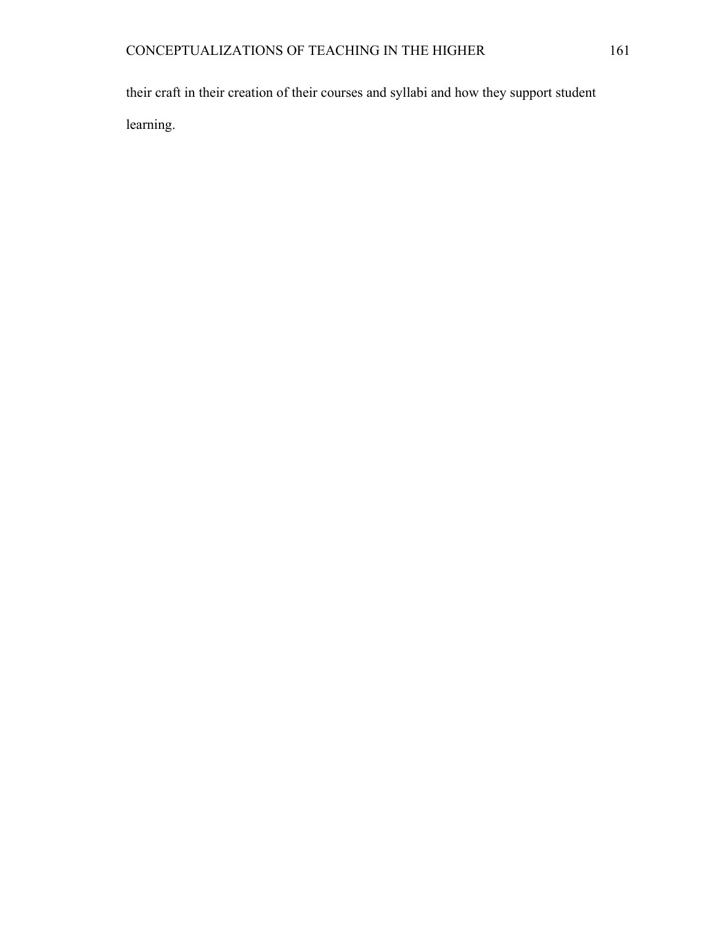their craft in their creation of their courses and syllabi and how they support student learning.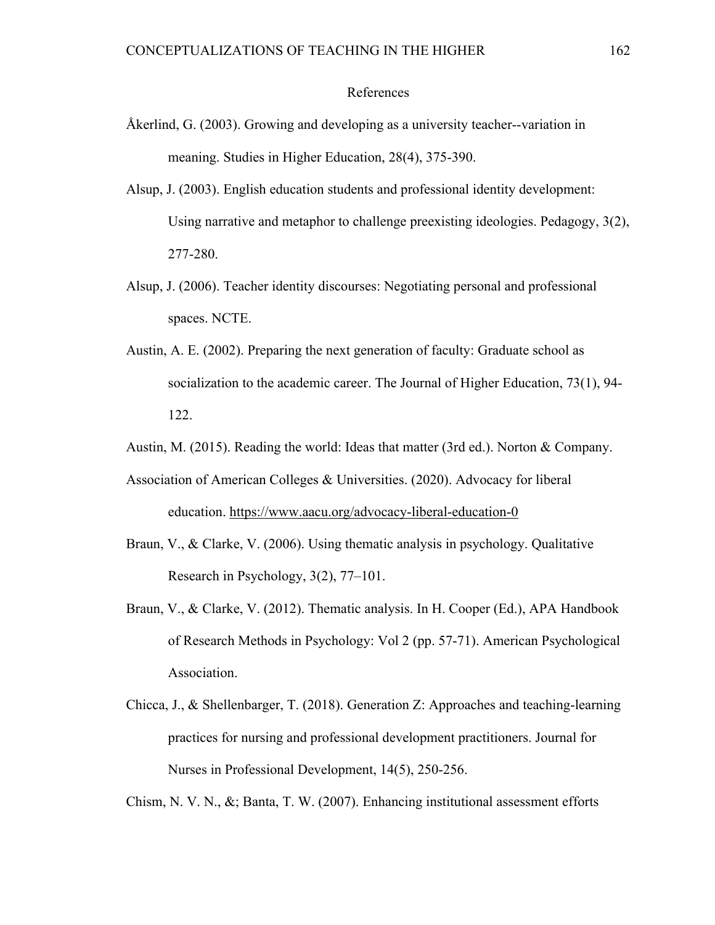## References

- Åkerlind, G. (2003). Growing and developing as a university teacher--variation in meaning. Studies in Higher Education, 28(4), 375-390.
- Alsup, J. (2003). English education students and professional identity development: Using narrative and metaphor to challenge preexisting ideologies. Pedagogy, 3(2), 277-280.
- Alsup, J. (2006). Teacher identity discourses: Negotiating personal and professional spaces. NCTE.
- Austin, A. E. (2002). Preparing the next generation of faculty: Graduate school as socialization to the academic career. The Journal of Higher Education, 73(1), 94- 122.
- Austin, M. (2015). Reading the world: Ideas that matter (3rd ed.). Norton & Company.
- Association of American Colleges & Universities. (2020). Advocacy for liberal education. https://www.aacu.org/advocacy-liberal-education-0
- Braun, V., & Clarke, V. (2006). Using thematic analysis in psychology. Qualitative Research in Psychology, 3(2), 77–101.
- Braun, V., & Clarke, V. (2012). Thematic analysis. In H. Cooper (Ed.), APA Handbook of Research Methods in Psychology: Vol 2 (pp. 57-71). American Psychological Association.
- Chicca, J., & Shellenbarger, T. (2018). Generation Z: Approaches and teaching-learning practices for nursing and professional development practitioners. Journal for Nurses in Professional Development, 14(5), 250-256.

Chism, N. V. N., &; Banta, T. W. (2007). Enhancing institutional assessment efforts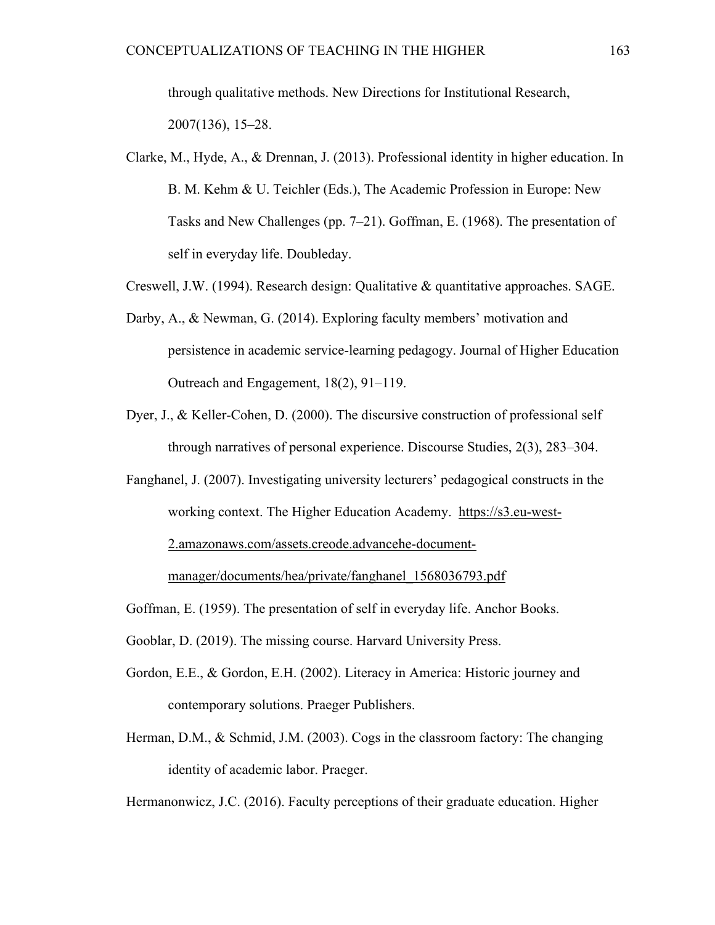through qualitative methods. New Directions for Institutional Research, 2007(136), 15–28.

- Clarke, M., Hyde, A., & Drennan, J. (2013). Professional identity in higher education. In B. M. Kehm & U. Teichler (Eds.), The Academic Profession in Europe: New Tasks and New Challenges (pp. 7–21). Goffman, E. (1968). The presentation of self in everyday life. Doubleday.
- Creswell, J.W. (1994). Research design: Qualitative & quantitative approaches. SAGE.
- Darby, A., & Newman, G. (2014). Exploring faculty members' motivation and persistence in academic service-learning pedagogy. Journal of Higher Education Outreach and Engagement, 18(2), 91–119.
- Dyer, J., & Keller-Cohen, D. (2000). The discursive construction of professional self through narratives of personal experience. Discourse Studies, 2(3), 283–304.
- Fanghanel, J. (2007). Investigating university lecturers' pedagogical constructs in the working context. The Higher Education Academy. https://s3.eu-west-2.amazonaws.com/assets.creode.advancehe-document-

manager/documents/hea/private/fanghanel\_1568036793.pdf

Goffman, E. (1959). The presentation of self in everyday life. Anchor Books.

Gooblar, D. (2019). The missing course. Harvard University Press.

- Gordon, E.E., & Gordon, E.H. (2002). Literacy in America: Historic journey and contemporary solutions. Praeger Publishers.
- Herman, D.M., & Schmid, J.M. (2003). Cogs in the classroom factory: The changing identity of academic labor. Praeger.

Hermanonwicz, J.C. (2016). Faculty perceptions of their graduate education. Higher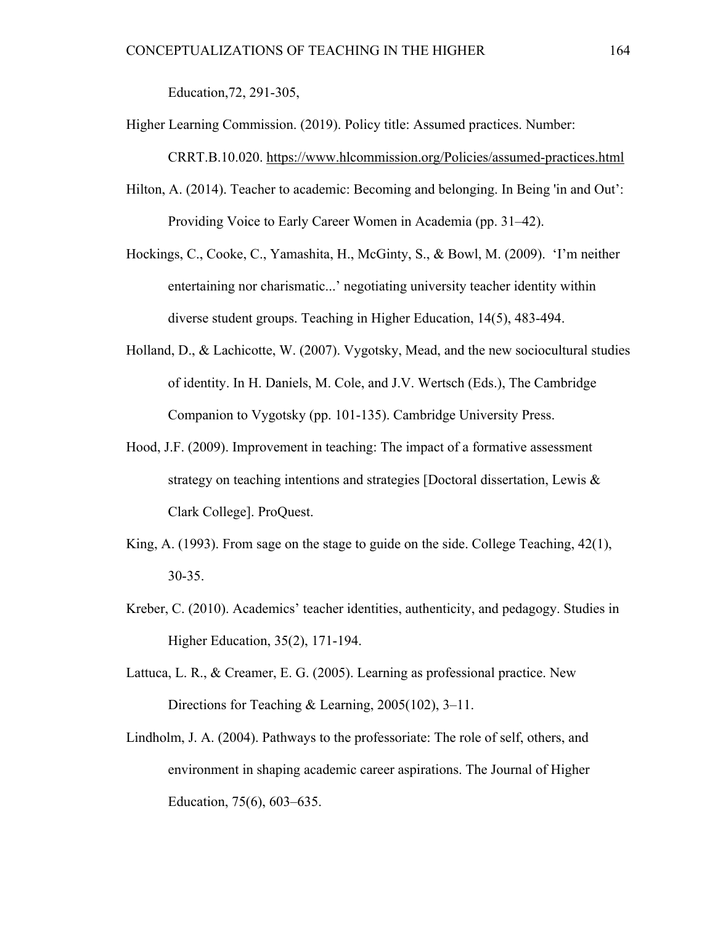Education,72, 291-305,

- Higher Learning Commission. (2019). Policy title: Assumed practices. Number: CRRT.B.10.020. https://www.hlcommission.org/Policies/assumed-practices.html
- Hilton, A. (2014). Teacher to academic: Becoming and belonging. In Being 'in and Out': Providing Voice to Early Career Women in Academia (pp. 31–42).
- Hockings, C., Cooke, C., Yamashita, H., McGinty, S., & Bowl, M. (2009). 'I'm neither entertaining nor charismatic...' negotiating university teacher identity within diverse student groups. Teaching in Higher Education, 14(5), 483-494.
- Holland, D., & Lachicotte, W. (2007). Vygotsky, Mead, and the new sociocultural studies of identity. In H. Daniels, M. Cole, and J.V. Wertsch (Eds.), The Cambridge Companion to Vygotsky (pp. 101-135). Cambridge University Press.
- Hood, J.F. (2009). Improvement in teaching: The impact of a formative assessment strategy on teaching intentions and strategies [Doctoral dissertation, Lewis & Clark College]. ProQuest.
- King, A. (1993). From sage on the stage to guide on the side. College Teaching, 42(1), 30-35.
- Kreber, C. (2010). Academics' teacher identities, authenticity, and pedagogy. Studies in Higher Education, 35(2), 171-194.
- Lattuca, L. R., & Creamer, E. G. (2005). Learning as professional practice. New Directions for Teaching & Learning, 2005(102), 3–11.
- Lindholm, J. A. (2004). Pathways to the professoriate: The role of self, others, and environment in shaping academic career aspirations. The Journal of Higher Education, 75(6), 603–635.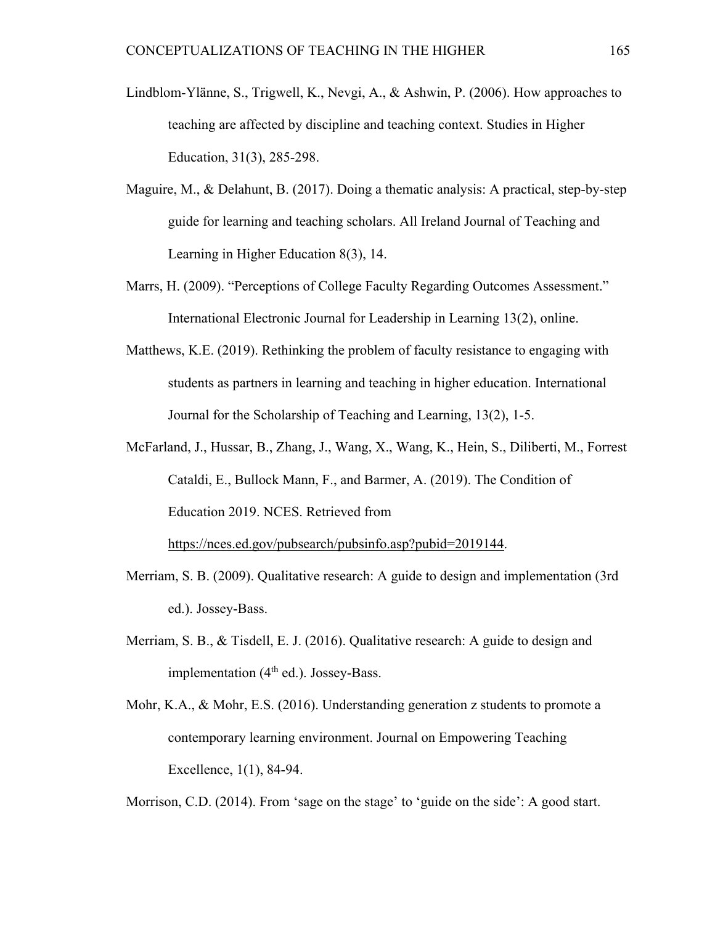- Lindblom-Ylänne, S., Trigwell, K., Nevgi, A., & Ashwin, P. (2006). How approaches to teaching are affected by discipline and teaching context. Studies in Higher Education, 31(3), 285-298.
- Maguire, M., & Delahunt, B. (2017). Doing a thematic analysis: A practical, step-by-step guide for learning and teaching scholars. All Ireland Journal of Teaching and Learning in Higher Education 8(3), 14.
- Marrs, H. (2009). "Perceptions of College Faculty Regarding Outcomes Assessment." International Electronic Journal for Leadership in Learning 13(2), online.
- Matthews, K.E. (2019). Rethinking the problem of faculty resistance to engaging with students as partners in learning and teaching in higher education. International Journal for the Scholarship of Teaching and Learning, 13(2), 1-5.
- McFarland, J., Hussar, B., Zhang, J., Wang, X., Wang, K., Hein, S., Diliberti, M., Forrest Cataldi, E., Bullock Mann, F., and Barmer, A. (2019). The Condition of Education 2019. NCES. Retrieved from

https://nces.ed.gov/pubsearch/pubsinfo.asp?pubid=2019144.

- Merriam, S. B. (2009). Qualitative research: A guide to design and implementation (3rd ed.). Jossey-Bass.
- Merriam, S. B., & Tisdell, E. J. (2016). Qualitative research: A guide to design and implementation (4<sup>th</sup> ed.). Jossey-Bass.
- Mohr, K.A., & Mohr, E.S. (2016). Understanding generation z students to promote a contemporary learning environment. Journal on Empowering Teaching Excellence, 1(1), 84-94.

Morrison, C.D. (2014). From 'sage on the stage' to 'guide on the side': A good start.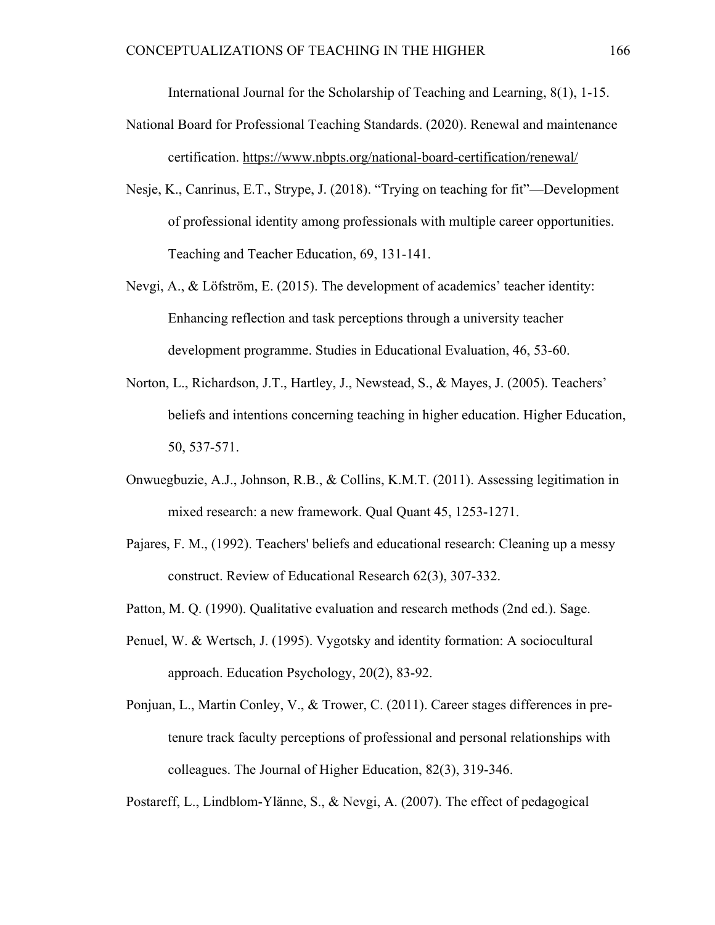International Journal for the Scholarship of Teaching and Learning, 8(1), 1-15.

- National Board for Professional Teaching Standards. (2020). Renewal and maintenance certification. https://www.nbpts.org/national-board-certification/renewal/
- Nesje, K., Canrinus, E.T., Strype, J. (2018). "Trying on teaching for fit"—Development of professional identity among professionals with multiple career opportunities. Teaching and Teacher Education, 69, 131-141.
- Nevgi, A., & Löfström, E. (2015). The development of academics' teacher identity: Enhancing reflection and task perceptions through a university teacher development programme. Studies in Educational Evaluation, 46, 53-60.
- Norton, L., Richardson, J.T., Hartley, J., Newstead, S., & Mayes, J. (2005). Teachers' beliefs and intentions concerning teaching in higher education. Higher Education, 50, 537-571.
- Onwuegbuzie, A.J., Johnson, R.B., & Collins, K.M.T. (2011). Assessing legitimation in mixed research: a new framework. Qual Quant 45, 1253-1271.
- Pajares, F. M., (1992). Teachers' beliefs and educational research: Cleaning up a messy construct. Review of Educational Research 62(3), 307-332.
- Patton, M. Q. (1990). Qualitative evaluation and research methods (2nd ed.). Sage.
- Penuel, W. & Wertsch, J. (1995). Vygotsky and identity formation: A sociocultural approach. Education Psychology, 20(2), 83-92.
- Ponjuan, L., Martin Conley, V., & Trower, C. (2011). Career stages differences in pretenure track faculty perceptions of professional and personal relationships with colleagues. The Journal of Higher Education, 82(3), 319-346.

Postareff, L., Lindblom-Ylänne, S., & Nevgi, A. (2007). The effect of pedagogical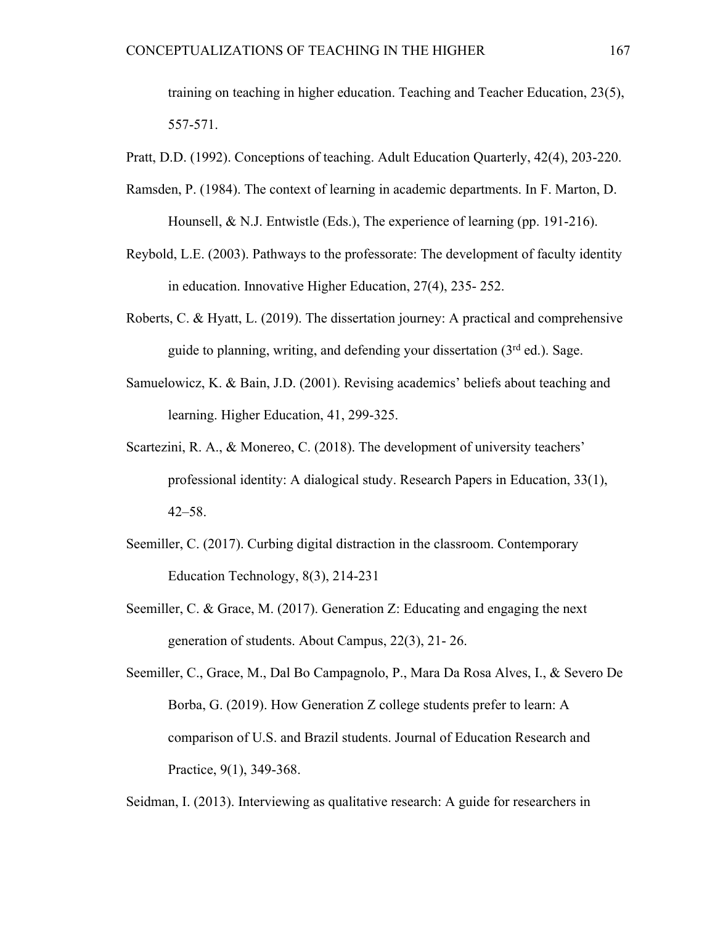training on teaching in higher education. Teaching and Teacher Education, 23(5), 557-571.

Pratt, D.D. (1992). Conceptions of teaching. Adult Education Quarterly, 42(4), 203-220.

- Ramsden, P. (1984). The context of learning in academic departments. In F. Marton, D. Hounsell, & N.J. Entwistle (Eds.), The experience of learning (pp. 191-216).
- Reybold, L.E. (2003). Pathways to the professorate: The development of faculty identity in education. Innovative Higher Education, 27(4), 235- 252.
- Roberts, C. & Hyatt, L. (2019). The dissertation journey: A practical and comprehensive guide to planning, writing, and defending your dissertation  $(3<sup>rd</sup>$  ed.). Sage.
- Samuelowicz, K. & Bain, J.D. (2001). Revising academics' beliefs about teaching and learning. Higher Education, 41, 299-325.
- Scartezini, R. A., & Monereo, C. (2018). The development of university teachers' professional identity: A dialogical study. Research Papers in Education, 33(1), 42–58.
- Seemiller, C. (2017). Curbing digital distraction in the classroom. Contemporary Education Technology, 8(3), 214-231
- Seemiller, C. & Grace, M. (2017). Generation Z: Educating and engaging the next generation of students. About Campus, 22(3), 21- 26.
- Seemiller, C., Grace, M., Dal Bo Campagnolo, P., Mara Da Rosa Alves, I., & Severo De Borba, G. (2019). How Generation Z college students prefer to learn: A comparison of U.S. and Brazil students. Journal of Education Research and Practice, 9(1), 349-368.

Seidman, I. (2013). Interviewing as qualitative research: A guide for researchers in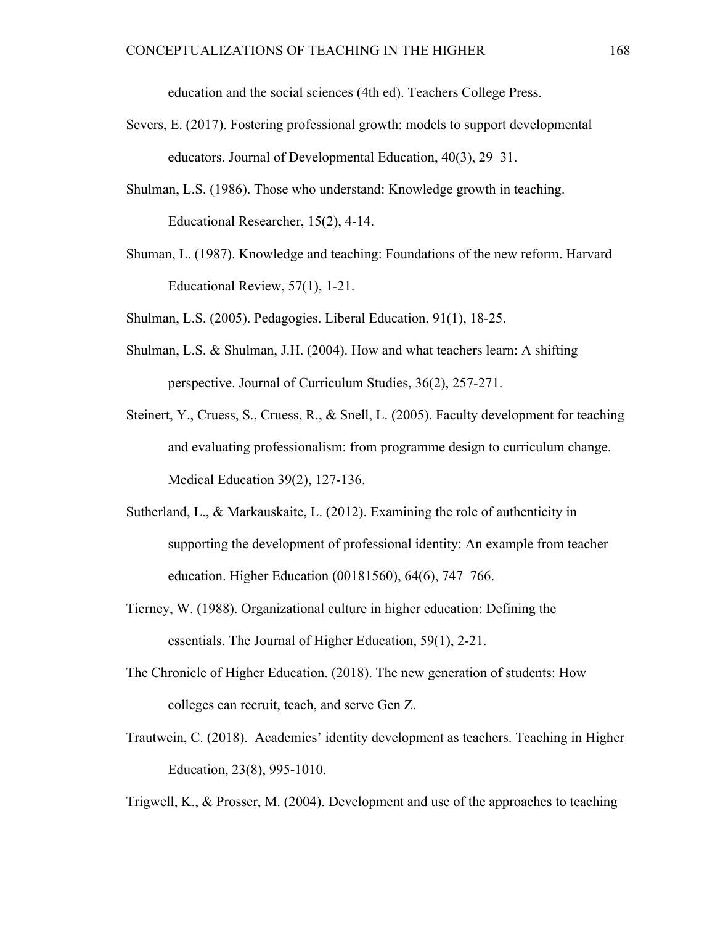education and the social sciences (4th ed). Teachers College Press.

- Severs, E. (2017). Fostering professional growth: models to support developmental educators. Journal of Developmental Education, 40(3), 29–31.
- Shulman, L.S. (1986). Those who understand: Knowledge growth in teaching. Educational Researcher, 15(2), 4-14.
- Shuman, L. (1987). Knowledge and teaching: Foundations of the new reform. Harvard Educational Review, 57(1), 1-21.
- Shulman, L.S. (2005). Pedagogies. Liberal Education, 91(1), 18-25.
- Shulman, L.S. & Shulman, J.H. (2004). How and what teachers learn: A shifting perspective. Journal of Curriculum Studies, 36(2), 257-271.
- Steinert, Y., Cruess, S., Cruess, R., & Snell, L. (2005). Faculty development for teaching and evaluating professionalism: from programme design to curriculum change. Medical Education 39(2), 127-136.
- Sutherland, L., & Markauskaite, L. (2012). Examining the role of authenticity in supporting the development of professional identity: An example from teacher education. Higher Education (00181560), 64(6), 747–766.
- Tierney, W. (1988). Organizational culture in higher education: Defining the essentials. The Journal of Higher Education, 59(1), 2-21.
- The Chronicle of Higher Education. (2018). The new generation of students: How colleges can recruit, teach, and serve Gen Z.
- Trautwein, C. (2018). Academics' identity development as teachers. Teaching in Higher Education, 23(8), 995-1010.

Trigwell, K., & Prosser, M. (2004). Development and use of the approaches to teaching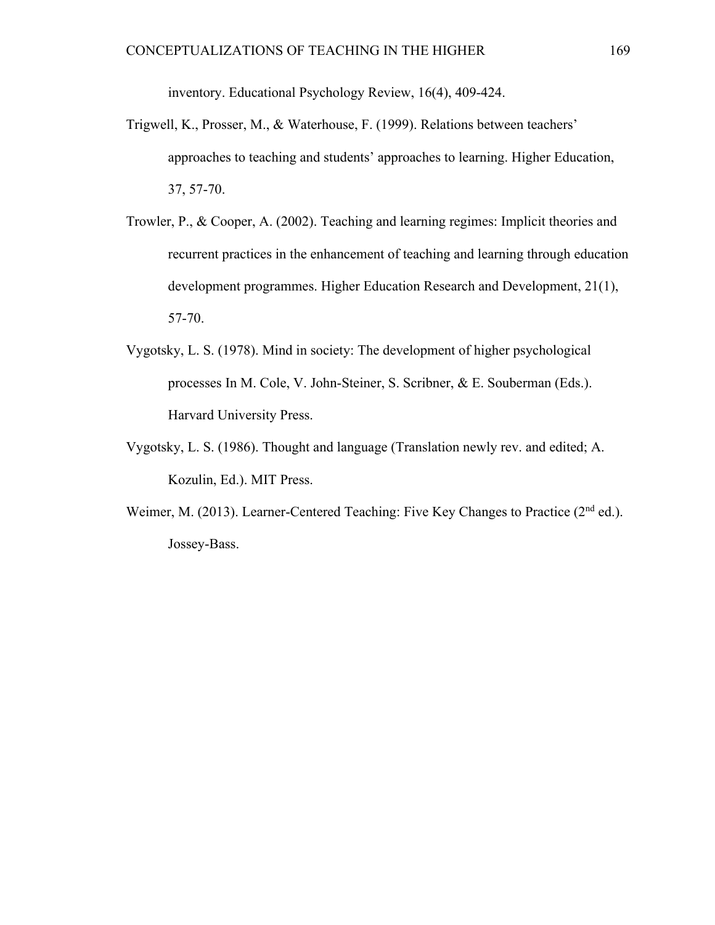inventory. Educational Psychology Review, 16(4), 409-424.

- Trigwell, K., Prosser, M., & Waterhouse, F. (1999). Relations between teachers' approaches to teaching and students' approaches to learning. Higher Education, 37, 57-70.
- Trowler, P., & Cooper, A. (2002). Teaching and learning regimes: Implicit theories and recurrent practices in the enhancement of teaching and learning through education development programmes. Higher Education Research and Development, 21(1), 57-70.
- Vygotsky, L. S. (1978). Mind in society: The development of higher psychological processes In M. Cole, V. John-Steiner, S. Scribner, & E. Souberman (Eds.). Harvard University Press.
- Vygotsky, L. S. (1986). Thought and language (Translation newly rev. and edited; A. Kozulin, Ed.). MIT Press.
- Weimer, M. (2013). Learner-Centered Teaching: Five Key Changes to Practice (2<sup>nd</sup> ed.). Jossey-Bass.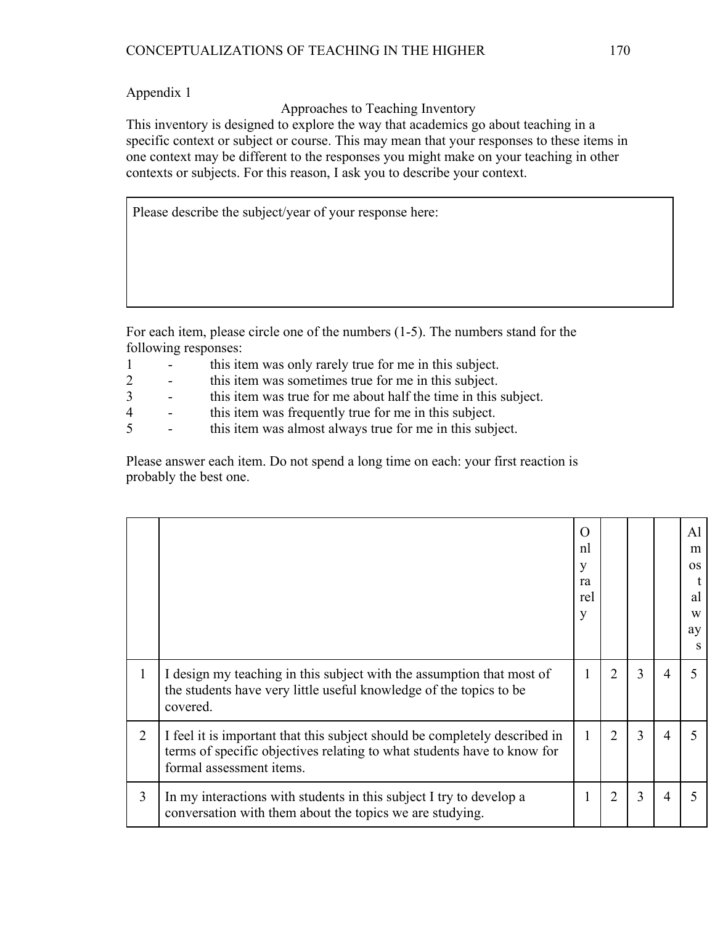Approaches to Teaching Inventory

This inventory is designed to explore the way that academics go about teaching in a specific context or subject or course. This may mean that your responses to these items in one context may be different to the responses you might make on your teaching in other contexts or subjects. For this reason, I ask you to describe your context.

Please describe the subject/year of your response here:

For each item, please circle one of the numbers (1-5). The numbers stand for the following responses:

- 1 this item was only rarely true for me in this subject.
- 2 this item was sometimes true for me in this subject.
- 3 this item was true for me about half the time in this subject.
- 4 this item was frequently true for me in this subject.
- 5 this item was almost always true for me in this subject.

Please answer each item. Do not spend a long time on each: your first reaction is probably the best one.

|                |                                                                                                                                                                                   | $\left( \right)$<br>nl<br>V<br>ra<br>rel<br>v |   |   |   | A1<br>m<br><b>OS</b><br>al<br>W<br>ay |
|----------------|-----------------------------------------------------------------------------------------------------------------------------------------------------------------------------------|-----------------------------------------------|---|---|---|---------------------------------------|
| 1              | I design my teaching in this subject with the assumption that most of<br>the students have very little useful knowledge of the topics to be<br>covered.                           | 1                                             | 2 | 3 | 4 |                                       |
| $\overline{2}$ | I feel it is important that this subject should be completely described in<br>terms of specific objectives relating to what students have to know for<br>formal assessment items. | 1                                             | 2 | 3 |   |                                       |
| 3              | In my interactions with students in this subject I try to develop a<br>conversation with them about the topics we are studying.                                                   | 1                                             | 2 | 3 | 4 |                                       |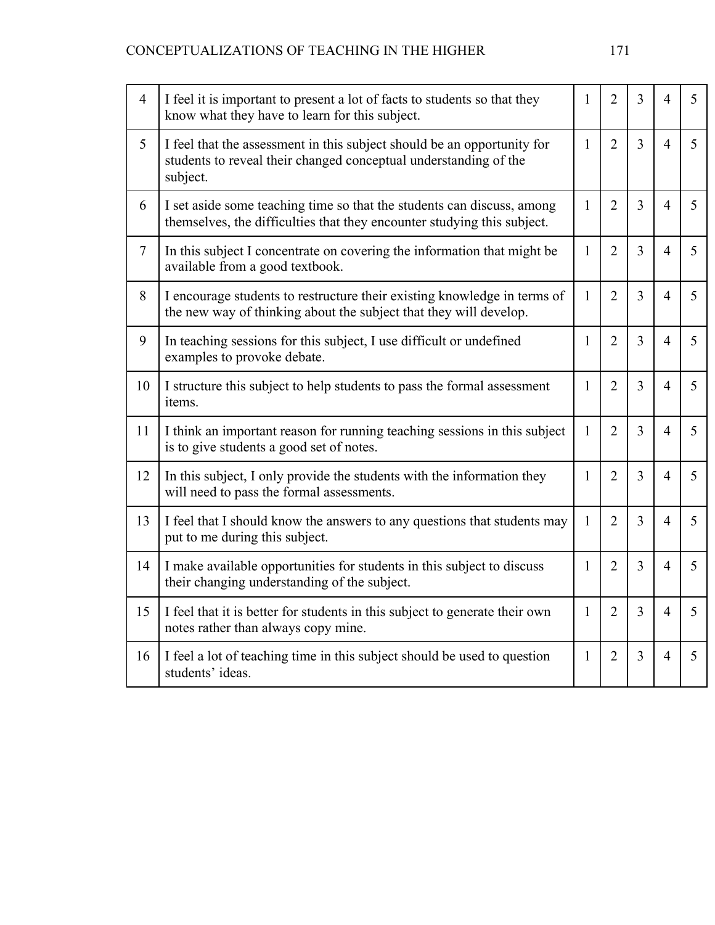| $\overline{4}$ | I feel it is important to present a lot of facts to students so that they<br>know what they have to learn for this subject.                             |              | $\overline{2}$ | 3              | 4              | 5 |
|----------------|---------------------------------------------------------------------------------------------------------------------------------------------------------|--------------|----------------|----------------|----------------|---|
| 5              | I feel that the assessment in this subject should be an opportunity for<br>students to reveal their changed conceptual understanding of the<br>subject. |              | $\overline{2}$ | 3              | $\overline{4}$ | 5 |
| 6              | I set aside some teaching time so that the students can discuss, among<br>themselves, the difficulties that they encounter studying this subject.       |              | $\overline{2}$ | $\overline{3}$ | $\overline{4}$ | 5 |
| $\overline{7}$ | In this subject I concentrate on covering the information that might be<br>available from a good textbook.                                              |              | $\overline{2}$ | $\overline{3}$ | $\overline{4}$ | 5 |
| 8              | I encourage students to restructure their existing knowledge in terms of<br>the new way of thinking about the subject that they will develop.           |              | $\overline{2}$ | $\overline{3}$ | 4              | 5 |
| 9              | In teaching sessions for this subject, I use difficult or undefined<br>examples to provoke debate.                                                      |              | $\overline{2}$ | $\overline{3}$ | 4              | 5 |
| 10             | I structure this subject to help students to pass the formal assessment<br>items.                                                                       |              | $\overline{2}$ | 3              | $\overline{4}$ | 5 |
| 11             | I think an important reason for running teaching sessions in this subject<br>is to give students a good set of notes.                                   |              | $\overline{2}$ | $\overline{3}$ | $\overline{4}$ | 5 |
| 12             | In this subject, I only provide the students with the information they<br>will need to pass the formal assessments.                                     |              | $\overline{2}$ | $\overline{3}$ | $\overline{4}$ | 5 |
| 13             | I feel that I should know the answers to any questions that students may<br>put to me during this subject.                                              |              | $\overline{2}$ | $\overline{3}$ | 4              | 5 |
| 14             | I make available opportunities for students in this subject to discuss<br>their changing understanding of the subject.                                  |              | $\overline{2}$ | $\overline{3}$ | $\overline{4}$ | 5 |
| 15             | I feel that it is better for students in this subject to generate their own<br>notes rather than always copy mine.                                      | $\mathbf{1}$ | $\overline{2}$ | $\overline{3}$ | $\overline{4}$ | 5 |
| 16             | I feel a lot of teaching time in this subject should be used to question<br>students' ideas.                                                            |              | $\overline{2}$ | 3              | 4              | 5 |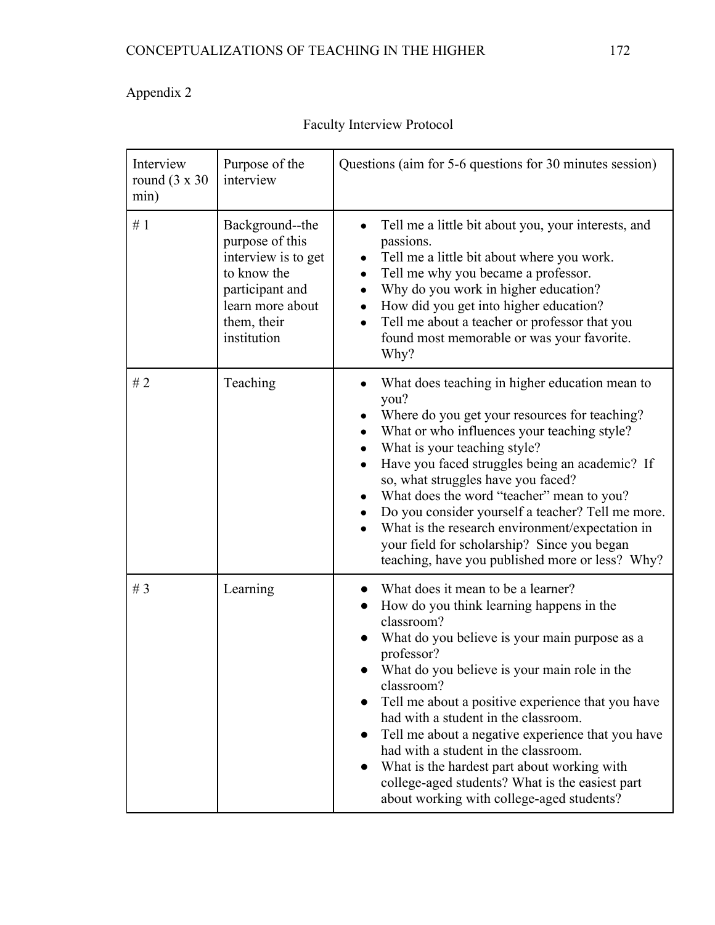| Interview<br>Purpose of the<br>round $(3 \times 30)$<br>interview<br>min) |                                                                                                                                               | Questions (aim for 5-6 questions for 30 minutes session)                                                                                                                                                                                                                                                                                                                                                                                                                                                                                                                        |  |  |  |
|---------------------------------------------------------------------------|-----------------------------------------------------------------------------------------------------------------------------------------------|---------------------------------------------------------------------------------------------------------------------------------------------------------------------------------------------------------------------------------------------------------------------------------------------------------------------------------------------------------------------------------------------------------------------------------------------------------------------------------------------------------------------------------------------------------------------------------|--|--|--|
| #1                                                                        | Background--the<br>purpose of this<br>interview is to get<br>to know the<br>participant and<br>learn more about<br>them, their<br>institution | Tell me a little bit about you, your interests, and<br>passions.<br>Tell me a little bit about where you work.<br>Tell me why you became a professor.<br>$\bullet$<br>Why do you work in higher education?<br>How did you get into higher education?<br>Tell me about a teacher or professor that you<br>found most memorable or was your favorite.<br>Why?                                                                                                                                                                                                                     |  |  |  |
| #2                                                                        | Teaching                                                                                                                                      | What does teaching in higher education mean to<br>$\bullet$<br>you?<br>Where do you get your resources for teaching?<br>What or who influences your teaching style?<br>What is your teaching style?<br>Have you faced struggles being an academic? If<br>so, what struggles have you faced?<br>What does the word "teacher" mean to you?<br>Do you consider yourself a teacher? Tell me more.<br>What is the research environment/expectation in<br>your field for scholarship? Since you began<br>teaching, have you published more or less? Why?                              |  |  |  |
| # $3$                                                                     | Learning                                                                                                                                      | What does it mean to be a learner?<br>How do you think learning happens in the<br>classroom?<br>What do you believe is your main purpose as a<br>professor?<br>What do you believe is your main role in the<br>classroom?<br>Tell me about a positive experience that you have<br>had with a student in the classroom.<br>Tell me about a negative experience that you have<br>$\bullet$<br>had with a student in the classroom.<br>What is the hardest part about working with<br>college-aged students? What is the easiest part<br>about working with college-aged students? |  |  |  |

Faculty Interview Protocol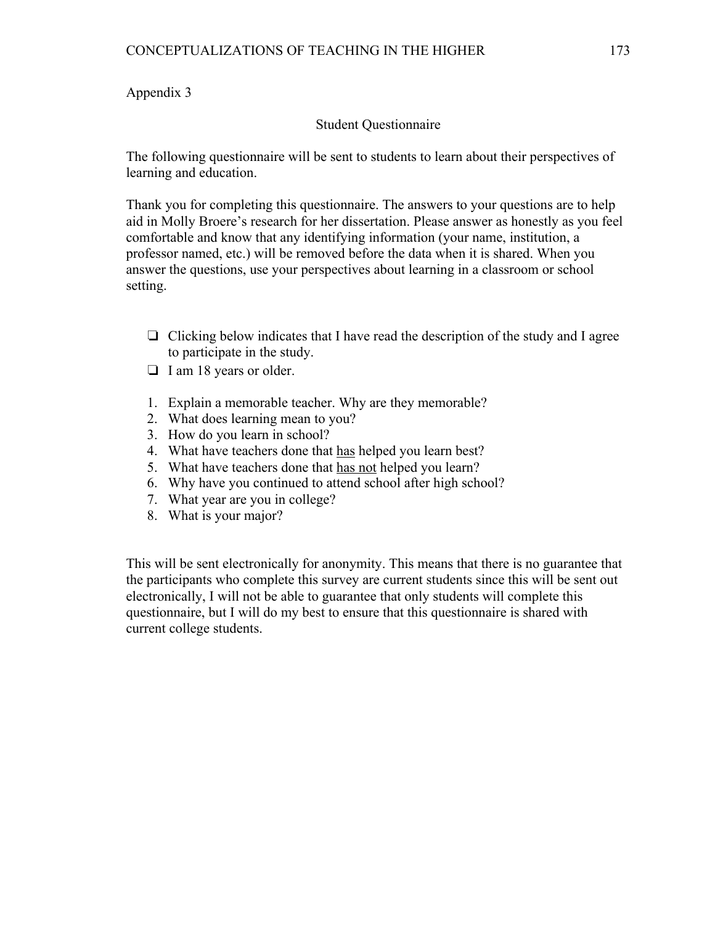# Student Questionnaire

The following questionnaire will be sent to students to learn about their perspectives of learning and education.

Thank you for completing this questionnaire. The answers to your questions are to help aid in Molly Broere's research for her dissertation. Please answer as honestly as you feel comfortable and know that any identifying information (your name, institution, a professor named, etc.) will be removed before the data when it is shared. When you answer the questions, use your perspectives about learning in a classroom or school setting.

- ❏ Clicking below indicates that I have read the description of the study and I agree to participate in the study.
- ❏ I am 18 years or older.
- 1. Explain a memorable teacher. Why are they memorable?
- 2. What does learning mean to you?
- 3. How do you learn in school?
- 4. What have teachers done that has helped you learn best?
- 5. What have teachers done that has not helped you learn?
- 6. Why have you continued to attend school after high school?
- 7. What year are you in college?
- 8. What is your major?

This will be sent electronically for anonymity. This means that there is no guarantee that the participants who complete this survey are current students since this will be sent out electronically, I will not be able to guarantee that only students will complete this questionnaire, but I will do my best to ensure that this questionnaire is shared with current college students.